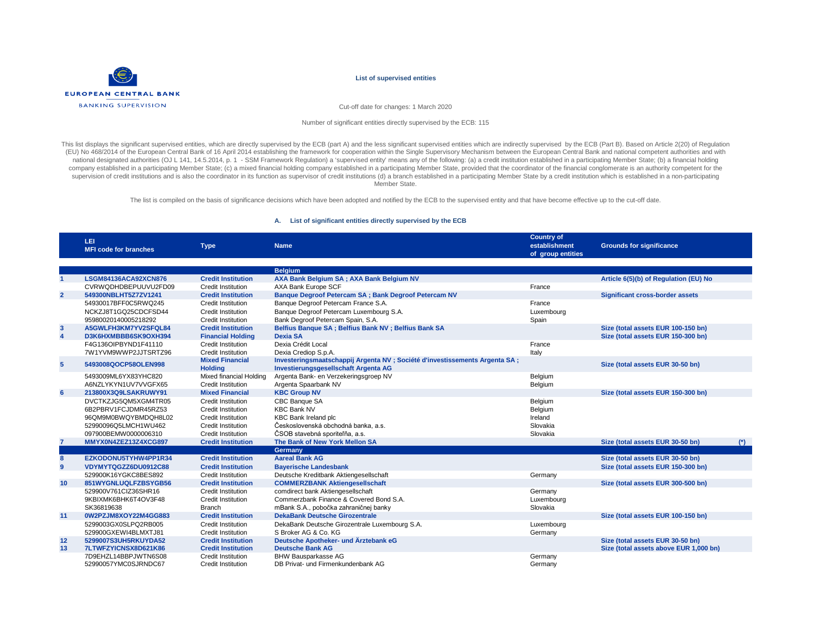

Cut-off date for changes: 1 March 2020

Number of significant entities directly supervised by the ECB: 115

This list displays the significant supervised entities, which are directly supervised by the ECB (part A) and the less significant supervised entities which are indirectly supervised by the ECB (Part B). Based on Article 2 (EU) No 468/2014 of the European Central Bank of 16 April 2014 establishing the framework for cooperation within the Single Supervisory Mechanism between the European Central Bank and national competent authorities and with national designated authorities (OJ L 141, 14.5.2014, p. 1 - SSM Framework Regulation) a 'supervised entity' means any of the following: (a) a credit institution established in a participating Member State; (b) a financial company established in a participating Member State; (c) a mixed financial holding company established in a participating Member State, provided that the coordinator of the financial conglomerate is an authority competent supervision of credit institutions and is also the coordinator in its function as supervisor of credit institutions (d) a branch established in a participating Member State by a credit institution which is established in a Member State.

The list is compiled on the basis of significance decisions which have been adopted and notified by the ECB to the supervised entity and that have become effective up to the cut-off date.

### **A. List of significant entities directly supervised by the ECB**

|                 | LEI.<br><b>MFI code for branches</b> | <b>Type</b>                              | <b>Name</b>                                                                                                          | <b>Country of</b><br>establishment<br>of group entities | <b>Grounds for significance</b>           |
|-----------------|--------------------------------------|------------------------------------------|----------------------------------------------------------------------------------------------------------------------|---------------------------------------------------------|-------------------------------------------|
|                 |                                      |                                          |                                                                                                                      |                                                         |                                           |
|                 |                                      |                                          | <b>Belaium</b>                                                                                                       |                                                         |                                           |
| $\mathbf{1}$    | <b>LSGM84136ACA92XCN876</b>          | <b>Credit Institution</b>                | AXA Bank Belgium SA; AXA Bank Belgium NV                                                                             |                                                         | Article 6(5)(b) of Regulation (EU) No     |
|                 | CVRWQDHDBEPUUVU2FD09                 | <b>Credit Institution</b>                | AXA Bank Europe SCF                                                                                                  | France                                                  |                                           |
| $\overline{2}$  | 549300NBLHT5Z7ZV1241                 | <b>Credit Institution</b>                | Banque Degroof Petercam SA; Bank Degroof Petercam NV                                                                 |                                                         | <b>Significant cross-border assets</b>    |
|                 | 54930017BFF0C5RWQ245                 | <b>Credit Institution</b>                | Banque Degroof Petercam France S.A.                                                                                  | France                                                  |                                           |
|                 | NCKZJ8T1GQ25CDCFSD44                 | <b>Credit Institution</b>                | Banque Degroof Petercam Luxembourg S.A.                                                                              | Luxembourg                                              |                                           |
|                 | 95980020140005218292                 | <b>Credit Institution</b>                | Bank Degroof Petercam Spain, S.A.                                                                                    | Spain                                                   |                                           |
| $\mathbf{3}$    | A5GWLFH3KM7YV2SFQL84                 | <b>Credit Institution</b>                | Belfius Banque SA; Belfius Bank NV; Belfius Bank SA                                                                  |                                                         | Size (total assets EUR 100-150 bn)        |
| $\overline{4}$  | D3K6HXMBBB6SK9OXH394                 | <b>Financial Holding</b>                 | <b>Dexia SA</b>                                                                                                      |                                                         | Size (total assets EUR 150-300 bn)        |
|                 | F4G136OIPBYND1F41110                 | <b>Credit Institution</b>                | Dexia Crédit Local                                                                                                   | France                                                  |                                           |
|                 | 7W1YVM9WWP2JJTSRTZ96                 | <b>Credit Institution</b>                | Dexia Crediop S.p.A.                                                                                                 | Italy                                                   |                                           |
| $5\phantom{.0}$ | 5493008QOCP58OLEN998                 | <b>Mixed Financial</b><br><b>Holding</b> | Investeringsmaatschappij Argenta NV ; Société d'investissements Argenta SA ;<br>Investierungsgesellschaft Argenta AG |                                                         | Size (total assets EUR 30-50 bn)          |
|                 | 5493009ML6YX83YHC820                 | Mixed financial Holding                  | Argenta Bank- en Verzekeringsgroep NV                                                                                | Belgium                                                 |                                           |
|                 | A6NZLYKYN1UV7VVGFX65                 | <b>Credit Institution</b>                | Argenta Spaarbank NV                                                                                                 | Belgium                                                 |                                           |
| 6               | 213800X3Q9LSAKRUWY91                 | <b>Mixed Financial</b>                   | <b>KBC Group NV</b>                                                                                                  |                                                         | Size (total assets EUR 150-300 bn)        |
|                 | DVCTKZJG5QM5XGM4TR05                 | Credit Institution                       | CBC Banque SA                                                                                                        | Belgium                                                 |                                           |
|                 | 6B2PBRV1FCJDMR45RZ53                 | Credit Institution                       | <b>KBC Bank NV</b>                                                                                                   | Belgium                                                 |                                           |
|                 | 96QM9M0BWQYBMDQH8L02                 | <b>Credit Institution</b>                | KBC Bank Ireland plc                                                                                                 | Ireland                                                 |                                           |
|                 | 52990096Q5LMCH1WU462                 | <b>Credit Institution</b>                | Československá obchodná banka, a.s.                                                                                  | Slovakia                                                |                                           |
|                 | 097900BEMW0000006310                 | <b>Credit Institution</b>                | ČSOB stavebná sporiteľňa, a.s.                                                                                       | Slovakia                                                |                                           |
| $\overline{7}$  | MMYX0N4ZEZ13Z4XCG897                 | <b>Credit Institution</b>                | The Bank of New York Mellon SA                                                                                       |                                                         | Size (total assets EUR 30-50 bn)<br>$(*)$ |
|                 |                                      |                                          | Germany                                                                                                              |                                                         |                                           |
| 8               | EZKODONU5TYHW4PP1R34                 | <b>Credit Institution</b>                | <b>Aareal Bank AG</b>                                                                                                |                                                         | Size (total assets EUR 30-50 bn)          |
| 9               | VDYMYTQGZZ6DU0912C88                 | <b>Credit Institution</b>                | <b>Bayerische Landesbank</b>                                                                                         |                                                         | Size (total assets EUR 150-300 bn)        |
|                 | 529900K16YGKC8BES892                 | <b>Credit Institution</b>                | Deutsche Kreditbank Aktiengesellschaft                                                                               | Germany                                                 |                                           |
| 10              | 851WYGNLUQLFZBSYGB56                 | <b>Credit Institution</b>                | <b>COMMERZBANK Aktiengesellschaft</b>                                                                                |                                                         | Size (total assets EUR 300-500 bn)        |
|                 | 529900V761ClZ36SHR16                 | <b>Credit Institution</b>                | comdirect bank Aktiengesellschaft                                                                                    | Germany                                                 |                                           |
|                 | 9KBIXMK6BHK6T4OV3F48                 | <b>Credit Institution</b>                | Commerzbank Finance & Covered Bond S.A.                                                                              | Luxembourg                                              |                                           |
|                 | SK36819638                           | <b>Branch</b>                            | mBank S.A., pobočka zahraničnej banky                                                                                | Slovakia                                                |                                           |
| 11              | 0W2PZJM8XOY22M4GG883                 | <b>Credit Institution</b>                | <b>DekaBank Deutsche Girozentrale</b>                                                                                |                                                         | Size (total assets EUR 100-150 bn)        |
|                 | 5299003GX0SLPQ2RB005                 | Credit Institution                       | DekaBank Deutsche Girozentrale Luxembourg S.A.                                                                       | Luxembourg                                              |                                           |
|                 | 529900GXEWI4BLMXTJ81                 | <b>Credit Institution</b>                | S Broker AG & Co. KG                                                                                                 | Germany                                                 |                                           |
| 12              | 5299007S3UH5RKUYDA52                 | <b>Credit Institution</b>                | Deutsche Apotheker- und Ärztebank eG                                                                                 |                                                         | Size (total assets EUR 30-50 bn)          |
| 13              | 7LTWFZYICNSX8D621K86                 | <b>Credit Institution</b>                | <b>Deutsche Bank AG</b>                                                                                              |                                                         | Size (total assets above EUR 1,000 bn)    |
|                 | 7D9EHZL14BBPJWTN6S08                 | <b>Credit Institution</b>                | <b>BHW Bausparkasse AG</b>                                                                                           | Germany                                                 |                                           |
|                 | 52990057YMC0SJRNDC67                 | <b>Credit Institution</b>                | DB Privat- und Firmenkundenbank AG                                                                                   | Germany                                                 |                                           |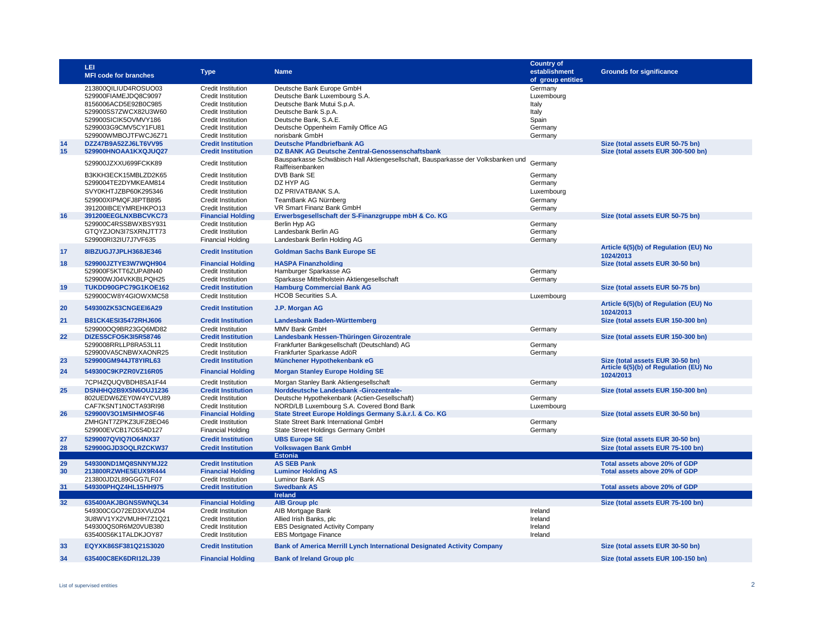|    | LEI                          |                           |                                                                                   | <b>Country of</b> |                                       |
|----|------------------------------|---------------------------|-----------------------------------------------------------------------------------|-------------------|---------------------------------------|
|    |                              | <b>Type</b>               | <b>Name</b>                                                                       | establishment     | <b>Grounds for significance</b>       |
|    | <b>MFI code for branches</b> |                           |                                                                                   | of group entities |                                       |
|    | 213800QILIUD4ROSUO03         | <b>Credit Institution</b> | Deutsche Bank Europe GmbH                                                         | Germany           |                                       |
|    |                              |                           |                                                                                   |                   |                                       |
|    | 529900FIAMEJDQ8C9097         | <b>Credit Institution</b> | Deutsche Bank Luxembourg S.A.                                                     | Luxembourg        |                                       |
|    | 8156006ACD5E92B0C985         | <b>Credit Institution</b> | Deutsche Bank Mutui S.p.A.                                                        | Italy             |                                       |
|    | 529900SS7ZWCX82U3W60         | <b>Credit Institution</b> | Deutsche Bank S.p.A.                                                              | Italy             |                                       |
|    | 529900SICIK5OVMVY186         | Credit Institution        | Deutsche Bank, S.A.E.                                                             | Spain             |                                       |
|    | 5299003G9CMV5CY1FU81         | <b>Credit Institution</b> | Deutsche Oppenheim Family Office AG                                               | Germany           |                                       |
|    | 529900WMBOJTFWCJ6Z71         | <b>Credit Institution</b> | norisbank GmbH                                                                    | Germany           |                                       |
| 14 | DZZ47B9A52ZJ6LT6VV95         | <b>Credit Institution</b> | <b>Deutsche Pfandbriefbank AG</b>                                                 |                   | Size (total assets EUR 50-75 bn)      |
|    |                              |                           |                                                                                   |                   |                                       |
| 15 | 529900HNOAA1KXQJUQ27         | <b>Credit Institution</b> | DZ BANK AG Deutsche Zentral-Genossenschaftsbank                                   |                   | Size (total assets EUR 300-500 bn)    |
|    | 529900JZXXU699FCKK89         | Credit Institution        | Bausparkasse Schwäbisch Hall Aktiengesellschaft, Bausparkasse der Volksbanken und | Germany           |                                       |
|    |                              |                           | Raiffeisenbanken                                                                  |                   |                                       |
|    | B3KKH3ECK15MBLZD2K65         | Credit Institution        | DVB Bank SE                                                                       | Germany           |                                       |
|    | 5299004TE2DYMKEAM814         | Credit Institution        | DZ HYP AG                                                                         | Germany           |                                       |
|    | SVY0KHTJZBP60K295346         | <b>Credit Institution</b> | DZ PRIVATBANK S.A.                                                                | Luxembourg        |                                       |
|    |                              |                           |                                                                                   |                   |                                       |
|    | 529900XIPMQFJ8PTB895         | <b>Credit Institution</b> | TeamBank AG Nürnberg                                                              | Germany           |                                       |
|    | 391200IBCEYMREHKPO13         | <b>Credit Institution</b> | VR Smart Finanz Bank GmbH                                                         | Germany           |                                       |
| 16 | 391200EEGLNXBBCVKC73         | <b>Financial Holding</b>  | Erwerbsgesellschaft der S-Finanzgruppe mbH & Co. KG                               |                   | Size (total assets EUR 50-75 bn)      |
|    | 529900C4RSSBWXBSY931         | Credit Institution        | Berlin Hyp AG                                                                     | Germany           |                                       |
|    | GTQYZJON3I7SXRNJTT73         | Credit Institution        | Landesbank Berlin AG                                                              | Germany           |                                       |
|    | 529900RI32IU7J7VF635         | <b>Financial Holding</b>  | Landesbank Berlin Holding AG                                                      | Germany           |                                       |
|    |                              |                           |                                                                                   |                   | Article 6(5)(b) of Regulation (EU) No |
| 17 | 8IBZUGJ7JPLH368JE346         | <b>Credit Institution</b> | <b>Goldman Sachs Bank Europe SE</b>                                               |                   | 1024/2013                             |
|    |                              |                           |                                                                                   |                   |                                       |
| 18 | 529900JZTYE3W7WQH904         | <b>Financial Holding</b>  | <b>HASPA Finanzholding</b>                                                        |                   | Size (total assets EUR 30-50 bn)      |
|    | 529900F5KTT6ZUPA8N40         | <b>Credit Institution</b> | Hamburger Sparkasse AG                                                            | Germany           |                                       |
|    | 529900WJ04VKKBLPQH25         | Credit Institution        | Sparkasse Mittelholstein Aktiengesellschaft                                       | Germany           |                                       |
| 19 | TUKDD90GPC79G1KOE162         | <b>Credit Institution</b> | <b>Hamburg Commercial Bank AG</b>                                                 |                   | Size (total assets EUR 50-75 bn)      |
|    | 529900CW8Y4GIOWXMC58         | Credit Institution        | <b>HCOB Securities S.A.</b>                                                       | Luxembourg        |                                       |
|    |                              |                           |                                                                                   |                   | Article 6(5)(b) of Regulation (EU) No |
| 20 | 549300ZK53CNGEEI6A29         | <b>Credit Institution</b> | J.P. Morgan AG                                                                    |                   |                                       |
|    |                              |                           |                                                                                   |                   | 1024/2013                             |
| 21 | B81CK4ESI35472RHJ606         | <b>Credit Institution</b> | Landesbank Baden-Württemberg                                                      |                   | Size (total assets EUR 150-300 bn)    |
|    | 529900OQ9BR23GQ6MD82         | Credit Institution        | MMV Bank GmbH                                                                     | Germany           |                                       |
| 22 | DIZES5CFO5K3I5R58746         | <b>Credit Institution</b> | Landesbank Hessen-Thüringen Girozentrale                                          |                   | Size (total assets EUR 150-300 bn)    |
|    | 5299008RRLLP8RA53L11         | <b>Credit Institution</b> | Frankfurter Bankgesellschaft (Deutschland) AG                                     | Germany           |                                       |
|    | 529900VA5CNBWXAONR25         | Credit Institution        | Frankfurter Sparkasse AdöR                                                        | Germany           |                                       |
| 23 | 529900GM944JT8YIRL63         | <b>Credit Institution</b> | Münchener Hypothekenbank eG                                                       |                   | Size (total assets EUR 30-50 bn)      |
|    |                              |                           |                                                                                   |                   |                                       |
| 24 | 549300C9KPZR0VZ16R05         | <b>Financial Holding</b>  | <b>Morgan Stanley Europe Holding SE</b>                                           |                   | Article 6(5)(b) of Regulation (EU) No |
|    |                              |                           |                                                                                   |                   | 1024/2013                             |
|    | 7CPI4ZQUQVBDH8SA1F44         | Credit Institution        | Morgan Stanley Bank Aktiengesellschaft                                            | Germany           |                                       |
| 25 | DSNHHQ2B9X5N6OUJ1236         | <b>Credit Institution</b> | Norddeutsche Landesbank - Girozentrale-                                           |                   | Size (total assets EUR 150-300 bn)    |
|    | 802UEDW6ZEY0W4YCVU89         | <b>Credit Institution</b> | Deutsche Hypothekenbank (Actien-Gesellschaft)                                     | Germany           |                                       |
|    | CAF7KSNT1N0CTA93RI98         | Credit Institution        | NORD/LB Luxembourg S.A. Covered Bond Bank                                         | Luxembourg        |                                       |
| 26 | 529900V3O1M5IHMOSF46         | <b>Financial Holding</b>  | State Street Europe Holdings Germany S.à.r.l. & Co. KG                            |                   | Size (total assets EUR 30-50 bn)      |
|    | ZMHGNT7ZPKZ3UFZ8EO46         | <b>Credit Institution</b> | State Street Bank International GmbH                                              | Germany           |                                       |
|    | 529900EVCB17C6S4D127         | <b>Financial Holding</b>  | State Street Holdings Germany GmbH                                                | Germany           |                                       |
|    |                              |                           |                                                                                   |                   |                                       |
| 27 | 5299007QVIQ7IO64NX37         | <b>Credit Institution</b> | <b>UBS Europe SE</b>                                                              |                   | Size (total assets EUR 30-50 bn)      |
| 28 | 529900GJD3OQLRZCKW37         | <b>Credit Institution</b> | <b>Volkswagen Bank GmbH</b>                                                       |                   | Size (total assets EUR 75-100 bn)     |
|    |                              |                           | <b>Estonia</b>                                                                    |                   |                                       |
| 29 | 549300ND1MQ8SNNYMJ22         | <b>Credit Institution</b> | <b>AS SEB Pank</b>                                                                |                   | Total assets above 20% of GDP         |
| 30 | 213800RZWHE5EUX9R444         | <b>Financial Holding</b>  | <b>Luminor Holding AS</b>                                                         |                   | Total assets above 20% of GDP         |
|    | 213800JD2L89GGG7LF07         | <b>Credit Institution</b> | Luminor Bank AS                                                                   |                   |                                       |
| 31 |                              |                           |                                                                                   |                   |                                       |
|    | 549300PHQZ4HL15HH975         | <b>Credit Institution</b> | <b>Swedbank AS</b>                                                                |                   | Total assets above 20% of GDP         |
|    |                              |                           | <b>Ireland</b>                                                                    |                   |                                       |
| 32 | 635400AKJBGNS5WNQL34         | <b>Financial Holding</b>  | <b>AIB Group plc</b>                                                              |                   | Size (total assets EUR 75-100 bn)     |
|    | 549300CGO72ED3XVUZ04         | <b>Credit Institution</b> | AIB Mortgage Bank                                                                 | Ireland           |                                       |
|    | 3U8WV1YX2VMUHH7Z1Q21         | <b>Credit Institution</b> | Allied Irish Banks, plc                                                           | Ireland           |                                       |
|    | 549300QS0R6M20VUB380         | Credit Institution        | <b>EBS Designated Activity Company</b>                                            | Ireland           |                                       |
|    | 635400S6K1TALDKJOY87         | <b>Credit Institution</b> | <b>EBS Mortgage Finance</b>                                                       | Ireland           |                                       |
|    |                              |                           |                                                                                   |                   |                                       |
| 33 | EQYXK86SF381Q21S3020         | <b>Credit Institution</b> | <b>Bank of America Merrill Lynch International Designated Activity Company</b>    |                   | Size (total assets EUR 30-50 bn)      |
|    |                              |                           |                                                                                   |                   |                                       |
| 34 | 635400C8EK6DRI12LJ39         | <b>Financial Holding</b>  | <b>Bank of Ireland Group plc</b>                                                  |                   | Size (total assets EUR 100-150 bn)    |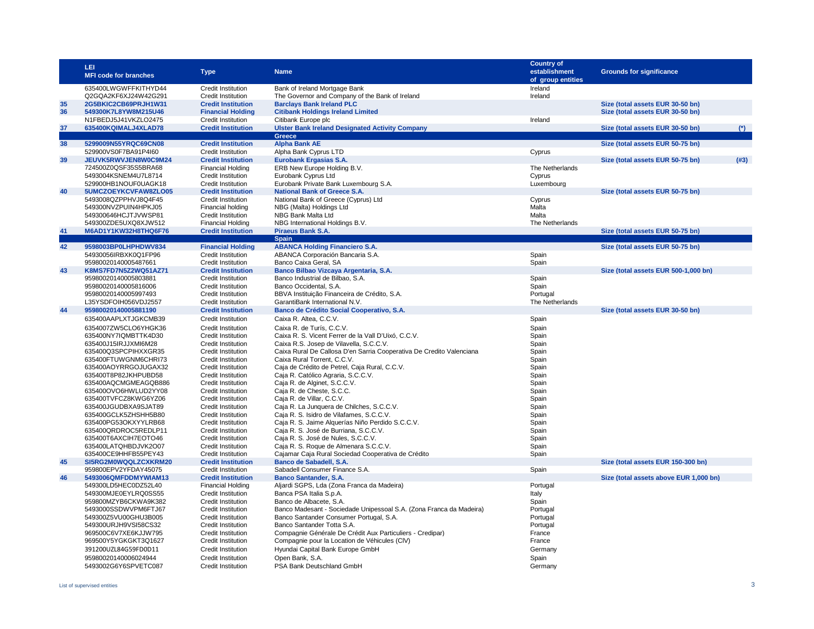|    | LEI.                                         | <b>Type</b>                                     | <b>Name</b>                                                                                                     | <b>Country of</b><br>establishment | <b>Grounds for significance</b>           |
|----|----------------------------------------------|-------------------------------------------------|-----------------------------------------------------------------------------------------------------------------|------------------------------------|-------------------------------------------|
|    | MFI code for branches                        |                                                 |                                                                                                                 | of group entities                  |                                           |
|    | 635400LWGWFFKITHYD44                         | <b>Credit Institution</b>                       | Bank of Ireland Mortgage Bank                                                                                   | Ireland                            |                                           |
|    | Q2GQA2KF6XJ24W42G291                         | <b>Credit Institution</b>                       | The Governor and Company of the Bank of Ireland                                                                 | Ireland                            |                                           |
| 35 | 2G5BKIC2CB69PRJH1W31                         | <b>Credit Institution</b>                       | <b>Barclays Bank Ireland PLC</b>                                                                                |                                    | Size (total assets EUR 30-50 bn)          |
| 36 | 549300K7L8YW8M215U46                         | <b>Financial Holding</b>                        | <b>Citibank Holdings Ireland Limited</b>                                                                        |                                    | Size (total assets EUR 30-50 bn)          |
|    | N1FBEDJ5J41VKZLO2475                         | Credit Institution                              | Citibank Europe plc                                                                                             | Ireland                            |                                           |
| 37 | 635400KQIMALJ4XLAD78                         | <b>Credit Institution</b>                       | <b>Ulster Bank Ireland Designated Activity Company</b>                                                          |                                    | Size (total assets EUR 30-50 bn)<br>$(*)$ |
|    |                                              |                                                 | Greece                                                                                                          |                                    |                                           |
| 38 | 5299009N55YRQC69CN08                         | <b>Credit Institution</b>                       | <b>Alpha Bank AE</b>                                                                                            |                                    | Size (total assets EUR 50-75 bn)          |
|    | 529900VS0F7BA91P4I60                         | Credit Institution                              | Alpha Bank Cyprus LTD                                                                                           | Cyprus                             |                                           |
| 39 | JEUVK5RWVJEN8W0C9M24<br>724500Z0QSF35S5BRA68 | <b>Credit Institution</b>                       | Eurobank Ergasias S.A.                                                                                          | The Netherlands                    | Size (total assets EUR 50-75 bn)<br>(#3)  |
|    | 5493004KSNEM4U7L8714                         | <b>Financial Holding</b><br>Credit Institution  | ERB New Europe Holding B.V.<br>Eurobank Cyprus Ltd                                                              | Cyprus                             |                                           |
|    | 529900HB1NOUF0UAGK18                         | Credit Institution                              | Eurobank Private Bank Luxembourg S.A.                                                                           | Luxembourg                         |                                           |
| 40 | 5UMCZOEYKCVFAW8ZLO05                         | <b>Credit Institution</b>                       | <b>National Bank of Greece S.A.</b>                                                                             |                                    | Size (total assets EUR 50-75 bn)          |
|    | 5493008QZPPHVJ8Q4F45                         | Credit Institution                              | National Bank of Greece (Cyprus) Ltd                                                                            | Cyprus                             |                                           |
|    | 549300NVZPUIN4HPKJ05                         | Financial holding                               | NBG (Malta) Holdings Ltd                                                                                        | Malta                              |                                           |
|    | 549300646HCJTJVWSP81                         | Credit Institution                              | NBG Bank Malta Ltd                                                                                              | Malta                              |                                           |
|    | 549300ZDE5UXQ8XJW512                         | <b>Financial Holding</b>                        | NBG International Holdings B.V.                                                                                 | The Netherlands                    |                                           |
| 41 | M6AD1Y1KW32H8THQ6F76                         | <b>Credit Institution</b>                       | <b>Piraeus Bank S.A.</b>                                                                                        |                                    | Size (total assets EUR 50-75 bn)          |
|    |                                              |                                                 | <b>Spain</b>                                                                                                    |                                    |                                           |
| 42 | 9598003BP0LHPHDWV834                         | <b>Financial Holding</b>                        | <b>ABANCA Holding Financiero S.A.</b>                                                                           |                                    | Size (total assets EUR 50-75 bn)          |
|    | 54930056IRBXK0Q1FP96                         | Credit Institution                              | ABANCA Corporación Bancaria S.A.                                                                                | Spain                              |                                           |
|    | 95980020140005487661                         | <b>Credit Institution</b>                       | Banco Caixa Geral, SA                                                                                           | Spain                              |                                           |
| 43 | K8MS7FD7N5Z2WQ51AZ71                         | <b>Credit Institution</b>                       | Banco Bilbao Vizcaya Argentaria, S.A.                                                                           |                                    | Size (total assets EUR 500-1,000 bn)      |
|    | 95980020140005803881                         | Credit Institution                              | Banco Industrial de Bilbao, S.A.                                                                                | Spain                              |                                           |
|    | 95980020140005816006                         | Credit Institution                              | Banco Occidental, S.A.                                                                                          | Spain                              |                                           |
|    | 95980020140005997493                         | Credit Institution                              | BBVA Instituição Financeira de Crédito, S.A.                                                                    | Portugal                           |                                           |
|    | L35YSDFOIH056VDJ2557                         | Credit Institution                              | GarantiBank International N.V.                                                                                  | The Netherlands                    |                                           |
| 44 | 95980020140005881190                         | <b>Credit Institution</b>                       | Banco de Crédito Social Cooperativo, S.A.                                                                       |                                    | Size (total assets EUR 30-50 bn)          |
|    | 635400AAPLXTJGKCMB39                         | <b>Credit Institution</b>                       | Caixa R. Altea, C.C.V.                                                                                          | Spain                              |                                           |
|    | 6354007ZW5CLO6YHGK36                         | Credit Institution                              | Caixa R. de Turís, C.C.V.                                                                                       | Spain                              |                                           |
|    | 635400NY7IQMBTTK4D30<br>635400J15IRJJXMI6M28 | Credit Institution                              | Caixa R. S. Vicent Ferrer de la Vall D'Uixó, C.C.V.                                                             | Spain<br>Spain                     |                                           |
|    | 635400Q3SPCPIHXXGR35                         | Credit Institution<br>Credit Institution        | Caixa R.S. Josep de Vilavella, S.C.C.V.<br>Caixa Rural De Callosa D'en Sarria Cooperativa De Credito Valenciana | Spain                              |                                           |
|    | 635400FTUWGNM6CHRI73                         | <b>Credit Institution</b>                       | Caixa Rural Torrent, C.C.V.                                                                                     | Spain                              |                                           |
|    | 635400AOYRRGOJUGAX32                         | Credit Institution                              | Caja de Crédito de Petrel, Caja Rural, C.C.V.                                                                   | Spain                              |                                           |
|    | 635400T8P82JKHPUBD58                         | Credit Institution                              | Caja R. Católico Agraria, S.C.C.V.                                                                              | Spain                              |                                           |
|    | 635400AQCMGMEAGQB886                         | Credit Institution                              | Caja R. de Alginet, S.C.C.V.                                                                                    | Spain                              |                                           |
|    | 635400OVO6HWLUD2YY08                         | Credit Institution                              | Caja R. de Cheste, S.C.C.                                                                                       | Spain                              |                                           |
|    | 635400TVFCZ8KWG6YZ06                         | <b>Credit Institution</b>                       | Caja R. de Villar, C.C.V.                                                                                       | Spain                              |                                           |
|    | 635400JGUDBXA9SJAT89                         | Credit Institution                              | Caja R. La Junquera de Chilches, S.C.C.V.                                                                       | Spain                              |                                           |
|    | 635400GCLK5ZHSHH5B80                         | Credit Institution                              | Caja R. S. Isidro de Vilafames, S.C.C.V.                                                                        | Spain                              |                                           |
|    | 635400PG53OKXYYLRB68                         | Credit Institution                              | Caja R. S. Jaime Alquerías Niño Perdido S.C.C.V.                                                                | Spain                              |                                           |
|    | 635400QRDROC5REDLP11                         | Credit Institution                              | Caja R. S. José de Burriana, S.C.C.V.                                                                           | Spain                              |                                           |
|    | 635400T6AXCIH7EOTO46                         | Credit Institution                              | Caja R. S. José de Nules, S.C.C.V.                                                                              | Spain                              |                                           |
|    | 635400LATQHBDJVK2O07                         | Credit Institution                              | Caja R. S. Roque de Almenara S.C.C.V.                                                                           | Spain                              |                                           |
|    | 635400CE9HHFB55PEY43                         | Credit Institution                              | Cajamar Caja Rural Sociedad Cooperativa de Crédito<br>Banco de Sabadell, S.A.                                   | Spain                              |                                           |
| 45 | SI5RG2M0WQQLZCXKRM20<br>959800EPV2YFDAY45075 | <b>Credit Institution</b><br>Credit Institution | Sabadell Consumer Finance S.A.                                                                                  | Spain                              | Size (total assets EUR 150-300 bn)        |
| 46 | 5493006QMFDDMYWIAM13                         | <b>Credit Institution</b>                       | <b>Banco Santander, S.A.</b>                                                                                    |                                    | Size (total assets above EUR 1,000 bn)    |
|    | 549300LD5HEC0DZ52L40                         | <b>Financial Holding</b>                        | Aljardi SGPS, Lda (Zona Franca da Madeira)                                                                      | Portugal                           |                                           |
|    | 549300MJE0EYLRQ0SS55                         | <b>Credit Institution</b>                       | Banca PSA Italia S.p.A.                                                                                         | Italy                              |                                           |
|    | 959800MZYB6CKWA9K382                         | Credit Institution                              | Banco de Albacete, S.A.                                                                                         | Spain                              |                                           |
|    | 5493000SSDWVPM6FTJ67                         | <b>Credit Institution</b>                       | Banco Madesant - Sociedade Unipessoal S.A. (Zona Franca da Madeira)                                             | Portugal                           |                                           |
|    | 549300Z5VU00GHU3B005                         | Credit Institution                              | Banco Santander Consumer Portugal, S.A.                                                                         | Portugal                           |                                           |
|    | 549300URJH9VSI58CS32                         | Credit Institution                              | Banco Santander Totta S.A.                                                                                      | Portugal                           |                                           |
|    | 969500C6V7XE6KJJW795                         | Credit Institution                              | Compagnie Générale De Crédit Aux Particuliers - Credipar)                                                       | France                             |                                           |
|    | 969500Y5YGKGKT3Q1627                         | Credit Institution                              | Compagnie pour la Location de Véhicules (CIV)                                                                   | France                             |                                           |
|    | 391200UZL84G59FD0D11                         | <b>Credit Institution</b>                       | Hyundai Capital Bank Europe GmbH                                                                                | Germany                            |                                           |
|    | 95980020140006024944                         | Credit Institution                              | Open Bank, S.A.                                                                                                 | Spain                              |                                           |
|    | 5493002G6Y6SPVETC087                         | <b>Credit Institution</b>                       | PSA Bank Deutschland GmbH                                                                                       | Germany                            |                                           |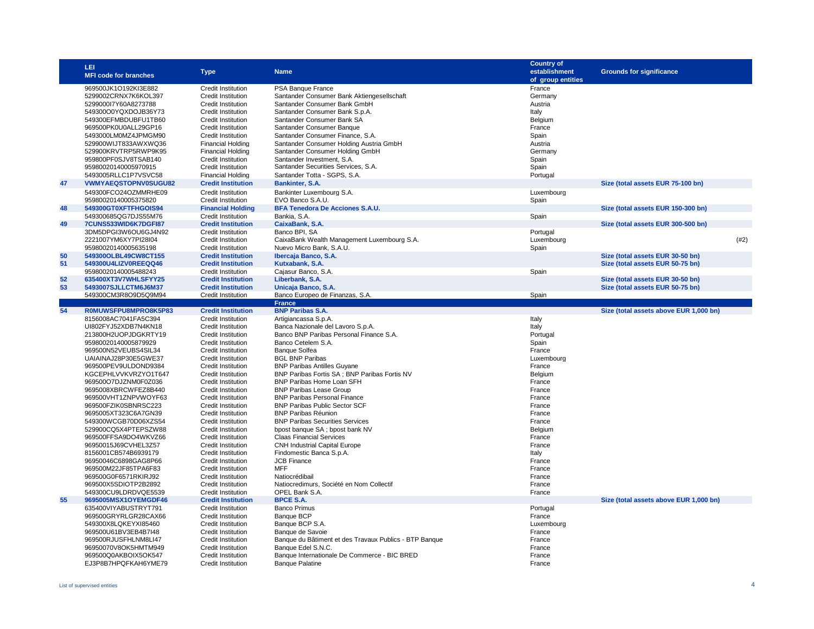|    | LEI<br><b>MFI code for branches</b>          | <b>Type</b>                                            | <b>Name</b>                                                            | <b>Country of</b><br>establishment | <b>Grounds for significance</b>        |      |
|----|----------------------------------------------|--------------------------------------------------------|------------------------------------------------------------------------|------------------------------------|----------------------------------------|------|
|    |                                              |                                                        |                                                                        | of group entities                  |                                        |      |
|    | 969500JK1O192KI3E882                         | <b>Credit Institution</b>                              | PSA Banque France                                                      | France                             |                                        |      |
|    | 5299002CRNX7K6KOL397                         | <b>Credit Institution</b>                              | Santander Consumer Bank Aktiengesellschaft                             | Germany                            |                                        |      |
|    | 5299000l7Y60A8273788                         | <b>Credit Institution</b>                              | Santander Consumer Bank GmbH                                           | Austria                            |                                        |      |
|    | 549300O0YQXDOJB36Y73                         | <b>Credit Institution</b>                              | Santander Consumer Bank S.p.A.                                         | Italy                              |                                        |      |
|    | 549300EFMBDUBFU1TB60                         | <b>Credit Institution</b>                              | Santander Consumer Bank SA                                             | Belgium                            |                                        |      |
|    | 969500PK0U0ALL29GP16                         | <b>Credit Institution</b>                              | Santander Consumer Banque                                              | France                             |                                        |      |
|    | 5493000LM0MZ4JPMGM90                         | Credit Institution                                     | Santander Consumer Finance, S.A.                                       | Spain                              |                                        |      |
|    | 529900WIJT833AWXWQ36                         | <b>Financial Holding</b>                               | Santander Consumer Holding Austria GmbH                                | Austria                            |                                        |      |
|    | 529900KRVTRP5RWP9K95                         | <b>Financial Holding</b>                               | Santander Consumer Holding GmbH                                        | Germany                            |                                        |      |
|    | 959800PF0SJV8TSAB140                         | <b>Credit Institution</b>                              | Santander Investment, S.A.                                             | Spain                              |                                        |      |
|    | 95980020140005970915                         | <b>Credit Institution</b>                              | Santander Securities Services, S.A.                                    | Spain                              |                                        |      |
|    | 5493005RLLC1P7VSVC58                         | <b>Financial Holding</b>                               | Santander Totta - SGPS, S.A.                                           | Portugal                           |                                        |      |
| 47 | VWMYAEQSTOPNV0SUGU82                         | <b>Credit Institution</b>                              | Bankinter, S.A.                                                        |                                    | Size (total assets EUR 75-100 bn)      |      |
|    | 549300FCO24OZMMRHE09                         | Credit Institution                                     | Bankinter Luxembourg S.A.                                              | Luxembourg                         |                                        |      |
|    | 95980020140005375820                         | <b>Credit Institution</b>                              | EVO Banco S.A.U.                                                       | Spain                              |                                        |      |
| 48 | 549300GT0XFTFHGOIS94                         | <b>Financial Holding</b>                               | <b>BFA Tenedora De Acciones S.A.U.</b>                                 |                                    | Size (total assets EUR 150-300 bn)     |      |
|    | 549300685QG7DJS55M76                         | Credit Institution                                     | Bankia, S.A.                                                           | Spain                              |                                        |      |
| 49 | 7CUNS533WID6K7DGFI87                         | <b>Credit Institution</b>                              | CaixaBank, S.A.                                                        |                                    | Size (total assets EUR 300-500 bn)     |      |
|    | 3DM5DPGI3W6OU6GJ4N92                         | <b>Credit Institution</b>                              | Banco BPI, SA                                                          | Portugal                           |                                        |      |
|    | 2221007YM6XY7PI28I04                         | Credit Institution                                     | CaixaBank Wealth Management Luxembourg S.A.                            | Luxembourg                         |                                        | (#2) |
|    | 95980020140005635198                         | <b>Credit Institution</b>                              | Nuevo Micro Bank, S.A.U.                                               | Spain                              |                                        |      |
| 50 | 549300OLBL49CW8CT155                         | <b>Credit Institution</b>                              | Ibercaja Banco, S.A.                                                   |                                    | Size (total assets EUR 30-50 bn)       |      |
| 51 | 549300U4LIZV0REEQQ46                         | <b>Credit Institution</b>                              | Kutxabank, S.A.                                                        |                                    | Size (total assets EUR 50-75 bn)       |      |
|    | 95980020140005488243                         | <b>Credit Institution</b>                              | Cajasur Banco, S.A.                                                    | Spain                              |                                        |      |
| 52 | 635400XT3V7WHLSFYY25                         | <b>Credit Institution</b>                              | Liberbank, S.A.                                                        |                                    | Size (total assets EUR 30-50 bn)       |      |
| 53 | 5493007SJLLCTM6J6M37                         | <b>Credit Institution</b>                              | Unicaja Banco, S.A.                                                    |                                    | Size (total assets EUR 50-75 bn)       |      |
|    | 549300CM3R8O9D5Q9M94                         | Credit Institution                                     | Banco Europeo de Finanzas, S.A.                                        | Spain                              |                                        |      |
|    |                                              |                                                        | <b>France</b>                                                          |                                    |                                        |      |
| 54 | R0MUWSFPU8MPRO8K5P83                         | <b>Credit Institution</b>                              | <b>BNP Paribas S.A.</b>                                                |                                    | Size (total assets above EUR 1,000 bn) |      |
|    | 8156008AC7041FA5C394                         | <b>Credit Institution</b>                              | Artigiancassa S.p.A.                                                   | Italy                              |                                        |      |
|    |                                              |                                                        |                                                                        |                                    |                                        |      |
|    | UI802FYJ52XDB7N4KN18                         | Credit Institution                                     | Banca Nazionale del Lavoro S.p.A.                                      | Italy                              |                                        |      |
|    | 213800H2UOPJDGKRTY19                         | Credit Institution                                     | Banco BNP Paribas Personal Finance S.A.                                | Portugal                           |                                        |      |
|    | 95980020140005879929                         | <b>Credit Institution</b>                              | Banco Cetelem S.A.                                                     | Spain                              |                                        |      |
|    | 969500N52VEUBS4SIL34                         | <b>Credit Institution</b>                              | <b>Banque Solfea</b>                                                   | France                             |                                        |      |
|    | UAIAINAJ28P30E5GWE37                         | <b>Credit Institution</b>                              | <b>BGL BNP Paribas</b>                                                 | Luxembourg                         |                                        |      |
|    | 969500PEV9ULDOND9384                         | <b>Credit Institution</b>                              | <b>BNP Paribas Antilles Guyane</b>                                     | France                             |                                        |      |
|    | KGCEPHLVVKVRZYO1T647                         | Credit Institution                                     | BNP Paribas Fortis SA; BNP Paribas Fortis NV                           | Belgium                            |                                        |      |
|    | 969500O7DJZNM0F0Z036                         | Credit Institution                                     | BNP Paribas Home Loan SFH                                              | France                             |                                        |      |
|    | 9695008XBRCWFEZ8B440                         | <b>Credit Institution</b>                              | <b>BNP Paribas Lease Group</b>                                         | France                             |                                        |      |
|    | 969500VHT1ZNPVWOYF63                         | <b>Credit Institution</b>                              | <b>BNP Paribas Personal Finance</b>                                    | France                             |                                        |      |
|    | 969500FZIK0SBNRSC223                         | <b>Credit Institution</b>                              | <b>BNP Paribas Public Sector SCF</b>                                   | France                             |                                        |      |
|    | 9695005XT323C6A7GN39                         | <b>Credit Institution</b>                              | <b>BNP Paribas Réunion</b>                                             | France                             |                                        |      |
|    | 549300WCGB70D06XZS54                         | Credit Institution                                     | <b>BNP Paribas Securities Services</b>                                 | France                             |                                        |      |
|    | 529900CQ5X4PTEPSZW88                         | Credit Institution                                     | bpost banque SA; bpost bank NV                                         | Belgium                            |                                        |      |
|    | 969500FFSA9DO4WKVZ66                         | <b>Credit Institution</b>                              | <b>Claas Financial Services</b>                                        | France                             |                                        |      |
|    | 96950015J69CVHEL3Z57                         | <b>Credit Institution</b>                              | <b>CNH Industrial Capital Europe</b>                                   | France                             |                                        |      |
|    | 8156001CB574B6939179                         | Credit Institution                                     | Findomestic Banca S.p.A.                                               | Italy                              |                                        |      |
|    | 96950046C6898GAG8P66                         | <b>Credit Institution</b>                              | <b>JCB Finance</b>                                                     | France                             |                                        |      |
|    | 969500M22JF85TPA6F83                         | <b>Credit Institution</b>                              | <b>MFF</b>                                                             | France                             |                                        |      |
|    | 969500G0F6571RKIRJ92                         | <b>Credit Institution</b>                              | Natiocrédibail                                                         | France                             |                                        |      |
|    | 969500X5SDIOTP2B2892                         | <b>Credit Institution</b>                              | Natiocredimurs, Société en Nom Collectif                               | France                             |                                        |      |
|    | 549300CU9LDRDVQE5539                         | <b>Credit Institution</b>                              | OPEL Bank S.A.                                                         | France                             |                                        |      |
| 55 | 9695005MSX1OYEMGDF46                         | <b>Credit Institution</b>                              | <b>BPCE S.A.</b>                                                       |                                    | Size (total assets above EUR 1,000 bn) |      |
|    | 635400VIYABUSTRYT791                         | <b>Credit Institution</b>                              | <b>Banco Primus</b>                                                    | Portugal                           |                                        |      |
|    | 969500GRYRLGR28CAX66                         | <b>Credit Institution</b>                              | Banque BCP                                                             | France                             |                                        |      |
|    | 549300X8LQKEYXI85460                         | <b>Credit Institution</b>                              | Banque BCP S.A.                                                        | Luxembourg                         |                                        |      |
|    | 969500U61BV3EB4B7I48                         | <b>Credit Institution</b>                              | Banque de Savoie                                                       | France                             |                                        |      |
|    | 969500RJUSFHLNM8LI47                         | <b>Credit Institution</b>                              | Banque du Bâtiment et des Travaux Publics - BTP Banque                 | France                             |                                        |      |
|    | 96950070V8OK5HMTM949                         | Credit Institution                                     | Banque Edel S.N.C.                                                     | France                             |                                        |      |
|    | 969500Q0AKBOIX5OK547<br>EJ3P8B7HPQFKAH6YME79 | <b>Credit Institution</b><br><b>Credit Institution</b> | Banque Internationale De Commerce - BIC BRED<br><b>Banque Palatine</b> | France<br>France                   |                                        |      |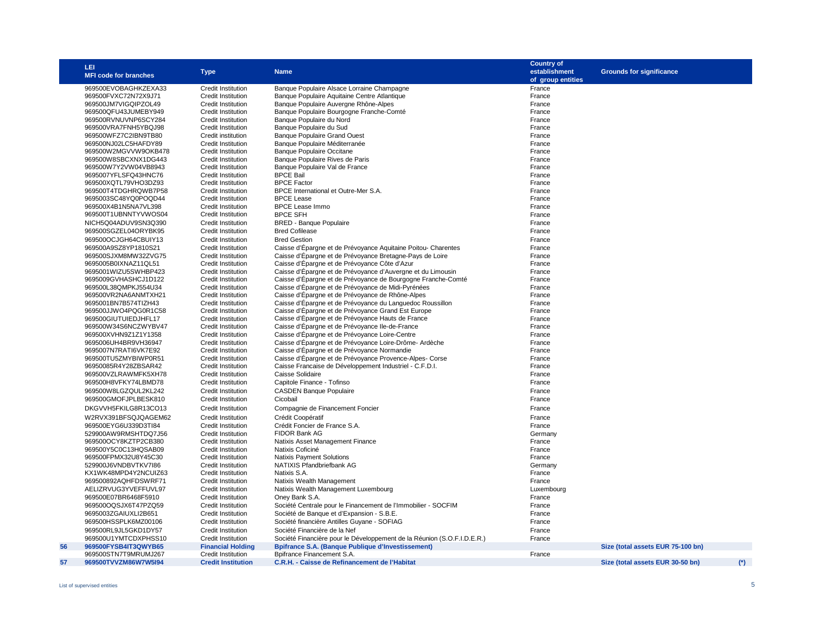|    | LEI                          |                           |                                                                         | <b>Country of</b> |                                           |
|----|------------------------------|---------------------------|-------------------------------------------------------------------------|-------------------|-------------------------------------------|
|    |                              | <b>Type</b>               | <b>Name</b>                                                             | establishment     | <b>Grounds for significance</b>           |
|    | <b>MFI code for branches</b> |                           |                                                                         | of group entities |                                           |
|    | 969500EVOBAGHKZEXA33         | <b>Credit Institution</b> | Banque Populaire Alsace Lorraine Champagne                              | France            |                                           |
|    | 969500FVXC72N72X9J71         | Credit Institution        | Banque Populaire Aquitaine Centre Atlantique                            | France            |                                           |
|    | 969500JM7VIGQIPZOL49         | <b>Credit Institution</b> | Banque Populaire Auvergne Rhône-Alpes                                   | France            |                                           |
|    | 969500QFU43JUMEBY949         | <b>Credit Institution</b> | Banque Populaire Bourgogne Franche-Comté                                | France            |                                           |
|    | 969500RVNUVNP6SCY284         | <b>Credit Institution</b> | Banque Populaire du Nord                                                | France            |                                           |
|    | 969500VRA7FNH5YBQJ98         | <b>Credit Institution</b> | Banque Populaire du Sud                                                 | France            |                                           |
|    | 969500WFZ7C2IBN9TB80         | Credit institution        | <b>Banque Populaire Grand Ouest</b>                                     | France            |                                           |
|    | 969500NJ02LC5HAFDY89         | <b>Credit Institution</b> | Banque Populaire Méditerranée                                           | France            |                                           |
|    | 969500W2MGVVW9OKB478         | Credit Institution        | <b>Banque Populaire Occitane</b>                                        | France            |                                           |
|    | 969500W8SBCXNX1DG443         | <b>Credit Institution</b> | Banque Populaire Rives de Paris                                         | France            |                                           |
|    | 969500W7Y2VW04VB8943         | <b>Credit Institution</b> | Banque Populaire Val de France                                          | France            |                                           |
|    | 9695007YFLSFQ43HNC76         | <b>Credit Institution</b> | <b>BPCE Bail</b>                                                        | France            |                                           |
|    | 969500XQTL79VHO3DZ93         | <b>Credit Institution</b> | <b>BPCE Factor</b>                                                      | France            |                                           |
|    | 969500T4TDGHRQWB7P58         | <b>Credit Institution</b> | BPCE International et Outre-Mer S.A.                                    | France            |                                           |
|    | 9695003SC48YQ0POQD44         | <b>Credit Institution</b> | <b>BPCE Lease</b>                                                       | France            |                                           |
|    | 969500X4B1N5NA7VL398         | Credit Institution        | <b>BPCE Lease Immo</b>                                                  | France            |                                           |
|    | 969500T1UBNNTYVWOS04         | <b>Credit Institution</b> | <b>BPCE SFH</b>                                                         | France            |                                           |
|    | NICH5Q04ADUV9SN3Q390         | <b>Credit Institution</b> | <b>BRED - Banque Populaire</b>                                          | France            |                                           |
|    |                              |                           |                                                                         |                   |                                           |
|    | 969500SGZEL04ORYBK95         | Credit Institution        | <b>Bred Cofilease</b>                                                   | France            |                                           |
|    | 969500OCJGH64CBUIY13         | <b>Credit Institution</b> | <b>Bred Gestion</b>                                                     | France            |                                           |
|    | 969500A9SZ8YP1810S21         | <b>Credit Institution</b> | Caisse d'Épargne et de Prévoyance Aquitaine Poitou-Charentes            | France            |                                           |
|    | 969500SJXM8MW32ZVG75         | <b>Credit Institution</b> | Caisse d'Épargne et de Prévoyance Bretagne-Pays de Loire                | France            |                                           |
|    | 9695005B0IXNAZ11QL51         | <b>Credit Institution</b> | Caisse d'Épargne et de Prévoyance Côte d'Azur                           | France            |                                           |
|    | 9695001WIZU5SWHBP423         | <b>Credit Institution</b> | Caisse d'Épargne et de Prévoyance d'Auvergne et du Limousin             | France            |                                           |
|    | 9695009GVHASHCJ1D122         | <b>Credit Institution</b> | Caisse d'Épargne et de Prévoyance de Bourgogne Franche-Comté            | France            |                                           |
|    | 969500L38QMPKJ554U34         | <b>Credit Institution</b> | Caisse d'Épargne et de Prévoyance de Midi-Pyrénées                      | France            |                                           |
|    | 969500VR2NA6ANMTXH21         | <b>Credit Institution</b> | Caisse d'Épargne et de Prévoyance de Rhône-Alpes                        | France            |                                           |
|    | 9695001BN7B574TIZH43         | <b>Credit Institution</b> | Caisse d'Épargne et de Prévoyance du Languedoc Roussillon               | France            |                                           |
|    | 969500JJWO4PQG0R1C58         | <b>Credit Institution</b> | Caisse d'Épargne et de Prévoyance Grand Est Europe                      | France            |                                           |
|    | 969500GIUTUIEDJHFL17         | <b>Credit Institution</b> | Caisse d'Épargne et de Prévoyance Hauts de France                       | France            |                                           |
|    | 969500W34S6NCZWYBV47         | <b>Credit Institution</b> | Caisse d'Épargne et de Prévoyance Ile-de-France                         | France            |                                           |
|    | 969500XVHN9Z1Z1Y1358         | <b>Credit Institution</b> | Caisse d'Épargne et de Prévoyance Loire-Centre                          | France            |                                           |
|    | 9695006UH4BR9VH36947         | <b>Credit Institution</b> | Caisse d'Épargne et de Prévoyance Loire-Drôme-Ardèche                   | France            |                                           |
|    | 9695007N7RATI6VK7E92         | <b>Credit Institution</b> | Caisse d'Épargne et de Prévoyance Normandie                             | France            |                                           |
|    | 969500TU5ZMYBIWP0R51         | <b>Credit Institution</b> | Caisse d'Épargne et de Prévoyance Provence-Alpes-Corse                  | France            |                                           |
|    | 96950085R4Y28ZBSAR42         | <b>Credit Institution</b> | Caisse Francaise de Développement Industriel - C.F.D.I.                 | France            |                                           |
|    | 969500VZLRAWMFK5XH78         | <b>Credit Institution</b> | Caisse Solidaire                                                        | France            |                                           |
|    | 969500H8VFKY74LBMD78         | <b>Credit Institution</b> | Capitole Finance - Tofinso                                              | France            |                                           |
|    | 969500W8LGZQUL2KL242         | Credit Institution        | <b>CASDEN Banque Populaire</b>                                          | France            |                                           |
|    | 969500GMOFJPLBESK810         | <b>Credit Institution</b> | Cicobail                                                                | France            |                                           |
|    | DKGVVH5FKILG8R13CO13         | <b>Credit Institution</b> | Compagnie de Financement Foncier                                        | France            |                                           |
|    | W2RVX391BFSQJQAGEM62         | <b>Credit Institution</b> | Crédit Coopératif                                                       | France            |                                           |
|    | 969500EYG6U339D3TI84         | <b>Credit Institution</b> | Crédit Foncier de France S.A.                                           | France            |                                           |
|    | 529900AW9RMSHTDQ7J56         | <b>Credit Institution</b> | FIDOR Bank AG                                                           | Germany           |                                           |
|    | 969500OCY8KZTP2CB380         | <b>Credit Institution</b> | Natixis Asset Management Finance                                        | France            |                                           |
|    | 969500Y5C0C13HQSAB09         | <b>Credit Institution</b> | Natixis Coficiné                                                        | France            |                                           |
|    | 969500FPMX32U8Y45C30         | <b>Credit Institution</b> | <b>Natixis Payment Solutions</b>                                        | France            |                                           |
|    | 529900J6VNDBVTKV7I86         | Credit Institution        | NATIXIS Pfandbriefbank AG                                               | Germany           |                                           |
|    | KX1WK48MPD4Y2NCUIZ63         | <b>Credit Institution</b> | Natixis S.A.                                                            | France            |                                           |
|    | 969500892AQHFDSWRF71         | <b>Credit Institution</b> | Natixis Wealth Management                                               | France            |                                           |
|    | AELIZRVUG3YVEFFUVL97         | <b>Credit Institution</b> | Natixis Wealth Management Luxembourg                                    | Luxembourg        |                                           |
|    | 969500E07BR6468F5910         | <b>Credit Institution</b> | Oney Bank S.A.                                                          | France            |                                           |
|    | 969500OQSJX6T47PZQ59         | <b>Credit Institution</b> | Société Centrale pour le Financement de l'Immobilier - SOCFIM           | France            |                                           |
|    | 9695003ZGAIUXLI2B651         | <b>Credit Institution</b> | Société de Banque et d'Expansion - S.B.E.                               | France            |                                           |
|    | 969500HSSPLK6MZ00106         | <b>Credit Institution</b> | Société financière Antilles Guyane - SOFIAG                             | France            |                                           |
|    |                              |                           |                                                                         |                   |                                           |
|    | 969500RL9JL5GKD1DY57         | <b>Credit Institution</b> | Société Financière de la Nef                                            | France            |                                           |
|    | 969500U1YMTCDXPHSS10         | <b>Credit Institution</b> | Société Financière pour le Développement de la Réunion (S.O.F.I.D.E.R.) | France            |                                           |
| 56 | 969500FYSB4IT3QWYB65         | <b>Financial Holding</b>  | <b>Bpifrance S.A. (Banque Publique d'Investissement)</b>                |                   | Size (total assets EUR 75-100 bn)         |
|    | 969500STN7T9MRUMJ267         | <b>Credit Institution</b> | Bpifrance Financement S.A.                                              | France            |                                           |
| 57 | 969500TVVZM86W7W5I94         | <b>Credit Institution</b> | C.R.H. - Caisse de Refinancement de l'Habitat                           |                   | Size (total assets EUR 30-50 bn)<br>$(*)$ |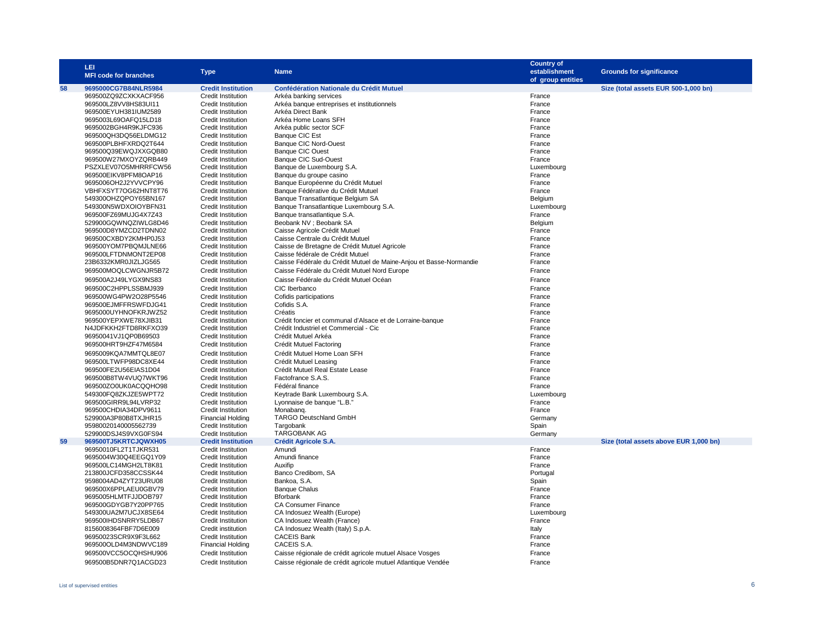|    | LEI                          |                                                        |                                                                    | <b>Country of</b> |                                        |
|----|------------------------------|--------------------------------------------------------|--------------------------------------------------------------------|-------------------|----------------------------------------|
|    |                              | <b>Type</b>                                            | <b>Name</b>                                                        | establishment     | <b>Grounds for significance</b>        |
|    | <b>MFI code for branches</b> |                                                        |                                                                    | of group entities |                                        |
| 58 | 9695000CG7B84NLR5984         | <b>Credit Institution</b>                              | <b>Confédération Nationale du Crédit Mutuel</b>                    |                   | Size (total assets EUR 500-1,000 bn)   |
|    | 969500ZQ9ZCXKXACF956         | Credit Institution                                     | Arkéa banking services                                             | France            |                                        |
|    | 969500LZ8VV8HS83UI11         | <b>Credit Institution</b>                              | Arkéa banque entreprises et institutionnels                        | France            |                                        |
|    | 969500EYUH381IUM2589         | Credit Institution                                     | Arkéa Direct Bank                                                  | France            |                                        |
|    | 9695003L69OAFQ15LD18         | <b>Credit Institution</b>                              | Arkéa Home Loans SFH                                               | France            |                                        |
|    | 9695002BGH4R9KJFC936         | <b>Credit Institution</b>                              | Arkéa public sector SCF                                            | France            |                                        |
|    | 969500QH3DQ56ELDMG12         | <b>Credit Institution</b>                              | Banque CIC Est                                                     | France            |                                        |
|    | 969500PLBHFXRDQ2T644         | Credit Institution                                     | <b>Banque CIC Nord-Ouest</b>                                       | France            |                                        |
|    | 969500Q39EWQJXXGQB80         | Credit Institution                                     | <b>Banque CIC Ouest</b>                                            | France            |                                        |
|    | 969500W27MXOYZQRB449         | <b>Credit Institution</b>                              | <b>Banque CIC Sud-Ouest</b>                                        | France            |                                        |
|    | PSZXLEV07O5MHRRFCW56         | <b>Credit Institution</b>                              | Banque de Luxembourg S.A.                                          | Luxembourg        |                                        |
|    | 969500EIKV8PFM8OAP16         |                                                        | Banque du groupe casino                                            | France            |                                        |
|    | 9695006OH2J2YVVCPY96         | <b>Credit Institution</b><br><b>Credit Institution</b> | Banque Européenne du Crédit Mutuel                                 | France            |                                        |
|    | VBHFXSYT7OG62HNT8T76         |                                                        | Banque Fédérative du Crédit Mutuel                                 | France            |                                        |
|    |                              | <b>Credit Institution</b>                              |                                                                    |                   |                                        |
|    | 549300OHZQPOY65BN167         | <b>Credit Institution</b>                              | Banque Transatlantique Belgium SA                                  | Belgium           |                                        |
|    | 549300N5WDXOIOYBFN31         | <b>Credit Institution</b>                              | Banque Transatlantique Luxembourg S.A.                             | Luxembourg        |                                        |
|    | 969500FZ69MUJG4X7Z43         | <b>Credit Institution</b>                              | Banque transatlantique S.A.                                        | France            |                                        |
|    | 529900GQWNQZIWLG8D46         | <b>Credit Institution</b>                              | Beobank NV ; Beobank SA                                            | Belgium           |                                        |
|    | 969500D8YMZCD2TDNN02         | <b>Credit Institution</b>                              | Caisse Agricole Crédit Mutuel                                      | France            |                                        |
|    | 969500CXBDY2KMHP0J53         | Credit Institution                                     | Caisse Centrale du Crédit Mutuel                                   | France            |                                        |
|    | 969500YOM7PBQMJLNE66         | Credit Institution                                     | Caisse de Bretagne de Crédit Mutuel Agricole                       | France            |                                        |
|    | 969500LFTDNMONT2EP08         | Credit Institution                                     | Caisse fédérale de Crédit Mutuel                                   | France            |                                        |
|    | 23B6332KMR0JIZLJG565         | <b>Credit Institution</b>                              | Caisse Fédérale du Crédit Mutuel de Maine-Anjou et Basse-Normandie | France            |                                        |
|    | 969500MOQLCWGNJR5B72         | <b>Credit Institution</b>                              | Caisse Fédérale du Crédit Mutuel Nord Europe                       | France            |                                        |
|    | 969500A2J49LYGX9NS83         | <b>Credit Institution</b>                              | Caisse Fédérale du Crédit Mutuel Océan                             | France            |                                        |
|    | 969500C2HPPLSSBMJ939         | <b>Credit Institution</b>                              | CIC Iberbanco                                                      | France            |                                        |
|    | 969500WG4PW2O28P5546         | <b>Credit Institution</b>                              | Cofidis participations                                             | France            |                                        |
|    | 969500EJMFFRSWFDJG41         | <b>Credit Institution</b>                              | Cofidis S.A.                                                       | France            |                                        |
|    | 9695000UYHNOFKRJWZ52         | <b>Credit Institution</b>                              | Créatis                                                            | France            |                                        |
|    | 969500YEPXWE78XJIB31         | <b>Credit Institution</b>                              | Crédit foncier et communal d'Alsace et de Lorraine-banque          | France            |                                        |
|    | N4JDFKKH2FTD8RKFXO39         | <b>Credit Institution</b>                              | Crédit Industriel et Commercial - Cic                              | France            |                                        |
|    | 96950041VJ1QP0B69503         | <b>Credit Institution</b>                              | Crédit Mutuel Arkéa                                                | France            |                                        |
|    | 969500HRT9HZF47M6584         | <b>Credit Institution</b>                              | Crédit Mutuel Factoring                                            | France            |                                        |
|    | 9695009KQA7MMTQL8E07         | <b>Credit Institution</b>                              | Crédit Mutuel Home Loan SFH                                        | France            |                                        |
|    |                              | <b>Credit Institution</b>                              | Crédit Mutuel Leasing                                              | France            |                                        |
|    | 969500LTWFP98DC8XE44         |                                                        |                                                                    |                   |                                        |
|    | 969500FE2U56EIAS1D04         | <b>Credit Institution</b>                              | Crédit Mutuel Real Estate Lease                                    | France            |                                        |
|    | 969500B8TW4VUQ7WKT96         | <b>Credit Institution</b>                              | Factofrance S.A.S.                                                 | France            |                                        |
|    | 969500ZO0UK0ACQQHO98         | <b>Credit Institution</b>                              | Fédéral finance                                                    | France            |                                        |
|    | 549300FQ8ZKJZE5WPT72         | <b>Credit Institution</b>                              | Keytrade Bank Luxembourg S.A.                                      | Luxembourg        |                                        |
|    | 969500GIRR9L94LVRP32         | <b>Credit Institution</b>                              | Lyonnaise de banque "L.B."                                         | France            |                                        |
|    | 969500CHDIA34DPV9611         | <b>Credit Institution</b>                              | Monabang.                                                          | France            |                                        |
|    | 529900A3P80B8TXJHR15         | <b>Financial Holding</b>                               | TARGO Deutschland GmbH                                             | Germany           |                                        |
|    | 95980020140005562739         | <b>Credit Institution</b>                              | Targobank                                                          | Spain             |                                        |
|    | 529900DSJ4S9VXG0FS94         | <b>Credit Institution</b>                              | <b>TARGOBANK AG</b>                                                | Germany           |                                        |
| 59 | 969500TJ5KRTCJQWXH05         | <b>Credit Institution</b>                              | <b>Crédit Agricole S.A.</b>                                        |                   | Size (total assets above EUR 1,000 bn) |
|    | 96950010FL2T1TJKR531         | Credit Institution                                     | Amundi                                                             | France            |                                        |
|    | 9695004W30Q4EEGQ1Y09         | <b>Credit Institution</b>                              | Amundi finance                                                     | France            |                                        |
|    | 969500LC14MGH2LT8K81         | <b>Credit Institution</b>                              | Auxifip                                                            | France            |                                        |
|    | 213800JCFD358CCSSK44         | <b>Credit Institution</b>                              | Banco Credibom, SA                                                 | Portugal          |                                        |
|    | 9598004AD4ZYT23URU08         | <b>Credit Institution</b>                              | Bankoa, S.A.                                                       | Spain             |                                        |
|    | 969500X6PPLAEU0GBV79         | <b>Credit Institution</b>                              | <b>Banque Chalus</b>                                               | France            |                                        |
|    | 9695005HLMTFJJDOB797         | <b>Credit Institution</b>                              | <b>Bforbank</b>                                                    | France            |                                        |
|    | 969500GDYGB7Y20PP765         | <b>Credit Institution</b>                              | <b>CA Consumer Finance</b>                                         | France            |                                        |
|    | 549300UA2M7UCJX8SE64         | <b>Credit Institution</b>                              | CA Indosuez Wealth (Europe)                                        | Luxembourg        |                                        |
|    | 969500IHDSNRRY5LDB67         | <b>Credit Institution</b>                              | CA Indosuez Wealth (France)                                        | France            |                                        |
|    | 8156008364FBF7D6E009         | Credit institution                                     | CA Indosuez Wealth (Italy) S.p.A.                                  | Italy             |                                        |
|    | 96950023SCR9X9F3L662         | <b>Credit Institution</b>                              | <b>CACEIS Bank</b>                                                 | France            |                                        |
|    | 969500OLD4M3NDWVC189         | <b>Financial Holding</b>                               | CACEIS S.A.                                                        | France            |                                        |
|    | 969500VCC5OCQHSHU906         | <b>Credit Institution</b>                              | Caisse régionale de crédit agricole mutuel Alsace Vosges           | France            |                                        |
|    | 969500B5DNR7Q1ACGD23         | <b>Credit Institution</b>                              | Caisse régionale de crédit agricole mutuel Atlantique Vendée       | France            |                                        |
|    |                              |                                                        |                                                                    |                   |                                        |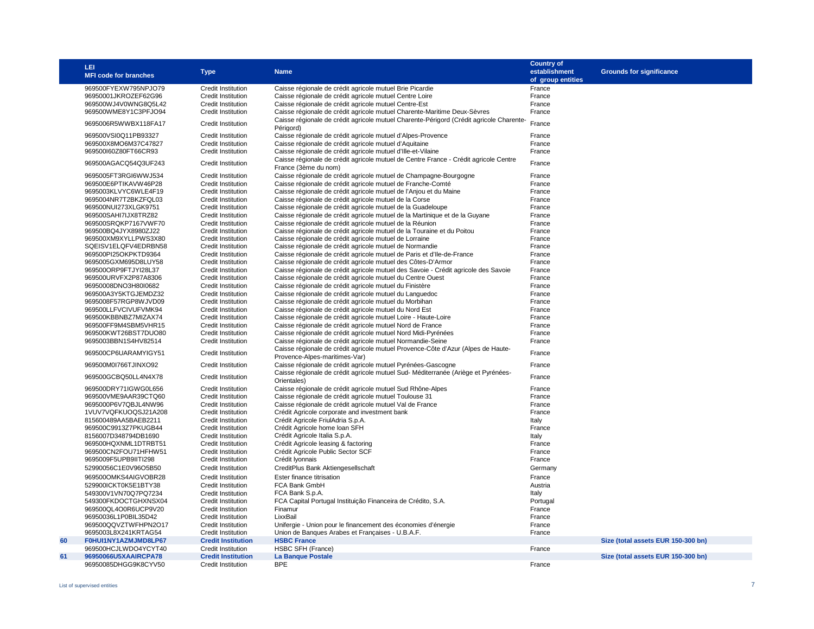|    | LEI                          |                           |                                                                                                                   | <b>Country of</b> |                                    |
|----|------------------------------|---------------------------|-------------------------------------------------------------------------------------------------------------------|-------------------|------------------------------------|
|    |                              | <b>Type</b>               | <b>Name</b>                                                                                                       | establishment     | <b>Grounds for significance</b>    |
|    | <b>MFI code for branches</b> |                           |                                                                                                                   | of group entities |                                    |
|    | 969500FYEXW795NPJO79         |                           | Caisse régionale de crédit agricole mutuel Brie Picardie                                                          | France            |                                    |
|    |                              | <b>Credit Institution</b> |                                                                                                                   |                   |                                    |
|    | 96950001JKROZEF62G96         | <b>Credit Institution</b> | Caisse régionale de crédit agricole mutuel Centre Loire                                                           | France            |                                    |
|    | 969500WJ4V0WNG8Q5L42         | Credit Institution        | Caisse régionale de crédit agricole mutuel Centre-Est                                                             | France            |                                    |
|    | 969500WME8Y1C3PFJO94         | <b>Credit Institution</b> | Caisse régionale de crédit agricole mutuel Charente-Maritime Deux-Sèvres                                          | France            |                                    |
|    | 9695006R5WWBX118FA17         | <b>Credit Institution</b> | Caisse régionale de crédit agricole mutuel Charente-Périgord (Crédit agricole Charente-<br>Périgord)              | France            |                                    |
|    | 969500VSI0Q11PB93327         | <b>Credit Institution</b> | Caisse régionale de crédit agricole mutuel d'Alpes-Provence                                                       | France            |                                    |
|    | 969500X8MO6M37C47827         | <b>Credit Institution</b> | Caisse régionale de crédit agricole mutuel d'Aquitaine                                                            | France            |                                    |
|    | 969500I60Z80FT66CR93         | <b>Credit Institution</b> | Caisse régionale de crédit agricole mutuel d'Ille-et-Vilaine                                                      | France            |                                    |
|    |                              |                           | Caisse régionale de crédit agricole mutuel de Centre France - Crédit agricole Centre                              |                   |                                    |
|    | 969500AGACQ54Q3UF243         | <b>Credit Institution</b> | France (3ème du nom)                                                                                              | France            |                                    |
|    | 9695005FT3RGI6WWJ534         | Credit Institution        | Caisse régionale de crédit agricole mutuel de Champagne-Bourgogne                                                 | France            |                                    |
|    | 969500E6PTIKAVW46P28         | <b>Credit Institution</b> | Caisse régionale de crédit agricole mutuel de Franche-Comté                                                       | France            |                                    |
|    | 9695003KLVYC6WLE4F19         | <b>Credit Institution</b> | Caisse régionale de crédit agricole mutuel de l'Anjou et du Maine                                                 | France            |                                    |
|    | 9695004NR7T2BKZFQL03         | <b>Credit Institution</b> | Caisse régionale de crédit agricole mutuel de la Corse                                                            | France            |                                    |
|    | 969500NUI273XLGK9751         | Credit Institution        | Caisse régionale de crédit agricole mutuel de la Guadeloupe                                                       | France            |                                    |
|    | 969500SAHI7IJX8TRZ82         | Credit Institution        | Caisse régionale de crédit agricole mutuel de la Martinique et de la Guyane                                       | France            |                                    |
|    | 969500SRQKP7167VWF70         | Credit Institution        | Caisse régionale de crédit agricole mutuel de la Réunion                                                          | France            |                                    |
|    | 969500BQ4JYX8980ZJ22         | <b>Credit Institution</b> | Caisse régionale de crédit agricole mutuel de la Touraine et du Poitou                                            | France            |                                    |
|    | 969500XM9XYLLPWS3X80         | Credit Institution        | Caisse régionale de crédit agricole mutuel de Lorraine                                                            | France            |                                    |
|    |                              |                           |                                                                                                                   |                   |                                    |
|    | SQEISV1ELQFV4EDRBN58         | <b>Credit Institution</b> | Caisse régionale de crédit agricole mutuel de Normandie                                                           | France            |                                    |
|    | 969500PI25OKPKTD9364         | <b>Credit Institution</b> | Caisse régionale de crédit agricole mutuel de Paris et d'Ile-de-France                                            | France            |                                    |
|    | 9695005GXM695D8LUY58         | Credit Institution        | Caisse régionale de crédit agricole mutuel des Côtes-D'Armor                                                      | France            |                                    |
|    | 969500ORP9FTJYI28L37         | <b>Credit Institution</b> | Caisse régionale de crédit agricole mutuel des Savoie - Crédit agricole des Savoie                                | France            |                                    |
|    | 969500URVFX2P87A8306         | <b>Credit Institution</b> | Caisse régionale de crédit agricole mutuel du Centre Ouest                                                        | France            |                                    |
|    | 96950008DNO3H80I0682         | Credit Institution        | Caisse régionale de crédit agricole mutuel du Finistère                                                           | France            |                                    |
|    | 969500A3Y5KTGJEMDZ32         | Credit Institution        | Caisse régionale de crédit agricole mutuel du Languedoc                                                           | France            |                                    |
|    | 9695008F57RGP8WJVD09         | <b>Credit Institution</b> | Caisse régionale de crédit agricole mutuel du Morbihan                                                            | France            |                                    |
|    | 969500LLFVCIVUFVMK94         | Credit Institution        | Caisse régionale de crédit agricole mutuel du Nord Est                                                            | France            |                                    |
|    | 969500KBBNBZ7MIZAX74         | Credit Institution        | Caisse régionale de crédit agricole mutuel Loire - Haute-Loire                                                    | France            |                                    |
|    | 969500FF9M4SBM5VHR15         | <b>Credit Institution</b> | Caisse régionale de crédit agricole mutuel Nord de France                                                         | France            |                                    |
|    | 969500KWT26BST7DUO80         | Credit Institution        | Caisse régionale de crédit agricole mutuel Nord Midi-Pyrénées                                                     | France            |                                    |
|    |                              |                           |                                                                                                                   |                   |                                    |
|    | 9695003BBN1S4HV82514         | <b>Credit Institution</b> | Caisse régionale de crédit agricole mutuel Normandie-Seine                                                        | France            |                                    |
|    | 969500CP6UARAMYIGY51         | <b>Credit Institution</b> | Caisse régionale de crédit agricole mutuel Provence-Côte d'Azur (Alpes de Haute-<br>Provence-Alpes-maritimes-Var) | France            |                                    |
|    | 969500M0I766TJINXO92         | <b>Credit Institution</b> | Caisse régionale de crédit agricole mutuel Pyrénées-Gascogne                                                      | France            |                                    |
|    | 969500GCBQ50LL4N4X78         | Credit Institution        | Caisse régionale de crédit agricole mutuel Sud-Méditerranée (Ariège et Pyrénées-<br>Orientales)                   | France            |                                    |
|    | 969500DRY71IGWG0L656         | Credit Institution        | Caisse régionale de crédit agricole mutuel Sud Rhône-Alpes                                                        | France            |                                    |
|    | 969500VME9AAR39CTQ60         | Credit Institution        | Caisse régionale de crédit agricole mutuel Toulouse 31                                                            | France            |                                    |
|    | 9695000P6V7QBJL4NW96         | Credit Institution        | Caisse régionale de crédit agricole mutuel Val de France                                                          | France            |                                    |
|    | 1VUV7VQFKUOQSJ21A208         | <b>Credit Institution</b> | Crédit Agricole corporate and investment bank                                                                     | France            |                                    |
|    | 815600489AA5BAEB2211         | <b>Credit Institution</b> | Crédit Agricole FriulAdria S.p.A.                                                                                 | Italy             |                                    |
|    | 969500C9913Z7PKUGB44         | <b>Credit Institution</b> | Crédit Agricole home Ioan SFH                                                                                     |                   |                                    |
|    |                              |                           |                                                                                                                   | France            |                                    |
|    | 8156007D348794DB1690         | <b>Credit Institution</b> | Crédit Agricole Italia S.p.A.                                                                                     | Italy             |                                    |
|    | 969500HQXNML1DTRBT51         | <b>Credit Institution</b> | Crédit Agricole leasing & factoring                                                                               | France            |                                    |
|    | 969500CN2FOU71HFHW51         | <b>Credit Institution</b> | Crédit Agricole Public Sector SCF                                                                                 | France            |                                    |
|    | 9695009F5UPB9IITI298         | <b>Credit Institution</b> | Crédit Iyonnais                                                                                                   | France            |                                    |
|    | 52990056C1E0V96O5B50         | <b>Credit Institution</b> | CreditPlus Bank Aktiengesellschaft                                                                                | Germany           |                                    |
|    | 969500OMKS4AIGVOBR28         | <b>Credit Institution</b> | Ester finance titrisation                                                                                         | France            |                                    |
|    | 529900ICKT0K5E1BTY38         | <b>Credit Institution</b> | FCA Bank GmbH                                                                                                     | Austria           |                                    |
|    | 549300V1VN70Q7PQ7234         | <b>Credit Institution</b> | FCA Bank S.p.A.                                                                                                   | Italy             |                                    |
|    | 549300FKDOCTGHXNSX04         | <b>Credit Institution</b> | FCA Capital Portugal Instituição Financeira de Crédito, S.A.                                                      |                   |                                    |
|    |                              |                           |                                                                                                                   | Portugal          |                                    |
|    | 969500QL4O0R6UCP9V20         | <b>Credit Institution</b> | Finamur                                                                                                           | France            |                                    |
|    | 96950036L1P0BIL35D42         | <b>Credit Institution</b> | LixxBail                                                                                                          | France            |                                    |
|    | 969500QQVZTWFHPN2O17         | <b>Credit Institution</b> | Unifergie - Union pour le financement des économies d'énergie                                                     | France            |                                    |
|    | 9695003L8X241KRTAG54         | <b>Credit Institution</b> | Union de Banques Arabes et Françaises - U.B.A.F.                                                                  | France            |                                    |
| 60 | F0HUI1NY1AZMJMD8LP67         | <b>Credit Institution</b> | <b>HSBC France</b>                                                                                                |                   | Size (total assets EUR 150-300 bn) |
|    | 969500HCJLWDO4YCYT40         | Credit Institution        | HSBC SFH (France)                                                                                                 | France            |                                    |
| 61 | 96950066U5XAAIRCPA78         | <b>Credit Institution</b> | <b>La Banque Postale</b>                                                                                          |                   | Size (total assets EUR 150-300 bn) |
|    | 96950085DHGG9K8CYV50         | Credit Institution        | <b>BPE</b>                                                                                                        | France            |                                    |
|    |                              |                           |                                                                                                                   |                   |                                    |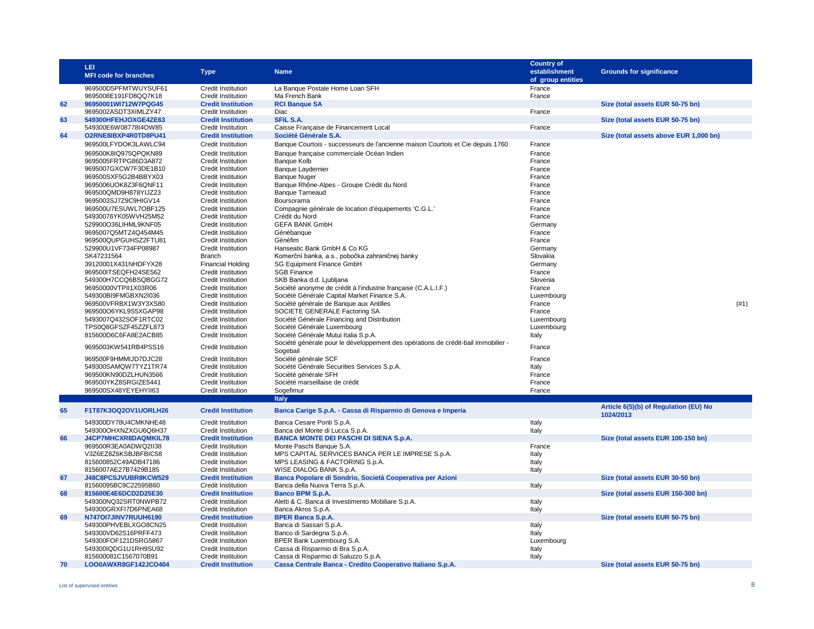|    | LEI.<br><b>MFI code for branches</b>         | <b>Type</b>                                            | <b>Name</b>                                                                                   | <b>Country of</b><br>establishment<br>of group entities | <b>Grounds for significance</b>                    |
|----|----------------------------------------------|--------------------------------------------------------|-----------------------------------------------------------------------------------------------|---------------------------------------------------------|----------------------------------------------------|
|    | 969500D5PFMTWUYSUF61                         | <b>Credit Institution</b>                              | La Banque Postale Home Loan SFH                                                               | France                                                  |                                                    |
|    | 9695008E191FD8QQ7K18                         | Credit Institution                                     | Ma French Bank                                                                                | France                                                  |                                                    |
| 62 | 96950001WI712W7PQG45                         | <b>Credit Institution</b>                              | <b>RCI Banque SA</b>                                                                          |                                                         | Size (total assets EUR 50-75 bn)                   |
|    | 9695002ASDT3XIMLZY47                         | <b>Credit Institution</b>                              | Diac                                                                                          | France                                                  |                                                    |
| 63 | 549300HFEHJOXGE4ZE63                         | <b>Credit Institution</b>                              | <b>SFIL S.A.</b>                                                                              |                                                         | Size (total assets EUR 50-75 bn)                   |
| 64 | 549300E6W08778I4OW85<br>O2RNE8IBXP4R0TD8PU41 | Credit Institution<br><b>Credit Institution</b>        | Caisse Française de Financement Local<br>Société Générale S.A.                                | France                                                  | Size (total assets above EUR 1,000 bn)             |
|    | 969500LFYDOK3LAWLC94                         | Credit Institution                                     | Banque Courtois - successeurs de l'ancienne maison Courtois et Cie depuis 1760                | France                                                  |                                                    |
|    | 969500K8IQ975QPQKN89                         | <b>Credit Institution</b>                              | Banque française commerciale Océan Indien                                                     | France                                                  |                                                    |
|    | 9695005FRTPG86D3A872                         | Credit Institution                                     | <b>Banque Kolb</b>                                                                            | France                                                  |                                                    |
|    | 9695007GXCW7F3DE1B10                         | Credit Institution                                     | <b>Banque Laydernier</b>                                                                      | France                                                  |                                                    |
|    | 969500SXF5G2B4BBYX03                         | <b>Credit Institution</b>                              | <b>Banque Nuger</b>                                                                           | France                                                  |                                                    |
|    | 9695006UOK8Z3F6QNF11                         | <b>Credit Institution</b>                              | Banque Rhône-Alpes - Groupe Crédit du Nord                                                    | France                                                  |                                                    |
|    | 969500QMD9H878YIJZ23                         | <b>Credit Institution</b>                              | <b>Banque Tarneaud</b>                                                                        | France                                                  |                                                    |
|    | 9695003SJ7Z9C9HIGV14                         | <b>Credit Institution</b>                              | Boursorama                                                                                    | France                                                  |                                                    |
|    | 969500U7ESUWL7OBF125                         | <b>Credit Institution</b>                              | Compagnie générale de location d'équipements 'C.G.L.'                                         | France                                                  |                                                    |
|    | 54930076YK05WVH25M52                         | Credit Institution                                     | Crédit du Nord                                                                                | France                                                  |                                                    |
|    | 529900O36LIHML9KNF05                         | Credit Institution                                     | <b>GEFA BANK GmbH</b>                                                                         | Germany                                                 |                                                    |
|    | 9695007Q5MTZ4Q454M45                         | Credit Institution                                     | Génébangue                                                                                    | France                                                  |                                                    |
|    | 969500QUPGUHSZ2FTU81                         | <b>Credit Institution</b>                              | Généfim                                                                                       | France                                                  |                                                    |
|    | 529900U1VF734FP08987                         | <b>Credit Institution</b>                              | Hanseatic Bank GmbH & Co KG                                                                   | Germany                                                 |                                                    |
|    | SK47231564<br>39120001X431NHDFYX28           | <b>Branch</b>                                          | Komerční banka, a.s., pobočka zahraničnej banky<br>SG Equipment Finance GmbH                  | Slovakia<br>Germany                                     |                                                    |
|    | 969500ITSEQFH24SE562                         | <b>Financial Holding</b><br>Credit Institution         | <b>SGB Finance</b>                                                                            | France                                                  |                                                    |
|    | 549300H7CCQ6BSQBGG72                         | <b>Credit Institution</b>                              | SKB Banka d.d. Ljubljana                                                                      | Slovenia                                                |                                                    |
|    | 96950000VTPII1X03R06                         | Credit Institution                                     | Société anonyme de crédit à l'industrie française (C.A.L.I.F.)                                | France                                                  |                                                    |
|    | 549300BI9FMGBXN2I036                         | <b>Credit Institution</b>                              | Société Générale Capital Market Finance S.A.                                                  | Luxembourg                                              |                                                    |
|    | 969500VFRBX1W3Y3XS80                         | <b>Credit Institution</b>                              | Société générale de Banque aux Antilles                                                       | France                                                  | (#1)                                               |
|    | 969500O6YKL9S5XGAP98                         | <b>Credit Institution</b>                              | SOCIETE GENERALE Factoring SA                                                                 | France                                                  |                                                    |
|    | 5493007Q432SOF1RTC02                         | Credit Institution                                     | Société Générale Financing and Distribution                                                   | Luxembourg                                              |                                                    |
|    | TPS0Q8GFSZF45ZZFL873                         | <b>Credit Institution</b>                              | Société Générale Luxembourg                                                                   | Luxembourg                                              |                                                    |
|    | 815600D6C6FA8E2ACB85                         | Credit Institution                                     | Société Générale Mutui Italia S.p.A.                                                          | Italy                                                   |                                                    |
|    | 9695003KW541RB4PSS16                         | Credit Institution                                     | Société générale pour le développement des opérations de crédit-bail immobilier -<br>Sogebail | France                                                  |                                                    |
|    | 969500F9HMMIJD7DJC28                         | Credit Institution                                     | Société générale SCF                                                                          | France                                                  |                                                    |
|    | 549300SAMQW7TYZ1TR74                         | Credit Institution                                     | Société Générale Securities Services S.p.A.                                                   | Italy                                                   |                                                    |
|    | 969500KN90DZLHUN3566<br>969500YKZ8SRGIZE5441 | <b>Credit Institution</b>                              | Société générale SFH<br>Société marseillaise de crédit                                        | France                                                  |                                                    |
|    | 969500SX48YEYEHYII63                         | <b>Credit Institution</b><br><b>Credit Institution</b> | Sogefimur                                                                                     | France<br>France                                        |                                                    |
|    |                                              |                                                        | Italy                                                                                         |                                                         |                                                    |
| 65 | F1T87K3OQ2OV1UORLH26                         | <b>Credit Institution</b>                              | Banca Carige S.p.A. - Cassa di Risparmio di Genova e Imperia                                  |                                                         | Article 6(5)(b) of Regulation (EU) No<br>1024/2013 |
|    | 549300DY78U4CMKNHE48                         | Credit Institution                                     | Banca Cesare Ponti S.p.A.                                                                     | Italy                                                   |                                                    |
|    | 549300OHXNZXGU6Q6H37                         | <b>Credit Institution</b>                              | Banca del Monte di Lucca S.p.A.                                                               | Italy                                                   |                                                    |
| 66 | J4CP7MHCXR8DAQMKIL78                         | <b>Credit Institution</b>                              | <b>BANCA MONTE DEI PASCHI DI SIENA S.p.A.</b>                                                 |                                                         | Size (total assets EUR 100-150 bn)                 |
|    | 969500R3EA0ADWQ2II38                         | Credit Institution                                     | Monte Paschi Banque S.A.                                                                      | France                                                  |                                                    |
|    | V3Z6EZ8Z6KSBJBFBIC58                         | Credit Institution                                     | MPS CAPITAL SERVICES BANCA PER LE IMPRESE S.p.A.                                              | Italy                                                   |                                                    |
|    | 815600852C49ADB47186<br>8156007AE27B7429B185 | <b>Credit Institution</b><br>Credit Institution        | MPS LEASING & FACTORING S.p.A.<br>WISE DIALOG BANK S.p.A.                                     | Italy<br>Italy                                          |                                                    |
| 67 | J48C8PCSJVUBR8KCW529                         | <b>Credit Institution</b>                              | Banca Popolare di Sondrio, Società Cooperativa per Azioni                                     |                                                         | Size (total assets EUR 30-50 bn)                   |
|    | 81560095BC9C22595B60                         | <b>Credit Institution</b>                              | Banca della Nuova Terra S.p.A.                                                                | Italy                                                   |                                                    |
| 68 | 815600E4E6DCD2D25E30                         | <b>Credit Institution</b>                              | Banco BPM S.p.A.                                                                              |                                                         | Size (total assets EUR 150-300 bn)                 |
|    | 549300NQ32SRT0NWPB72                         | Credit Institution                                     | Aletti & C. Banca di Investimento Mobiliare S.p.A.                                            | Italy                                                   |                                                    |
|    | 549300GRXFI7D6PNEA68                         | <b>Credit Institution</b>                              | Banca Akros S.p.A.                                                                            | Italy                                                   |                                                    |
| 69 | N747OI7JINV7RUUH6190                         | <b>Credit Institution</b>                              | <b>BPER Banca S.p.A.</b>                                                                      |                                                         | Size (total assets EUR 50-75 bn)                   |
|    | 549300PHVEBLXGO8CN25                         | Credit Institution                                     | Banca di Sassari S.p.A.                                                                       | Italy                                                   |                                                    |
|    | 549300VD62S16PRFF473                         | <b>Credit Institution</b>                              | Banco di Sardegna S.p.A.                                                                      | Italy                                                   |                                                    |
|    | 549300FOF121DSRG5867                         | <b>Credit Institution</b>                              | BPER Bank Luxembourg S.A.                                                                     | Luxembourg                                              |                                                    |
|    | 549300IQDG1U1RH9SU92                         | Credit Institution                                     | Cassa di Risparmio di Bra S.p.A.                                                              | Italy                                                   |                                                    |
|    | 815600081C1567070B91                         | Credit Institution                                     | Cassa di Risparmio di Saluzzo S.p.A.                                                          | Italy                                                   |                                                    |
| 70 | LOO0AWXR8GF142JCO404                         | <b>Credit Institution</b>                              | Cassa Centrale Banca - Credito Cooperativo Italiano S.p.A.                                    |                                                         | Size (total assets EUR 50-75 bn)                   |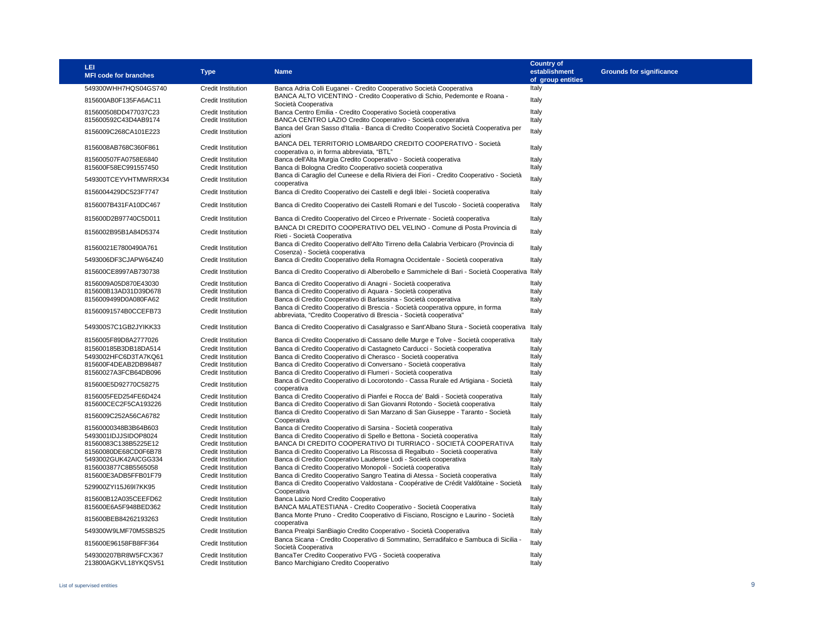| LEI<br><b>MFI code for branches</b>          | <b>Type</b>                                            | <b>Name</b>                                                                                                                                                         | <b>Country of</b><br>establishment<br>of group entities | <b>Grounds for significance</b> |
|----------------------------------------------|--------------------------------------------------------|---------------------------------------------------------------------------------------------------------------------------------------------------------------------|---------------------------------------------------------|---------------------------------|
| 549300WHH7HQS04GS740                         | <b>Credit Institution</b>                              | Banca Adria Colli Euganei - Credito Cooperativo Società Cooperativa                                                                                                 | Italy                                                   |                                 |
| 815600AB0F135FA6AC11                         | <b>Credit Institution</b>                              | BANCA ALTO VICENTINO - Credito Cooperativo di Schio, Pedemonte e Roana -<br>Società Cooperativa                                                                     | Italy                                                   |                                 |
| 815600508DD477037C23<br>815600592C43D4AB9174 | Credit Institution<br><b>Credit Institution</b>        | Banca Centro Emilia - Credito Cooperativo Società cooperativa<br>BANCA CENTRO LAZIO Credito Cooperativo - Società cooperativa                                       | Italy<br>Italy                                          |                                 |
| 8156009C268CA101E223                         | <b>Credit Institution</b>                              | Banca del Gran Sasso d'Italia - Banca di Credito Cooperativo Società Cooperativa per                                                                                | Italy                                                   |                                 |
| 8156008AB768C360F861                         | <b>Credit Institution</b>                              | azioni<br>BANCA DEL TERRITORIO LOMBARDO CREDITO COOPERATIVO - Società                                                                                               | Italy                                                   |                                 |
| 815600507FA0758E6840                         | Credit Institution                                     | cooperativa o. in forma abbreviata. "BTL"<br>Banca dell'Alta Murgia Credito Cooperativo - Società cooperativa                                                       | Italy                                                   |                                 |
| 815600F58EC991557450                         | <b>Credit Institution</b>                              | Banca di Bologna Credito Cooperativo società cooperativa<br>Banca di Caraglio del Cuneese e della Riviera dei Fiori - Credito Cooperativo - Società                 | Italy                                                   |                                 |
| 549300TCEYVHTMWRRX34                         | Credit Institution                                     | cooperativa                                                                                                                                                         | Italy                                                   |                                 |
| 8156004429DC523F7747                         | <b>Credit Institution</b>                              | Banca di Credito Cooperativo dei Castelli e degli Iblei - Società cooperativa                                                                                       | Italy                                                   |                                 |
| 8156007B431FA10DC467                         | <b>Credit Institution</b>                              | Banca di Credito Cooperativo dei Castelli Romani e del Tuscolo - Società cooperativa                                                                                | Italy                                                   |                                 |
| 815600D2B97740C5D011                         | <b>Credit Institution</b>                              | Banca di Credito Cooperativo del Circeo e Privernate - Società cooperativa                                                                                          | Italy                                                   |                                 |
| 8156002B95B1A84D5374                         | <b>Credit Institution</b>                              | BANCA DI CREDITO COOPERATIVO DEL VELINO - Comune di Posta Provincia di<br>Rieti - Società Cooperativa                                                               | Italy                                                   |                                 |
| 81560021E7800490A761                         | <b>Credit Institution</b>                              | Banca di Credito Cooperativo dell'Alto Tirreno della Calabria Verbicaro (Provincia di<br>Cosenza) - Società cooperativa                                             | Italy                                                   |                                 |
| 5493006DF3CJAPW64Z40                         | <b>Credit Institution</b>                              | Banca di Credito Cooperativo della Romagna Occidentale - Società cooperativa                                                                                        | Italy                                                   |                                 |
| 815600CE8997AB730738                         | <b>Credit Institution</b>                              | Banca di Credito Cooperativo di Alberobello e Sammichele di Bari - Società Cooperativa Italy                                                                        |                                                         |                                 |
| 8156009A05D870E43030                         | <b>Credit Institution</b>                              | Banca di Credito Cooperativo di Anagni - Società cooperativa                                                                                                        | Italy                                                   |                                 |
| 815600B13AD31D39D678                         | <b>Credit Institution</b>                              | Banca di Credito Cooperativo di Aquara - Società cooperativa                                                                                                        | Italy                                                   |                                 |
| 8156009499D0A080FA62<br>81560091574B0CCEFB73 | <b>Credit Institution</b><br><b>Credit Institution</b> | Banca di Credito Cooperativo di Barlassina - Società cooperativa<br>Banca di Credito Cooperativo di Brescia - Società cooperativa oppure, in forma                  | Italy<br>Italy                                          |                                 |
| 549300S7C1GB2JYIKK33                         | <b>Credit Institution</b>                              | abbreviata, "Credito Cooperativo di Brescia - Società cooperativa"<br>Banca di Credito Cooperativo di Casalgrasso e Sant'Albano Stura - Società cooperativa Italy   |                                                         |                                 |
|                                              | <b>Credit Institution</b>                              |                                                                                                                                                                     |                                                         |                                 |
| 8156005F89D8A2777026<br>815600185B3DB18DA514 | <b>Credit Institution</b>                              | Banca di Credito Cooperativo di Cassano delle Murge e Tolve - Società cooperativa<br>Banca di Credito Cooperativo di Castagneto Carducci - Società cooperativa      | Italy<br>Italy                                          |                                 |
| 5493002HFC6D3TA7KQ61                         | <b>Credit Institution</b>                              | Banca di Credito Cooperativo di Cherasco - Società cooperativa                                                                                                      | Italy                                                   |                                 |
| 815600F4DEAB2DB98487                         | <b>Credit Institution</b>                              | Banca di Credito Cooperativo di Conversano - Società cooperativa                                                                                                    | Italy                                                   |                                 |
| 81560027A3FCB64DB096                         | <b>Credit Institution</b>                              | Banca di Credito Cooperativo di Flumeri - Società cooperativa                                                                                                       | Italy                                                   |                                 |
| 815600E5D92770C58275                         | <b>Credit Institution</b>                              | Banca di Credito Cooperativo di Locorotondo - Cassa Rurale ed Artigiana - Società<br>cooperativa                                                                    | Italy                                                   |                                 |
| 8156005FED254FE6D424                         | Credit Institution                                     | Banca di Credito Cooperativo di Pianfei e Rocca de' Baldi - Società cooperativa                                                                                     | Italy                                                   |                                 |
| 815600CEC2F5CA193226                         | <b>Credit Institution</b>                              | Banca di Credito Cooperativo di San Giovanni Rotondo - Società cooperativa                                                                                          | Italy                                                   |                                 |
| 8156009C252A56CA6782                         | Credit Institution                                     | Banca di Credito Cooperativo di San Marzano di San Giuseppe - Taranto - Società<br>Cooperativa                                                                      | Italy                                                   |                                 |
| 81560000348B3B64B603                         | <b>Credit Institution</b>                              | Banca di Credito Cooperativo di Sarsina - Società cooperativa                                                                                                       | Italy<br>Italy                                          |                                 |
| 5493001IDJJSIDOP8024<br>81560083C138B5225E12 | <b>Credit Institution</b><br><b>Credit Institution</b> | Banca di Credito Cooperativo di Spello e Bettona - Società cooperativa<br>BANCA DI CREDITO COOPERATIVO DI TURRIACO - SOCIETÀ COOPERATIVA                            | Italy                                                   |                                 |
| 81560080DE68CD0F6B78                         | <b>Credit Institution</b>                              | Banca di Credito Cooperativo La Riscossa di Regalbuto - Società cooperativa                                                                                         | Italy                                                   |                                 |
| 5493002GUK42AICGG334                         | <b>Credit Institution</b>                              | Banca di Credito Cooperativo Laudense Lodi - Società cooperativa                                                                                                    | Italy                                                   |                                 |
| 8156003877C8B5565058                         | <b>Credit Institution</b>                              | Banca di Credito Cooperativo Monopoli - Società cooperativa                                                                                                         | Italy                                                   |                                 |
| 815600E3ADB5FFB01F79                         | <b>Credit Institution</b>                              | Banca di Credito Cooperativo Sangro Teatina di Atessa - Società cooperativa<br>Banca di Credito Cooperativo Valdostana - Coopérative de Crédit Valdôtaine - Società | Italy                                                   |                                 |
| 529900ZYI15J69I7KK95                         | <b>Credit Institution</b>                              | Cooperativa                                                                                                                                                         | Italy                                                   |                                 |
| 815600B12A035CEEFD62                         | Credit Institution                                     | Banca Lazio Nord Credito Cooperativo                                                                                                                                | Italy                                                   |                                 |
| 815600E6A5F948BED362                         | <b>Credit Institution</b>                              | BANCA MALATESTIANA - Credito Cooperativo - Società Cooperativa<br>Banca Monte Pruno - Credito Cooperativo di Fisciano, Roscigno e Laurino - Società                 | Italy                                                   |                                 |
| 815600BEB84262193263                         | <b>Credit Institution</b>                              | cooperativa                                                                                                                                                         | Italy                                                   |                                 |
| 549300W9LMF70M5SBS25                         | <b>Credit Institution</b>                              | Banca Prealpi SanBiagio Credito Cooperativo - Società Cooperativa<br>Banca Sicana - Credito Cooperativo di Sommatino, Serradifalco e Sambuca di Sicilia -           | Italy                                                   |                                 |
| 815600E96158FB8FF364                         | <b>Credit Institution</b>                              | Società Cooperativa                                                                                                                                                 | Italy                                                   |                                 |
| 549300207BR8W5FCX367<br>213800AGKVL18YKQSV51 | Credit Institution<br><b>Credit Institution</b>        | BancaTer Credito Cooperativo FVG - Società cooperativa<br>Banco Marchigiano Credito Cooperativo                                                                     | Italy<br>Italy                                          |                                 |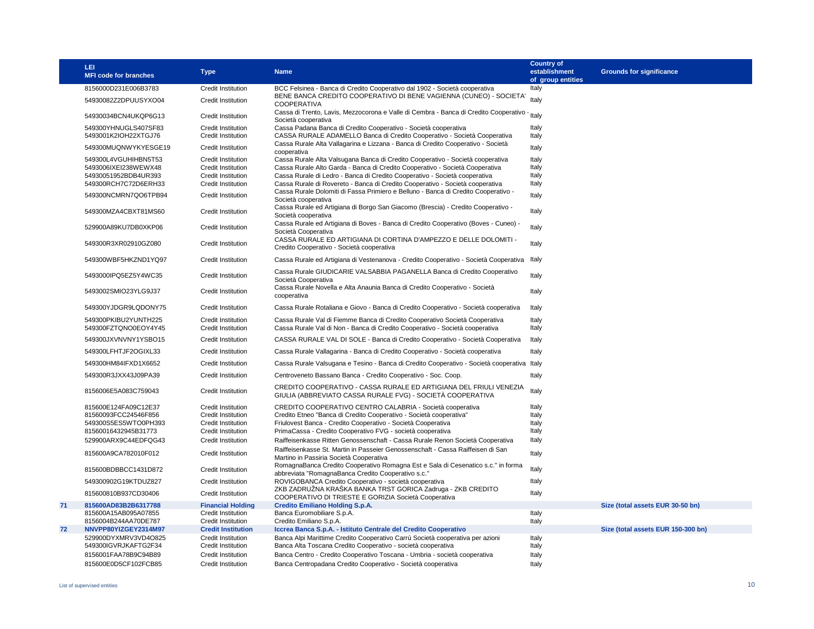|    | LEI                          |                           |                                                                                                           | Country of        |                                    |
|----|------------------------------|---------------------------|-----------------------------------------------------------------------------------------------------------|-------------------|------------------------------------|
|    | <b>MFI code for branches</b> | <b>Type</b>               | <b>Name</b>                                                                                               | establishment     | <b>Grounds for significance</b>    |
|    |                              |                           |                                                                                                           | of group entities |                                    |
|    | 8156000D231E006B3783         | <b>Credit Institution</b> | BCC Felsinea - Banca di Credito Cooperativo dal 1902 - Società cooperativa                                | Italy             |                                    |
|    | 54930082Z2DPUUSYXO04         | <b>Credit Institution</b> | BENE BANCA CREDITO COOPERATIVO DI BENE VAGIENNA (CUNEO) - SOCIETA'                                        | Italy             |                                    |
|    |                              |                           | <b>COOPERATIVA</b>                                                                                        |                   |                                    |
|    | 54930034BCN4UKQP6G13         | <b>Credit Institution</b> | Cassa di Trento, Lavis, Mezzocorona e Valle di Cembra - Banca di Credito Cooperativo                      | Italy             |                                    |
|    |                              |                           | Società cooperativa                                                                                       |                   |                                    |
|    | 549300YHNUGLS407SF83         | Credit Institution        | Cassa Padana Banca di Credito Cooperativo - Società cooperativa                                           | Italy             |                                    |
|    | 5493001K2IOH22XTGJ76         | <b>Credit Institution</b> | CASSA RURALE ADAMELLO Banca di Credito Cooperativo - Società Cooperativa                                  | Italy             |                                    |
|    | 549300MUQNWYKYESGE19         | <b>Credit Institution</b> | Cassa Rurale Alta Vallagarina e Lizzana - Banca di Credito Cooperativo - Società                          | Italy             |                                    |
|    |                              |                           | cooperativa                                                                                               |                   |                                    |
|    | 549300L4VGUHIHBN5T53         | Credit Institution        | Cassa Rurale Alta Valsugana Banca di Credito Cooperativo - Società cooperativa                            | Italy             |                                    |
|    | 5493006IXEI238WEWX48         | <b>Credit Institution</b> | Cassa Rurale Alto Garda - Banca di Credito Cooperativo - Società Cooperativa                              | Italy             |                                    |
|    | 54930051952BDB4UR393         | <b>Credit Institution</b> | Cassa Rurale di Ledro - Banca di Credito Cooperativo - Società cooperativa                                | Italy             |                                    |
|    | 549300RCH7C72D6ERH33         | <b>Credit Institution</b> | Cassa Rurale di Rovereto - Banca di Credito Cooperativo - Società cooperativa                             | Italy             |                                    |
|    | 549300NCMRN7QO6TPB94         | <b>Credit Institution</b> | Cassa Rurale Dolomiti di Fassa Primiero e Belluno - Banca di Credito Cooperativo -<br>Società cooperativa | Italy             |                                    |
|    |                              |                           | Cassa Rurale ed Artigiana di Borgo San Giacomo (Brescia) - Credito Cooperativo -                          |                   |                                    |
|    | 549300MZA4CBXT81MS60         | <b>Credit Institution</b> | Società cooperativa                                                                                       | Italy             |                                    |
|    |                              |                           | Cassa Rurale ed Artigiana di Boves - Banca di Credito Cooperativo (Boves - Cuneo) -                       |                   |                                    |
|    | 529900A89KU7DB0XKP06         | <b>Credit Institution</b> | Società Cooperativa                                                                                       | Italy             |                                    |
|    |                              |                           | CASSA RURALE ED ARTIGIANA DI CORTINA D'AMPEZZO E DELLE DOLOMITI -                                         |                   |                                    |
|    | 549300R3XR02910GZ080         | <b>Credit Institution</b> | Credito Cooperativo - Società cooperativa                                                                 | Italy             |                                    |
|    |                              |                           |                                                                                                           |                   |                                    |
|    | 549300WBF5HKZND1YQ97         | <b>Credit Institution</b> | Cassa Rurale ed Artigiana di Vestenanova - Credito Cooperativo - Società Cooperativa                      | Italy             |                                    |
|    |                              |                           | Cassa Rurale GIUDICARIE VALSABBIA PAGANELLA Banca di Credito Cooperativo                                  |                   |                                    |
|    | 5493000IPQ5EZ5Y4WC35         | <b>Credit Institution</b> | Società Cooperativa                                                                                       | Italy             |                                    |
|    |                              |                           | Cassa Rurale Novella e Alta Anaunia Banca di Credito Cooperativo - Società                                | Italy             |                                    |
|    | 5493002SMIO23YLG9J37         | <b>Credit Institution</b> | cooperativa                                                                                               |                   |                                    |
|    | 549300YJDGR9LQDONY75         | <b>Credit Institution</b> | Cassa Rurale Rotaliana e Giovo - Banca di Credito Cooperativo - Società cooperativa                       |                   |                                    |
|    |                              |                           |                                                                                                           | Italy             |                                    |
|    | 549300PKIBU2YUNTH225         | <b>Credit Institution</b> | Cassa Rurale Val di Fiemme Banca di Credito Cooperativo Società Cooperativa                               | Italy             |                                    |
|    | 549300FZTQNO0EOY4Y45         | <b>Credit Institution</b> | Cassa Rurale Val di Non - Banca di Credito Cooperativo - Società cooperativa                              | Italy             |                                    |
|    | 549300JXVNVNY1YSBO15         | <b>Credit Institution</b> | CASSA RURALE VAL DI SOLE - Banca di Credito Cooperativo - Società Cooperativa                             | Italy             |                                    |
|    |                              |                           |                                                                                                           |                   |                                    |
|    | 549300LFHTJF2OGIXL33         | <b>Credit Institution</b> | Cassa Rurale Vallagarina - Banca di Credito Cooperativo - Società cooperativa                             | Italy             |                                    |
|    | 549300HM84IFXD1X6652         | <b>Credit Institution</b> | Cassa Rurale Valsugana e Tesino - Banca di Credito Cooperativo - Società cooperativa Italy                |                   |                                    |
|    | 549300R3JXX43J09PA39         | <b>Credit Institution</b> | Centroveneto Bassano Banca - Credito Cooperativo - Soc. Coop.                                             | Italy             |                                    |
|    |                              |                           |                                                                                                           |                   |                                    |
|    | 8156006E5A083C759043         | <b>Credit Institution</b> | CREDITO COOPERATIVO - CASSA RURALE ED ARTIGIANA DEL FRIULI VENEZIA                                        | Italy             |                                    |
|    |                              |                           | GIULIA (ABBREVIATO CASSA RURALE FVG) - SOCIETÀ COOPERATIVA                                                |                   |                                    |
|    | 815600E124FA09C12E37         | <b>Credit Institution</b> | CREDITO COOPERATIVO CENTRO CALABRIA - Società cooperativa                                                 | Italy             |                                    |
|    | 81560093FCC24546F856         | <b>Credit Institution</b> | Credito Etneo "Banca di Credito Cooperativo - Società cooperativa"                                        | Italy             |                                    |
|    | 549300S5ES5WTO0PH393         | <b>Credit Institution</b> | Friulovest Banca - Credito Cooperativo - Società Cooperativa                                              | Italy             |                                    |
|    | 81560016432945B31773         | <b>Credit Institution</b> | PrimaCassa - Credito Cooperativo FVG - società cooperativa                                                | Italy             |                                    |
|    | 529900ARX9C44EDFQG43         | <b>Credit Institution</b> | Raiffeisenkasse Ritten Genossenschaft - Cassa Rurale Renon Società Cooperativa                            | Italy             |                                    |
|    | 815600A9CA782010F012         | <b>Credit Institution</b> | Raiffeisenkasse St. Martin in Passeier Genossenschaft - Cassa Raiffeisen di San                           | Italy             |                                    |
|    |                              |                           | Martino in Passiria Società Cooperativa                                                                   |                   |                                    |
|    | 815600BDBBCC1431D872         | <b>Credit Institution</b> | RomagnaBanca Credito Cooperativo Romagna Est e Sala di Cesenatico s.c." in forma                          | Italy             |                                    |
|    |                              |                           | abbreviata "RomagnaBanca Credito Cooperativo s.c."                                                        |                   |                                    |
|    | 549300902G19KTDUZ827         | <b>Credit Institution</b> | ROVIGOBANCA Credito Cooperativo - società cooperativa                                                     | Italy             |                                    |
|    | 815600810B937CD30406         | <b>Credit Institution</b> | ZKB ZADRUŽNA KRAŠKA BANKA TRST GORICA Zadruga - ZKB CREDITO                                               | Italy             |                                    |
|    |                              |                           | COOPERATIVO DI TRIESTE E GORIZIA Società Cooperativa                                                      |                   |                                    |
| 71 | 815600AD83B2B6317788         | <b>Financial Holding</b>  | <b>Credito Emiliano Holding S.p.A.</b>                                                                    |                   | Size (total assets EUR 30-50 bn)   |
|    | 815600A15AB095A07855         | <b>Credit Institution</b> | Banca Euromobiliare S.p.A.                                                                                | Italy             |                                    |
|    | 8156004B244AA70DE787         | <b>Credit Institution</b> | Credito Emiliano S.p.A.                                                                                   | Italy             |                                    |
| 72 | NNVPP80YIZGEY2314M97         | <b>Credit Institution</b> | Iccrea Banca S.p.A. - Istituto Centrale del Credito Cooperativo                                           |                   | Size (total assets EUR 150-300 bn) |
|    | 529900DYXMRV3VD4O825         | <b>Credit Institution</b> | Banca Alpi Marittime Credito Cooperativo Carrù Società cooperativa per azioni                             | Italy             |                                    |
|    | 549300IGVRJKAFTG2F34         | Credit Institution        | Banca Alta Toscana Credito Cooperativo - società cooperativa                                              | Italy             |                                    |
|    | 8156001FAA78B9C94B89         | <b>Credit Institution</b> | Banca Centro - Credito Cooperativo Toscana - Umbria - società cooperativa                                 | Italy             |                                    |
|    | 815600E0D5CF102FCB85         | <b>Credit Institution</b> | Banca Centropadana Credito Cooperativo - Società cooperativa                                              | Italy             |                                    |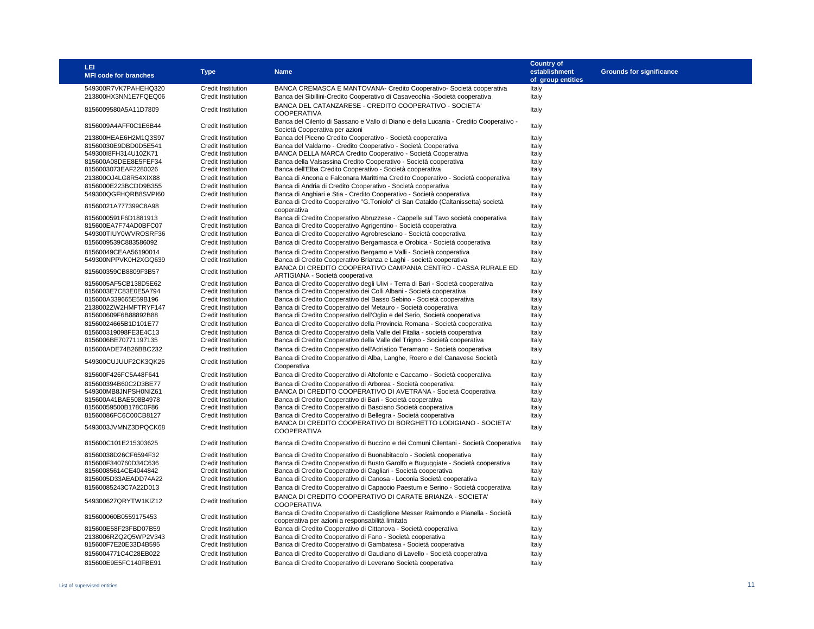| LEI.                         |                           |                                                                                       | <b>Country of</b> |                                 |
|------------------------------|---------------------------|---------------------------------------------------------------------------------------|-------------------|---------------------------------|
|                              | <b>Type</b>               | <b>Name</b>                                                                           | establishment     | <b>Grounds for significance</b> |
| <b>MFI code for branches</b> |                           |                                                                                       | of group entities |                                 |
| 549300R7VK7PAHEHQ320         | <b>Credit Institution</b> | BANCA CREMASCA E MANTOVANA- Credito Cooperativo- Società cooperativa                  | Italy             |                                 |
| 213800HX3NN1E7FQEQ06         | <b>Credit Institution</b> | Banca dei Sibillini-Credito Cooperativo di Casavecchia - Società cooperativa          | Italy             |                                 |
|                              |                           | BANCA DEL CATANZARESE - CREDITO COOPERATIVO - SOCIETA'                                |                   |                                 |
| 8156009580A5A11D7809         | <b>Credit Institution</b> | <b>COOPERATIVA</b>                                                                    | Italy             |                                 |
|                              |                           | Banca del Cilento di Sassano e Vallo di Diano e della Lucania - Credito Cooperativo - |                   |                                 |
| 8156009A4AFF0C1E6B44         | <b>Credit Institution</b> |                                                                                       | Italy             |                                 |
|                              |                           | Società Cooperativa per azioni                                                        |                   |                                 |
| 213800HEAE6H2M1Q3S97         | Credit Institution        | Banca del Piceno Credito Cooperativo - Società cooperativa                            | Italy             |                                 |
| 81560030E9DBD0D5E541         | <b>Credit Institution</b> | Banca del Valdarno - Credito Cooperativo - Società Cooperativa                        | Italy             |                                 |
| 549300I8FH314U10ZK71         | <b>Credit Institution</b> | BANCA DELLA MARCA Credito Cooperativo - Società Cooperativa                           | Italy             |                                 |
| 815600A08DEE8E5FEF34         | <b>Credit Institution</b> | Banca della Valsassina Credito Cooperativo - Società cooperativa                      | Italy             |                                 |
| 8156003073EAF2280026         | <b>Credit Institution</b> | Banca dell'Elba Credito Cooperativo - Società cooperativa                             | Italy             |                                 |
| 213800OJ4LG8R54XIX88         | <b>Credit Institution</b> | Banca di Ancona e Falconara Marittima Credito Cooperativo - Società cooperativa       | Italy             |                                 |
| 8156000E223BCDD9B355         | <b>Credit Institution</b> | Banca di Andria di Credito Cooperativo - Società cooperativa                          | Italy             |                                 |
| 549300QGFHQRB8SVPI60         | <b>Credit Institution</b> | Banca di Anghiari e Stia - Credito Cooperativo - Società cooperativa                  | Italy             |                                 |
| 81560021A777399C8A98         | <b>Credit Institution</b> | Banca di Credito Cooperativo "G.Toniolo" di San Cataldo (Caltanissetta) società       | Italy             |                                 |
|                              |                           | cooperativa                                                                           |                   |                                 |
| 8156000591F6D1881913         | <b>Credit Institution</b> | Banca di Credito Cooperativo Abruzzese - Cappelle sul Tavo società cooperativa        | Italy             |                                 |
| 815600EA7F74AD0BFC07         | <b>Credit Institution</b> | Banca di Credito Cooperativo Agrigentino - Società cooperativa                        | Italy             |                                 |
| 549300TIUY0WVROSRF36         | <b>Credit Institution</b> | Banca di Credito Cooperativo Agrobresciano - Società cooperativa                      | Italy             |                                 |
| 8156009539C883586092         | <b>Credit Institution</b> | Banca di Credito Cooperativo Bergamasca e Orobica - Società cooperativa               | Italy             |                                 |
| 81560049CEAA56190014         | <b>Credit Institution</b> | Banca di Credito Cooperativo Bergamo e Valli - Società cooperativa                    | Italy             |                                 |
| 549300NPPVK0H2XGQ639         | <b>Credit Institution</b> | Banca di Credito Cooperativo Brianza e Laghi - società cooperativa                    | Italy             |                                 |
|                              |                           | BANCA DI CREDITO COOPERATIVO CAMPANIA CENTRO - CASSA RURALE ED                        |                   |                                 |
| 815600359CB8809F3B57         | <b>Credit Institution</b> | ARTIGIANA - Società cooperativa                                                       | Italy             |                                 |
| 8156005AF5CB138D5E62         | <b>Credit Institution</b> | Banca di Credito Cooperativo degli Ulivi - Terra di Bari - Società cooperativa        | Italy             |                                 |
| 8156003E7C83E0E5A794         | <b>Credit Institution</b> | Banca di Credito Cooperativo dei Colli Albani - Società cooperativa                   | Italy             |                                 |
| 815600A339665E59B196         | <b>Credit Institution</b> | Banca di Credito Cooperativo del Basso Sebino - Società cooperativa                   |                   |                                 |
|                              |                           |                                                                                       | Italy             |                                 |
| 2138002ZW2HMFTRYF147         | Credit Institution        | Banca di Credito Cooperativo del Metauro - Società cooperativa                        | Italy             |                                 |
| 815600609F6B88892B88         | <b>Credit Institution</b> | Banca di Credito Cooperativo dell'Oglio e del Serio, Società cooperativa              | Italy             |                                 |
| 81560024665B1D101E77         | <b>Credit Institution</b> | Banca di Credito Cooperativo della Provincia Romana - Società cooperativa             | Italy             |                                 |
| 815600319098FE3E4C13         | <b>Credit Institution</b> | Banca di Credito Cooperativo della Valle del Fitalia - società cooperativa            | Italy             |                                 |
| 8156006BE70771197135         | <b>Credit Institution</b> | Banca di Credito Cooperativo della Valle del Trigno - Società cooperativa             | Italy             |                                 |
| 815600ADE74B26BBC232         | <b>Credit Institution</b> | Banca di Credito Cooperativo dell'Adriatico Teramano - Società cooperativa            | Italy             |                                 |
|                              | <b>Credit Institution</b> | Banca di Credito Cooperativo di Alba, Langhe, Roero e del Canavese Società            |                   |                                 |
| 549300CUJUUF2CK3QK26         |                           | Cooperativa                                                                           | Italy             |                                 |
| 815600F426FC5A48F641         | <b>Credit Institution</b> | Banca di Credito Cooperativo di Altofonte e Caccamo - Società cooperativa             | Italy             |                                 |
| 815600394B60C2D3BE77         | Credit Institution        | Banca di Credito Cooperativo di Arborea - Società cooperativa                         | Italy             |                                 |
| 549300MB8JNPSH0NIZ61         | <b>Credit Institution</b> | BANCA DI CREDITO COOPERATIVO DI AVETRANA - Società Cooperativa                        | Italy             |                                 |
| 815600A41BAE508B4978         | <b>Credit Institution</b> | Banca di Credito Cooperativo di Bari - Società cooperativa                            | Italy             |                                 |
| 81560059500B178C0F86         | <b>Credit Institution</b> | Banca di Credito Cooperativo di Basciano Società cooperativa                          | Italy             |                                 |
| 81560086FC6C00CB8127         | <b>Credit Institution</b> | Banca di Credito Cooperativo di Bellegra - Società cooperativa                        | Italy             |                                 |
|                              |                           | BANCA DI CREDITO COOPERATIVO DI BORGHETTO LODIGIANO - SOCIETA'                        |                   |                                 |
| 5493003JVMNZ3DPQCK68         | <b>Credit Institution</b> | <b>COOPERATIVA</b>                                                                    | Italy             |                                 |
|                              |                           |                                                                                       |                   |                                 |
| 815600C101E215303625         | <b>Credit Institution</b> | Banca di Credito Cooperativo di Buccino e dei Comuni Cilentani - Società Cooperativa  | Italy             |                                 |
| 81560038D26CF6594F32         | <b>Credit Institution</b> | Banca di Credito Cooperativo di Buonabitacolo - Società cooperativa                   | Italy             |                                 |
| 815600F340760D34C636         | <b>Credit Institution</b> | Banca di Credito Cooperativo di Busto Garolfo e Buguggiate - Società cooperativa      | Italy             |                                 |
| 81560085614CE4044842         | <b>Credit Institution</b> | Banca di Credito Cooperativo di Cagliari - Società cooperativa                        | Italy             |                                 |
| 8156005D33AEADD74A22         | <b>Credit Institution</b> | Banca di Credito Cooperativo di Canosa - Loconia Società cooperativa                  | Italy             |                                 |
|                              |                           |                                                                                       |                   |                                 |
| 81560085243C7A22D013         | <b>Credit Institution</b> | Banca di Credito Cooperativo di Capaccio Paestum e Serino - Società cooperativa       | Italy             |                                 |
| 549300627QRYTW1KIZ12         | <b>Credit Institution</b> | BANCA DI CREDITO COOPERATIVO DI CARATE BRIANZA - SOCIETA'                             | Italy             |                                 |
|                              |                           | <b>COOPERATIVA</b>                                                                    |                   |                                 |
| 815600060B0559175453         | <b>Credit Institution</b> | Banca di Credito Cooperativo di Castiglione Messer Raimondo e Pianella - Società      | Italy             |                                 |
|                              |                           | cooperativa per azioni a responsabilità limitata                                      |                   |                                 |
| 815600E58F23FBD07B59         | <b>Credit Institution</b> | Banca di Credito Cooperativo di Cittanova - Società cooperativa                       | Italy             |                                 |
| 2138006RZQ2Q5WP2V343         | <b>Credit Institution</b> | Banca di Credito Cooperativo di Fano - Società cooperativa                            | Italy             |                                 |
| 815600F7E20E33D4B595         | Credit Institution        | Banca di Credito Cooperativo di Gambatesa - Società cooperativa                       | Italy             |                                 |
| 8156004771C4C28EB022         | <b>Credit Institution</b> | Banca di Credito Cooperativo di Gaudiano di Lavello - Società cooperativa             | Italy             |                                 |
| 815600E9E5FC140FBE91         | <b>Credit Institution</b> | Banca di Credito Cooperativo di Leverano Società cooperativa                          | Italy             |                                 |
|                              |                           |                                                                                       |                   |                                 |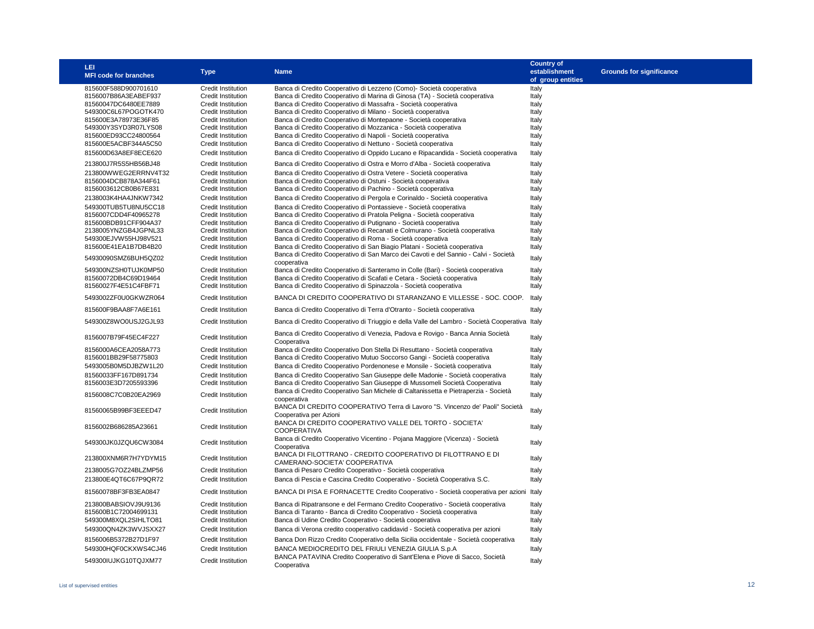| LEI                          |                           |                                                                                                        | <b>Country of</b> |                                 |
|------------------------------|---------------------------|--------------------------------------------------------------------------------------------------------|-------------------|---------------------------------|
|                              | <b>Type</b>               | <b>Name</b>                                                                                            | establishment     | <b>Grounds for significance</b> |
| <b>MFI code for branches</b> |                           |                                                                                                        | of group entities |                                 |
| 815600F588D900701610         | <b>Credit Institution</b> | Banca di Credito Cooperativo di Lezzeno (Como)- Società cooperativa                                    | Italy             |                                 |
| 8156007B86A3EABEF937         | <b>Credit Institution</b> | Banca di Credito Cooperativo di Marina di Ginosa (TA) - Società cooperativa                            | Italy             |                                 |
| 81560047DC6480EE7889         | Credit Institution        | Banca di Credito Cooperativo di Massafra - Società cooperativa                                         | Italy             |                                 |
| 549300C6L67POGOTK470         | <b>Credit Institution</b> | Banca di Credito Cooperativo di Milano - Società cooperativa                                           | Italy             |                                 |
| 815600E3A78973E36F85         | <b>Credit Institution</b> | Banca di Credito Cooperativo di Montepaone - Società cooperativa                                       | Italy             |                                 |
| 549300Y3SYD3R07LYS08         | Credit Institution        | Banca di Credito Cooperativo di Mozzanica - Società cooperativa                                        | Italy             |                                 |
|                              | <b>Credit Institution</b> | Banca di Credito Cooperativo di Napoli - Società cooperativa                                           | Italy             |                                 |
| 815600ED93CC24800564         |                           |                                                                                                        |                   |                                 |
| 815600E5ACBF344A5C50         | <b>Credit Institution</b> | Banca di Credito Cooperativo di Nettuno - Società cooperativa                                          | Italy             |                                 |
| 815600D63A8EF8ECE620         | <b>Credit Institution</b> | Banca di Credito Cooperativo di Oppido Lucano e Ripacandida - Società cooperativa                      | Italy             |                                 |
| 213800J7R5S5HB56BJ48         | <b>Credit Institution</b> | Banca di Credito Cooperativo di Ostra e Morro d'Alba - Società cooperativa                             | Italy             |                                 |
| 213800WWEG2ERRNV4T32         | <b>Credit Institution</b> | Banca di Credito Cooperativo di Ostra Vetere - Società cooperativa                                     | Italy             |                                 |
| 8156004DCB878A344F61         | <b>Credit Institution</b> | Banca di Credito Cooperativo di Ostuni - Società cooperativa                                           | Italy             |                                 |
| 8156003612CB0B67E831         | <b>Credit Institution</b> | Banca di Credito Cooperativo di Pachino - Società cooperativa                                          | Italy             |                                 |
| 2138003K4HA4JNKW7342         | <b>Credit Institution</b> | Banca di Credito Cooperativo di Pergola e Corinaldo - Società cooperativa                              | Italy             |                                 |
| 549300TUB5TU8NU5CC18         | <b>Credit Institution</b> | Banca di Credito Cooperativo di Pontassieve - Società cooperativa                                      | Italy             |                                 |
| 8156007CDD4F40965278         | <b>Credit Institution</b> |                                                                                                        | Italy             |                                 |
|                              |                           | Banca di Credito Cooperativo di Pratola Peligna - Società cooperativa                                  |                   |                                 |
| 815600BDB91CFF904A37         | Credit Institution        | Banca di Credito Cooperativo di Putignano - Società cooperativa                                        | Italy             |                                 |
| 2138005YNZGB4JGPNL33         | <b>Credit Institution</b> | Banca di Credito Cooperativo di Recanati e Colmurano - Società cooperativa                             | Italy             |                                 |
| 549300EJVW55HJ98V521         | <b>Credit Institution</b> | Banca di Credito Cooperativo di Roma - Società cooperativa                                             | Italy             |                                 |
| 815600E41EA1B7DB4B20         | Credit Institution        | Banca di Credito Cooperativo di San Biagio Platani - Società cooperativa                               | Italy             |                                 |
| 54930090SMZ6BUH5QZ02         | <b>Credit Institution</b> | Banca di Credito Cooperativo di San Marco dei Cavoti e del Sannio - Calvi - Società<br>cooperativa     | Italy             |                                 |
| 549300NZSH0TUJK0MP50         | Credit Institution        | Banca di Credito Cooperativo di Santeramo in Colle (Bari) - Società cooperativa                        | Italy             |                                 |
| 81560072DB4C69D19464         | <b>Credit Institution</b> | Banca di Credito Cooperativo di Scafati e Cetara - Società cooperativa                                 | Italy             |                                 |
| 81560027F4E51C4FBF71         | Credit Institution        | Banca di Credito Cooperativo di Spinazzola - Società cooperativa                                       | Italy             |                                 |
| 5493002ZF0U0GKWZR064         | <b>Credit Institution</b> | BANCA DI CREDITO COOPERATIVO DI STARANZANO E VILLESSE - SOC. COOP.                                     | Italy             |                                 |
| 815600F9BAA8F7A6E161         | Credit Institution        | Banca di Credito Cooperativo di Terra d'Otranto - Società cooperativa                                  | Italy             |                                 |
|                              |                           |                                                                                                        |                   |                                 |
| 549300Z8WO0USJ2GJL93         | <b>Credit Institution</b> | Banca di Credito Cooperativo di Triuggio e della Valle del Lambro - Società Cooperativa Italy          |                   |                                 |
| 8156007B79F45EC4F227         | <b>Credit Institution</b> | Banca di Credito Cooperativo di Venezia, Padova e Rovigo - Banca Annia Società<br>Cooperativa          | Italy             |                                 |
| 8156000A6CEA2058A773         | Credit Institution        | Banca di Credito Cooperativo Don Stella Di Resuttano - Società cooperativa                             | Italy             |                                 |
| 8156001BB29F58775803         | <b>Credit Institution</b> | Banca di Credito Cooperativo Mutuo Soccorso Gangi - Società cooperativa                                | Italy             |                                 |
| 5493005B0M5DJBZW1L20         | <b>Credit Institution</b> | Banca di Credito Cooperativo Pordenonese e Monsile - Società cooperativa                               | Italy             |                                 |
| 81560033FF167D891734         | <b>Credit Institution</b> | Banca di Credito Cooperativo San Giuseppe delle Madonie - Società cooperativa                          | Italy             |                                 |
| 8156003E3D7205593396         | <b>Credit Institution</b> | Banca di Credito Cooperativo San Giuseppe di Mussomeli Società Cooperativa                             | Italy             |                                 |
|                              |                           | Banca di Credito Cooperativo San Michele di Caltanissetta e Pietraperzia - Società                     |                   |                                 |
| 8156008C7C0B20EA2969         | <b>Credit Institution</b> | cooperativa                                                                                            | Italy             |                                 |
| 81560065B99BF3EEED47         | <b>Credit Institution</b> | BANCA DI CREDITO COOPERATIVO Terra di Lavoro "S. Vincenzo de' Paoli" Società<br>Cooperativa per Azioni | Italy             |                                 |
|                              |                           | BANCA DI CREDITO COOPERATIVO VALLE DEL TORTO - SOCIETA'                                                |                   |                                 |
| 8156002B686285A23661         | Credit Institution        | <b>COOPERATIVA</b>                                                                                     | Italy             |                                 |
| 549300JK0JZQU6CW3084         | <b>Credit Institution</b> | Banca di Credito Cooperativo Vicentino - Pojana Maggiore (Vicenza) - Società<br>Cooperativa            | Italy             |                                 |
| 213800XNM6R7H7YDYM15         | <b>Credit Institution</b> | BANCA DI FILOTTRANO - CREDITO COOPERATIVO DI FILOTTRANO E DI<br>CAMERANO-SOCIETA' COOPERATIVA          | Italy             |                                 |
| 2138005G7OZ24BLZMP56         | <b>Credit Institution</b> | Banca di Pesaro Credito Cooperativo - Società cooperativa                                              | Italy             |                                 |
| 213800E4QT6C67P9QR72         | <b>Credit Institution</b> | Banca di Pescia e Cascina Credito Cooperativo - Società Cooperativa S.C.                               | Italy             |                                 |
|                              |                           |                                                                                                        |                   |                                 |
| 81560078BF3FB3EA0847         | <b>Credit Institution</b> | BANCA DI PISA E FORNACETTE Credito Cooperativo - Società cooperativa per azioni Italy                  |                   |                                 |
| 213800BABSIOVJ9U9136         | Credit Institution        | Banca di Ripatransone e del Fermano Credito Cooperativo - Società cooperativa                          | Italy             |                                 |
| 815600B1C72004699131         | <b>Credit Institution</b> | Banca di Taranto - Banca di Credito Cooperativo - Società cooperativa                                  | Italy             |                                 |
| 549300M8XQL2SIHLTO81         | <b>Credit Institution</b> | Banca di Udine Credito Cooperativo - Società cooperativa                                               | Italy             |                                 |
| 549300QN4ZK3WVJSXX27         | <b>Credit Institution</b> | Banca di Verona credito cooperativo cadidavid - Società cooperativa per azioni                         | Italy             |                                 |
|                              |                           |                                                                                                        |                   |                                 |
| 8156006B5372B27D1F97         | <b>Credit Institution</b> | Banca Don Rizzo Credito Cooperativo della Sicilia occidentale - Società cooperativa                    | Italy             |                                 |
| 549300HQF0CKXWS4CJ46         | <b>Credit Institution</b> | BANCA MEDIOCREDITO DEL FRIULI VENEZIA GIULIA S.p.A                                                     | Italy             |                                 |
| 549300IUJKG10TQJXM77         | <b>Credit Institution</b> | BANCA PATAVINA Credito Cooperativo di Sant'Elena e Piove di Sacco, Società                             | Italy             |                                 |
|                              |                           | Cooperativa                                                                                            |                   |                                 |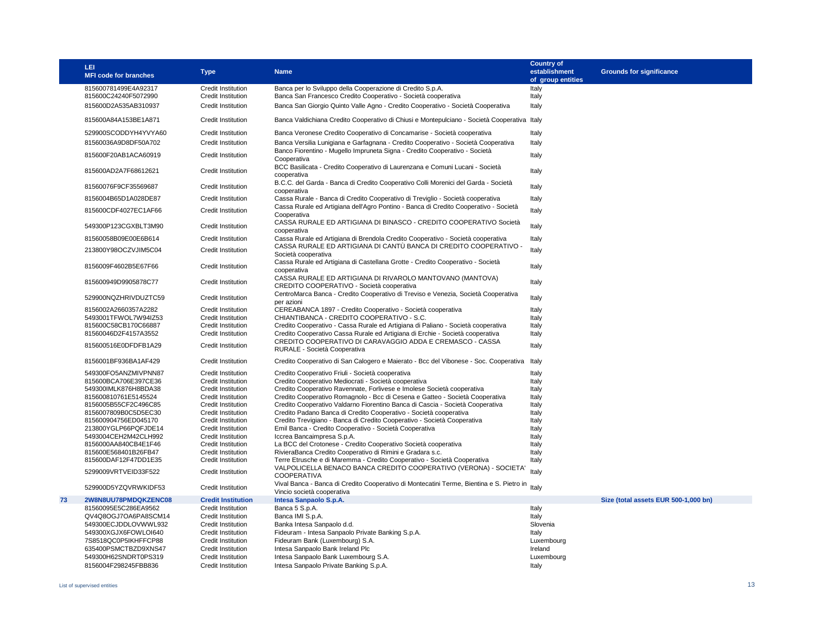|    | LEI.<br><b>MFI code for branches</b>         | <b>Type</b>                                            | <b>Name</b>                                                                                                                                  | <b>Country of</b><br>establishment<br>of group entities | <b>Grounds for significance</b>      |
|----|----------------------------------------------|--------------------------------------------------------|----------------------------------------------------------------------------------------------------------------------------------------------|---------------------------------------------------------|--------------------------------------|
|    | 815600781499E4A92317                         | <b>Credit Institution</b>                              | Banca per lo Sviluppo della Cooperazione di Credito S.p.A.                                                                                   | Italy                                                   |                                      |
|    | 815600C24240F5072990                         | <b>Credit Institution</b>                              | Banca San Francesco Credito Cooperativo - Società cooperativa                                                                                | Italy                                                   |                                      |
|    | 815600D2A535AB310937                         | Credit Institution                                     | Banca San Giorgio Quinto Valle Agno - Credito Cooperativo - Società Cooperativa                                                              | Italy                                                   |                                      |
|    | 815600A84A153BE1A871                         | Credit Institution                                     | Banca Valdichiana Credito Cooperativo di Chiusi e Montepulciano - Società Cooperativa Italy                                                  |                                                         |                                      |
|    | 529900SCODDYH4YVYA60                         | <b>Credit Institution</b>                              | Banca Veronese Credito Cooperativo di Concamarise - Società cooperativa                                                                      | Italy                                                   |                                      |
|    | 81560036A9D8DF50A702                         | <b>Credit Institution</b>                              | Banca Versilia Lunigiana e Garfagnana - Credito Cooperativo - Società Cooperativa                                                            | Italy                                                   |                                      |
|    | 815600F20AB1ACA60919                         | <b>Credit Institution</b>                              | Banco Fiorentino - Mugello Impruneta Signa - Credito Cooperativo - Società<br>Cooperativa                                                    | Italy                                                   |                                      |
|    | 815600AD2A7F68612621                         | Credit Institution                                     | BCC Basilicata - Credito Cooperativo di Laurenzana e Comuni Lucani - Società<br>cooperativa                                                  | Italy                                                   |                                      |
|    | 81560076F9CF35569687                         | Credit Institution                                     | B.C.C. del Garda - Banca di Credito Cooperativo Colli Morenici del Garda - Società<br>cooperativa                                            | Italy                                                   |                                      |
|    | 8156004B65D1A028DE87                         | Credit Institution                                     | Cassa Rurale - Banca di Credito Cooperativo di Treviglio - Società cooperativa                                                               | Italy                                                   |                                      |
|    | 815600CDF4027EC1AF66                         | Credit Institution                                     | Cassa Rurale ed Artigiana dell'Agro Pontino - Banca di Credito Cooperativo - Società                                                         | Italy                                                   |                                      |
|    |                                              |                                                        | Cooperativa<br>CASSA RURALE ED ARTIGIANA DI BINASCO - CREDITO COOPERATIVO Società                                                            |                                                         |                                      |
|    | 549300P123CGXBLT3M90                         | Credit Institution                                     | cooperativa                                                                                                                                  | Italy                                                   |                                      |
|    | 81560058B09E00E6B614                         | Credit Institution                                     | Cassa Rurale ed Artigiana di Brendola Credito Cooperativo - Società cooperativa                                                              | Italy                                                   |                                      |
|    | 213800Y98OCZVJIM5C04                         | Credit Institution                                     | CASSA RURALE ED ARTIGIANA DI CANTÙ BANCA DI CREDITO COOPERATIVO -<br>Società cooperativa                                                     | Italy                                                   |                                      |
|    | 8156009F4602B5E67F66                         | Credit Institution                                     | Cassa Rurale ed Artigiana di Castellana Grotte - Credito Cooperativo - Società<br>cooperativa                                                | Italy                                                   |                                      |
|    | 815600949D9905878C77                         | <b>Credit Institution</b>                              | CASSA RURALE ED ARTIGIANA DI RIVAROLO MANTOVANO (MANTOVA)<br>CREDITO COOPERATIVO - Società cooperativa                                       | Italy                                                   |                                      |
|    | 529900NQZHRIVDUZTC59                         | <b>Credit Institution</b>                              | CentroMarca Banca - Credito Cooperativo di Treviso e Venezia, Società Cooperativa<br>per azioni                                              | Italy                                                   |                                      |
|    | 8156002A2660357A2282                         | <b>Credit Institution</b>                              | CEREABANCA 1897 - Credito Cooperativo - Società cooperativa                                                                                  | Italy                                                   |                                      |
|    | 5493001TFWOL7W94IZ53                         | <b>Credit Institution</b>                              | CHIANTIBANCA - CREDITO COOPERATIVO - S.C.                                                                                                    | Italy                                                   |                                      |
|    | 815600C58CB170C66887                         | <b>Credit Institution</b>                              | Credito Cooperativo - Cassa Rurale ed Artigiana di Paliano - Società cooperativa                                                             | Italy                                                   |                                      |
|    | 81560046D2F4157A3552                         | Credit Institution                                     | Credito Cooperativo Cassa Rurale ed Artigiana di Erchie - Società cooperativa                                                                | Italy                                                   |                                      |
|    | 815600516E0DFDFB1A29                         | Credit Institution                                     | CREDITO COOPERATIVO DI CARAVAGGIO ADDA E CREMASCO - CASSA<br>RURALE - Società Cooperativa                                                    | Italy                                                   |                                      |
|    | 8156001BF936BA1AF429                         | <b>Credit Institution</b>                              | Credito Cooperativo di San Calogero e Maierato - Bcc del Vibonese - Soc. Cooperativa Italy                                                   |                                                         |                                      |
|    | 549300FO5ANZMIVPNN87                         | Credit Institution                                     | Credito Cooperativo Friuli - Società cooperativa                                                                                             | Italy                                                   |                                      |
|    | 815600BCA706E397CE36                         | <b>Credit Institution</b>                              | Credito Cooperativo Mediocrati - Società cooperativa                                                                                         | Italy                                                   |                                      |
|    | 549300IMLK876H8BDA38                         | Credit Institution                                     | Credito Cooperativo Ravennate, Forlivese e Imolese Società cooperativa                                                                       | Italy                                                   |                                      |
|    | 815600810761E5145524                         | Credit Institution                                     | Credito Cooperativo Romagnolo - Bcc di Cesena e Gatteo - Società Cooperativa                                                                 | Italy                                                   |                                      |
|    | 8156005B55CF2C496C85                         | <b>Credit Institution</b>                              | Credito Cooperativo Valdarno Fiorentino Banca di Cascia - Società Cooperativa                                                                | Italy                                                   |                                      |
|    | 8156007809B0C5D5EC30<br>815600904756ED045170 | <b>Credit Institution</b><br><b>Credit Institution</b> | Credito Padano Banca di Credito Cooperativo - Società cooperativa<br>Credito Trevigiano - Banca di Credito Cooperativo - Società Cooperativa | Italy<br>Italy                                          |                                      |
|    | 213800YGLP66PQFJDE14                         | <b>Credit Institution</b>                              | Emil Banca - Credito Cooperativo - Società Cooperativa                                                                                       | Italy                                                   |                                      |
|    | 5493004CEH2M42CLH992                         | <b>Credit Institution</b>                              | Iccrea Bancaimpresa S.p.A.                                                                                                                   | Italy                                                   |                                      |
|    | 8156000AA840CB4E1F46                         | <b>Credit Institution</b>                              | La BCC del Crotonese - Credito Cooperativo Società cooperativa                                                                               | Italy                                                   |                                      |
|    | 815600E568401B26FB47                         | Credit Institution                                     | RivieraBanca Credito Cooperativo di Rimini e Gradara s.c.                                                                                    | Italy                                                   |                                      |
|    | 815600DAF12F47DD1E35                         | Credit Institution                                     | Terre Etrusche e di Maremma - Credito Cooperativo - Società Cooperativa                                                                      | Italy                                                   |                                      |
|    | 5299009VRTVEID33F522                         | Credit Institution                                     | VALPOLICELLA BENACO BANCA CREDITO COOPERATIVO (VERONA) - SOCIETA'<br><b>COOPERATIVA</b>                                                      | Italy                                                   |                                      |
|    | 529900D5YZQVRWKIDF53                         | Credit Institution                                     | Vival Banca - Banca di Credito Cooperativo di Montecatini Terme, Bientina e S. Pietro in<br>Vincio società cooperativa                       | Italy                                                   |                                      |
| 73 | 2W8N8UU78PMDQKZENC08                         | <b>Credit Institution</b>                              | Intesa Sanpaolo S.p.A.                                                                                                                       |                                                         | Size (total assets EUR 500-1,000 bn) |
|    | 81560095E5C286EA9562                         | <b>Credit Institution</b>                              | Banca 5 S.p.A.                                                                                                                               | Italy                                                   |                                      |
|    | QV4Q8OGJ7OA6PA8SCM14                         | <b>Credit Institution</b>                              | Banca IMI S.p.A.                                                                                                                             | Italy                                                   |                                      |
|    | 549300ECJDDLOVWWL932                         | <b>Credit Institution</b>                              | Banka Intesa Sanpaolo d.d.                                                                                                                   | Slovenia                                                |                                      |
|    | 549300XGJX6FOWLOI640                         | <b>Credit Institution</b>                              | Fideuram - Intesa Sanpaolo Private Banking S.p.A.                                                                                            | Italy                                                   |                                      |
|    | 7S8518QC0P5IKHFFCP88                         | <b>Credit Institution</b>                              | Fideuram Bank (Luxembourg) S.A.                                                                                                              | Luxembourg                                              |                                      |
|    | 635400PSMCTBZD9XNS47                         | Credit Institution                                     | Intesa Sanpaolo Bank Ireland Plc                                                                                                             | Ireland                                                 |                                      |
|    | 549300H62SNDRT0PS319                         | <b>Credit Institution</b>                              | Intesa Sanpaolo Bank Luxembourg S.A.                                                                                                         | Luxembourg                                              |                                      |
|    | 8156004F298245FBB836                         | <b>Credit Institution</b>                              | Intesa Sanpaolo Private Banking S.p.A.                                                                                                       | Italy                                                   |                                      |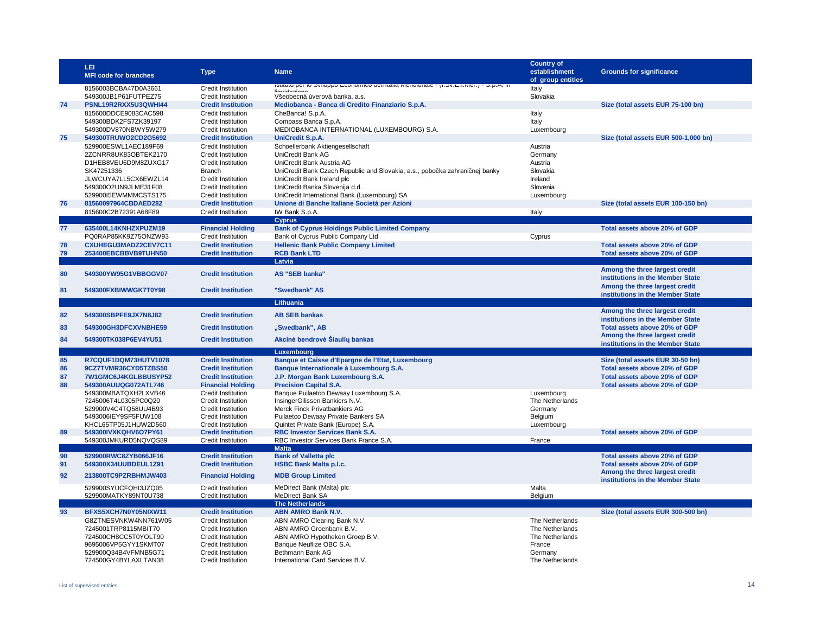|    | LEI<br><b>MFI code for branches</b>          | <b>Type</b>                                            | <b>Name</b>                                                                                                       | <b>Country of</b><br>establishment<br>of group entities | <b>Grounds for significance</b>                                    |
|----|----------------------------------------------|--------------------------------------------------------|-------------------------------------------------------------------------------------------------------------------|---------------------------------------------------------|--------------------------------------------------------------------|
|    | 8156003BCBA47D0A3661                         | <b>Credit Institution</b>                              | <u> istituto per lo sviluppo Economico dell'Italia Mendionale - (i.sv. E.i.Men.) - s.p.A. in</u><br>بمماجمات بمال | Italy                                                   |                                                                    |
|    | 549300JB1P61FUTPEZ75                         | <b>Credit Institution</b>                              | Všeobecná úverová banka, a.s.                                                                                     | Slovakia                                                |                                                                    |
| 74 | PSNL19R2RXX5U3QWHI44                         | <b>Credit Institution</b>                              | Mediobanca - Banca di Credito Finanziario S.p.A.                                                                  |                                                         | Size (total assets EUR 75-100 bn)                                  |
|    | 815600DDCE9083CAC598                         | <b>Credit Institution</b>                              | CheBanca! S.p.A.                                                                                                  | Italy                                                   |                                                                    |
|    | 549300BDK2FS7ZK39197                         | <b>Credit Institution</b><br><b>Credit Institution</b> | Compass Banca S.p.A.<br>MEDIOBANCA INTERNATIONAL (LUXEMBOURG) S.A.                                                | Italy<br>Luxembourg                                     |                                                                    |
| 75 | 549300DV870NBWY5W279<br>549300TRUWO2CD2G5692 | <b>Credit Institution</b>                              | <b>UniCredit S.p.A.</b>                                                                                           |                                                         | Size (total assets EUR 500-1,000 bn)                               |
|    | 529900ESWL1AEC189F69                         | <b>Credit Institution</b>                              | Schoellerbank Aktiengesellschaft                                                                                  | Austria                                                 |                                                                    |
|    | 2ZCNRR8UK83OBTEK2170                         | <b>Credit Institution</b>                              | UniCredit Bank AG                                                                                                 | Germany                                                 |                                                                    |
|    | D1HEB8VEU6D9M8ZUXG17                         | <b>Credit Institution</b>                              | UniCredit Bank Austria AG                                                                                         | Austria                                                 |                                                                    |
|    | SK47251336                                   | Branch                                                 | UniCredit Bank Czech Republic and Slovakia, a.s., pobočka zahraničnej banky                                       | Slovakia                                                |                                                                    |
|    | JLWCUYA7LL5CX6EWZL14                         | Credit Institution                                     | UniCredit Bank Ireland plc                                                                                        | Ireland                                                 |                                                                    |
|    | 549300O2UN9JLME31F08<br>52990015EWMMMCSTS175 | Credit Institution<br>Credit Institution               | UniCredit Banka Slovenija d.d.<br>UniCredit International Bank (Luxembourg) SA                                    | Slovenia<br>Luxembourg                                  |                                                                    |
| 76 | 81560097964CBDAED282                         | <b>Credit Institution</b>                              | Unione di Banche Italiane Società per Azioni                                                                      |                                                         | Size (total assets EUR 100-150 bn)                                 |
|    | 815600C2B72391A68F89                         | Credit Institution                                     | IW Bank S.p.A.                                                                                                    | Italy                                                   |                                                                    |
|    |                                              |                                                        | <b>Cyprus</b>                                                                                                     |                                                         |                                                                    |
| 77 | 635400L14KNHZXPUZM19                         | <b>Financial Holding</b>                               | <b>Bank of Cyprus Holdings Public Limited Company</b>                                                             |                                                         | Total assets above 20% of GDP                                      |
|    | PQ0RAP85KK9Z75ONZW93                         | Credit Institution                                     | Bank of Cyprus Public Company Ltd                                                                                 | Cyprus                                                  |                                                                    |
| 78 | CXUHEGU3MADZ2CEV7C11                         | <b>Credit Institution</b>                              | <b>Hellenic Bank Public Company Limited</b>                                                                       |                                                         | Total assets above 20% of GDP                                      |
| 79 | 253400EBCBBVB9TUHN50                         | <b>Credit Institution</b>                              | <b>RCB Bank LTD</b><br>Latvia                                                                                     |                                                         | Total assets above 20% of GDP                                      |
|    |                                              |                                                        |                                                                                                                   |                                                         | Among the three largest credit                                     |
| 80 | 549300YW95G1VBBGGV07                         | <b>Credit Institution</b>                              | AS "SEB banka"                                                                                                    |                                                         | institutions in the Member State                                   |
| 81 |                                              |                                                        | "Swedbank" AS                                                                                                     |                                                         | Among the three largest credit                                     |
|    | 549300FXBIWWGK7T0Y98                         | <b>Credit Institution</b>                              |                                                                                                                   |                                                         | institutions in the Member State                                   |
|    |                                              |                                                        | Lithuania                                                                                                         |                                                         |                                                                    |
| 82 | 549300SBPFE9JX7N8J82                         | <b>Credit Institution</b>                              | <b>AB SEB bankas</b>                                                                                              |                                                         | Among the three largest credit<br>institutions in the Member State |
| 83 | 549300GH3DFCXVNBHE59                         | <b>Credit Institution</b>                              | "Swedbank", AB                                                                                                    |                                                         | Total assets above 20% of GDP                                      |
| 84 | 549300TK038P6EV4YU51                         | <b>Credit Institution</b>                              | Akcinė bendrovė Šiaulių bankas                                                                                    |                                                         | Among the three largest credit                                     |
|    |                                              |                                                        | <b>Luxembourg</b>                                                                                                 |                                                         | institutions in the Member State                                   |
| 85 | R7CQUF1DQM73HUTV1078                         | <b>Credit Institution</b>                              | Banque et Caisse d'Epargne de l'Etat, Luxembourg                                                                  |                                                         | Size (total assets EUR 30-50 bn)                                   |
| 86 | 9CZ7TVMR36CYD5TZBS50                         | <b>Credit Institution</b>                              | Banque Internationale à Luxembourg S.A.                                                                           |                                                         | Total assets above 20% of GDP                                      |
| 87 | 7W1GMC6J4KGLBBUSYP52                         | <b>Credit Institution</b>                              | J.P. Morgan Bank Luxembourg S.A.                                                                                  |                                                         | Total assets above 20% of GDP                                      |
| 88 | 549300AUUQG072ATL746                         | <b>Financial Holding</b>                               | <b>Precision Capital S.A.</b>                                                                                     |                                                         | Total assets above 20% of GDP                                      |
|    | 549300MBATQXH2LXVB46                         | Credit Institution                                     | Banque Puilaetco Dewaay Luxembourg S.A.                                                                           | Luxembourg                                              |                                                                    |
|    | 7245006T4L0305PC0Q20                         | Credit Institution                                     | InsingerGilissen Bankiers N.V.                                                                                    | The Netherlands                                         |                                                                    |
|    | 529900V4C4TQ58UU4B93<br>5493006IEY9SF5FUW108 | Credit Institution<br>Credit Institution               | Merck Finck Privatbankiers AG<br>Puilaetco Dewaay Private Bankers SA                                              | Germany<br>Belgium                                      |                                                                    |
|    | KHCL65TP05J1HUW2D560                         | Credit Institution                                     | Quintet Private Bank (Europe) S.A.                                                                                | Luxembourg                                              |                                                                    |
| 89 | 549300IVXKQHV6O7PY61                         | <b>Credit Institution</b>                              | <b>RBC Investor Services Bank S.A.</b>                                                                            |                                                         | Total assets above 20% of GDP                                      |
|    | 549300JMKURD5NQVQS89                         | Credit Institution                                     | RBC Investor Services Bank France S.A.                                                                            | France                                                  |                                                                    |
| 90 | 529900RWC8ZYB066JF16                         | <b>Credit Institution</b>                              | <b>Malta</b><br><b>Bank of Valletta plc</b>                                                                       |                                                         |                                                                    |
| 91 | 549300X34UUBDEUL1Z91                         | <b>Credit Institution</b>                              | <b>HSBC Bank Malta p.l.c.</b>                                                                                     |                                                         | Total assets above 20% of GDP<br>Total assets above 20% of GDP     |
|    |                                              |                                                        |                                                                                                                   |                                                         | Among the three largest credit                                     |
| 92 | 213800TC9PZRBHMJW403                         | <b>Financial Holding</b>                               | <b>MDB Group Limited</b>                                                                                          |                                                         | institutions in the Member State                                   |
|    | 529900SYUCFQHI3JZQ05                         | Credit Institution                                     | MeDirect Bank (Malta) plc                                                                                         | Malta                                                   |                                                                    |
|    | 529900MATKY89NT0U738                         | Credit Institution                                     | MeDirect Bank SA<br><b>The Netherlands</b>                                                                        | Belgium                                                 |                                                                    |
| 93 | BFXS5XCH7N0Y05NIXW11                         | <b>Credit Institution</b>                              | <b>ABN AMRO Bank N.V.</b>                                                                                         |                                                         | Size (total assets EUR 300-500 bn)                                 |
|    | G8ZTNESVNKW4NN761W05                         | <b>Credit Institution</b>                              | ABN AMRO Clearing Bank N.V.                                                                                       | The Netherlands                                         |                                                                    |
|    | 7245001TRP8115MBIT70                         | Credit Institution                                     | ABN AMRO Groenbank B.V.                                                                                           | The Netherlands                                         |                                                                    |
|    | 724500CH8CC5T0YOLT90                         | Credit Institution                                     | ABN AMRO Hypotheken Groep B.V.                                                                                    | The Netherlands                                         |                                                                    |
|    | 9695006VP5GYY1SKMT07                         | Credit Institution                                     | Banque Neuflize OBC S.A.                                                                                          | France                                                  |                                                                    |
|    | 529900Q34B4VFMNB5G71<br>724500GY4BYLAXLTAN38 | Credit Institution<br><b>Credit Institution</b>        | Bethmann Bank AG<br>International Card Services B.V.                                                              | Germany<br>The Netherlands                              |                                                                    |
|    |                                              |                                                        |                                                                                                                   |                                                         |                                                                    |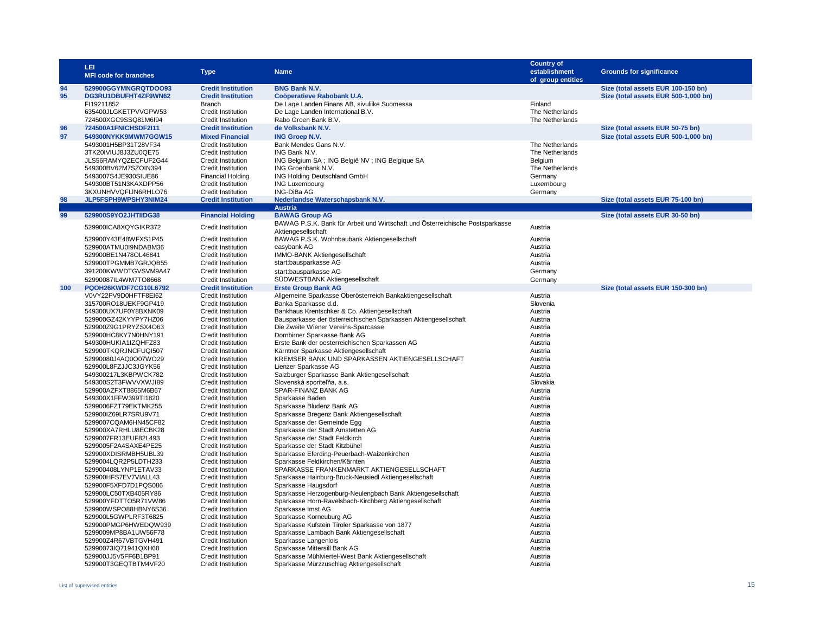|     | LEI.<br><b>MFI code for branches</b>         | <b>Type</b>                                            | <b>Name</b>                                                                                                      | <b>Country of</b><br>establishment<br>of group entities | <b>Grounds for significance</b>      |
|-----|----------------------------------------------|--------------------------------------------------------|------------------------------------------------------------------------------------------------------------------|---------------------------------------------------------|--------------------------------------|
| 94  | 529900GGYMNGRQTDOO93                         | <b>Credit Institution</b>                              | <b>BNG Bank N.V.</b>                                                                                             |                                                         | Size (total assets EUR 100-150 bn)   |
| 95  | DG3RU1DBUFHT4ZF9WN62                         | <b>Credit Institution</b>                              | Coöperatieve Rabobank U.A.                                                                                       |                                                         | Size (total assets EUR 500-1,000 bn) |
|     | FI19211852                                   | Branch                                                 | De Lage Landen Finans AB, sivuliike Suomessa                                                                     | Finland                                                 |                                      |
|     | 635400JLGKETPVVGPW53                         | <b>Credit Institution</b>                              | De Lage Landen International B.V.                                                                                | The Netherlands                                         |                                      |
|     | 724500XGC9SSQ81M6I94                         | <b>Credit Institution</b>                              | Rabo Groen Bank B.V.                                                                                             | The Netherlands                                         |                                      |
| 96  | 724500A1FNICHSDF2I11                         | <b>Credit Institution</b>                              | de Volksbank N.V.                                                                                                |                                                         | Size (total assets EUR 50-75 bn)     |
| 97  | 549300NYKK9MWM7GGW15                         | <b>Mixed Financial</b>                                 | <b>ING Groep N.V.</b>                                                                                            |                                                         | Size (total assets EUR 500-1,000 bn) |
|     | 5493001H5BP31T28VF34                         | <b>Credit Institution</b>                              | Bank Mendes Gans N.V.                                                                                            | The Netherlands                                         |                                      |
|     | 3TK20IVIUJ8J3ZU0QE75                         | <b>Credit Institution</b>                              | ING Bank N.V.                                                                                                    | The Netherlands                                         |                                      |
|     | JLS56RAMYQZECFUF2G44                         | <b>Credit Institution</b>                              | ING Belgium SA; ING België NV; ING Belgique SA                                                                   | Belgium                                                 |                                      |
|     | 549300BV62M7SZOIN394                         | <b>Credit Institution</b>                              | <b>ING Groenbank N.V.</b>                                                                                        | The Netherlands                                         |                                      |
|     | 5493007S4JE930SIUE86                         | <b>Financial Holding</b>                               | <b>ING Holding Deutschland GmbH</b>                                                                              | Germany                                                 |                                      |
|     | 549300BT51N3KAXDPP56                         | <b>Credit Institution</b>                              | <b>ING Luxembourg</b>                                                                                            | Luxembourg                                              |                                      |
|     | 3KXUNHVVQFIJN6RHLO76                         | <b>Credit Institution</b>                              | ING-DiBa AG                                                                                                      | Germany                                                 |                                      |
| 98  | JLP5FSPH9WPSHY3NIM24                         | <b>Credit Institution</b>                              | Nederlandse Waterschapsbank N.V.<br>Austria                                                                      |                                                         | Size (total assets EUR 75-100 bn)    |
| 99  | 529900S9YO2JHTIIDG38                         | <b>Financial Holding</b>                               | <b>BAWAG Group AG</b>                                                                                            |                                                         | Size (total assets EUR 30-50 bn)     |
|     |                                              |                                                        | BAWAG P.S.K. Bank für Arbeit und Wirtschaft und Österreichische Postsparkasse                                    |                                                         |                                      |
|     | 529900ICA8XQYGIKR372                         | Credit Institution                                     | Aktiengesellschaft                                                                                               | Austria                                                 |                                      |
|     | 529900Y43E48WFXS1P45                         | <b>Credit Institution</b>                              | BAWAG P.S.K. Wohnbaubank Aktiengesellschaft                                                                      | Austria                                                 |                                      |
|     | 529900ATMU0I9NDABM36                         | <b>Credit Institution</b>                              | easybank AG                                                                                                      | Austria                                                 |                                      |
|     | 529900BE1N478OL46841                         | <b>Credit Institution</b>                              | <b>IMMO-BANK Aktiengesellschaft</b>                                                                              | Austria                                                 |                                      |
|     | 529900TPGMMB7GRJQB55                         | <b>Credit Institution</b>                              | start:bausparkasse AG                                                                                            | Austria                                                 |                                      |
|     | 391200KWWDTGVSVM9A47                         | <b>Credit Institution</b>                              | start:bausparkasse AG                                                                                            | Germany                                                 |                                      |
|     | 52990087IL4WM7TO8668                         | <b>Credit Institution</b>                              | SÜDWESTBANK Aktiengesellschaft                                                                                   | Germany                                                 |                                      |
| 100 | PQOH26KWDF7CG10L6792                         | <b>Credit Institution</b>                              | <b>Erste Group Bank AG</b>                                                                                       |                                                         | Size (total assets EUR 150-300 bn)   |
|     | V0VY22PV9D0HFTF8EI62                         | <b>Credit Institution</b>                              | Allgemeine Sparkasse Oberösterreich Bankaktiengesellschaft                                                       | Austria                                                 |                                      |
|     | 315700RO18UEKF9GP419                         | <b>Credit Institution</b>                              | Banka Sparkasse d.d.                                                                                             | Slovenia                                                |                                      |
|     | 549300UX7UF0Y8BXNK09<br>529900GZ42KYYPY7HZ06 | <b>Credit Institution</b><br>Credit Institution        | Bankhaus Krentschker & Co. Aktiengesellschaft<br>Bausparkasse der österreichischen Sparkassen Aktiengesellschaft | Austria<br>Austria                                      |                                      |
|     | 529900Z9G1PRYZSX4O63                         | <b>Credit Institution</b>                              | Die Zweite Wiener Vereins-Sparcasse                                                                              | Austria                                                 |                                      |
|     | 529900HC8KY7N0HNY191                         | <b>Credit Institution</b>                              | Dornbirner Sparkasse Bank AG                                                                                     | Austria                                                 |                                      |
|     | 549300HUKIA1IZQHFZ83                         | <b>Credit Institution</b>                              | Erste Bank der oesterreichischen Sparkassen AG                                                                   | Austria                                                 |                                      |
|     | 529900TKQRJNCFUQI507                         | <b>Credit Institution</b>                              | Kärntner Sparkasse Aktiengesellschaft                                                                            | Austria                                                 |                                      |
|     | 52990080J4AQ0O07WO29                         | <b>Credit Institution</b>                              | KREMSER BANK UND SPARKASSEN AKTIENGESELLSCHAFT                                                                   | Austria                                                 |                                      |
|     | 529900L8FZJJC3JGYK56                         | <b>Credit Institution</b>                              | Lienzer Sparkasse AG                                                                                             | Austria                                                 |                                      |
|     | 549300217L3KBPWCK782                         | <b>Credit Institution</b>                              | Salzburger Sparkasse Bank Aktiengesellschaft                                                                     | Austria                                                 |                                      |
|     | 549300S2T3FWVVXWJI89                         | <b>Credit Institution</b>                              | Slovenská sporiteľňa, a.s.                                                                                       | Slovakia                                                |                                      |
|     | 529900AZFXT8865M6B67                         | Credit Institution                                     | SPAR-FINANZ BANK AG                                                                                              | Austria                                                 |                                      |
|     | 549300X1FFW399TI1820                         | <b>Credit Institution</b>                              | Sparkasse Baden                                                                                                  | Austria                                                 |                                      |
|     | 5299006FZT79EKTMK255                         | Credit Institution                                     | Sparkasse Bludenz Bank AG                                                                                        | Austria                                                 |                                      |
|     | 529900IZ69LR7SRU9V71                         | Credit Institution                                     | Sparkasse Bregenz Bank Aktiengesellschaft                                                                        | Austria                                                 |                                      |
|     | 5299007CQAM6HN45CF82                         | <b>Credit Institution</b>                              | Sparkasse der Gemeinde Egg                                                                                       | Austria                                                 |                                      |
|     | 529900XA7RHLU8ECBK28                         | <b>Credit Institution</b><br><b>Credit Institution</b> | Sparkasse der Stadt Amstetten AG<br>Sparkasse der Stadt Feldkirch                                                | Austria                                                 |                                      |
|     | 5299007FR13EUF82L493<br>5299005F2A4SAXE4PE25 | <b>Credit Institution</b>                              | Sparkasse der Stadt Kitzbühel                                                                                    | Austria<br>Austria                                      |                                      |
|     | 529900XDISRMBH5UBL39                         | <b>Credit Institution</b>                              | Sparkasse Eferding-Peuerbach-Waizenkirchen                                                                       | Austria                                                 |                                      |
|     | 5299004LQR2P5LDTH233                         | Credit Institution                                     | Sparkasse Feldkirchen/Kärnten                                                                                    | Austria                                                 |                                      |
|     | 529900408LYNP1ETAV33                         | <b>Credit Institution</b>                              | SPARKASSE FRANKENMARKT AKTIENGESELLSCHAFT                                                                        | Austria                                                 |                                      |
|     | 529900HFS7EV7VIALL43                         | Credit Institution                                     | Sparkasse Hainburg-Bruck-Neusiedl Aktiengesellschaft                                                             | Austria                                                 |                                      |
|     | 529900F5XFD7D1PQS086                         | <b>Credit Institution</b>                              | Sparkasse Haugsdorf                                                                                              | Austria                                                 |                                      |
|     | 529900LC50TXB405RY86                         | <b>Credit Institution</b>                              | Sparkasse Herzogenburg-Neulengbach Bank Aktiengesellschaft                                                       | Austria                                                 |                                      |
|     | 529900YFDTTO5R71VW86                         | <b>Credit Institution</b>                              | Sparkasse Horn-Ravelsbach-Kirchberg Aktiengesellschaft                                                           | Austria                                                 |                                      |
|     | 529900WSPO88HBNY6S36                         | <b>Credit Institution</b>                              | Sparkasse Imst AG                                                                                                | Austria                                                 |                                      |
|     | 529900L5GWPLRF3T6825                         | <b>Credit Institution</b>                              | Sparkasse Korneuburg AG                                                                                          | Austria                                                 |                                      |
|     | 529900PMGP6HWEDQW939                         | <b>Credit Institution</b>                              | Sparkasse Kufstein Tiroler Sparkasse von 1877<br>Sparkasse Lambach Bank Aktiengesellschaft                       | Austria                                                 |                                      |
|     | 5299009MP8BA1UW56F78<br>529900Z4R67VBTGVH491 | Credit Institution<br>Credit Institution               | Sparkasse Langenlois                                                                                             | Austria<br>Austria                                      |                                      |
|     | 52990073IQ71941QXH68                         | Credit Institution                                     | Sparkasse Mittersill Bank AG                                                                                     | Austria                                                 |                                      |
|     | 529900JJ5V5FF6B1BP91                         | Credit Institution                                     | Sparkasse Mühlviertel-West Bank Aktiengesellschaft                                                               | Austria                                                 |                                      |
|     | 529900T3GEQTBTM4VF20                         | <b>Credit Institution</b>                              | Sparkasse Mürzzuschlag Aktiengesellschaft                                                                        | Austria                                                 |                                      |
|     |                                              |                                                        |                                                                                                                  |                                                         |                                      |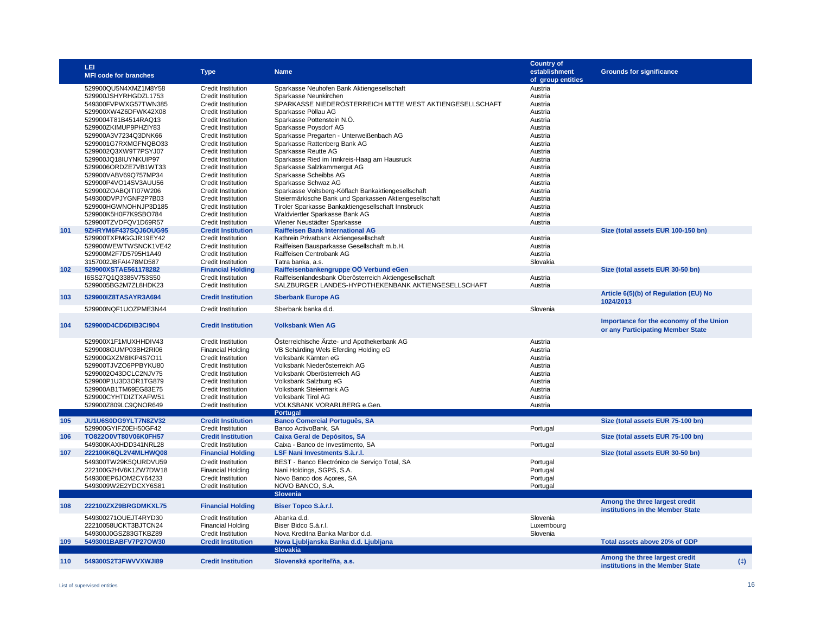|     | LEI                          |                           |                                                          | <b>Country of</b> |                                         |
|-----|------------------------------|---------------------------|----------------------------------------------------------|-------------------|-----------------------------------------|
|     |                              | <b>Type</b>               | <b>Name</b>                                              | establishment     | <b>Grounds for significance</b>         |
|     | <b>MFI code for branches</b> |                           |                                                          | of group entities |                                         |
|     | 529900QU5N4XMZ1M8Y58         | <b>Credit Institution</b> | Sparkasse Neuhofen Bank Aktiengesellschaft               | Austria           |                                         |
|     |                              |                           |                                                          |                   |                                         |
|     | 529900JSHYRHGDZL1753         | <b>Credit Institution</b> | Sparkasse Neunkirchen                                    | Austria           |                                         |
|     | 549300FVPWXG57TWN385         | Credit Institution        | SPARKASSE NIEDERÖSTERREICH MITTE WEST AKTIENGESELLSCHAFT | Austria           |                                         |
|     | 529900XW4Z6DFWK42X08         | Credit Institution        | Sparkasse Pöllau AG                                      | Austria           |                                         |
|     | 5299004T81B4514RAQ13         | Credit Institution        | Sparkasse Pottenstein N.Ö.                               | Austria           |                                         |
|     | 529900ZKIMUP9PHZIY83         | <b>Credit Institution</b> | Sparkasse Poysdorf AG                                    | Austria           |                                         |
|     | 529900A3V7234Q3DNK66         | <b>Credit Institution</b> | Sparkasse Pregarten - Unterweißenbach AG                 | Austria           |                                         |
|     | 5299001G7RXMGFNQBO33         | <b>Credit Institution</b> | Sparkasse Rattenberg Bank AG                             | Austria           |                                         |
|     | 5299002Q3XW9T7PSYJ07         | <b>Credit Institution</b> | Sparkasse Reutte AG                                      | Austria           |                                         |
|     |                              | <b>Credit Institution</b> |                                                          | Austria           |                                         |
|     | 529900JQ18IUYNKUIP97         |                           | Sparkasse Ried im Innkreis-Haag am Hausruck              |                   |                                         |
|     | 5299006ORDZE7VB1WT33         | <b>Credit Institution</b> | Sparkasse Salzkammergut AG                               | Austria           |                                         |
|     | 529900VABV69Q757MP34         | <b>Credit Institution</b> | Sparkasse Scheibbs AG                                    | Austria           |                                         |
|     | 529900P4VO14SV3AUU56         | <b>Credit Institution</b> | Sparkasse Schwaz AG                                      | Austria           |                                         |
|     | 529900ZOABQITI07W206         | <b>Credit Institution</b> | Sparkasse Voitsberg-Köflach Bankaktiengesellschaft       | Austria           |                                         |
|     | 549300DVPJYGNF2P7B03         | <b>Credit Institution</b> | Steiermärkische Bank und Sparkassen Aktiengesellschaft   | Austria           |                                         |
|     | 529900HGWNOHNJP3D185         | <b>Credit Institution</b> | Tiroler Sparkasse Bankaktiengesellschaft Innsbruck       | Austria           |                                         |
|     | 529900K5H0F7K9SBO784         | Credit Institution        | Waldviertler Sparkasse Bank AG                           | Austria           |                                         |
|     | 529900TZVDFQV1D69R57         | <b>Credit Institution</b> | Wiener Neustädter Sparkasse                              | Austria           |                                         |
|     |                              |                           |                                                          |                   |                                         |
| 101 | 9ZHRYM6F437SQJ6OUG95         | <b>Credit Institution</b> | <b>Raiffeisen Bank International AG</b>                  |                   | Size (total assets EUR 100-150 bn)      |
|     | 529900TXPMGGJR19EY42         | Credit Institution        | Kathrein Privatbank Aktiengesellschaft                   | Austria           |                                         |
|     | 529900WEWTWSNCK1VE42         | <b>Credit Institution</b> | Raiffeisen Bausparkasse Gesellschaft m.b.H.              | Austria           |                                         |
|     | 529900M2F7D5795H1A49         | Credit Institution        | Raiffeisen Centrobank AG                                 | Austria           |                                         |
|     | 3157002JBFAI478MD587         | <b>Credit Institution</b> | Tatra banka, a.s.                                        | Slovakia          |                                         |
| 102 | 529900XSTAE561178282         | <b>Financial Holding</b>  | Raiffeisenbankengruppe OO Verbund eGen                   |                   | Size (total assets EUR 30-50 bn)        |
|     | I6SS27Q1Q3385V753S50         | <b>Credit Institution</b> | Raiffeisenlandesbank Oberösterreich Aktiengesellschaft   | Austria           |                                         |
|     | 5299005BG2M7ZL8HDK23         | <b>Credit Institution</b> | SALZBURGER LANDES-HYPOTHEKENBANK AKTIENGESELLSCHAFT      | Austria           |                                         |
|     |                              |                           |                                                          |                   |                                         |
| 103 | 529900IZ8TASAYR3A694         | <b>Credit Institution</b> | <b>Sberbank Europe AG</b>                                |                   | Article 6(5)(b) of Regulation (EU) No   |
|     |                              |                           |                                                          |                   | 1024/2013                               |
|     | 529900NQF1UOZPME3N44         | <b>Credit Institution</b> | Sberbank banka d.d.                                      | Slovenia          |                                         |
|     |                              |                           |                                                          |                   |                                         |
| 104 | 529900D4CD6DIB3Cl904         | <b>Credit Institution</b> | <b>Volksbank Wien AG</b>                                 |                   | Importance for the economy of the Union |
|     |                              |                           |                                                          |                   | or any Participating Member State       |
|     |                              | Credit Institution        | Österreichische Ärzte- und Apothekerbank AG              |                   |                                         |
|     | 529900X1F1MUXHHDIV43         |                           |                                                          | Austria           |                                         |
|     | 5299008GUMP03BH2RI06         | <b>Financial Holding</b>  | VB Schärding Wels Eferding Holding eG                    | Austria           |                                         |
|     | 529900GXZM8IKP4S7O11         | Credit Institution        | Volksbank Kärnten eG                                     | Austria           |                                         |
|     | 529900TJVZO6PPBYKU80         | <b>Credit Institution</b> | Volksbank Niederösterreich AG                            | Austria           |                                         |
|     | 5299002O43DCLC2NJV75         | <b>Credit Institution</b> | Volksbank Oberösterreich AG                              | Austria           |                                         |
|     | 529900P1U3D3OR1TG879         | <b>Credit Institution</b> | Volksbank Salzburg eG                                    | Austria           |                                         |
|     | 529900AB1TM69EG83E75         | <b>Credit Institution</b> | Volksbank Steiermark AG                                  | Austria           |                                         |
|     | 529900CYHTDIZTXAFW51         | <b>Credit Institution</b> | Volksbank Tirol AG                                       | Austria           |                                         |
|     |                              |                           | VOLKSBANK VORARLBERG e.Gen.                              |                   |                                         |
|     | 529900Z809LC9QNOR649         | Credit Institution        |                                                          | Austria           |                                         |
|     |                              |                           | Portugal                                                 |                   |                                         |
| 105 | JU1U6S0DG9YLT7N8ZV32         | <b>Credit Institution</b> | <b>Banco Comercial Português, SA</b>                     |                   | Size (total assets EUR 75-100 bn)       |
|     | 529900GYIFZ0EH50GF42         | Credit Institution        | Banco ActivoBank, SA                                     | Portugal          |                                         |
| 106 | TO822O0VT80V06K0FH57         | <b>Credit Institution</b> | Caixa Geral de Depósitos, SA                             |                   | Size (total assets EUR 75-100 bn)       |
|     | 549300KAXHDD341NRL28         | <b>Credit Institution</b> | Caixa - Banco de Investimento, SA                        | Portugal          |                                         |
| 107 | 222100K6QL2V4MLHWQ08         | <b>Financial Holding</b>  | LSF Nani Investments S.à.r.l.                            |                   | Size (total assets EUR 30-50 bn)        |
|     | 549300TW29K5QURDVU59         | <b>Credit Institution</b> | BEST - Banco Electrónico de Serviço Total, SA            | Portugal          |                                         |
|     |                              |                           |                                                          |                   |                                         |
|     | 222100G2HV6K1ZW7DW18         | <b>Financial Holding</b>  | Nani Holdings, SGPS, S.A.                                | Portugal          |                                         |
|     | 549300EP6JOM2CY64233         | Credit Institution        | Novo Banco dos Açores, SA                                | Portugal          |                                         |
|     | 5493009W2E2YDCXY6S81         | Credit Institution        | NOVO BANCO, S.A.                                         | Portugal          |                                         |
|     |                              |                           | <b>Slovenia</b>                                          |                   |                                         |
|     |                              |                           |                                                          |                   | Among the three largest credit          |
| 108 | 222100ZXZ9BRGDMKXL75         | <b>Financial Holding</b>  | Biser Topco S.à.r.l.                                     |                   | institutions in the Member State        |
|     | 549300271OUEJT4RYD30         | <b>Credit Institution</b> | Abanka d.d.                                              | Slovenia          |                                         |
|     | 22210058UCKT3BJTCN24         | <b>Financial Holding</b>  | Biser Bidco S.à.r.l.                                     | Luxembourg        |                                         |
|     |                              |                           |                                                          |                   |                                         |
|     | 549300J0GSZ83GTKBZ89         | <b>Credit Institution</b> | Nova Kreditna Banka Maribor d.d.                         | Slovenia          |                                         |
| 109 | 5493001BABFV7P27OW30         | <b>Credit Institution</b> | Nova Ljubljanska Banka d.d. Ljubljana                    |                   | Total assets above 20% of GDP           |
|     |                              |                           | <b>Slovakia</b>                                          |                   |                                         |
| 110 | 549300S2T3FWVVXWJI89         | <b>Credit Institution</b> | Slovenská sporiteľňa, a.s.                               |                   | Among the three largest credit          |
|     |                              |                           |                                                          |                   | (1)<br>institutions in the Member State |
|     |                              |                           |                                                          |                   |                                         |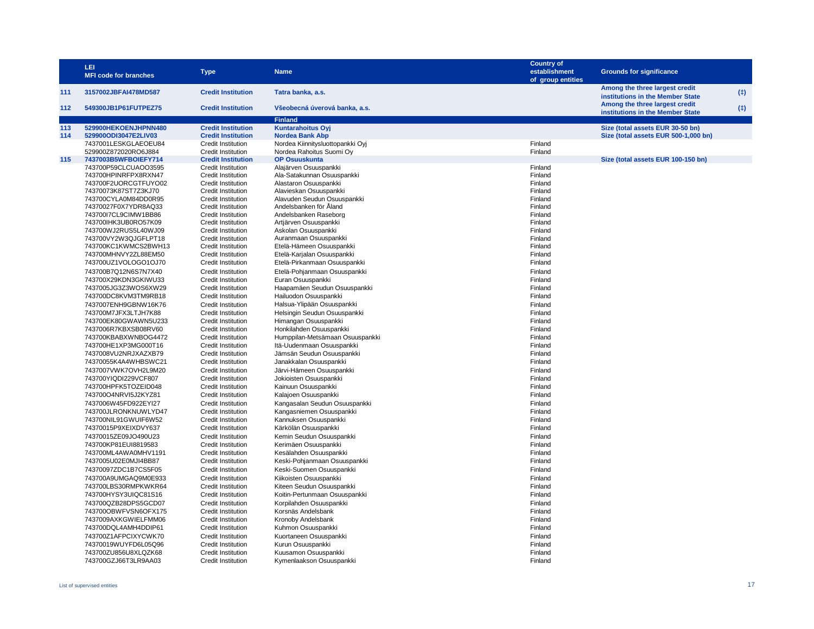|     | LEI<br><b>MFI code for branches</b>          | <b>Type</b>                                            | <b>Name</b>                                           | <b>Country of</b><br>establishment<br>of group entities | <b>Grounds for significance</b>                                    |     |
|-----|----------------------------------------------|--------------------------------------------------------|-------------------------------------------------------|---------------------------------------------------------|--------------------------------------------------------------------|-----|
| 111 | 3157002JBFAI478MD587                         | <b>Credit Institution</b>                              | Tatra banka, a.s.                                     |                                                         | Among the three largest credit<br>institutions in the Member State | (1) |
| 112 | 549300JB1P61FUTPEZ75                         | <b>Credit Institution</b>                              | Všeobecná úverová banka, a.s.                         |                                                         | Among the three largest credit<br>institutions in the Member State | (1) |
|     |                                              |                                                        | <b>Finland</b>                                        |                                                         |                                                                    |     |
| 113 | 529900HEKOENJHPNN480                         | <b>Credit Institution</b>                              | <b>Kuntarahoitus Oyj</b>                              |                                                         | Size (total assets EUR 30-50 bn)                                   |     |
| 114 | 529900ODI3047E2LIV03                         | <b>Credit Institution</b>                              | Nordea Bank Abp                                       |                                                         | Size (total assets EUR 500-1,000 bn)                               |     |
|     | 7437001LESKGLAEOEU84                         | <b>Credit Institution</b>                              | Nordea Kiinnitysluottopankki Oyi                      | Finland                                                 |                                                                    |     |
|     | 529900Z872020RO6J884                         | <b>Credit Institution</b>                              | Nordea Rahoitus Suomi Oy                              | Finland                                                 |                                                                    |     |
| 115 | 7437003B5WFBOIEFY714                         | <b>Credit Institution</b>                              | <b>OP Osuuskunta</b>                                  |                                                         | Size (total assets EUR 100-150 bn)                                 |     |
|     | 743700P59CLCUAOO3595                         | <b>Credit Institution</b>                              | Alajärven Osuuspankki                                 | Finland                                                 |                                                                    |     |
|     | 743700HPINRFPX8RXN47                         | Credit Institution                                     | Ala-Satakunnan Osuuspankki                            | Finland                                                 |                                                                    |     |
|     | 743700F2UORCGTFUYO02                         | Credit Institution                                     | Alastaron Osuuspankki                                 | Finland                                                 |                                                                    |     |
|     | 74370073K87ST7Z3KJ70                         | <b>Credit Institution</b>                              | Alavieskan Osuuspankki                                | Finland                                                 |                                                                    |     |
|     | 743700CYLA0M84DD0R95<br>74370027F0X7YDR8AQ33 | <b>Credit Institution</b><br><b>Credit Institution</b> | Alavuden Seudun Osuuspankki<br>Andelsbanken för Åland | Finland<br>Finland                                      |                                                                    |     |
|     | 74370017CL9CIMW1BB86                         | <b>Credit Institution</b>                              | Andelsbanken Raseborg                                 | Finland                                                 |                                                                    |     |
|     | 743700IHK3UB0RO57K09                         | Credit Institution                                     | Artjärven Osuuspankki                                 | Finland                                                 |                                                                    |     |
|     | 743700WJ2RUS5L40WJ09                         | <b>Credit Institution</b>                              | Askolan Osuuspankki                                   | Finland                                                 |                                                                    |     |
|     | 743700VY2W3QJGFLPT18                         | <b>Credit Institution</b>                              | Auranmaan Osuuspankki                                 | Finland                                                 |                                                                    |     |
|     | 743700KC1KWMCS2BWH13                         | <b>Credit Institution</b>                              | Etelä-Hämeen Osuuspankki                              | Finland                                                 |                                                                    |     |
|     | 743700MHNVY2ZL88EM50                         | <b>Credit Institution</b>                              | Etelä-Karjalan Osuuspankki                            | Finland                                                 |                                                                    |     |
|     | 743700UZ1VOLOGO1OJ70                         | <b>Credit Institution</b>                              | Etelä-Pirkanmaan Osuuspankki                          | Finland                                                 |                                                                    |     |
|     | 743700B7Q12N6S7N7X40                         | <b>Credit Institution</b>                              | Etelä-Pohjanmaan Osuuspankki                          | Finland                                                 |                                                                    |     |
|     | 743700X29KDN3GKIWU33                         | <b>Credit Institution</b>                              | Euran Osuuspankki                                     | Finland                                                 |                                                                    |     |
|     | 7437005JG3Z3WOS6XW29                         | <b>Credit Institution</b>                              | Haapamäen Seudun Osuuspankki                          | Finland                                                 |                                                                    |     |
|     | 743700DC8KVM3TM9RB18                         | <b>Credit Institution</b>                              | Hailuodon Osuuspankki                                 | Finland                                                 |                                                                    |     |
|     | 7437007ENH9GBNW16K76                         | <b>Credit Institution</b>                              | Halsua-Ylipään Osuuspankki                            | Finland                                                 |                                                                    |     |
|     | 743700M7JFX3LTJH7K88                         | <b>Credit Institution</b>                              | Helsingin Seudun Osuuspankki                          | Finland                                                 |                                                                    |     |
|     | 743700EK80GWAWN5U233                         | <b>Credit Institution</b>                              | Himangan Osuuspankki                                  | Finland                                                 |                                                                    |     |
|     | 7437006R7KBXSB08RV60                         | <b>Credit Institution</b>                              | Honkilahden Osuuspankki                               | Finland                                                 |                                                                    |     |
|     | 743700KBABXWNBOG4472                         | <b>Credit Institution</b>                              | Humppilan-Metsämaan Osuuspankki                       | Finland                                                 |                                                                    |     |
|     | 743700HE1XP3MG000T16                         | <b>Credit Institution</b>                              | Itä-Uudenmaan Osuuspankki                             | Finland                                                 |                                                                    |     |
|     | 7437008VU2NRJXAZXB79                         | <b>Credit Institution</b>                              | Jämsän Seudun Osuuspankki                             | Finland                                                 |                                                                    |     |
|     | 74370055K4A4WHBSWC21                         | <b>Credit Institution</b>                              | Janakkalan Osuuspankki                                | Finland                                                 |                                                                    |     |
|     | 7437007VWK7OVH2L9M20                         | <b>Credit Institution</b>                              | Järvi-Hämeen Osuuspankki                              | Finland                                                 |                                                                    |     |
|     | 743700YIQDI229VCF807                         | <b>Credit Institution</b>                              | Jokioisten Osuuspankki                                | Finland<br>Finland                                      |                                                                    |     |
|     | 743700HPFK5TOZEID048<br>743700O4NRVI5J2KYZ81 | <b>Credit Institution</b><br><b>Credit Institution</b> | Kainuun Osuuspankki<br>Kalajoen Osuuspankki           | Finland                                                 |                                                                    |     |
|     | 7437006W45FD922EYI27                         | <b>Credit Institution</b>                              | Kangasalan Seudun Osuuspankki                         | Finland                                                 |                                                                    |     |
|     | 743700JLRONKNUWLYD47                         | <b>Credit Institution</b>                              | Kangasniemen Osuuspankki                              | Finland                                                 |                                                                    |     |
|     | 743700NIL91GWUIF6W52                         | <b>Credit Institution</b>                              | Kannuksen Osuuspankki                                 | Finland                                                 |                                                                    |     |
|     | 74370015P9XEIXDVY637                         | Credit Institution                                     | Kärkölän Osuuspankki                                  | Finland                                                 |                                                                    |     |
|     | 74370015ZE09JO490U23                         | <b>Credit Institution</b>                              | Kemin Seudun Osuuspankki                              | Finland                                                 |                                                                    |     |
|     | 743700KP81EUI8819583                         | <b>Credit Institution</b>                              | Kerimäen Osuuspankki                                  | Finland                                                 |                                                                    |     |
|     | 743700ML4AWA0MHV1191                         | <b>Credit Institution</b>                              | Kesälahden Osuuspankki                                | Finland                                                 |                                                                    |     |
|     | 7437005U02E0MJI4BB87                         | <b>Credit Institution</b>                              | Keski-Pohjanmaan Osuuspankki                          | Finland                                                 |                                                                    |     |
|     | 74370097ZDC1B7CS5F05                         | <b>Credit Institution</b>                              | Keski-Suomen Osuuspankki                              | Finland                                                 |                                                                    |     |
|     | 743700A9UMGAQ9M0E933                         | <b>Credit Institution</b>                              | Kiikoisten Osuuspankki                                | Finland                                                 |                                                                    |     |
|     | 743700LBS30RMPKWKR64                         | <b>Credit Institution</b>                              | Kiteen Seudun Osuuspankki                             | Finland                                                 |                                                                    |     |
|     | 743700HYSY3UIQC81S16                         | <b>Credit Institution</b>                              | Koitin-Pertunmaan Osuuspankki                         | Finland                                                 |                                                                    |     |
|     | 743700QZB28DPS5GCD07                         | <b>Credit Institution</b>                              | Korpilahden Osuuspankki                               | Finland                                                 |                                                                    |     |
|     | 743700OBWFVSN6OFX175                         | <b>Credit Institution</b>                              | Korsnäs Andelsbank                                    | Finland                                                 |                                                                    |     |
|     | 7437009AXKGWIELFMM06                         | <b>Credit Institution</b>                              | Kronoby Andelsbank                                    | Finland                                                 |                                                                    |     |
|     | 743700DQL4AMH4DDIP61                         | <b>Credit Institution</b>                              | Kuhmon Osuuspankki                                    | Finland                                                 |                                                                    |     |
|     | 743700Z1AFPCIXYCWK70                         | <b>Credit Institution</b>                              | Kuortaneen Osuuspankki                                | Finland                                                 |                                                                    |     |
|     | 74370019WUYFD6L05Q96                         | <b>Credit Institution</b>                              | Kurun Osuuspankki                                     | Finland                                                 |                                                                    |     |
|     | 743700ZU856U8XLQZK68                         | <b>Credit Institution</b>                              | Kuusamon Osuuspankki                                  | Finland                                                 |                                                                    |     |
|     | 743700GZJ66T3LR9AA03                         | <b>Credit Institution</b>                              | Kymenlaakson Osuuspankki                              | Finland                                                 |                                                                    |     |
|     |                                              |                                                        |                                                       |                                                         |                                                                    |     |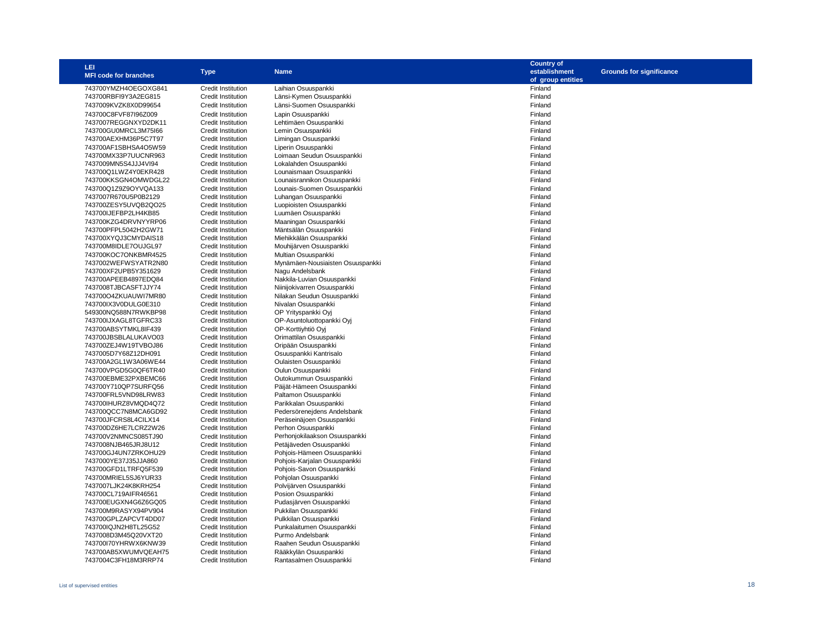| LEI                          |                           |                                  | <b>Country of</b> |                                 |
|------------------------------|---------------------------|----------------------------------|-------------------|---------------------------------|
| <b>MFI code for branches</b> | <b>Type</b>               | <b>Name</b>                      | establishment     | <b>Grounds for significance</b> |
|                              |                           |                                  | of group entities |                                 |
| 743700YMZH4OEGOXG841         | <b>Credit Institution</b> | Laihian Osuuspankki              | Finland           |                                 |
| 743700RBFI9Y3A2EG815         | <b>Credit Institution</b> | Länsi-Kymen Osuuspankki          | Finland           |                                 |
| 7437009KVZK8X0D99654         | <b>Credit Institution</b> | Länsi-Suomen Osuuspankki         | Finland           |                                 |
| 743700C8FVF87I96Z009         | <b>Credit Institution</b> | Lapin Osuuspankki                | Finland           |                                 |
| 7437007REGGNXYD2DK11         | <b>Credit Institution</b> | Lehtimäen Osuuspankki            | Finland           |                                 |
|                              |                           |                                  |                   |                                 |
| 743700GU0MRCL3M75I66         | <b>Credit Institution</b> | Lemin Osuuspankki                | Finland           |                                 |
| 743700AEXHM36P5C7T97         | <b>Credit Institution</b> | Limingan Osuuspankki             | Finland           |                                 |
| 743700AF1SBHSA4O5W59         | <b>Credit Institution</b> | Liperin Osuuspankki              | Finland           |                                 |
| 743700MX33P7UUCNR963         | <b>Credit Institution</b> | Loimaan Seudun Osuuspankki       | Finland           |                                 |
| 7437009MN5S4JJJ4VI94         | <b>Credit Institution</b> | Lokalahden Osuuspankki           | Finland           |                                 |
| 743700Q1LWZ4Y0EKR428         | <b>Credit Institution</b> | Lounaismaan Osuuspankki          | Finland           |                                 |
| 743700KKSGN4OMWDGL22         | Credit Institution        | Lounaisrannikon Osuuspankki      | Finland           |                                 |
| 743700Q1Z9Z9OYVQA133         | <b>Credit Institution</b> | Lounais-Suomen Osuuspankki       | Finland           |                                 |
| 7437007R670U5P0B2129         | <b>Credit Institution</b> | Luhangan Osuuspankki             | Finland           |                                 |
| 743700ZESY5UVQB2QO25         | <b>Credit Institution</b> | Luopioisten Osuuspankki          | Finland           |                                 |
| 743700IJEFBP2LH4KB85         | <b>Credit Institution</b> | Luumäen Osuuspankki              | Finland           |                                 |
| 743700KZG4DRVNYYRP06         | <b>Credit Institution</b> | Maaningan Osuuspankki            | Finland           |                                 |
| 743700PFPL5042H2GW71         | <b>Credit Institution</b> | Mäntsälän Osuuspankki            | Finland           |                                 |
| 743700XYQJ3CMYDAIS18         | <b>Credit Institution</b> | Miehikkälän Osuuspankki          | Finland           |                                 |
| 743700M8IDLE7OUJGL97         | <b>Credit Institution</b> | Mouhijärven Osuuspankki          | Finland           |                                 |
| 743700KOC7ONKBMR4525         | <b>Credit Institution</b> | Multian Osuuspankki              | Finland           |                                 |
| 7437002WEFWSYATR2N80         | <b>Credit Institution</b> | Mynämäen-Nousiaisten Osuuspankki | Finland           |                                 |
| 743700XF2UPB5Y351629         | <b>Credit Institution</b> | Nagu Andelsbank                  | Finland           |                                 |
| 743700APEEB4897EDQ84         | <b>Credit Institution</b> | Nakkila-Luvian Osuuspankki       | Finland           |                                 |
| 7437008TJBCASFTJJY74         | <b>Credit Institution</b> | Niinijokivarren Osuuspankki      | Finland           |                                 |
|                              |                           |                                  |                   |                                 |
| 743700O4ZKUAUWI7MR80         | <b>Credit Institution</b> | Nilakan Seudun Osuuspankki       | Finland           |                                 |
| 743700IX3V0DULG0E310         | <b>Credit Institution</b> | Nivalan Osuuspankki              | Finland           |                                 |
| 549300NQ588N7RWKBP98         | <b>Credit Institution</b> | OP Yrityspankki Oyj              | Finland           |                                 |
| 743700IJXAGL8TGFRC33         | <b>Credit Institution</b> | OP-Asuntoluottopankki Oyj        | Finland           |                                 |
| 743700ABSYTMKL8IF439         | <b>Credit Institution</b> | OP-Korttiyhtiö Oyi               | Finland           |                                 |
| 743700JBSBLALUKAVO03         | <b>Credit Institution</b> | Orimattilan Osuuspankki          | Finland           |                                 |
| 743700ZEJ4W19TVBOJ86         | <b>Credit Institution</b> | Oripään Osuuspankki              | Finland           |                                 |
| 7437005D7Y68Z12DH091         | <b>Credit Institution</b> | Osuuspankki Kantrisalo           | Finland           |                                 |
| 743700A2GL1W3A06WE44         | <b>Credit Institution</b> | Oulaisten Osuuspankki            | Finland           |                                 |
| 743700VPGD5G0QF6TR40         | <b>Credit Institution</b> | Oulun Osuuspankki                | Finland           |                                 |
| 743700EBME32PXBEMC66         | <b>Credit Institution</b> | Outokummun Osuuspankki           | Finland           |                                 |
| 743700Y710QP7SURFQ56         | <b>Credit Institution</b> | Päijät-Hämeen Osuuspankki        | Finland           |                                 |
| 743700FRL5VND98LRW83         | <b>Credit Institution</b> | Paltamon Osuuspankki             | Finland           |                                 |
| 743700IHURZ8VMQD4Q72         | <b>Credit Institution</b> | Parikkalan Osuuspankki           | Finland           |                                 |
| 743700QCC7N8MCA6GD92         | <b>Credit Institution</b> | Pedersörenejdens Andelsbank      | Finland           |                                 |
| 743700JFCRS8L4CILX14         | <b>Credit Institution</b> | Peräseinäjoen Osuuspankki        | Finland           |                                 |
| 743700DZ6HE7LCRZ2W26         | <b>Credit Institution</b> | Perhon Osuuspankki               | Finland           |                                 |
| 743700V2NMNCS085TJ90         | <b>Credit Institution</b> | Perhonjokilaakson Osuuspankki    | Finland           |                                 |
| 7437008NJB465JRJ8U12         | <b>Credit Institution</b> | Petäjäveden Osuuspankki          | Finland           |                                 |
| 743700GJ4UN7ZRKOHU29         | <b>Credit Institution</b> | Pohjois-Hämeen Osuuspankki       | Finland           |                                 |
| 7437000YE37J35JJA860         | <b>Credit Institution</b> | Pohjois-Karjalan Osuuspankki     | Finland           |                                 |
| 743700GFD1LTRFQ5F539         | <b>Credit Institution</b> | Pohiois-Savon Osuuspankki        | Finland           |                                 |
| 743700MRIEL5SJ6YUR33         | <b>Credit Institution</b> | Pohjolan Osuuspankki             | Finland           |                                 |
| 7437007LJK24K8KRH254         | <b>Credit Institution</b> | Polvijärven Osuuspankki          | Finland           |                                 |
| 743700CL719AIFR46561         | <b>Credit Institution</b> | Posion Osuuspankki               | Finland           |                                 |
| 743700EUGXN4G6Z6GQ05         | <b>Credit Institution</b> | Pudasjärven Osuuspankki          | Finland           |                                 |
| 743700M9RASYX94PV904         | <b>Credit Institution</b> | Pukkilan Osuuspankki             | Finland           |                                 |
| 743700GPLZAPCVT4DD07         | <b>Credit Institution</b> | Pulkkilan Osuuspankki            | Finland           |                                 |
| 743700IQJN2H8TL25G52         | <b>Credit Institution</b> |                                  |                   |                                 |
|                              |                           | Punkalaitumen Osuuspankki        | Finland           |                                 |
| 7437008D3M45Q20VXT20         | <b>Credit Institution</b> | Purmo Andelsbank                 | Finland           |                                 |
| 743700I70YHRWX6KNW39         | <b>Credit Institution</b> | Raahen Seudun Osuuspankki        | Finland           |                                 |
| 743700AB5XWUMVQEAH75         | <b>Credit Institution</b> | Rääkkylän Osuuspankki            | Finland           |                                 |
| 7437004C3FH18M3RRP74         | <b>Credit Institution</b> | Rantasalmen Osuuspankki          | Finland           |                                 |
|                              |                           |                                  |                   |                                 |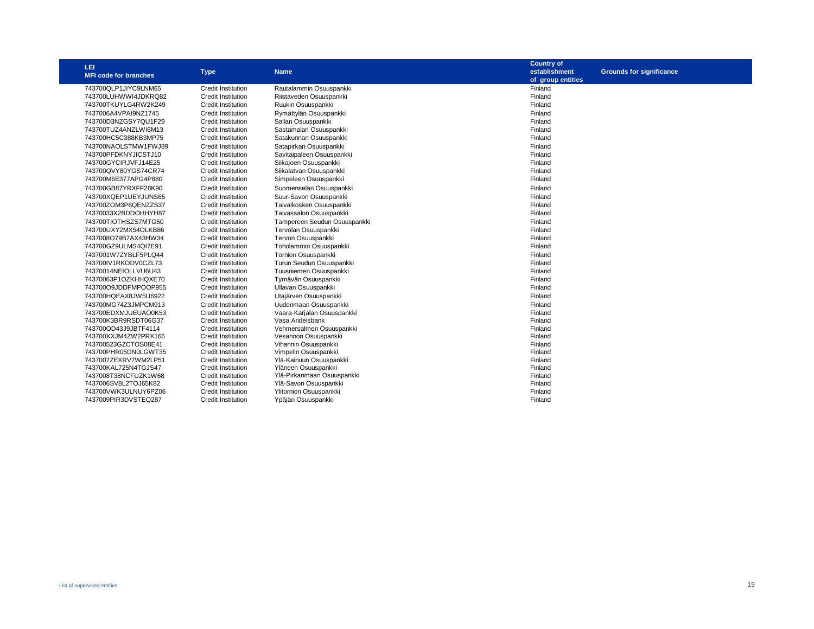| LEI                                          |                                          |                                                   | <b>Country of</b>  |                                 |
|----------------------------------------------|------------------------------------------|---------------------------------------------------|--------------------|---------------------------------|
| <b>MFI code for branches</b>                 | <b>Type</b>                              | <b>Name</b>                                       | establishment      | <b>Grounds for significance</b> |
|                                              |                                          |                                                   | of group entities  |                                 |
| 743700QLP1JIYC9LNM65                         | <b>Credit Institution</b>                | Rautalammin Osuuspankki                           | Finland            |                                 |
| 743700LUHWWI4JDKRQ82                         | Credit Institution                       | Riistaveden Osuuspankki                           | Finland            |                                 |
| 743700TKUYLG4RW2K249                         | Credit Institution                       | Ruukin Osuuspankki                                | Finland            |                                 |
| 7437006A4VPAI9NZ1745                         | <b>Credit Institution</b>                | Rymättylän Osuuspankki                            | Finland            |                                 |
| 743700D3NZGSY7QU1F29                         | Credit Institution                       | Sallan Osuuspankki                                | Finland            |                                 |
| 743700TUZ4ANZLWI6M13                         | Credit Institution                       | Sastamalan Osuuspankki                            | Finland            |                                 |
| 743700HC5C388KB3MP75                         | Credit Institution                       | Satakunnan Osuuspankki                            | Finland            |                                 |
| 743700NAOLSTMW1FWJ89                         | Credit Institution                       | Satapirkan Osuuspankki                            | Finland            |                                 |
| 743700PFDKNYJICSTJ10                         | <b>Credit Institution</b>                | Savitaipaleen Osuuspankki                         | Finland            |                                 |
| 743700GYCIRJVFJ14E25                         | <b>Credit Institution</b>                | Siikajoen Osuuspankki                             | Finland            |                                 |
| 743700QVY80YGS74CR74                         | Credit Institution                       | Siikalatvan Osuuspankki                           | Finland            |                                 |
| 743700M6E377APG4P880                         | Credit Institution                       | Simpeleen Osuuspankki                             | Finland            |                                 |
| 743700GB87YRXFF28K90                         | <b>Credit Institution</b>                | Suomenselän Osuuspankki                           | Finland            |                                 |
| 743700XQEP1UEYJUNS65                         | <b>Credit Institution</b>                | Suur-Savon Osuuspankki                            | Finland            |                                 |
| 743700ZOM3P6QENZZS37                         | Credit Institution                       | Taivalkosken Osuuspankki                          | Finland            |                                 |
| 74370033X2BDDOHHYH87                         | <b>Credit Institution</b>                | Taivassalon Osuuspankki                           | Finland            |                                 |
| 743700TIOTHSZS7MTG50                         | <b>Credit Institution</b>                | Tampereen Seudun Osuuspankki                      | Finland            |                                 |
| 743700UXY2MX54OLKB86                         | <b>Credit Institution</b>                | Tervolan Osuuspankki                              | Finland            |                                 |
| 7437008O79B7AX43HW34                         | Credit Institution                       | Tervon Osuuspankki                                | Finland            |                                 |
| 743700GZ9ULMS4QI7E91                         | Credit Institution                       | Toholammin Osuuspankki                            | Finland            |                                 |
| 7437001W7ZYBLF5PLQ44                         | Credit Institution                       | Tornion Osuuspankki                               | Finland            |                                 |
| 743700IV1RKODV0CZL73                         | Credit Institution                       | Turun Seudun Osuuspankki                          | Finland            |                                 |
| 74370014NEIOLLVU6U43                         | <b>Credit Institution</b>                | Tuusniemen Osuuspankki                            | Finland            |                                 |
| 74370063P1OZKHHQXE70                         | <b>Credit Institution</b>                | Tyrnävän Osuuspankki                              | Finland            |                                 |
| 743700O9JDDFMPOOP955                         | <b>Credit Institution</b>                | Ullavan Osuuspankki                               | Finland            |                                 |
| 743700HQEAX8JW5U6922                         | <b>Credit Institution</b>                | Utajärven Osuuspankki                             | Finland            |                                 |
| 743700MG74Z3JMPCM913                         | <b>Credit Institution</b>                | Uudenmaan Osuuspankki                             | Finland            |                                 |
| 743700EDXMJUEUAO0K53                         | Credit Institution                       | Vaara-Karjalan Osuuspankki                        | Finland            |                                 |
| 743700K3BR9RSDT06G37                         | <b>Credit Institution</b>                | Vasa Andelsbank                                   | Finland            |                                 |
| 743700OD43J9JBTF4114                         | Credit Institution                       | Vehmersalmen Osuuspankki                          | Finland            |                                 |
| 743700XXJM4ZW2PRX166                         | <b>Credit Institution</b>                | Vesannon Osuuspankki                              | Finland            |                                 |
| 743700523GZCTOS08E41                         | <b>Credit Institution</b>                | Vihannin Osuuspankki                              | Finland            |                                 |
| 743700PHR05DN0LGWT35                         | Credit Institution                       | Vimpelin Osuuspankki                              | Finland            |                                 |
| 7437007ZEXRV7WM2LP51                         | <b>Credit Institution</b>                | Ylä-Kainuun Osuuspankki                           | Finland            |                                 |
| 743700KAL725N4TGJS47                         | Credit Institution                       | Yläneen Osuuspankki<br>Ylä-Pirkanmaan Osuuspankki | Finland            |                                 |
| 7437008T38NCFUZK1W68<br>7437006SV8L2TOJ65K82 | Credit Institution<br>Credit Institution | Ylä-Savon Osuuspankki                             | Finland<br>Finland |                                 |
| 743700VWK3ULNUY6PZ06                         | <b>Credit Institution</b>                | Ylitornion Osuuspankki                            | Finland            |                                 |
| 7437009PIR3DVSTEQ287                         | <b>Credit Institution</b>                | Ypäjän Osuuspankki                                | Finland            |                                 |
|                                              |                                          |                                                   |                    |                                 |
|                                              |                                          |                                                   |                    |                                 |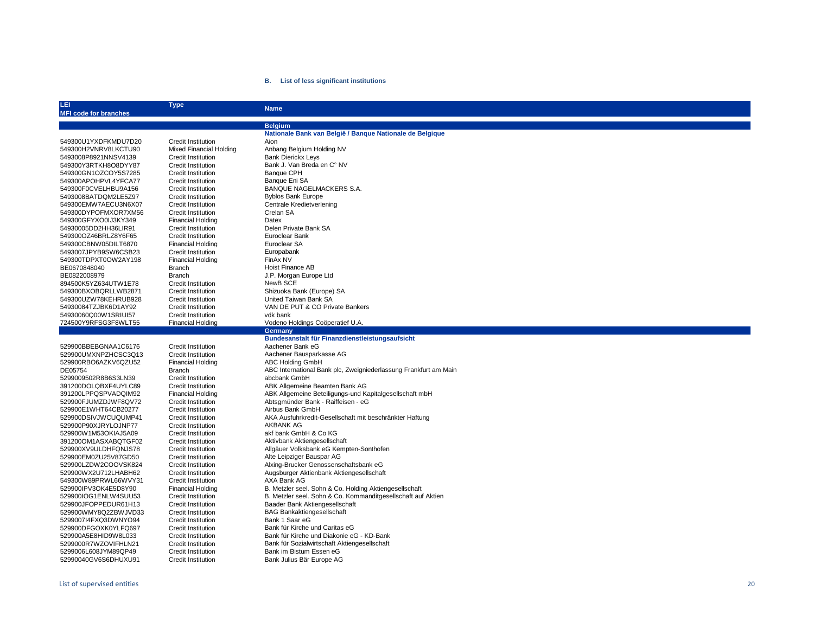## **B. List of less significant institutions**

| LEI<br><b>MFI code for branches</b>          | <b>Type</b>                                            | <b>Name</b>                                                      |
|----------------------------------------------|--------------------------------------------------------|------------------------------------------------------------------|
|                                              |                                                        |                                                                  |
|                                              |                                                        | <b>Belgium</b>                                                   |
|                                              |                                                        | Nationale Bank van België / Banque Nationale de Belgique         |
| 549300U1YXDFKMDU7D20                         | <b>Credit Institution</b>                              | Aion                                                             |
| 549300H2VNRV8LKCTU90                         | <b>Mixed Financial Holding</b>                         | Anbang Belgium Holding NV                                        |
| 5493008P8921NNSV4139                         | <b>Credit Institution</b>                              | <b>Bank Dierickx Leys</b>                                        |
| 549300Y3RTKH8O8DYY87                         | <b>Credit Institution</b>                              | Bank J. Van Breda en C° NV                                       |
| 549300GN1OZCOY5S7285<br>549300APOHPVL4YFCA77 | <b>Credit Institution</b><br><b>Credit Institution</b> | <b>Banque CPH</b>                                                |
|                                              | <b>Credit Institution</b>                              | Banque Eni SA<br>BANQUE NAGELMACKERS S.A.                        |
| 549300F0CVELHBU9A156<br>5493008BATDQM2LE5Z97 | <b>Credit Institution</b>                              | <b>Byblos Bank Europe</b>                                        |
| 549300EMW7AECU3N6X07                         | <b>Credit Institution</b>                              | Centrale Kredietverlening                                        |
| 549300DYPOFMXOR7XM56                         | <b>Credit Institution</b>                              | Crelan SA                                                        |
| 549300GFYXO0IJ3KY349                         | <b>Financial Holding</b>                               | Datex                                                            |
| 54930005DD2HH36LIR91                         | <b>Credit Institution</b>                              | Delen Private Bank SA                                            |
| 549300OZ46BRLZ8Y6F65                         | <b>Credit Institution</b>                              | Euroclear Bank                                                   |
| 549300CBNW05DILT6870                         | <b>Financial Holding</b>                               | Euroclear SA                                                     |
| 5493007JPYB9SW6CSB23                         | <b>Credit Institution</b>                              | Europabank                                                       |
| 549300TDPXT0OW2AY198                         | <b>Financial Holding</b>                               | FinAx NV                                                         |
| BE0670848040                                 | Branch                                                 | Hoist Finance AB                                                 |
| BE0822008979                                 | <b>Branch</b>                                          | J.P. Morgan Europe Ltd                                           |
| 894500K5YZ634UTW1E78                         | <b>Credit Institution</b>                              | NewB SCE                                                         |
| 549300BXOBQRLLWB2871                         | <b>Credit Institution</b>                              | Shizuoka Bank (Europe) SA                                        |
| 549300UZW78KEHRUB928                         | <b>Credit Institution</b>                              | United Taiwan Bank SA                                            |
| 54930084TZJBK6D1AY92                         | Credit Institution                                     | VAN DE PUT & CO Private Bankers                                  |
| 54930060Q00W1SRIUI57                         | <b>Credit Institution</b>                              | vdk bank                                                         |
| 724500Y9RFSG3F8WLT55                         | <b>Financial Holding</b>                               | Vodeno Holdings Coöperatief U.A.                                 |
|                                              |                                                        | <b>Germany</b>                                                   |
|                                              |                                                        | Bundesanstalt für Finanzdienstleistungsaufsicht                  |
| 529900BBEBGNAA1C6176                         | <b>Credit Institution</b>                              | Aachener Bank eG<br>Aachener Bausparkasse AG                     |
| 529900UMXNPZHCSC3Q13<br>529900RBO6AZKV6QZU52 | <b>Credit Institution</b><br><b>Financial Holding</b>  | <b>ABC Holding GmbH</b>                                          |
| DE05754                                      | Branch                                                 | ABC International Bank plc, Zweigniederlassung Frankfurt am Main |
| 5299009502R8B6S3LN39                         | <b>Credit Institution</b>                              | abcbank GmbH                                                     |
| 391200DOLQBXF4UYLC89                         | <b>Credit Institution</b>                              | ABK Allgemeine Beamten Bank AG                                   |
| 391200LPPQSPVADQIM92                         | <b>Financial Holding</b>                               | ABK Allgemeine Beteiligungs-und Kapitalgesellschaft mbH          |
| 529900FJUMZDJWF8QV72                         | <b>Credit Institution</b>                              | Abtsgmünder Bank - Raiffeisen - eG                               |
| 529900E1WHT64CB20277                         | <b>Credit Institution</b>                              | Airbus Bank GmbH                                                 |
| 529900DSIVJWCUQUMP41                         | <b>Credit Institution</b>                              | AKA Ausfuhrkredit-Gesellschaft mit beschränkter Haftung          |
| 529900P90XJRYLOJNP77                         | <b>Credit Institution</b>                              | <b>AKBANK AG</b>                                                 |
| 529900W1M53OKIAJ5A09                         | <b>Credit Institution</b>                              | akf bank GmbH & Co KG                                            |
| 391200OM1ASXABQTGF02                         | <b>Credit Institution</b>                              | Aktivbank Aktiengesellschaft                                     |
| 529900XV9ULDHFQNJS78                         | <b>Credit Institution</b>                              | Allgäuer Volksbank eG Kempten-Sonthofen                          |
| 529900EM0ZU25V87GD50                         | <b>Credit Institution</b>                              | Alte Leipziger Bauspar AG                                        |
| 529900LZDW2COOVSK824                         | <b>Credit Institution</b>                              | Alxing-Brucker Genossenschaftsbank eG                            |
| 529900WX2U712LHABH62                         | <b>Credit Institution</b>                              | Augsburger Aktienbank Aktiengesellschaft                         |
| 549300W89PRWL66WVY31                         | <b>Credit Institution</b>                              | AXA Bank AG                                                      |
| 529900IPV3OK4E5D8Y90                         | <b>Financial Holding</b>                               | B. Metzler seel. Sohn & Co. Holding Aktiengesellschaft           |
| 529900IOG1ENLW4SUU53                         | <b>Credit Institution</b>                              | B. Metzler seel. Sohn & Co. Kommanditgesellschaft auf Aktien     |
| 529900JFOPPEDUR61H13                         | <b>Credit Institution</b>                              | Baader Bank Aktiengesellschaft                                   |
| 529900WMY8Q2ZBWJVD33                         | <b>Credit Institution</b>                              | <b>BAG Bankaktiengesellschaft</b>                                |
| 5299007I4FXQ3DWNYO94                         | <b>Credit Institution</b>                              | Bank 1 Saar eG                                                   |
| 529900DFGOXK0YLFQ697                         | <b>Credit Institution</b>                              | Bank für Kirche und Caritas eG                                   |
| 529900A5E8HID9W8L033                         | <b>Credit Institution</b>                              | Bank für Kirche und Diakonie eG - KD-Bank                        |
| 5299000R7WZOVIFHLN21                         | Credit Institution                                     | Bank für Sozialwirtschaft Aktiengesellschaft                     |
| 5299006L608JYM89QP49                         | Credit Institution                                     | Bank im Bistum Essen eG                                          |
| 52990040GV6S6DHUXU91                         | <b>Credit Institution</b>                              | Bank Julius Bär Europe AG                                        |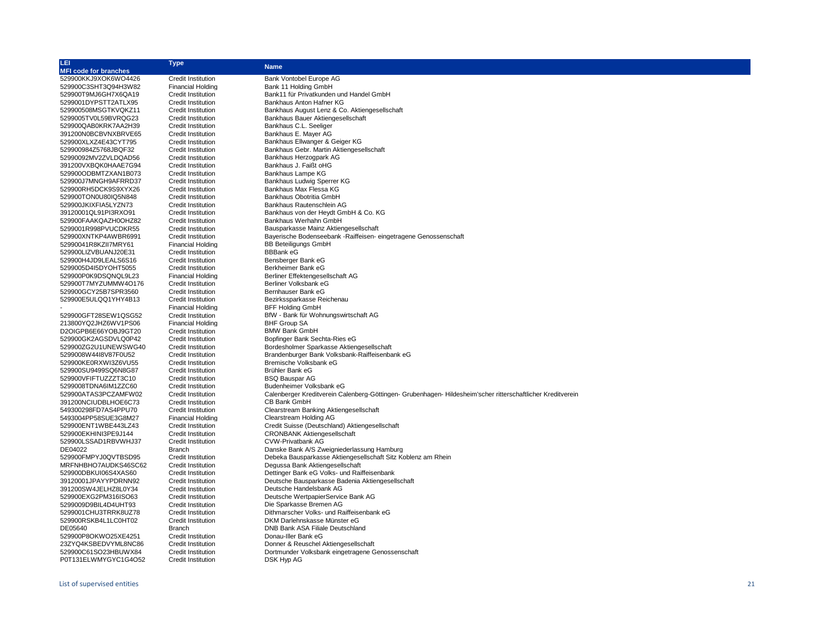| LEI                          | <b>Type</b>               |                                                                                                             |
|------------------------------|---------------------------|-------------------------------------------------------------------------------------------------------------|
| <b>MFI code for branches</b> |                           | <b>Name</b>                                                                                                 |
| 529900KKJ9XOK6WO4426         | Credit Institution        | Bank Vontobel Europe AG                                                                                     |
| 529900C3SHT3Q94H3W82         | <b>Financial Holding</b>  | Bank 11 Holding GmbH                                                                                        |
| 529900T9MJ6GH7X6QA19         | <b>Credit Institution</b> | Bank11 für Privatkunden und Handel GmbH                                                                     |
| 5299001DYPSTT2ATLX95         | <b>Credit Institution</b> | Bankhaus Anton Hafner KG                                                                                    |
| 529900508MSGTKVQKZ11         | <b>Credit Institution</b> | Bankhaus August Lenz & Co. Aktiengesellschaft                                                               |
| 5299005TV0L59BVRQG23         | <b>Credit Institution</b> | Bankhaus Bauer Aktiengesellschaft                                                                           |
| 529900QAB0KRK7AA2H39         | <b>Credit Institution</b> | Bankhaus C.L. Seeliger                                                                                      |
| 391200N0BCBVNXBRVE65         | <b>Credit Institution</b> | Bankhaus E. Mayer AG                                                                                        |
| 529900XLXZ4E43CYT795         | <b>Credit Institution</b> | Bankhaus Ellwanger & Geiger KG                                                                              |
| 529900984Z5768JBQF32         | Credit Institution        | Bankhaus Gebr. Martin Aktiengesellschaft                                                                    |
| 52990092MV2ZVLDQAD56         | <b>Credit Institution</b> | Bankhaus Herzogpark AG                                                                                      |
| 391200VXBQK0HAAE7G94         | <b>Credit Institution</b> | Bankhaus J. Faißt oHG                                                                                       |
| 529900ODBMTZXAN1B073         | <b>Credit Institution</b> | Bankhaus Lampe KG                                                                                           |
| 529900J7MNGH9AFRRD37         | <b>Credit Institution</b> | Bankhaus Ludwig Sperrer KG                                                                                  |
| 529900RH5DCK9S9XYX26         | <b>Credit Institution</b> | Bankhaus Max Flessa KG                                                                                      |
| 529900TON0U80IQ5N848         | <b>Credit Institution</b> | Bankhaus Obotritia GmbH                                                                                     |
| 529900JKIXFIA5LYZN73         | <b>Credit Institution</b> | Bankhaus Rautenschlein AG                                                                                   |
| 39120001QL91PI3RXO91         | <b>Credit Institution</b> | Bankhaus von der Heydt GmbH & Co. KG                                                                        |
| 529900FAAKQAZH0OHZ82         | Credit Institution        | Bankhaus Werhahn GmbH                                                                                       |
| 5299001R998PVUCDKR55         | <b>Credit Institution</b> | Bausparkasse Mainz Aktiengesellschaft                                                                       |
| 529900XNTKP4AWBR6991         | <b>Credit Institution</b> | Bayerische Bodenseebank - Raiffeisen- eingetragene Genossenschaft                                           |
| 52990041R8KZII7MRY61         | <b>Financial Holding</b>  | <b>BB Beteiligungs GmbH</b>                                                                                 |
| 529900LIZVBUANJ20E31         | <b>Credit Institution</b> | <b>BBBank eG</b>                                                                                            |
| 529900H4JD9LEALS6S16         | <b>Credit Institution</b> | Bensberger Bank eG                                                                                          |
| 5299005D4I5DYOHT5055         | <b>Credit Institution</b> | Berkheimer Bank eG                                                                                          |
| 529900P0K9DSQNQL9L23         | <b>Financial Holding</b>  | Berliner Effektengesellschaft AG                                                                            |
| 529900T7MYZUMMW4O176         | <b>Credit Institution</b> | Berliner Volksbank eG                                                                                       |
| 529900GCY25B7SPR3560         | <b>Credit Institution</b> | Bernhauser Bank eG                                                                                          |
| 529900E5ULQQ1YHY4B13         | <b>Credit Institution</b> | Bezirkssparkasse Reichenau                                                                                  |
|                              | <b>Financial Holding</b>  | <b>BFF Holding GmbH</b>                                                                                     |
| 529900GFT28SEW1QSG52         | <b>Credit Institution</b> | BfW - Bank für Wohnungswirtschaft AG                                                                        |
| 213800YQ2JHZ6WV1PS06         | <b>Financial Holding</b>  | <b>BHF Group SA</b>                                                                                         |
| D2OIGPB6E66YOBJ9GT20         | <b>Credit Institution</b> | <b>BMW Bank GmbH</b>                                                                                        |
| 529900GK2AGSDVLQ0P42         | <b>Credit Institution</b> | Bopfinger Bank Sechta-Ries eG                                                                               |
| 529900ZG2U1UNEWSWG40         | Credit Institution        | Bordesholmer Sparkasse Aktiengesellschaft                                                                   |
| 5299008W44I8V87F0U52         | <b>Credit Institution</b> | Brandenburger Bank Volksbank-Raiffeisenbank eG                                                              |
| 529900KE0RXWI3Z6VU55         | <b>Credit Institution</b> | Bremische Volksbank eG                                                                                      |
| 529900SU9499SQ6N8G87         | <b>Credit Institution</b> | Brühler Bank eG                                                                                             |
| 529900VFIFTUZZZT3C10         | <b>Credit Institution</b> | <b>BSQ Bauspar AG</b>                                                                                       |
| 5299008TDNA6IM1ZZC60         | <b>Credit Institution</b> | Budenheimer Volksbank eG                                                                                    |
| 529900ATAS3PCZAMFW02         | <b>Credit Institution</b> | Calenberger Kreditverein Calenberg-Göttingen- Grubenhagen- Hildesheim'scher ritterschaftlicher Kreditverein |
| 391200NCIUDBLHOE6C73         | <b>Credit Institution</b> | CB Bank GmbH                                                                                                |
| 549300298FD7AS4PPU70         | <b>Credit Institution</b> | Clearstream Banking Aktiengesellschaft                                                                      |
| 5493004PP58SUE3G8M27         | <b>Financial Holding</b>  | Clearstream Holding AG                                                                                      |
| 529900ENT1WBE443LZ43         | <b>Credit Institution</b> | Credit Suisse (Deutschland) Aktiengesellschaft                                                              |
| 529900EKHINI3PE9J144         | <b>Credit Institution</b> | <b>CRONBANK Aktiengesellschaft</b>                                                                          |
| 529900LSSAD1RBVWHJ37         | <b>Credit Institution</b> | <b>CVW-Privatbank AG</b>                                                                                    |
| DE04022                      | Branch                    | Danske Bank A/S Zweigniederlassung Hamburg                                                                  |
| 529900FMPYJ0QVTBSD95         | <b>Credit Institution</b> | Debeka Bausparkasse Aktiengesellschaft Sitz Koblenz am Rhein                                                |
| MRFNHBHO7AUDKS46SC62         | <b>Credit Institution</b> | Degussa Bank Aktiengesellschaft                                                                             |
| 529900DBKUI06S4XAS60         | <b>Credit Institution</b> | Dettinger Bank eG Volks- und Raiffeisenbank                                                                 |
| 39120001JPAYYPDRNN92         | <b>Credit Institution</b> | Deutsche Bausparkasse Badenia Aktiengesellschaft                                                            |
| 391200SW4JELHZ8L0Y34         | <b>Credit Institution</b> | Deutsche Handelsbank AG                                                                                     |
| 529900EXG2PM316ISO63         | <b>Credit Institution</b> | Deutsche WertpapierService Bank AG                                                                          |
| 5299009D9BIL4D4UHT93         | <b>Credit Institution</b> | Die Sparkasse Bremen AG                                                                                     |
| 5299001CHU3TRRK8UZ78         | Credit Institution        | Dithmarscher Volks- und Raiffeisenbank eG                                                                   |
| 529900RSKB4L1LC0HT02         | <b>Credit Institution</b> | DKM Darlehnskasse Münster eG                                                                                |
| DE05640                      | <b>Branch</b>             | DNB Bank ASA Filiale Deutschland                                                                            |
| 529900P8OKWO25XE4251         | <b>Credit Institution</b> | Donau-Iller Bank eG                                                                                         |
| 23ZYQ4KSBEDVYML8NC86         | <b>Credit Institution</b> | Donner & Reuschel Aktiengesellschaft                                                                        |
| 529900C61SO23HBUWX84         | Credit Institution        | Dortmunder Volksbank eingetragene Genossenschaft                                                            |
| P0T131ELWMYGYC1G4O52         | <b>Credit Institution</b> | DSK Hyp AG                                                                                                  |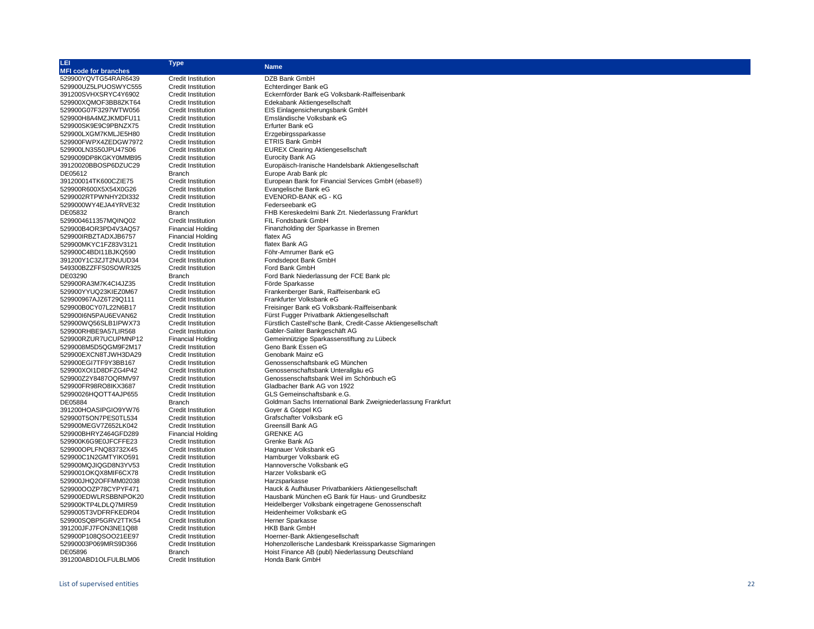| LEI                          | <b>Type</b>               | <b>Name</b>                                                   |
|------------------------------|---------------------------|---------------------------------------------------------------|
| <b>MFI code for branches</b> |                           |                                                               |
| 529900YQVTG54RAR6439         | <b>Credit Institution</b> | DZB Bank GmbH                                                 |
| 529900UZ5LPUOSWYC555         | <b>Credit Institution</b> | Echterdinger Bank eG                                          |
| 391200SVHXSRYC4Y6902         | <b>Credit Institution</b> | Eckernförder Bank eG Volksbank-Raiffeisenbank                 |
| 529900XQMOF3BB8ZKT64         | <b>Credit Institution</b> | Edekabank Aktiengesellschaft                                  |
| 529900G07F3297WTW056         | <b>Credit Institution</b> | EIS Einlagensicherungsbank GmbH                               |
| 529900H8A4MZJKMDFU11         | <b>Credit Institution</b> | Emsländische Volksbank eG                                     |
| 529900SK9E9C9PBNZX75         | <b>Credit Institution</b> | Erfurter Bank eG                                              |
| 529900LXGM7KMLJE5H80         | <b>Credit Institution</b> | Erzgebirgssparkasse                                           |
| 529900FWPX4ZEDGW7972         | <b>Credit Institution</b> | <b>ETRIS Bank GmbH</b>                                        |
| 529900LN3S50JPU47S06         |                           | <b>EUREX Clearing Aktiengesellschaft</b>                      |
|                              | <b>Credit Institution</b> | <b>Eurocity Bank AG</b>                                       |
| 5299009DP8KGKY0MMB95         | <b>Credit Institution</b> |                                                               |
| 39120020BBOSP6DZUC29         | Credit Institution        | Europäisch-Iranische Handelsbank Aktiengesellschaft           |
| DE05612                      | <b>Branch</b>             | Europe Arab Bank plc                                          |
| 391200014TK600CZIE75         | <b>Credit Institution</b> | European Bank for Financial Services GmbH (ebase®)            |
| 529900R600X5X54X0G26         | <b>Credit Institution</b> | Evangelische Bank eG                                          |
| 5299002RTPWNHY2DI332         | Credit Institution        | EVENORD-BANK eG - KG                                          |
| 5299000WY4EJA4YRVE32         | <b>Credit Institution</b> | Federseebank eG                                               |
| DE05832                      | <b>Branch</b>             | FHB Kereskedelmi Bank Zrt. Niederlassung Frankfurt            |
| 5299004611357MQINQ02         | Credit Institution        | FIL Fondsbank GmbH                                            |
| 529900B4OR3PD4V3AQ57         | <b>Financial Holding</b>  | Finanzholding der Sparkasse in Bremen                         |
| 529900IRBZTADXJB6757         | <b>Financial Holding</b>  | flatex AG                                                     |
| 529900MKYC1FZ83V3121         | <b>Credit Institution</b> | flatex Bank AG                                                |
| 529900C4BDI11BJKQ590         | <b>Credit Institution</b> | Föhr-Amrumer Bank eG                                          |
| 391200Y1C3ZJT2NUUD34         | Credit Institution        | Fondsdepot Bank GmbH                                          |
| 549300BZZFFS0SOWR325         | <b>Credit Institution</b> | Ford Bank GmbH                                                |
| DE03290                      | <b>Branch</b>             | Ford Bank Niederlassung der FCE Bank plc                      |
| 529900RA3M7K4CI4JZ35         | <b>Credit Institution</b> | Förde Sparkasse                                               |
| 529900YYUQ23KIEZ0M67         | <b>Credit Institution</b> | Frankenberger Bank, Raiffeisenbank eG                         |
| 529900967AJZ6T29Q111         | <b>Credit Institution</b> | Frankfurter Volksbank eG                                      |
| 529900B0CY07L22N6B17         | <b>Credit Institution</b> | Freisinger Bank eG Volksbank-Raiffeisenbank                   |
| 529900I6N5PAU6EVAN62         | <b>Credit Institution</b> | Fürst Fugger Privatbank Aktiengesellschaft                    |
| 529900WQ56SLB1IPWX73         | <b>Credit Institution</b> | Fürstlich Castell'sche Bank, Credit-Casse Aktiengesellschaft  |
| 529900RHBE9A57LIR568         | <b>Credit Institution</b> | Gabler-Saliter Bankgeschäft AG                                |
| 529900RZUR7UCUPMNP12         | <b>Financial Holding</b>  | Gemeinnützige Sparkassenstiftung zu Lübeck                    |
| 5299008M5D5QGM9F2M17         | <b>Credit Institution</b> | Geno Bank Essen eG                                            |
| 529900EXCN8TJWH3DA29         | <b>Credit Institution</b> | Genobank Mainz eG                                             |
| 529900EGI7TF9Y3BB167         | <b>Credit Institution</b> | Genossenschaftsbank eG München                                |
| 529900XOI1D8DFZG4P42         | <b>Credit Institution</b> | Genossenschaftsbank Unterallgäu eG                            |
| 529900Z2Y8487OQRMV97         | <b>Credit Institution</b> | Genossenschaftsbank Weil im Schönbuch eG                      |
| 529900FR98RO8IKX3687         | <b>Credit Institution</b> | Gladbacher Bank AG von 1922                                   |
| 52990026HQOTT4AJP655         | <b>Credit Institution</b> | GLS Gemeinschaftsbank e.G.                                    |
| DE05884                      | <b>Branch</b>             | Goldman Sachs International Bank Zweigniederlassung Frankfurt |
| 391200HOASIPGIO9YW76         | <b>Credit Institution</b> | Gover & Göppel KG                                             |
| 529900T5ON7PES0TL534         | <b>Credit Institution</b> | Grafschafter Volksbank eG                                     |
| 529900MEGV7Z652LK042         | Credit Institution        | Greensill Bank AG                                             |
| 529900BHRYZ464GFD289         | <b>Financial Holding</b>  | <b>GRENKE AG</b>                                              |
| 529900K6G9E0JFCFFE23         | <b>Credit Institution</b> | Grenke Bank AG                                                |
| 529900OPLFNQ83732X45         | Credit Institution        | Hagnauer Volksbank eG                                         |
| 529900C1N2GMTYIKO591         | <b>Credit Institution</b> | Hamburger Volksbank eG                                        |
| 529900MQJIQGD8N3YV53         | <b>Credit Institution</b> | Hannoversche Volksbank eG                                     |
| 5299001OKQX8MIF6CX78         | <b>Credit Institution</b> | Harzer Volksbank eG                                           |
| 529900JHQ2OFFMM02038         | <b>Credit Institution</b> | Harzsparkasse                                                 |
| 529900OOZP78CYPYF471         | Credit Institution        | Hauck & Aufhäuser Privatbankiers Aktiengesellschaft           |
|                              |                           |                                                               |
| 529900EDWLRSBBNPOK20         | <b>Credit Institution</b> | Hausbank München eG Bank für Haus- und Grundbesitz            |
| 529900KTP4LDLQ7MIR59         | <b>Credit Institution</b> | Heidelberger Volksbank eingetragene Genossenschaft            |
| 5299005T3VDFRFKEDR04         | <b>Credit Institution</b> | Heidenheimer Volksbank eG                                     |
| 529900SQBP5GRV2TTK54         | <b>Credit Institution</b> | Herner Sparkasse                                              |
| 391200JFJ7FON3NE1Q88         | <b>Credit Institution</b> | <b>HKB Bank GmbH</b>                                          |
| 529900P108QSOO21EE97         | <b>Credit Institution</b> | Hoerner-Bank Aktiengesellschaft                               |
| 52990003P069MRS9D366         | <b>Credit Institution</b> | Hohenzollerische Landesbank Kreissparkasse Sigmaringen        |
| DE05896                      | Branch                    | Hoist Finance AB (publ) Niederlassung Deutschland             |

391200ABD1OLFULBLM06 Credit Institution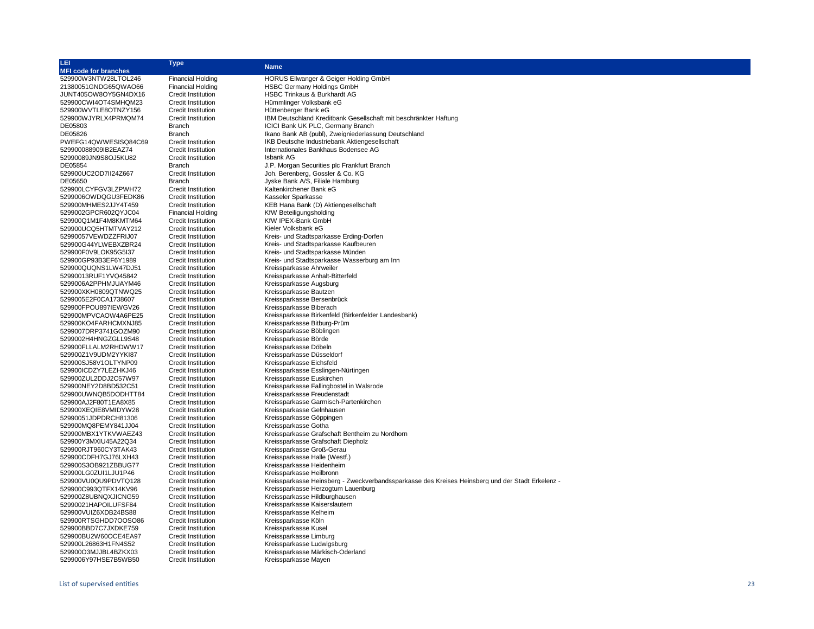| LEI                          | <b>Type</b>               | <b>Name</b>                                                                                      |
|------------------------------|---------------------------|--------------------------------------------------------------------------------------------------|
| <b>MFI code for branches</b> |                           |                                                                                                  |
| 529900W3NTW28LTOL246         | <b>Financial Holding</b>  | HORUS Ellwanger & Geiger Holding GmbH                                                            |
| 21380051GNDG65QWAO66         | <b>Financial Holding</b>  | <b>HSBC Germany Holdings GmbH</b>                                                                |
| JUNT405OW8OY5GN4DX16         | <b>Credit Institution</b> | HSBC Trinkaus & Burkhardt AG                                                                     |
| 529900CWI4OT4SMHQM23         | <b>Credit Institution</b> | Hümmlinger Volksbank eG                                                                          |
| 529900WVTLE8OTNZY156         | <b>Credit Institution</b> | Hüttenberger Bank eG                                                                             |
| 529900WJYRLX4PRMQM74         | <b>Credit Institution</b> | IBM Deutschland Kreditbank Gesellschaft mit beschränkter Haftung                                 |
| DE05803                      | <b>Branch</b>             | ICICI Bank UK PLC, Germany Branch                                                                |
| DE05826                      | <b>Branch</b>             | Ikano Bank AB (publ), Zweigniederlassung Deutschland                                             |
| PWEFG14QWWESISQ84C69         | <b>Credit Institution</b> | IKB Deutsche Industriebank Aktiengesellschaft                                                    |
| 529900088909IB2EAZ74         | <b>Credit Institution</b> | Internationales Bankhaus Bodensee AG                                                             |
| 52990089JN9S8OJ5KU82         | <b>Credit Institution</b> | <b>Isbank AG</b>                                                                                 |
| DE05854                      | <b>Branch</b>             | J.P. Morgan Securities plc Frankfurt Branch                                                      |
| 529900UC2OD7II24Z667         | <b>Credit Institution</b> | Joh. Berenberg, Gossler & Co. KG                                                                 |
| DE05650                      | <b>Branch</b>             | Jyske Bank A/S, Filiale Hamburg                                                                  |
| 529900LCYFGV3LZPWH72         | <b>Credit Institution</b> | Kaltenkirchener Bank eG                                                                          |
| 5299006OWDQGU3FEDK86         | <b>Credit Institution</b> | Kasseler Sparkasse                                                                               |
| 529900MHMES2JJY4T459         | Credit Institution        | KEB Hana Bank (D) Aktiengesellschaft                                                             |
| 5299002GPCR602QYJC04         | <b>Financial Holding</b>  | KfW Beteiligungsholding                                                                          |
|                              |                           |                                                                                                  |
| 529900Q1M1F4M8KMTM64         | <b>Credit Institution</b> | KfW IPEX-Bank GmbH                                                                               |
| 529900UCQ5HTMTVAY212         | <b>Credit Institution</b> | Kieler Volksbank eG                                                                              |
| 52990057VEWDZZFRIJ07         | <b>Credit Institution</b> | Kreis- und Stadtsparkasse Erding-Dorfen                                                          |
| 529900G44YLWEBXZBR24         | <b>Credit Institution</b> | Kreis- und Stadtsparkasse Kaufbeuren                                                             |
| 529900F0V9LOK95G5I37         | <b>Credit Institution</b> | Kreis- und Stadtsparkasse Münden                                                                 |
| 529900GP93B3EF6Y1989         | <b>Credit Institution</b> | Kreis- und Stadtsparkasse Wasserburg am Inn                                                      |
| 529900QUQNS1LW47DJ51         | <b>Credit Institution</b> | Kreissparkasse Ahrweiler                                                                         |
| 52990013RUF1YVQ45842         | <b>Credit Institution</b> | Kreissparkasse Anhalt-Bitterfeld                                                                 |
| 5299006A2PPHMJUAYM46         | <b>Credit Institution</b> | Kreissparkasse Augsburg                                                                          |
| 529900XKH0809QTNWQ25         | <b>Credit Institution</b> | Kreissparkasse Bautzen                                                                           |
| 5299005E2F0CA1738607         | <b>Credit Institution</b> | Kreissparkasse Bersenbrück                                                                       |
| 529900FPOU897IEWGV26         | <b>Credit Institution</b> | Kreissparkasse Biberach                                                                          |
| 529900MPVCAOW4A6PE25         | <b>Credit Institution</b> | Kreissparkasse Birkenfeld (Birkenfelder Landesbank)                                              |
| 529900KO4FARHCMXNJ85         | <b>Credit Institution</b> | Kreissparkasse Bitburg-Prüm                                                                      |
| 5299007DRP3741GOZM90         | <b>Credit Institution</b> | Kreissparkasse Böblingen                                                                         |
| 5299002H4HNGZGLL9S48         | Credit Institution        | Kreissparkasse Börde                                                                             |
| 529900FLLALM2RHDWW17         | <b>Credit Institution</b> | Kreissparkasse Döbeln                                                                            |
| 529900Z1V9UDM2YYKI87         | <b>Credit Institution</b> | Kreissparkasse Düsseldorf                                                                        |
| 529900SJ58V1OLTYNP09         | <b>Credit Institution</b> | Kreissparkasse Eichsfeld                                                                         |
| 529900ICDZY7LEZHKJ46         | <b>Credit Institution</b> | Kreissparkasse Esslingen-Nürtingen                                                               |
| 529900ZUL2DDJ2C57W97         | <b>Credit Institution</b> | Kreissparkasse Euskirchen                                                                        |
| 529900NEY2D8BD532C51         | <b>Credit Institution</b> | Kreissparkasse Fallingbostel in Walsrode                                                         |
| 529900UWNQB5DODHTT84         | <b>Credit Institution</b> | Kreissparkasse Freudenstadt                                                                      |
| 529900AJ2F80T1EA8X85         | <b>Credit Institution</b> | Kreissparkasse Garmisch-Partenkirchen                                                            |
| 529900XEQIE8VMIDYW28         | <b>Credit Institution</b> | Kreissparkasse Gelnhausen                                                                        |
| 52990051JDPDRCH81306         | <b>Credit Institution</b> | Kreissparkasse Göppingen                                                                         |
| 529900MQ8PEMY841JJ04         | <b>Credit Institution</b> | Kreissparkasse Gotha                                                                             |
| 529900MBX1YTKVWAEZ43         | <b>Credit Institution</b> | Kreissparkasse Grafschaft Bentheim zu Nordhorn                                                   |
| 529900Y3MXIU45A22Q34         | <b>Credit Institution</b> | Kreissparkasse Grafschaft Diepholz                                                               |
| 529900RJT960CY3TAK43         | <b>Credit Institution</b> | Kreissparkasse Groß-Gerau                                                                        |
| 529900CDFH7GJ76LXH43         | <b>Credit Institution</b> | Kreissparkasse Halle (Westf.)                                                                    |
| 529900S3OB921ZBBUG77         | <b>Credit Institution</b> | Kreissparkasse Heidenheim                                                                        |
| 529900LG0ZUI1LJU1P46         | <b>Credit Institution</b> | Kreissparkasse Heilbronn                                                                         |
| 529900VU0QU9PDVTQ128         | <b>Credit Institution</b> | Kreissparkasse Heinsberg - Zweckverbandssparkasse des Kreises Heinsberg und der Stadt Erkelenz - |
| 529900C993QTFX14KV96         | <b>Credit Institution</b> | Kreissparkasse Herzogtum Lauenburg                                                               |
| 529900Z8UBNQXJICNG59         | <b>Credit Institution</b> | Kreissparkasse Hildburghausen                                                                    |
| 52990021HAPOILUFSF84         | <b>Credit Institution</b> | Kreissparkasse Kaiserslautern                                                                    |
| 529900VUIZ6XDB24BS88         | <b>Credit Institution</b> | Kreissparkasse Kelheim                                                                           |
| 529900RTSGHDD7OOSO86         | <b>Credit Institution</b> | Kreissparkasse Köln                                                                              |
| 529900BBD7C7JXDKE759         | <b>Credit Institution</b> | Kreissparkasse Kusel                                                                             |
| 529900BU2W60OCE4EA97         | <b>Credit Institution</b> | Kreissparkasse Limburg                                                                           |
| 529900L26863H1FN4S52         | <b>Credit Institution</b> | Kreissparkasse Ludwigsburg                                                                       |
| 529900O3MJJBL4BZKX03         | <b>Credit Institution</b> | Kreissparkasse Märkisch-Oderland                                                                 |
| 5299006Y97HSE7B5WB50         | <b>Credit Institution</b> | Kreissparkasse Maven                                                                             |
|                              |                           |                                                                                                  |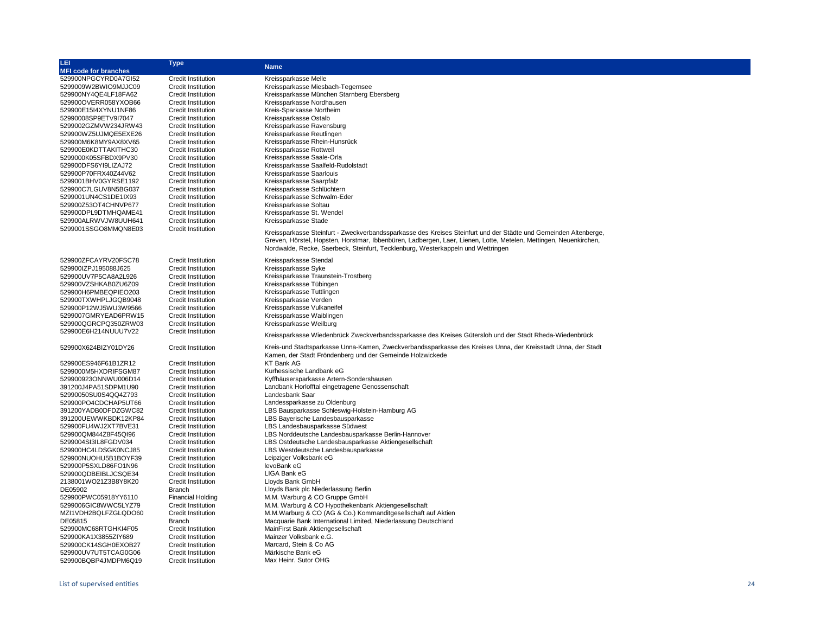| LEI                                          | <b>Type</b>                                            | <b>Name</b>                                                                                                                                                                                                                           |
|----------------------------------------------|--------------------------------------------------------|---------------------------------------------------------------------------------------------------------------------------------------------------------------------------------------------------------------------------------------|
| <b>MFI code for branches</b>                 |                                                        |                                                                                                                                                                                                                                       |
| 529900NPGCYRD0A7GI52                         | Credit Institution                                     | Kreissparkasse Melle                                                                                                                                                                                                                  |
| 5299009W2BWIO9MJJC09                         | <b>Credit Institution</b>                              | Kreissparkasse Miesbach-Tegernsee                                                                                                                                                                                                     |
| 529900NY4QE4LF18FA62                         | <b>Credit Institution</b>                              | Kreissparkasse München Starnberg Ebersberg                                                                                                                                                                                            |
| 529900OVERR058YXOB66                         | <b>Credit Institution</b>                              | Kreissparkasse Nordhausen                                                                                                                                                                                                             |
| 529900E15I4XYNU1NF86                         | <b>Credit Institution</b>                              | Kreis-Sparkasse Northeim                                                                                                                                                                                                              |
| 52990008SP9ETV9l7047                         | <b>Credit Institution</b>                              | Kreissparkasse Ostalb                                                                                                                                                                                                                 |
| 5299002GZMVW234JRW43                         | <b>Credit Institution</b>                              | Kreissparkasse Ravensburg                                                                                                                                                                                                             |
| 529900WZ5UJMQE5EXE26                         | <b>Credit Institution</b>                              | Kreissparkasse Reutlingen                                                                                                                                                                                                             |
| 529900M6K8MY9AX8XV65                         | <b>Credit Institution</b>                              | Kreissparkasse Rhein-Hunsrück                                                                                                                                                                                                         |
| 529900E0KDTTAKITHC30                         | <b>Credit Institution</b>                              | Kreissparkasse Rottweil                                                                                                                                                                                                               |
| 5299000K05SFBDX9PV30                         | <b>Credit Institution</b>                              | Kreissparkasse Saale-Orla                                                                                                                                                                                                             |
| 529900DFS6YI9LIZAJ72                         | <b>Credit Institution</b>                              | Kreissparkasse Saalfeld-Rudolstadt                                                                                                                                                                                                    |
| 529900P70FRX40Z44V62                         | <b>Credit Institution</b>                              | Kreissparkasse Saarlouis                                                                                                                                                                                                              |
| 5299001BHV0GYRSE1192                         | <b>Credit Institution</b>                              | Kreissparkasse Saarpfalz                                                                                                                                                                                                              |
| 529900C7LGUV8N5BG037                         | <b>Credit Institution</b>                              | Kreissparkasse Schlüchtern                                                                                                                                                                                                            |
| 5299001UN4CS1DE1IX93                         | Credit Institution                                     | Kreissparkasse Schwalm-Eder                                                                                                                                                                                                           |
| 529900Z53OT4CHNVP677                         | <b>Credit Institution</b>                              | Kreissparkasse Soltau                                                                                                                                                                                                                 |
| 529900DPL9DTMHQAME41                         | <b>Credit Institution</b>                              | Kreissparkasse St. Wendel                                                                                                                                                                                                             |
| 529900ALRWVJW8UUH641                         | <b>Credit Institution</b>                              | Kreissparkasse Stade                                                                                                                                                                                                                  |
| 5299001SSGO8MMQN8E03                         | <b>Credit Institution</b>                              |                                                                                                                                                                                                                                       |
|                                              |                                                        | Kreissparkasse Steinfurt - Zweckverbandssparkasse des Kreises Steinfurt und der Städte und Gemeinden Altenberge,<br>Greven, Hörstel, Hopsten, Horstmar, Ibbenbüren, Ladbergen, Laer, Lienen, Lotte, Metelen, Mettingen, Neuenkirchen, |
|                                              |                                                        |                                                                                                                                                                                                                                       |
|                                              |                                                        | Nordwalde, Recke, Saerbeck, Steinfurt, Tecklenburg, Westerkappeln und Wettringen                                                                                                                                                      |
| 529900ZFCAYRV20FSC78                         | <b>Credit Institution</b>                              | Kreissparkasse Stendal                                                                                                                                                                                                                |
| 529900IZPJ195088J625                         | <b>Credit Institution</b>                              | Kreissparkasse Syke                                                                                                                                                                                                                   |
| 529900UV7P5CA8A2L926                         | <b>Credit Institution</b>                              | Kreissparkasse Traunstein-Trostberg                                                                                                                                                                                                   |
| 529900VZSHKAB0ZU6Z09                         | <b>Credit Institution</b>                              | Kreissparkasse Tübingen                                                                                                                                                                                                               |
| 529900H6PMBEQPIEO203                         | Credit Institution                                     | Kreissparkasse Tuttlingen                                                                                                                                                                                                             |
| 529900TXWHPLJGQB9048                         | <b>Credit Institution</b>                              | Kreissparkasse Verden                                                                                                                                                                                                                 |
| 529900P12WJ5WU3W9566                         | <b>Credit Institution</b>                              | Kreissparkasse Vulkaneifel                                                                                                                                                                                                            |
| 5299007GMRYEAD6PRW15                         | <b>Credit Institution</b>                              | Kreissparkasse Waiblingen                                                                                                                                                                                                             |
| 529900QGRCPQ350ZRW03                         | <b>Credit Institution</b>                              | Kreissparkasse Weilburg                                                                                                                                                                                                               |
| 529900E6H214NUUU7V22                         | <b>Credit Institution</b>                              | Kreissparkasse Wiedenbrück Zweckverbandssparkasse des Kreises Gütersloh und der Stadt Rheda-Wiedenbrück                                                                                                                               |
|                                              |                                                        |                                                                                                                                                                                                                                       |
| 529900X624BIZY01DY26                         | <b>Credit Institution</b>                              | Kreis-und Stadtsparkasse Unna-Kamen, Zweckverbandssparkasse des Kreises Unna, der Kreisstadt Unna, der Stadt                                                                                                                          |
|                                              |                                                        | Kamen, der Stadt Fröndenberg und der Gemeinde Holzwickede                                                                                                                                                                             |
| 529900ES946F61B1ZR12                         | Credit Institution                                     | <b>KT Bank AG</b>                                                                                                                                                                                                                     |
| 5299000M5HXDRIFSGM87                         | <b>Credit Institution</b>                              | Kurhessische Landbank eG                                                                                                                                                                                                              |
| 529900923ONNWU006D14                         | <b>Credit Institution</b>                              | Kyffhäusersparkasse Artern-Sondershausen                                                                                                                                                                                              |
| 391200J4PA51SDPM1U90                         | <b>Credit Institution</b>                              | Landbank Horlofftal eingetragene Genossenschaft                                                                                                                                                                                       |
| 52990050SU0S4QQ4Z793                         | <b>Credit Institution</b>                              | Landesbank Saar                                                                                                                                                                                                                       |
| 529900PO4CDCHAP5UT66                         | <b>Credit Institution</b>                              | Landessparkasse zu Oldenburg                                                                                                                                                                                                          |
| 391200YADB0DFDZGWC82                         | <b>Credit Institution</b>                              | LBS Bausparkasse Schleswig-Holstein-Hamburg AG                                                                                                                                                                                        |
| 391200UEWWKBDK12KP84                         | <b>Credit Institution</b>                              | LBS Bayerische Landesbausparkasse                                                                                                                                                                                                     |
| 529900FU4WJ2XT7BVE31                         | Credit Institution                                     | LBS Landesbausparkasse Südwest                                                                                                                                                                                                        |
| 529900QM844Z8F45QI96                         | <b>Credit Institution</b>                              | LBS Norddeutsche Landesbausparkasse Berlin-Hannover                                                                                                                                                                                   |
| 5299004SI3IL8FGDV034                         | <b>Credit Institution</b>                              | LBS Ostdeutsche Landesbausparkasse Aktiengesellschaft                                                                                                                                                                                 |
| 529900HC4LDSGK0NCJ85                         | <b>Credit Institution</b>                              | LBS Westdeutsche Landesbausparkasse                                                                                                                                                                                                   |
| 529900NUOHU5B1BOYF39                         | <b>Credit Institution</b>                              | Leipziger Volksbank eG                                                                                                                                                                                                                |
| 529900P5SXLD86FO1N96                         | <b>Credit Institution</b><br><b>Credit Institution</b> | levoBank eG<br>LIGA Bank eG                                                                                                                                                                                                           |
| 529900QDBEIBLJCSQE34<br>2138001WO21Z3B8Y8K20 | <b>Credit Institution</b>                              | Llovds Bank GmbH                                                                                                                                                                                                                      |
| DE05902                                      | <b>Branch</b>                                          | Lloyds Bank plc Niederlassung Berlin                                                                                                                                                                                                  |
| 529900PWC05918YY6110                         | <b>Financial Holding</b>                               | M.M. Warburg & CO Gruppe GmbH                                                                                                                                                                                                         |
| 5299006GIC8WWC5LYZ79                         | <b>Credit Institution</b>                              | M.M. Warburg & CO Hypothekenbank Aktiengesellschaft                                                                                                                                                                                   |
| MZI1VDH2BQLFZGLQDO60                         | <b>Credit Institution</b>                              | M.M.Warburg & CO (AG & Co.) Kommanditgesellschaft auf Aktien                                                                                                                                                                          |
| DE05815                                      | <b>Branch</b>                                          | Macquarie Bank International Limited, Niederlassung Deutschland                                                                                                                                                                       |
| 529900MC68RTGHKI4F05                         | <b>Credit Institution</b>                              | MainFirst Bank Aktiengesellschaft                                                                                                                                                                                                     |
| 529900KA1X3855ZIY689                         | <b>Credit Institution</b>                              | Mainzer Volksbank e.G.                                                                                                                                                                                                                |
| 529900CK14SGH0EXOB27                         | <b>Credit Institution</b>                              | Marcard, Stein & Co AG                                                                                                                                                                                                                |
| 529900UV7UT5TCAG0G06                         | <b>Credit Institution</b>                              | Märkische Bank eG                                                                                                                                                                                                                     |
| 529900BQBP4JMDPM6Q19                         | <b>Credit Institution</b>                              | Max Heinr. Sutor OHG                                                                                                                                                                                                                  |
|                                              |                                                        |                                                                                                                                                                                                                                       |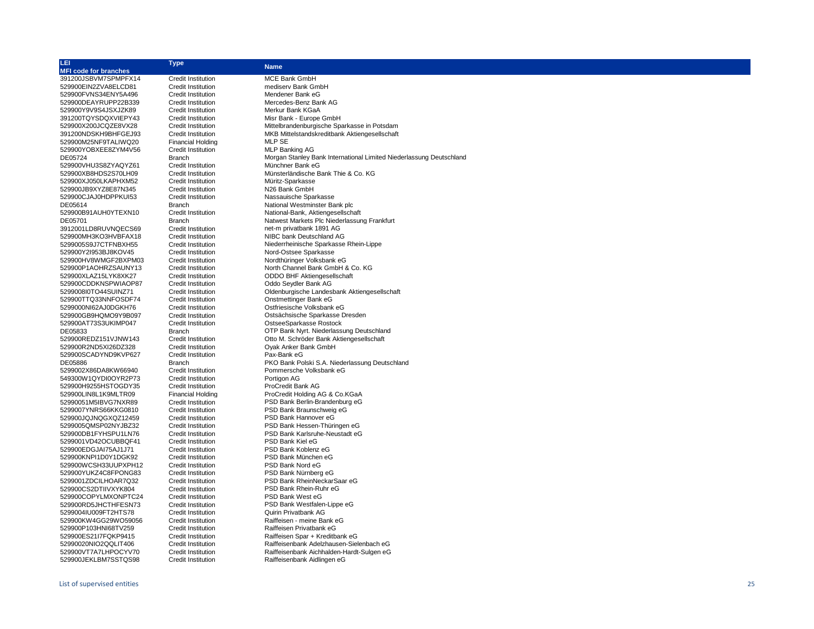| LEI.                            | <b>Type</b>                                            |                                                                                              |
|---------------------------------|--------------------------------------------------------|----------------------------------------------------------------------------------------------|
| <b>MFI code for branches</b>    |                                                        | <b>Name</b>                                                                                  |
| 391200JSBVM7SPMPFX14            | <b>Credit Institution</b>                              | MCE Bank GmbH                                                                                |
| 529900EIN2ZVA8ELCD81            | <b>Credit Institution</b>                              | mediserv Bank GmbH                                                                           |
| 529900FVNS34ENY5A496            | <b>Credit Institution</b>                              | Mendener Bank eG                                                                             |
| 529900DEAYRUPP22B339            | <b>Credit Institution</b>                              | Mercedes-Benz Bank AG                                                                        |
| 529900Y9V9S4JSXJZK89            | <b>Credit Institution</b>                              | Merkur Bank KGaA                                                                             |
| 391200TQYSDQXVIEPY43            | <b>Credit Institution</b>                              | Misr Bank - Europe GmbH                                                                      |
| 529900X200JCQZE8VX28            | <b>Credit Institution</b>                              | Mittelbrandenburgische Sparkasse in Potsdam                                                  |
| 391200NDSKH9BHFGEJ93            | <b>Credit Institution</b>                              | MKB Mittelstandskreditbank Aktiengesellschaft                                                |
| 529900M25NF9TALIWQ20            | <b>Financial Holding</b>                               | MLP SE                                                                                       |
|                                 |                                                        |                                                                                              |
| 529900YOBXEE8ZYM4V56            | Credit Institution<br><b>Branch</b>                    | <b>MLP Banking AG</b><br>Morgan Stanley Bank International Limited Niederlassung Deutschland |
| DE05724<br>529900VHU3S8ZYAQYZ61 |                                                        | Münchner Bank eG                                                                             |
|                                 | <b>Credit Institution</b>                              | Münsterländische Bank Thie & Co. KG                                                          |
| 529900XB8HDS2S70LH09            | <b>Credit Institution</b>                              |                                                                                              |
| 529900XJ050LKAPHXM52            | <b>Credit Institution</b><br><b>Credit Institution</b> | Müritz-Sparkasse<br>N26 Bank GmbH                                                            |
| 529900JB9XYZ8E87N345            |                                                        |                                                                                              |
| 529900CJAJ0HDPPKUI53            | <b>Credit Institution</b>                              | Nassauische Sparkasse                                                                        |
| DE05614                         | Branch                                                 | National Westminster Bank plc                                                                |
| 529900B91AUH0YTEXN10            | <b>Credit Institution</b>                              | National-Bank, Aktiengesellschaft                                                            |
| DE05701                         | Branch                                                 | Natwest Markets Plc Niederlassung Frankfurt                                                  |
| 3912001LD8RUVNQECS69            | Credit Institution                                     | net-m privatbank 1891 AG                                                                     |
| 529900MH3KO3HVBFAX18            | <b>Credit Institution</b>                              | NIBC bank Deutschland AG                                                                     |
| 5299005S9J7CTFNBXH55            | <b>Credit Institution</b>                              | Niederrheinische Sparkasse Rhein-Lippe                                                       |
| 529900Y2l953BJ8KOV45            | <b>Credit Institution</b>                              | Nord-Ostsee Sparkasse                                                                        |
| 529900HV8WMGF2BXPM03            | <b>Credit Institution</b>                              | Nordthüringer Volksbank eG                                                                   |
| 529900P1AOHRZSAUNY13            | <b>Credit Institution</b>                              | North Channel Bank GmbH & Co. KG                                                             |
| 529900XLAZ15LYK8XK27            | <b>Credit Institution</b>                              | ODDO BHF Aktiengesellschaft                                                                  |
| 529900CDDKNSPWIAOP87            | <b>Credit Institution</b>                              | Oddo Seydler Bank AG                                                                         |
| 529900810TO44SUINZ71            | Credit Institution                                     | Oldenburgische Landesbank Aktiengesellschaft                                                 |
| 529900TTQ33NNFOSDF74            | Credit Institution                                     | Onstmettinger Bank eG                                                                        |
| 5299000NI62AJ0DGKH76            | <b>Credit Institution</b>                              | Ostfriesische Volksbank eG                                                                   |
| 529900GB9HQMO9Y9B097            | <b>Credit Institution</b>                              | Ostsächsische Sparkasse Dresden                                                              |
| 529900AT73S3UKIMP047            | <b>Credit Institution</b>                              | OstseeSparkasse Rostock                                                                      |
| DE05833                         | Branch                                                 | OTP Bank Nyrt. Niederlassung Deutschland                                                     |
| 529900REDZ151VJNW143            | <b>Credit Institution</b>                              | Otto M. Schröder Bank Aktiengesellschaft                                                     |
| 529900R2ND5XI26DZ328            | <b>Credit Institution</b>                              | Oyak Anker Bank GmbH                                                                         |
| 529900SCADYND9KVP627            | <b>Credit Institution</b>                              | Pax-Bank eG                                                                                  |
| DE05886                         | <b>Branch</b>                                          | PKO Bank Polski S.A. Niederlassung Deutschland                                               |
| 5299002X86DA8KW66940            | <b>Credit Institution</b>                              | Pommersche Volksbank eG                                                                      |
| 549300W1QYDI0OYR2P73            | <b>Credit Institution</b>                              | Portigon AG                                                                                  |
| 529900H9255HSTOGDY35            | Credit Institution                                     | ProCredit Bank AG                                                                            |
| 529900LIN8L1K9MLTR09            | <b>Financial Holding</b>                               | ProCredit Holding AG & Co.KGaA                                                               |
| 52990051M5IBVG7NXR89            | <b>Credit Institution</b>                              | PSD Bank Berlin-Brandenburg eG                                                               |
| 5299007YNRS66KKG0810            | <b>Credit Institution</b>                              | PSD Bank Braunschweig eG                                                                     |
| 529900JQJNQGXQZ12459            | <b>Credit Institution</b>                              | PSD Bank Hannover eG                                                                         |
| 5299005QMSP02NYJBZ32            | <b>Credit Institution</b>                              | PSD Bank Hessen-Thüringen eG                                                                 |
| 529900DB1FYHSPU1LN76            | <b>Credit Institution</b>                              | PSD Bank Karlsruhe-Neustadt eG                                                               |
| 5299001VD42OCUBBQF41            | <b>Credit Institution</b>                              | PSD Bank Kiel eG                                                                             |
| 529900EDGJAI75AJ1J71            | Credit Institution                                     | PSD Bank Koblenz eG                                                                          |
| 529900KNPI1D0Y1DGK92            | <b>Credit Institution</b>                              | PSD Bank München eG                                                                          |
| 529900WCSH33UUPXPH12            | <b>Credit Institution</b>                              | PSD Bank Nord eG                                                                             |
| 529900YUKZ4C8FPONG83            | <b>Credit Institution</b>                              | PSD Bank Nürnberg eG                                                                         |
| 5299001ZDCILHOAR7Q32            | Credit Institution                                     | PSD Bank RheinNeckarSaar eG                                                                  |
| 529900CS2DTIIVXYK804            | <b>Credit Institution</b>                              | PSD Bank Rhein-Ruhr eG                                                                       |
| 529900COPYLMXONPTC24            | <b>Credit Institution</b>                              | PSD Bank West eG                                                                             |
| 529900RD5JHCTHFESN73            | <b>Credit Institution</b>                              | PSD Bank Westfalen-Lippe eG                                                                  |
| 5299004IU009FT2HTS78            | <b>Credit Institution</b>                              | <b>Quirin Privatbank AG</b>                                                                  |
| 529900KW4GG29WO59056            | <b>Credit Institution</b>                              | Raiffeisen - meine Bank eG                                                                   |
| 529900P103HNI68TV259            | <b>Credit Institution</b>                              | Raiffeisen Privatbank eG                                                                     |
| 529900ES21I7FQKP9415            | <b>Credit Institution</b>                              | Raiffeisen Spar + Kreditbank eG                                                              |
| 52990020NIO2QQLIT406            | Credit Institution                                     | Raiffeisenbank Adelzhausen-Sielenbach eG                                                     |

529900VT7A7LHPOCYV70 Credit Institution Raiffeisenbank Aichhalden-Hardt-Sulgen eG<br>529900JEKLBM7SSTQS98 Credit Institution Raiffeisenbank Aidlingen eG

Raiffeisenbank Aidlingen eG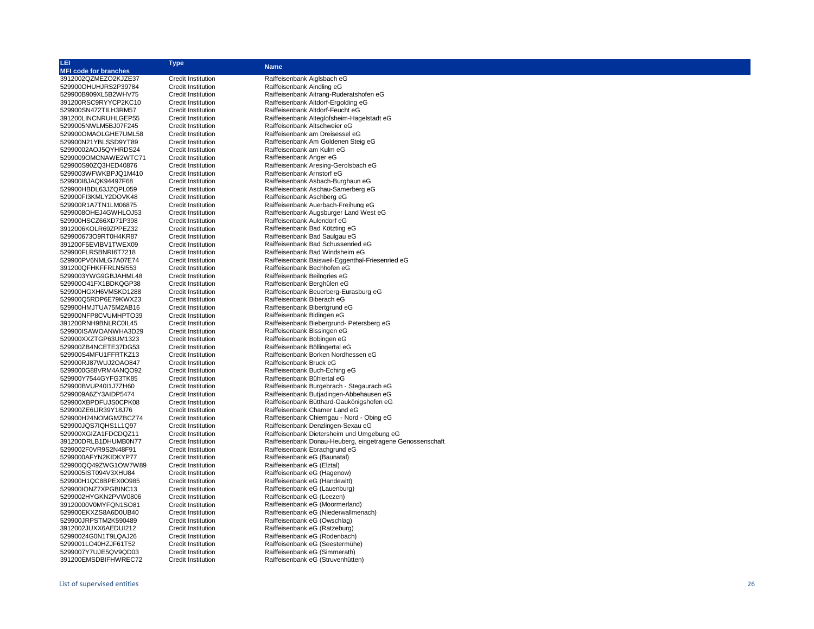| LEI                          | <b>Type</b>               | <b>Name</b>                                               |
|------------------------------|---------------------------|-----------------------------------------------------------|
| <b>MFI code for branches</b> |                           |                                                           |
| 3912002QZMEZO2KJZE37         | <b>Credit Institution</b> | Raiffeisenbank Aiglsbach eG                               |
| 529900OHUHJRS2P39784         | <b>Credit Institution</b> | Raiffeisenbank Aindling eG                                |
| 529900B909XL5B2WHV75         | <b>Credit Institution</b> | Raiffeisenbank Aitrang-Ruderatshofen eG                   |
| 391200RSC9RYYCP2KC10         | <b>Credit Institution</b> | Raiffeisenbank Altdorf-Ergolding eG                       |
| 529900SN472TILH3RM57         | <b>Credit Institution</b> | Raiffeisenbank Altdorf-Feucht eG                          |
| 391200LINCNRUHLGEP55         | <b>Credit Institution</b> | Raiffeisenbank Alteglofsheim-Hagelstadt eG                |
| 5299005NWLM5BJ07F245         | <b>Credit Institution</b> | Raiffeisenbank Altschweier eG                             |
| 529900OMAOLGHE7UML58         | <b>Credit Institution</b> | Raiffeisenbank am Dreisessel eG                           |
| 529900N21YBLSSD9YT89         | <b>Credit Institution</b> | Raiffeisenbank Am Goldenen Steig eG                       |
| 52990002AOJ5QYHRDS24         | <b>Credit Institution</b> | Raiffeisenbank am Kulm eG                                 |
| 5299009OMCNAWE2WTC71         | <b>Credit Institution</b> | Raiffeisenbank Anger eG                                   |
| 529900S90ZQ3HED40876         | <b>Credit Institution</b> | Raiffeisenbank Aresing-Gerolsbach eG                      |
| 5299003WFWKBPJQ1M410         | <b>Credit Institution</b> | Raiffeisenbank Arnstorf eG                                |
| 52990018JAQK94497F68         | <b>Credit Institution</b> | Raiffeisenbank Asbach-Burghaun eG                         |
| 529900HBDL63JZQPL059         | <b>Credit Institution</b> | Raiffeisenbank Aschau-Samerberg eG                        |
| 529900FI3KMLY2DOVK48         | <b>Credit Institution</b> | Raiffeisenbank Aschberg eG                                |
| 529900R1A7TN1LM06875         | <b>Credit Institution</b> | Raiffeisenbank Auerbach-Freihung eG                       |
| 5299008OHEJ4GWHLOJ53         | <b>Credit Institution</b> | Raiffeisenbank Augsburger Land West eG                    |
| 529900HSCZ66XD71P398         | <b>Credit Institution</b> | Raiffeisenbank Aulendorf eG                               |
| 3912006KOLR69ZPPEZ32         | <b>Credit Institution</b> | Raiffeisenbank Bad Kötzting eG                            |
| 529900673O9RT0H4KR87         | <b>Credit Institution</b> | Raiffeisenbank Bad Saulgau eG                             |
| 391200F5EVIBV1TWEX09         | <b>Credit Institution</b> | Raiffeisenbank Bad Schussenried eG                        |
| 529900FLRSBNRI6T7218         | <b>Credit Institution</b> | Raiffeisenbank Bad Windsheim eG                           |
| 529900PV6NMLG7A07E74         | <b>Credit Institution</b> | Raiffeisenbank Baisweil-Eggenthal-Friesenried eG          |
| 391200QFHKFFRLN5I553         | <b>Credit Institution</b> | Raiffeisenbank Bechhofen eG                               |
| 5299003YWG9GBJAHML48         | <b>Credit Institution</b> | Raiffeisenbank Beilngries eG                              |
| 529900O41FX1BDKQGP38         | <b>Credit Institution</b> | Raiffeisenbank Berghülen eG                               |
| 529900HGXH6VMSKD1288         | <b>Credit Institution</b> | Raiffeisenbank Beuerberg-Eurasburg eG                     |
| 529900Q5RDP6E79KWX23         | <b>Credit Institution</b> | Raiffeisenbank Biberach eG                                |
| 529900HMJTUA75M2AB16         | <b>Credit Institution</b> | Raiffeisenbank Bibertgrund eG                             |
| 529900NFP8CVUMHPTO39         | <b>Credit Institution</b> | Raiffeisenbank Bidingen eG                                |
| 391200RNH9BNLRC0IL45         | <b>Credit Institution</b> | Raiffeisenbank Biebergrund- Petersberg eG                 |
| 529900ISAWOANWHA3D29         | <b>Credit Institution</b> | Raiffeisenbank Bissingen eG                               |
| 529900XXZTGP63UM1323         | <b>Credit Institution</b> | Raiffeisenbank Bobingen eG                                |
| 529900ZB4NCETE37DG53         | <b>Credit Institution</b> | Raiffeisenbank Böllingertal eG                            |
| 529900S4MFU1FFRTKZ13         | <b>Credit Institution</b> | Raiffeisenbank Borken Nordhessen eG                       |
| 529900RJ87WUJ2OAO847         | <b>Credit Institution</b> | Raiffeisenbank Bruck eG                                   |
| 5299000G88VRM4ANQO92         | <b>Credit Institution</b> | Raiffeisenbank Buch-Eching eG                             |
| 529900Y7544GYFG3TK85         | <b>Credit Institution</b> | Raiffeisenbank Bühlertal eG                               |
| 529900BVUP40I1J7ZH60         | <b>Credit Institution</b> | Raiffeisenbank Burgebrach - Stegaurach eG                 |
| 5299009A6ZY3AIDP5474         | <b>Credit Institution</b> | Raiffeisenbank Butjadingen-Abbehausen eG                  |
| 529900XBPDFUJS0CPK08         | <b>Credit Institution</b> | Raiffeisenbank Bütthard-Gaukönigshofen eG                 |
| 529900ZE6IJR39Y18J76         | <b>Credit Institution</b> | Raiffeisenbank Chamer Land eG                             |
| 529900H24NOMGMZBCZ74         | <b>Credit Institution</b> | Raiffeisenbank Chiemgau - Nord - Obing eG                 |
| 529900JQS7IQHS1L1Q97         | <b>Credit Institution</b> | Raiffeisenbank Denzlingen-Sexau eG                        |
| 529900XGIZA1FDCDQZ11         | <b>Credit Institution</b> | Raiffeisenbank Dietersheim und Umgebung eG                |
| 391200DRLB1DHUMB0N77         | <b>Credit Institution</b> | Raiffeisenbank Donau-Heuberg, eingetragene Genossenschaft |
| 5299002F0VR9S2N48F91         | <b>Credit Institution</b> | Raiffeisenbank Ebrachgrund eG                             |
| 5299000AFYN2KIDKYP77         | <b>Credit Institution</b> | Raiffeisenbank eG (Baunatal)                              |
| 529900QQ49ZWG1OW7W89         | <b>Credit Institution</b> | Raiffeisenbank eG (Elztal)                                |
| 5299005IST094V3XHU84         | <b>Credit Institution</b> | Raiffeisenbank eG (Hagenow)                               |
| 529900H1QC8BPEX0O985         | <b>Credit Institution</b> | Raiffeisenbank eG (Handewitt)                             |
| 529900IONZ7XPGBINC13         | <b>Credit Institution</b> | Raiffeisenbank eG (Lauenburg)                             |
| 5299002HYGKN2PVW0806         | <b>Credit Institution</b> | Raiffeisenbank eG (Leezen)                                |
| 39120000V0MYFQN1SO81         | <b>Credit Institution</b> | Raiffeisenbank eG (Moormerland)                           |
| 529900EKXZS8A6D0UB40         | <b>Credit Institution</b> | Raiffeisenbank eG (Niederwallmenach)                      |
| 529900JRPSTM2K590489         | <b>Credit Institution</b> | Raiffeisenbank eG (Owschlag)                              |
| 3912002JUXX6AEDUI212         | <b>Credit Institution</b> | Raiffeisenbank eG (Ratzeburg)                             |
| 52990024G0N1T9LQAJ26         | <b>Credit Institution</b> | Raiffeisenbank eG (Rodenbach)                             |
| 5299001LO40HZJF61T52         | Credit Institution        | Raiffeisenbank eG (Seestermühe)                           |
| 5299007Y7UJE5QV9QD03         | <b>Credit Institution</b> | Raiffeisenbank eG (Simmerath)                             |
| 391200EMSDBIFHWREC72         | <b>Credit Institution</b> | Raiffeisenbank eG (Struvenhütten)                         |
|                              |                           |                                                           |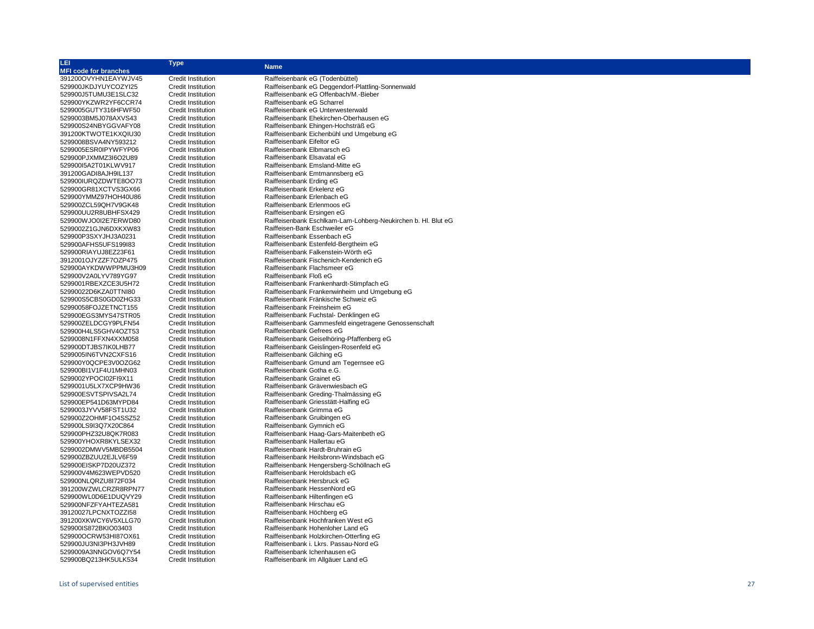| LEI                          | <b>Type</b>               |                                                               |
|------------------------------|---------------------------|---------------------------------------------------------------|
| <b>MFI code for branches</b> |                           | <b>Name</b>                                                   |
| 391200OVYHN1EAYWJV45         | <b>Credit Institution</b> | Raiffeisenbank eG (Todenbüttel)                               |
| 529900JKDJYUYCOZYI25         | <b>Credit Institution</b> | Raiffeisenbank eG Deggendorf-Plattling-Sonnenwald             |
| 529900J5TUMU3E1SLC32         | <b>Credit Institution</b> | Raiffeisenbank eG Offenbach/M.-Bieber                         |
| 529900YKZWR2YF6CCR74         | <b>Credit Institution</b> | Raiffeisenbank eG Scharrel                                    |
| 5299005GUTY316HFWF50         | <b>Credit Institution</b> | Raiffeisenbank eG Unterwesterwald                             |
| 5299003BM5J078AXVS43         | <b>Credit Institution</b> | Raiffeisenbank Ehekirchen-Oberhausen eG                       |
| 529900S24NBYGGVAFY08         | <b>Credit Institution</b> | Raiffeisenbank Ehingen-Hochsträß eG                           |
| 391200KTWOTE1KXQIU30         | <b>Credit Institution</b> | Raiffeisenbank Eichenbühl und Umgebung eG                     |
| 5299008BSVA4NY593212         | <b>Credit Institution</b> | Raiffeisenbank Eifeltor eG                                    |
| 5299005ESR0IPYWFYP06         | <b>Credit Institution</b> | Raiffeisenbank Elbmarsch eG                                   |
|                              |                           |                                                               |
| 529900PJXMMZ3I6O2U89         | <b>Credit Institution</b> | Raiffeisenbank Elsavatal eG                                   |
| 529900I5A2T01KLWV917         | <b>Credit Institution</b> | Raiffeisenbank Emsland-Mitte eG                               |
| 391200GADI8AJH9IL137         | <b>Credit Institution</b> | Raiffeisenbank Emtmannsberg eG                                |
| 529900IURQZDWTE8OO73         | <b>Credit Institution</b> | Raiffeisenbank Erding eG                                      |
| 529900GR81XCTVS3GX66         | <b>Credit Institution</b> | Raiffeisenbank Erkelenz eG                                    |
| 529900YMMZ97HOH40U86         | <b>Credit Institution</b> | Raiffeisenbank Erlenbach eG                                   |
| 529900ZCL59QH7V9GK48         | <b>Credit Institution</b> | Raiffeisenbank Erlenmoos eG                                   |
| 529900UU2R8UBHFSX429         | <b>Credit Institution</b> | Raiffeisenbank Ersingen eG                                    |
| 529900WJO0I2E7ERWD80         | <b>Credit Institution</b> | Raiffeisenbank Eschlkam-Lam-Lohberg-Neukirchen b. Hl. Blut eG |
| 5299002Z1GJN6DXKXW83         | <b>Credit Institution</b> | Raiffeisen-Bank Eschweiler eG                                 |
| 529900P3SXYJHJ3A0231         | <b>Credit Institution</b> | Raiffeisenbank Essenbach eG                                   |
| 529900AFHS5UFS199I83         | <b>Credit Institution</b> | Raiffeisenbank Estenfeld-Beratheim eG                         |
| 529900RIAYUJ8EZ23F61         | <b>Credit Institution</b> | Raiffeisenbank Falkenstein-Wörth eG                           |
| 3912001OJYZZF7OZP475         | <b>Credit Institution</b> | Raiffeisenbank Fischenich-Kendenich eG                        |
| 529900AYKDWWPPMU3H09         | <b>Credit Institution</b> | Raiffeisenbank Flachsmeer eG                                  |
| 529900V2A0LYV789YG97         | <b>Credit Institution</b> | Raiffeisenbank Floß eG                                        |
| 5299001RBEXZCE3U5H72         | <b>Credit Institution</b> | Raiffeisenbank Frankenhardt-Stimpfach eG                      |
| 52990022D6KZA0TTNI80         | <b>Credit Institution</b> | Raiffeisenbank Frankenwinheim und Umgebung eG                 |
| 529900S5CBS0GD0ZHG33         | <b>Credit Institution</b> | Raiffeisenbank Fränkische Schweiz eG                          |
| 52990058FOJZETNCT155         | <b>Credit Institution</b> | Raiffeisenbank Freinsheim eG                                  |
| 529900EGS3MYS47STR05         | <b>Credit Institution</b> | Raiffeisenbank Fuchstal- Denklingen eG                        |
| 529900ZELDCGY9PLFN54         | <b>Credit Institution</b> | Raiffeisenbank Gammesfeld eingetragene Genossenschaft         |
| 529900H4LS5GHV4OZT53         | <b>Credit Institution</b> | Raiffeisenbank Gefrees eG                                     |
| 5299008N1FFXN4XXM058         | <b>Credit Institution</b> | Raiffeisenbank Geiselhöring-Pfaffenberg eG                    |
| 529900DTJBS7IK0LHB77         | <b>Credit Institution</b> | Raiffeisenbank Geislingen-Rosenfeld eG                        |
| 5299005IN6TVN2CXFS16         | <b>Credit Institution</b> | Raiffeisenbank Gilching eG                                    |
|                              |                           | Raiffeisenbank Gmund am Tegernsee eG                          |
| 529900Y0QCPE3V0OZG62         | <b>Credit Institution</b> | Raiffeisenbank Gotha e.G.                                     |
| 529900BI1V1F4U1MHN03         | <b>Credit Institution</b> | Raiffeisenbank Grainet eG                                     |
| 5299002YPOCI02FI9X11         | <b>Credit Institution</b> |                                                               |
| 5299001U5LX7XCP9HW36         | <b>Credit Institution</b> | Raiffeisenbank Grävenwiesbach eG                              |
| 529900ESVTSPIVSA2L74         | <b>Credit Institution</b> | Raiffeisenbank Greding-Thalmässing eG                         |
| 529900EP541D63MYPD84         | <b>Credit Institution</b> | Raiffeisenbank Griesstätt-Halfing eG                          |
| 5299003JYVV58FST1U32         | <b>Credit Institution</b> | Raiffeisenbank Grimma eG                                      |
| 529900Z2OHMF1O4SSZ52         | Credit Institution        | Raiffeisenbank Gruibingen eG                                  |
| 529900LS9I3Q7X20C864         | <b>Credit Institution</b> | Raiffeisenbank Gymnich eG                                     |
| 529900PHZ32U8QK7R083         | <b>Credit Institution</b> | Raiffeisenbank Haag-Gars-Maitenbeth eG                        |
| 529900YHOXR8KYLSEX32         | <b>Credit Institution</b> | Raiffeisenbank Hallertau eG                                   |
| 5299002DMWV5MBDB5504         | <b>Credit Institution</b> | Raiffeisenbank Hardt-Bruhrain eG                              |
| 529900ZBZUU2EJLV6F59         | <b>Credit Institution</b> | Raiffeisenbank Heilsbronn-Windsbach eG                        |
| 529900EISKP7D20UZ372         | <b>Credit Institution</b> | Raiffeisenbank Hengersberg-Schöllnach eG                      |
| 529900V4M623WEPVD520         | <b>Credit Institution</b> | Raiffeisenbank Heroldsbach eG                                 |
| 529900NLQRZU8I72F034         | <b>Credit Institution</b> | Raiffeisenbank Hersbruck eG                                   |
| 391200WZWLCRZR8RPN77         | <b>Credit Institution</b> | Raiffeisenbank HessenNord eG                                  |
| 529900WL0D6E1DUQVY29         | <b>Credit Institution</b> | Raiffeisenbank Hiltenfingen eG                                |
| 529900NFZFYAHTEZA581         | <b>Credit Institution</b> | Raiffeisenbank Hirschau eG                                    |
| 39120027LPCNXTOZZI58         | Credit Institution        | Raiffeisenbank Höchberg eG                                    |
| 391200XKWCY6V5XLLG70         | <b>Credit Institution</b> | Raiffeisenbank Hochfranken West eG                            |
| 529900IS872BKIO03403         | <b>Credit Institution</b> | Raiffeisenbank Hohenloher Land eG                             |
| 529900OCRW53HI87OX61         | <b>Credit Institution</b> | Raiffeisenbank Holzkirchen-Otterfing eG                       |
| 529900JU3NI3PH3JVH89         | <b>Credit Institution</b> | Raiffeisenbank i. Lkrs. Passau-Nord eG                        |
| 5299009A3NNGOV6Q7Y54         | <b>Credit Institution</b> | Raiffeisenbank Ichenhausen eG                                 |
| 529900BQ213HK5ULK534         | <b>Credit Institution</b> | Raiffeisenbank im Allgäuer Land eG                            |
|                              |                           |                                                               |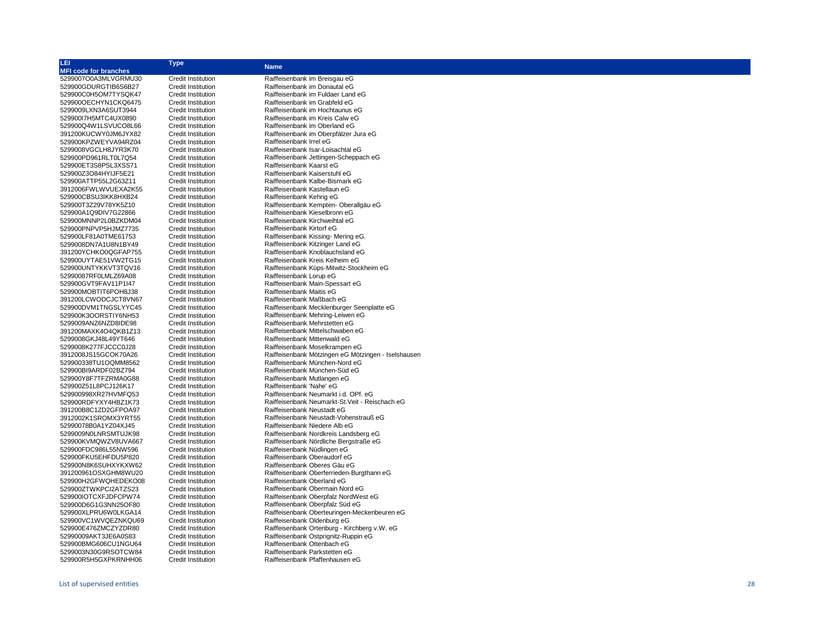| LEI.                         | <b>Type</b>               |                                                     |
|------------------------------|---------------------------|-----------------------------------------------------|
| <b>MFI code for branches</b> |                           | <b>Name</b>                                         |
| 5299007O0A3MLVGRMU30         | Credit Institution        | Raiffeisenbank im Breisgau eG                       |
| 529900GDURGTIB6S6B27         | Credit Institution        | Raiffeisenbank im Donautal eG                       |
| 529900C0H5OM7TYSQK47         | <b>Credit Institution</b> | Raiffeisenbank im Fuldaer Land eG                   |
| 529900OECHYN1CKQ6475         | <b>Credit Institution</b> | Raiffeisenbank im Grabfeld eG                       |
| 5299009LXN3A6SUT3944         | <b>Credit Institution</b> | Raiffeisenbank im Hochtaunus eG                     |
| 529900I7H5MTC4UX0890         | <b>Credit Institution</b> | Raiffeisenbank im Kreis Calw eG                     |
| 529900Q4W1LSVUCO8L66         | <b>Credit Institution</b> | Raiffeisenbank im Oberland eG                       |
| 391200KUCWY0JM6JYX82         | Credit Institution        | Raiffeisenbank im Oberpfälzer Jura eG               |
| 529900KPZWEYVA94RZ04         | <b>Credit Institution</b> | Raiffeisenbank Irrel eG                             |
| 5299008VGCLH8JYR3K70         | <b>Credit Institution</b> | Raiffeisenbank Isar-Loisachtal eG                   |
| 529900PD961RLT0L7Q54         | <b>Credit Institution</b> | Raiffeisenbank Jettingen-Scheppach eG               |
| 529900ET3S8PSL3XSS71         | <b>Credit Institution</b> | Raiffeisenbank Kaarst eG                            |
| 529900Z3O84HYIJF5E21         | <b>Credit Institution</b> | Raiffeisenbank Kaiserstuhl eG                       |
| 529900ATTP55L2G63Z11         | Credit Institution        | Raiffeisenbank Kalbe-Bismark eG                     |
| 3912006FWLWVUEXA2K55         | <b>Credit Institution</b> | Raiffeisenbank Kastellaun eG                        |
| 529900CBSU3IKK8HXB24         | Credit Institution        | Raiffeisenbank Kehrig eG                            |
| 529900T3Z29V78YK5Z10         | Credit Institution        | Raiffeisenbank Kempten- Oberallgäu eG               |
| 529900A1Q9DIV7G22866         | <b>Credit Institution</b> | Raiffeisenbank Kieselbronn eG                       |
| 529900MNNP2L0BZKDM04         | <b>Credit Institution</b> | Raiffeisenbank Kirchweihtal eG                      |
| 529900PNPVP5HJMZ7735         | <b>Credit Institution</b> | Raiffeisenbank Kirtorf eG                           |
| 529900LF81A0TME61753         | Credit Institution        | Raiffeisenbank Kissing- Mering eG.                  |
| 5299008DN7A1U8N1BY49         | <b>Credit Institution</b> | Raiffeisenbank Kitzinger Land eG                    |
| 391200YCHKO0QGFAP755         | <b>Credit Institution</b> | Raiffeisenbank Knoblauchsland eG                    |
| 529900UYTAE51VW2TG15         | <b>Credit Institution</b> | Raiffeisenbank Kreis Kelheim eG                     |
| 529900UNTYKKVT3TQV16         | <b>Credit Institution</b> | Raiffeisenbank Küps-Mitwitz-Stockheim eG            |
| 52990087RF0LMLZ69A08         | Credit Institution        | Raiffeisenbank Lorup eG                             |
| 529900GVT9FAV11P1I47         | Credit Institution        | Raiffeisenbank Main-Spessart eG                     |
| 529900MOBTIT6POH8J38         | <b>Credit Institution</b> | Raiffeisenbank Maitis eG                            |
| 391200LCWODCJCT8VN67         | Credit Institution        | Raiffeisenbank Maßbach eG                           |
| 529900DVM1TNGSLYYC45         | <b>Credit Institution</b> | Raiffeisenbank Mecklenburger Seenplatte eG          |
| 529900K3OORSTIY6NH53         | Credit Institution        | Raiffeisenbank Mehring-Leiwen eG                    |
| 5299009ANZ6NZD8IDE98         | Credit Institution        | Raiffeisenbank Mehrstetten eG                       |
| 391200MAXK4O4QKB1Z13         | <b>Credit Institution</b> | Raiffeisenbank Mittelschwaben eG                    |
| 5299008GKJ48L49YT646         | Credit Institution        | Raiffeisenbank Mittenwald eG                        |
| 5299008K277FJCCC0J28         | <b>Credit Institution</b> | Raiffeisenbank Moselkrampen eG                      |
| 3912008JS15GCOK70A26         | <b>Credit Institution</b> | Raiffeisenbank Mötzingen eG Mötzingen - Iselshausen |
| 529900338TU1OQMM8562         | Credit Institution        | Raiffeisenbank München-Nord eG                      |
| 529900BI9ARDF02BZ794         | Credit Institution        | Raiffeisenbank München-Süd eG                       |
| 529900Y8F7TFZRMA0G88         | Credit Institution        | Raiffeisenbank Mutlangen eG                         |
| 529900Z51L8PCJ126K17         | <b>Credit Institution</b> | Raiffeisenbank 'Nahe' eG                            |
| 529900998XR27HVMFQ53         | Credit Institution        | Raiffeisenbank Neumarkt i.d. OPf. eG                |
| 529900RDFYXY4HBZ1K73         | <b>Credit Institution</b> | Raiffeisenbank Neumarkt-St. Veit - Reischach eG     |
| 391200B8C1ZD2GFPOA97         | <b>Credit Institution</b> | Raiffeisenbank Neustadt eG                          |
| 3912002K1SROMX3YRT55         | <b>Credit Institution</b> | Raiffeisenbank Neustadt-Vohenstrauß eG              |
| 52990078B0A1YZ04XJ45         | <b>Credit Institution</b> | Raiffeisenbank Niedere Alb eG                       |
| 5299009N0LNRSMTUJK98         | <b>Credit Institution</b> | Raiffeisenbank Nordkreis Landsberg eG               |
| 529900KVMQWZV8UVA667         | Credit Institution        | Raiffeisenbank Nördliche Bergstraße eG              |
| 529900FDC986L55NW596         | <b>Credit Institution</b> | Raiffeisenbank Nüdlingen eG                         |
| 529900FKU5EHFDU5P820         | Credit Institution        | Raiffeisenbank Oberaudorf eG                        |
| 529900N8K6SUHXYKXW62         | <b>Credit Institution</b> | Raiffeisenbank Oberes Gäu eG                        |
| 391200961OSXGHM8WU20         | <b>Credit Institution</b> | Raiffeisenbank Oberferrieden-Burgthann eG           |
| 529900H2GFWQHEDEKO08         | <b>Credit Institution</b> | Raiffeisenbank Oberland eG                          |
| 529900ZTWKPCI2ATZS23         | Credit Institution        | Raiffeisenbank Obermain Nord eG                     |
| 529900IOTCXFJDFCPW74         | <b>Credit Institution</b> | Raiffeisenbank Oberpfalz NordWest eG                |
| 529900D6G1G3NN25OF80         | Credit Institution        | Raiffeisenbank Oberpfalz Süd eG                     |
| 529900XLPRU6W0LKGA14         | <b>Credit Institution</b> | Raiffeisenbank Oberteuringen-Meckenbeuren eG        |
| 529900VC1WVQEZNKQU69         | <b>Credit Institution</b> | Raiffeisenbank Oldenburg eG                         |
| 529900E476ZMCZYZDR80         | <b>Credit Institution</b> | Raiffeisenbank Ortenburg - Kirchberg v.W. eG        |
| 52990009AKT3JE6A0S83         | Credit Institution        | Raiffeisenbank Ostprignitz-Ruppin eG                |
| 529900BMG606CU1NGU64         | <b>Credit Institution</b> | Raiffeisenbank Ottenbach eG                         |
| 5299003N30G9RSOTCW84         | Credit Institution        | Raiffeisenbank Parkstetten eG                       |
| 529900R5H5GXPKRNHH06         | <b>Credit Institution</b> | Raiffeisenbank Pfaffenhausen eG                     |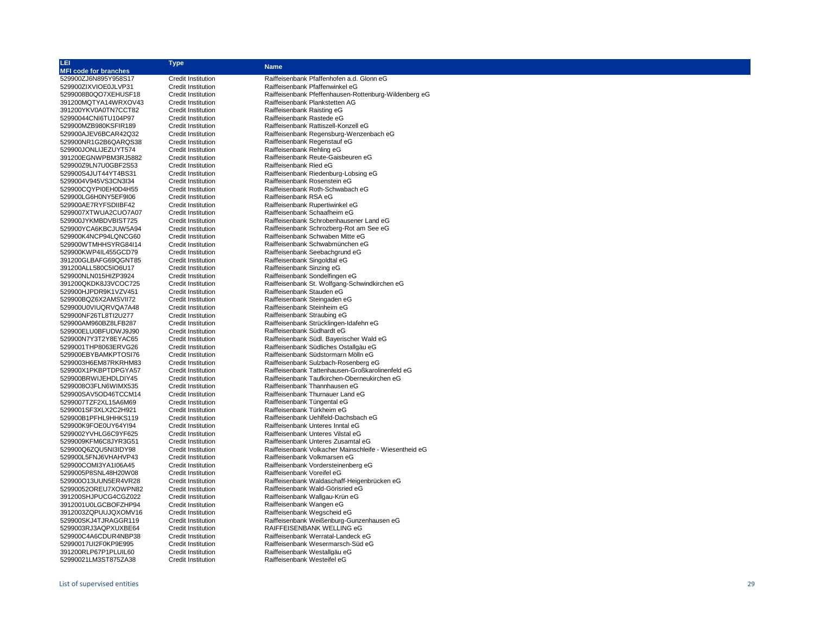| LEI                          | Type                      | <b>Name</b>                                                 |
|------------------------------|---------------------------|-------------------------------------------------------------|
| <b>MFI code for branches</b> |                           |                                                             |
| 529900ZJ6N895Y958S17         | <b>Credit Institution</b> | Raiffeisenbank Pfaffenhofen a.d. Glonn eG                   |
| 529900ZIXVIOE0JLVP31         | <b>Credit Institution</b> | Raiffeisenbank Pfaffenwinkel eG                             |
| 5299008B0QO7XEHUSF18         | <b>Credit Institution</b> | Raiffeisenbank Pfeffenhausen-Rottenburg-Wildenberg eG       |
| 391200MQTYA14WRXOV43         | Credit Institution        | Raiffeisenbank Plankstetten AG                              |
| 391200YKV0A0TN7CCT82         | <b>Credit Institution</b> | Raiffeisenbank Raisting eG                                  |
| 52990044CNI6TU104P97         | <b>Credit Institution</b> | Raiffeisenbank Rastede eG                                   |
| 529900MZB980KSFIR189         | <b>Credit Institution</b> | Raiffeisenbank Rattiszell-Konzell eG                        |
| 529900AJEV6BCAR42Q32         | Credit Institution        | Raiffeisenbank Regensburg-Wenzenbach eG                     |
| 529900NR1G2B6QARQS38         | Credit Institution        | Raiffeisenbank Regenstauf eG                                |
| 529900JONLIJEZUYT574         | <b>Credit Institution</b> | Raiffeisenbank Rehling eG                                   |
| 391200EGNWPBM3RJ5882         | <b>Credit Institution</b> | Raiffeisenbank Reute-Gaisbeuren eG                          |
| 529900Z9LN7U0GBF2S53         | <b>Credit Institution</b> | Raiffeisenbank Ried eG                                      |
| 529900S4JUT44YT4BS31         | Credit Institution        | Raiffeisenbank Riedenburg-Lobsing eG                        |
| 5299004V945VS3CN3I34         | Credit Institution        | Raiffeisenbank Rosenstein eG                                |
| 529900CQYPI0EH0D4H55         | <b>Credit Institution</b> | Raiffeisenbank Roth-Schwabach eG                            |
| 529900LG6H0NY5EF9I06         | <b>Credit Institution</b> | Raiffeisenbank RSA eG                                       |
| 529900AE7RYFSDIIBF42         | <b>Credit Institution</b> | Raiffeisenbank Rupertiwinkel eG                             |
| 5299007XTWUA2CUO7A07         | Credit Institution        | Raiffeisenbank Schaafheim eG                                |
| 529900JYKMBDVBIST725         | <b>Credit Institution</b> | Raiffeisenbank Schrobenhausener Land eG                     |
| 529900YCA6KBCJUW5A94         | Credit Institution        | Raiffeisenbank Schrozberg-Rot am See eG                     |
| 529900K4NCP94LQNCG60         | <b>Credit Institution</b> | Raiffeisenbank Schwaben Mitte eG                            |
| 529900WTMHHSYRG84I14         | <b>Credit Institution</b> | Raiffeisenbank Schwabmünchen eG                             |
| 529900KWP4IL455GCD79         | <b>Credit Institution</b> | Raiffeisenbank Seebachgrund eG                              |
| 391200GLBAFG69QGNT85         | <b>Credit Institution</b> | Raiffeisenbank Singoldtal eG                                |
| 391200ALL580C5IO6U17         | Credit Institution        | Raiffeisenbank Sinzing eG                                   |
| 529900NLN015HIZP3924         | <b>Credit Institution</b> | Raiffeisenbank Sondelfingen eG                              |
| 391200QKDK8J3VCOC725         | <b>Credit Institution</b> | Raiffeisenbank St. Wolfgang-Schwindkirchen eG               |
| 529900HJPDR9K1VZV451         |                           | Raiffeisenbank Stauden eG                                   |
|                              | <b>Credit Institution</b> |                                                             |
| 529900BQZ6X2AMSVII72         | <b>Credit Institution</b> | Raiffeisenbank Steingaden eG<br>Raiffeisenbank Steinheim eG |
| 529900U0VIUQRVQA7A48         | Credit Institution        |                                                             |
| 529900NF26TL8TI2U277         | <b>Credit Institution</b> | Raiffeisenbank Straubing eG                                 |
| 529900AM960BZ8LFB287         | Credit Institution        | Raiffeisenbank Strücklingen-Idafehn eG                      |
| 529900ELU0BFUDWJ9J90         | <b>Credit Institution</b> | Raiffeisenbank Südhardt eG                                  |
| 529900N7Y3T2Y8EYAC65         | <b>Credit Institution</b> | Raiffeisenbank Südl. Bayerischer Wald eG                    |
| 5299001THP8063ERVG26         | <b>Credit Institution</b> | Raiffeisenbank Südliches Ostallgäu eG                       |
| 529900EBYBAMKPTOSI76         | <b>Credit Institution</b> | Raiffeisenbank Südstormarn Mölln eG                         |
| 5299003H6EM87RKRHM83         | Credit Institution        | Raiffeisenbank Sulzbach-Rosenberg eG                        |
| 529900X1PKBPTDPGYA57         | <b>Credit Institution</b> | Raiffeisenbank Tattenhausen-Großkarolinenfeld eG            |
| 529900BRWIJEHDLDIY45         | <b>Credit Institution</b> | Raiffeisenbank Taufkirchen-Oberneukirchen eG                |
| 5299008O3FLN6WIMX535         | <b>Credit Institution</b> | Raiffeisenbank Thannhausen eG                               |
| 529900SAV5OD46TCCM14         | Credit Institution        | Raiffeisenbank Thurnauer Land eG                            |
| 5299007TZF2XL15A6M69         | <b>Credit Institution</b> | Raiffeisenbank Tüngental eG                                 |
| 5299001SF3XLX2C2H921         | <b>Credit Institution</b> | Raiffeisenbank Türkheim eG                                  |
| 529900B1PFHL9HHKS119         | <b>Credit Institution</b> | Raiffeisenbank Uehlfeld-Dachsbach eG                        |
| 529900K9FOE0UY64YI94         | <b>Credit Institution</b> | Raiffeisenbank Unteres Inntal eG                            |
| 5299002YVHLG6C9YF625         | Credit Institution        | Raiffeisenbank Unteres Vilstal eG                           |
| 5299009KFM6C8JYR3G51         | <b>Credit Institution</b> | Raiffeisenbank Unteres Zusamtal eG                          |
| 529900Q6ZQU5NI3IDY98         | Credit Institution        | Raiffeisenbank Volkacher Mainschleife - Wiesentheid eG      |
| 529900L5FNJ6VHAHVP43         | <b>Credit Institution</b> | Raiffeisenbank Volkmarsen eG                                |
| 529900COMI3YA1I06A45         | <b>Credit Institution</b> | Raiffeisenbank Vordersteinenberg eG                         |
| 5299005P8SNL48H20W08         | <b>Credit Institution</b> | Raiffeisenbank Voreifel eG                                  |
| 529900O13UUN5ER4VR28         | <b>Credit Institution</b> | Raiffeisenbank Waldaschaff-Heigenbrücken eG                 |
| 52990052OREU7XOWPN82         | Credit Institution        | Raiffeisenbank Wald-Görisried eG                            |
| 391200SHJPUCG4CGZ022         | <b>Credit Institution</b> | Raiffeisenbank Wallgau-Krün eG                              |
| 3912001U0LGCBOFZHP94         | <b>Credit Institution</b> | Raiffeisenbank Wangen eG                                    |
| 3912003ZQPUUJQXOMV16         | <b>Credit Institution</b> | Raiffeisenbank Wegscheid eG                                 |
| 529900SKJ4TJRAGGR119         | <b>Credit Institution</b> | Raiffeisenbank Weißenburg-Gunzenhausen eG                   |
| 5299003RJ3AQPXUXBE64         | <b>Credit Institution</b> | RAIFFEISENBANK WELLING eG                                   |
| 529900C4A6CDUR4NBP38         | <b>Credit Institution</b> | Raiffeisenbank Werratal-Landeck eG                          |
| 52990017UI2F0KP9E995         | <b>Credit Institution</b> | Raiffeisenbank Wesermarsch-Süd eG                           |
| 391200RLP67P1PLUIL60         | <b>Credit Institution</b> | Raiffeisenbank Westallgäu eG                                |
| 52990021LM3ST875ZA38         | <b>Credit Institution</b> | Raiffeisenbank Westeifel eG                                 |
|                              |                           |                                                             |
|                              |                           |                                                             |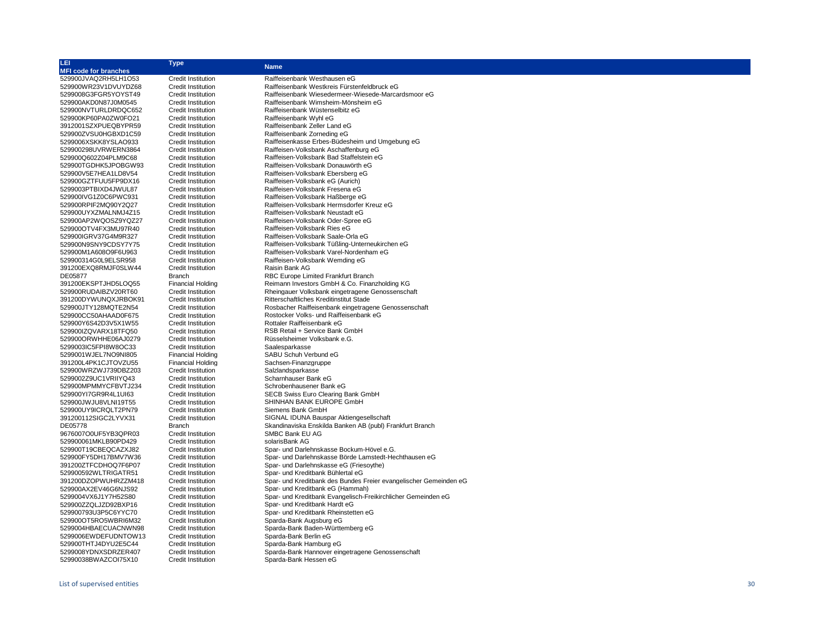| LEI.                         | Type                      | <b>Name</b>                                                       |
|------------------------------|---------------------------|-------------------------------------------------------------------|
| <b>MFI code for branches</b> |                           |                                                                   |
| 529900JVAQ2RH5LH1O53         | <b>Credit Institution</b> | Raiffeisenbank Westhausen eG                                      |
| 529900WR23V1DVUYDZ68         | <b>Credit Institution</b> | Raiffeisenbank Westkreis Fürstenfeldbruck eG                      |
| 5299008G3FGR5YOYST49         | <b>Credit Institution</b> | Raiffeisenbank Wiesedermeer-Wiesede-Marcardsmoor eG               |
| 529900AKD0N87J0M0545         | <b>Credit Institution</b> | Raiffeisenbank Wimsheim-Mönsheim eG                               |
| 529900NVTURLDRDQC652         | <b>Credit Institution</b> | Raiffeisenbank Wüstenselbitz eG                                   |
| 529900KP60PA0ZW0FO21         | <b>Credit Institution</b> | Raiffeisenbank Wyhl eG                                            |
| 3912001SZXPUEQBYPR59         | <b>Credit Institution</b> | Raiffeisenbank Zeller Land eG                                     |
| 529900ZVSU0HGBXD1C59         | <b>Credit Institution</b> | Raiffeisenbank Zorneding eG                                       |
| 5299006XSKK8YSLAO933         | <b>Credit Institution</b> | Raiffeisenkasse Erbes-Büdesheim und Umgebung eG                   |
| 529900298UVRWERN3864         | <b>Credit Institution</b> | Raiffeisen-Volksbank Aschaffenburg eG                             |
| 529900Q602Z04PLM9C68         | <b>Credit Institution</b> | Raiffeisen-Volksbank Bad Staffelstein eG                          |
| 529900TGDHK5JPOBGW93         | <b>Credit Institution</b> | Raiffeisen-Volksbank Donauwörth eG                                |
| 529900V5E7HEA1LD8V54         | <b>Credit Institution</b> | Raiffeisen-Volksbank Ebersberg eG                                 |
| 529900GZTFUU5FP9DX16         | <b>Credit Institution</b> | Raiffeisen-Volksbank eG (Aurich)                                  |
| 5299003PTBIXD4JWUL87         | <b>Credit Institution</b> | Raiffeisen-Volksbank Fresena eG                                   |
| 529900IVG1Z0C6PWC931         | <b>Credit Institution</b> | Raiffeisen-Volksbank Haßberge eG                                  |
| 529900RPIF2MQ90Y2Q27         | <b>Credit Institution</b> | Raiffeisen-Volksbank Hermsdorfer Kreuz eG                         |
| 529900UYXZMALNMJ4Z15         | <b>Credit Institution</b> | Raiffeisen-Volksbank Neustadt eG                                  |
| 529900AP2WQOSZ9YQZ27         | <b>Credit Institution</b> | Raiffeisen-Volksbank Oder-Spree eG                                |
| 529900OTV4FX3MU97R40         | Credit Institution        | Raiffeisen-Volksbank Ries eG                                      |
| 529900IGRV37G4M9R327         | <b>Credit Institution</b> | Raiffeisen-Volksbank Saale-Orla eG                                |
| 529900N9SNY9CDSY7Y75         | <b>Credit Institution</b> | Raiffeisen-Volksbank Tüßling-Unterneukirchen eG                   |
| 529900M1A608O9F6U963         | <b>Credit Institution</b> | Raiffeisen-Volksbank Varel-Nordenham eG                           |
| 529900314G0L9ELSR958         | <b>Credit Institution</b> | Raiffeisen-Volksbank Wemding eG                                   |
| 391200EXQ8RMJF0SLW44         | <b>Credit Institution</b> | Raisin Bank AG                                                    |
| DE05877                      | <b>Branch</b>             | RBC Europe Limited Frankfurt Branch                               |
| 391200EKSPTJHD5LOQ55         | <b>Financial Holding</b>  | Reimann Investors GmbH & Co. Finanzholding KG                     |
| 529900RUDAIBZV20RT60         | <b>Credit Institution</b> | Rheingauer Volksbank eingetragene Genossenschaft                  |
| 391200DYWUNQXJRBOK91         | <b>Credit Institution</b> | Ritterschaftliches Kreditinstitut Stade                           |
| 529900JTY128MQTE2N54         | <b>Credit Institution</b> | Rosbacher Raiffeisenbank eingetragene Genossenschaft              |
| 529900CC50AHAAD0F675         | <b>Credit Institution</b> | Rostocker Volks- und Raiffeisenbank eG                            |
| 529900Y6S42D3V5X1W55         | <b>Credit Institution</b> | Rottaler Raiffeisenbank eG                                        |
| 529900IZQVARX18TFQ50         | <b>Credit Institution</b> | RSB Retail + Service Bank GmbH                                    |
| 529900ORWHHE06AJ0279         | <b>Credit Institution</b> | Rüsselsheimer Volksbank e.G.                                      |
| 5299003IC5FPI8W8OC33         | <b>Credit Institution</b> | Saalesparkasse                                                    |
| 5299001WJEL7NO9NI805         | <b>Financial Holding</b>  | SABU Schuh Verbund eG                                             |
| 391200L4PK1CJTOVZU55         | <b>Financial Holding</b>  | Sachsen-Finanzgruppe                                              |
| 529900WRZWJ739DBZ203         | <b>Credit Institution</b> | Salzlandsparkasse                                                 |
| 5299002Z9UC1VRIIYQ43         | <b>Credit Institution</b> | Scharnhauser Bank eG                                              |
| 529900MPMMYCFBVTJ234         | <b>Credit Institution</b> | Schrobenhausener Bank eG                                          |
| 529900YI7GR9R4L1UI63         | <b>Credit Institution</b> | SECB Swiss Euro Clearing Bank GmbH                                |
| 529900JWJU8VLNI19T55         | <b>Credit Institution</b> | SHINHAN BANK EUROPE GmbH                                          |
| 529900UY9ICRQLT2PN79         | <b>Credit Institution</b> | Siemens Bank GmbH                                                 |
| 391200112SIGC2LYVX31         | <b>Credit Institution</b> | SIGNAL IDUNA Bauspar Aktiengesellschaft                           |
| DE05778                      | Branch                    | Skandinaviska Enskilda Banken AB (publ) Frankfurt Branch          |
| 9676007O0UF5YB3QPR03         | <b>Credit Institution</b> | SMBC Bank EU AG                                                   |
| 529900061MKLB90PD429         | <b>Credit Institution</b> | solarisBank AG                                                    |
| 529900T19CBEQCAZXJ82         | <b>Credit Institution</b> | Spar- und Darlehnskasse Bockum-Hövel e.G.                         |
| 529900FY5DH17BMV7W36         | <b>Credit Institution</b> | Spar- und Darlehnskasse Börde Lamstedt-Hechthausen eG             |
| 391200ZTFCDHOQ7F6P07         | <b>Credit Institution</b> | Spar- und Darlehnskasse eG (Friesoythe)                           |
| 529900592WLTRIGATR51         | <b>Credit Institution</b> | Spar- und Kreditbank Bühlertal eG                                 |
| 391200DZOPWUHRZZM418         | <b>Credit Institution</b> | Spar- und Kreditbank des Bundes Freier evangelischer Gemeinden eG |
| 529900AX2EV46G6NJS92         | <b>Credit Institution</b> | Spar- und Kreditbank eG (Hammah)                                  |
| 5299004VX6J1Y7H52S80         | <b>Credit Institution</b> | Spar- und Kreditbank Evangelisch-Freikirchlicher Gemeinden eG     |
| 529900ZZQLJZD92BXP16         | <b>Credit Institution</b> | Spar- und Kreditbank Hardt eG                                     |
| 529900793U3P5C6YYC70         | <b>Credit Institution</b> | Spar- und Kreditbank Rheinstetten eG                              |
| 529900OT5RO5WBRI6M32         | <b>Credit Institution</b> | Sparda-Bank Augsburg eG                                           |
| 5299004HBAECUACNWN98         | <b>Credit Institution</b> | Sparda-Bank Baden-Württemberg eG                                  |
| 5299006EWDEFUDNTOW13         | <b>Credit Institution</b> | Sparda-Bank Berlin eG                                             |
| 529900THTJ4DYU2E5C44         | <b>Credit Institution</b> | Sparda-Bank Hamburg eG                                            |
| 5299008YDNXSDRZER407         | <b>Credit Institution</b> | Sparda-Bank Hannover eingetragene Genossenschaft                  |
| 52990038BWAZCOI75X10         | <b>Credit Institution</b> | Sparda-Bank Hessen eG                                             |
|                              |                           |                                                                   |
|                              |                           |                                                                   |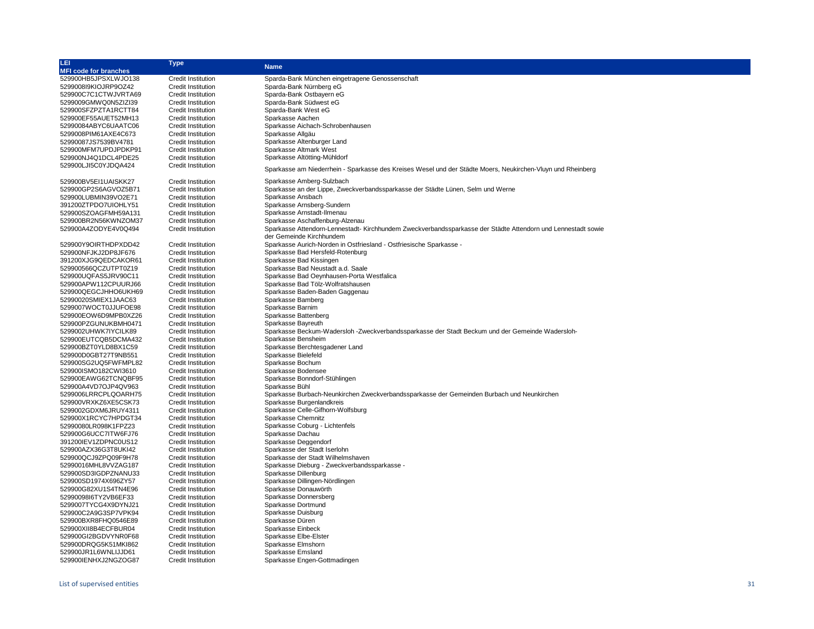| LEI                                          | <b>Type</b>                                            |                                                                                                              |
|----------------------------------------------|--------------------------------------------------------|--------------------------------------------------------------------------------------------------------------|
| <b>MFI code for branches</b>                 |                                                        | <b>Name</b>                                                                                                  |
| 529900HB5JPSXLWJO138                         | <b>Credit Institution</b>                              | Sparda-Bank München eingetragene Genossenschaft                                                              |
| 5299008I9KIOJRP9OZ42                         | <b>Credit Institution</b>                              | Sparda-Bank Nürnberg eG                                                                                      |
| 529900C7C1CTWJVRTA69                         | <b>Credit Institution</b>                              | Sparda-Bank Ostbayern eG                                                                                     |
| 5299009GMWQ0N5ZIZI39                         | <b>Credit Institution</b>                              | Sparda-Bank Südwest eG                                                                                       |
| 529900SFZPZTA1RCTT84                         | <b>Credit Institution</b>                              | Sparda-Bank West eG                                                                                          |
| 529900EF55AUET52MH13                         | <b>Credit Institution</b>                              | Sparkasse Aachen                                                                                             |
| 52990084ABYC6UAATC06                         | <b>Credit Institution</b>                              | Sparkasse Aichach-Schrobenhausen                                                                             |
| 5299008PIM61AXE4C673                         | <b>Credit Institution</b>                              | Sparkasse Allgäu                                                                                             |
| 52990087JS7539BV4781                         | <b>Credit Institution</b>                              | Sparkasse Altenburger Land                                                                                   |
| 529900MFM7UPDJPDKP91                         | <b>Credit Institution</b>                              | Sparkasse Altmark West                                                                                       |
| 529900NJ4Q1DCL4PDE25                         | <b>Credit Institution</b>                              | Sparkasse Altötting-Mühldorf                                                                                 |
| 529900LJI5C0YJDQA424                         | <b>Credit Institution</b>                              |                                                                                                              |
|                                              |                                                        | Sparkasse am Niederrhein - Sparkasse des Kreises Wesel und der Städte Moers, Neukirchen-Vluyn und Rheinberg  |
| 529900BV5EI1UAISKK27                         | <b>Credit Institution</b>                              | Sparkasse Amberg-Sulzbach                                                                                    |
| 529900GP2S6AGVOZ5B71                         | <b>Credit Institution</b>                              | Sparkasse an der Lippe, Zweckverbandssparkasse der Städte Lünen, Selm und Werne                              |
| 529900LUBMIN39VO2E71                         | <b>Credit Institution</b>                              | Sparkasse Ansbach                                                                                            |
| 391200ZTPDO7UIOHLY51                         | Credit Institution                                     | Sparkasse Arnsberg-Sundern                                                                                   |
| 529900SZOAGFMH59A131                         | <b>Credit Institution</b>                              | Sparkasse Arnstadt-Ilmenau                                                                                   |
| 529900BR2N56KWNZOM37                         | <b>Credit Institution</b>                              | Sparkasse Aschaffenburg-Alzenau                                                                              |
| 529900A4ZODYE4V0Q494                         | <b>Credit Institution</b>                              | Sparkasse Attendorn-Lennestadt- Kirchhundem Zweckverbandssparkasse der Städte Attendorn und Lennestadt sowie |
|                                              |                                                        | der Gemeinde Kirchhundem                                                                                     |
| 529900Y9OIRTHDPXDD42                         | <b>Credit Institution</b>                              | Sparkasse Aurich-Norden in Ostfriesland - Ostfriesische Sparkasse -                                          |
| 529900NFJKJ2DP8JF676                         | <b>Credit Institution</b>                              | Sparkasse Bad Hersfeld-Rotenburg                                                                             |
| 391200XJG9QEDCAKOR61                         | <b>Credit Institution</b>                              | Sparkasse Bad Kissingen                                                                                      |
| 529900566QCZUTPT0Z19                         | <b>Credit Institution</b>                              | Sparkasse Bad Neustadt a.d. Saale                                                                            |
| 529900UQFAS5JRV90C11                         | Credit Institution                                     | Sparkasse Bad Oeynhausen-Porta Westfalica                                                                    |
| 529900APW112CPUURJ66                         | <b>Credit Institution</b>                              | Sparkasse Bad Tölz-Wolfratshausen                                                                            |
| 529900QEGCJHHO6UKH69                         | <b>Credit Institution</b>                              | Sparkasse Baden-Baden Gaggenau                                                                               |
| 52990020SMIEX1JAAC63                         | <b>Credit Institution</b>                              | Sparkasse Bamberg                                                                                            |
| 5299007WOCT0JJUFOE98                         | <b>Credit Institution</b>                              | Sparkasse Barnim                                                                                             |
| 529900EOW6D9MPB0XZ26                         | <b>Credit Institution</b>                              | Sparkasse Battenberg                                                                                         |
| 529900PZGUNUKBMH0471                         | <b>Credit Institution</b>                              | Sparkasse Bayreuth                                                                                           |
| 5299002UHWK7IYCILK89                         | <b>Credit Institution</b>                              | Sparkasse Beckum-Wadersloh -Zweckverbandssparkasse der Stadt Beckum und der Gemeinde Wadersloh-              |
| 529900EUTCQB5DCMA432                         | <b>Credit Institution</b>                              | Sparkasse Bensheim                                                                                           |
| 529900BZT0YLD8BX1C59                         | <b>Credit Institution</b>                              | Sparkasse Berchtesgadener Land                                                                               |
| 529900D0GBT27T9NB551                         | <b>Credit Institution</b>                              | Sparkasse Bielefeld                                                                                          |
| 529900SG2UQ5FWFMPL82                         | <b>Credit Institution</b>                              | Sparkasse Bochum                                                                                             |
| 529900ISMO182CWI3610                         | <b>Credit Institution</b>                              | Sparkasse Bodensee                                                                                           |
| 529900EAWG62TCNQBF95                         | <b>Credit Institution</b>                              | Sparkasse Bonndorf-Stühlingen                                                                                |
| 529900A4VD7OJP4QV963                         | <b>Credit Institution</b>                              | Sparkasse Bühl<br>Sparkasse Burbach-Neunkirchen Zweckverbandssparkasse der Gemeinden Burbach und Neunkirchen |
| 5299006LRRCPLQOARH75                         | <b>Credit Institution</b>                              |                                                                                                              |
| 529900VRXKZ6XE5CSK73<br>5299002GDXM6JRUY4311 | <b>Credit Institution</b><br><b>Credit Institution</b> | Sparkasse Burgenlandkreis<br>Sparkasse Celle-Gifhorn-Wolfsburg                                               |
| 529900X1RCYC7HPDGT34                         | <b>Credit Institution</b>                              | Sparkasse Chemnitz                                                                                           |
| 52990080LR098K1FPZ23                         | <b>Credit Institution</b>                              | Sparkasse Coburg - Lichtenfels                                                                               |
| 529900G6UCC7ITW6FJ76                         | <b>Credit Institution</b>                              | Sparkasse Dachau                                                                                             |
| 391200IEV1ZDPNC0US12                         | <b>Credit Institution</b>                              | Sparkasse Deggendorf                                                                                         |
| 529900AZX36G3T8UKI42                         | <b>Credit Institution</b>                              | Sparkasse der Stadt Iserlohn                                                                                 |
| 529900QCJ9ZPQ09F9H78                         | <b>Credit Institution</b>                              | Sparkasse der Stadt Wilhelmshaven                                                                            |
| 52990016MHL8VVZAG187                         | <b>Credit Institution</b>                              | Sparkasse Dieburg - Zweckverbandssparkasse -                                                                 |
| 529900SD3IGDPZNANU33                         | <b>Credit Institution</b>                              | Sparkasse Dillenburg                                                                                         |
| 529900SD1974X696ZY57                         | <b>Credit Institution</b>                              | Sparkasse Dillingen-Nördlingen                                                                               |
| 529900G82XU1S4TN4E96                         | <b>Credit Institution</b>                              | Sparkasse Donauwörth                                                                                         |
| 52990098l6TY2VB6EF33                         | <b>Credit Institution</b>                              | Sparkasse Donnersberg                                                                                        |
| 5299007TYCG4X9DYNJ21                         | <b>Credit Institution</b>                              | Sparkasse Dortmund                                                                                           |
| 529900C2A9G3SP7VPK94                         | <b>Credit Institution</b>                              | Sparkasse Duisburg                                                                                           |
| 529900BXR8FHQ0546E89                         | <b>Credit Institution</b>                              | Sparkasse Düren                                                                                              |
| 529900XII8B4ECFBUR04                         | <b>Credit Institution</b>                              | Sparkasse Einbeck                                                                                            |
| 529900GI2BGDVYNR0F68                         | <b>Credit Institution</b>                              | Sparkasse Elbe-Elster                                                                                        |
| 529900DRQG5K51MKI862                         | <b>Credit Institution</b>                              | Sparkasse Elmshorn                                                                                           |
| 529900JR1L6WNLIJJD61                         | <b>Credit Institution</b>                              | Sparkasse Emsland                                                                                            |
| 529900IENHXJ2NGZOG87                         | Credit Institution                                     | Sparkasse Engen-Gottmadingen                                                                                 |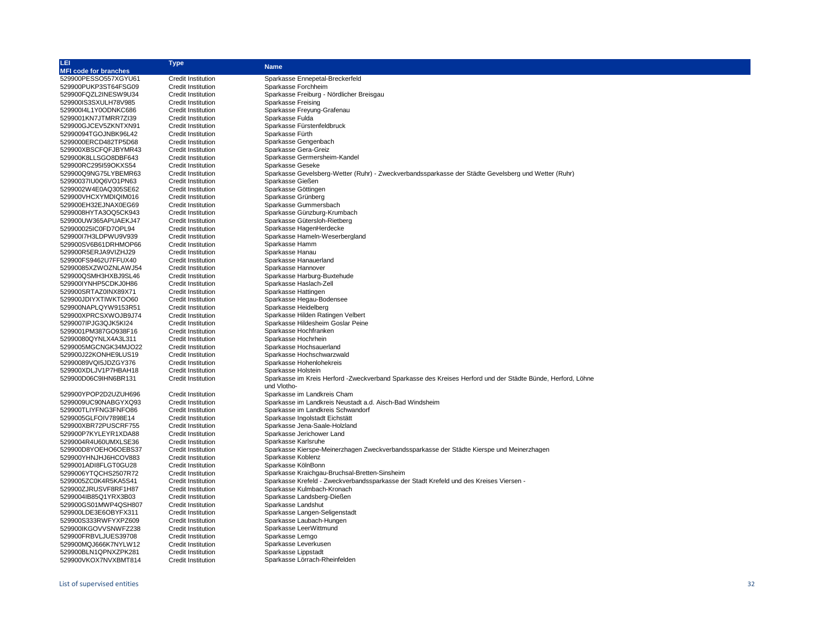| LEI                          | <b>Type</b>               |                                                                                                             |
|------------------------------|---------------------------|-------------------------------------------------------------------------------------------------------------|
| <b>MFI code for branches</b> |                           | <b>Name</b>                                                                                                 |
| 529900PESSO557XGYU61         | <b>Credit Institution</b> | Sparkasse Ennepetal-Breckerfeld                                                                             |
| 529900PUKP3ST64FSG09         | <b>Credit Institution</b> | Sparkasse Forchheim                                                                                         |
| 529900FQZL2INESW9U34         | <b>Credit Institution</b> | Sparkasse Freiburg - Nördlicher Breisgau                                                                    |
| 529900IS3SXULH78V985         | <b>Credit Institution</b> | Sparkasse Freising                                                                                          |
| 529900I4L1Y0ODNKC686         | <b>Credit Institution</b> | Sparkasse Freyung-Grafenau                                                                                  |
| 5299001KN7JTMRR7ZI39         | <b>Credit Institution</b> | Sparkasse Fulda                                                                                             |
| 529900GJCEV5ZKNTXN91         | <b>Credit Institution</b> | Sparkasse Fürstenfeldbruck                                                                                  |
| 52990094TGOJNBK96L42         | <b>Credit Institution</b> | Sparkasse Fürth                                                                                             |
| 5299000ERCD482TP5D68         | <b>Credit Institution</b> | Sparkasse Gengenbach                                                                                        |
| 529900XBSCFQFJBYMR43         | <b>Credit Institution</b> | Sparkasse Gera-Greiz                                                                                        |
| 529900K8LLSGO8DBF643         | <b>Credit Institution</b> | Sparkasse Germersheim-Kandel                                                                                |
| 529900RC295I59OKXS54         | <b>Credit Institution</b> | Sparkasse Geseke                                                                                            |
| 529900Q9NG75LYBEMR63         | <b>Credit Institution</b> | Sparkasse Gevelsberg-Wetter (Ruhr) - Zweckverbandssparkasse der Städte Gevelsberg und Wetter (Ruhr)         |
| 52990037IU0Q6VO1PN63         | <b>Credit Institution</b> | Sparkasse Gießen                                                                                            |
| 5299002W4E0AQ305SE62         | <b>Credit Institution</b> | Sparkasse Göttingen                                                                                         |
| 529900VHCXYMDIQIM016         | <b>Credit Institution</b> | Sparkasse Grünberg                                                                                          |
| 529900EH32EJNAX0EG69         | <b>Credit Institution</b> | Sparkasse Gummersbach                                                                                       |
| 5299008HYTA3OQ5CK943         | <b>Credit Institution</b> | Sparkasse Günzburg-Krumbach                                                                                 |
| 529900UW365APUAEKJ47         | <b>Credit Institution</b> | Sparkasse Gütersloh-Rietberg                                                                                |
| 529900025IC0FD7OPL94         | Credit Institution        | Sparkasse HagenHerdecke                                                                                     |
| 529900I7H3LDPWU9V939         | <b>Credit Institution</b> | Sparkasse Hameln-Weserbergland                                                                              |
| 529900SV6B61DRHMOP66         | <b>Credit Institution</b> | Sparkasse Hamm                                                                                              |
| 529900R5ERJA9VIZHJ29         | <b>Credit Institution</b> | Sparkasse Hanau                                                                                             |
| 529900FS9462U7FFUX40         | <b>Credit Institution</b> | Sparkasse Hanauerland                                                                                       |
| 52990085XZWOZNLAWJ54         | <b>Credit Institution</b> | Sparkasse Hannover                                                                                          |
| 529900QSMH3HXBJ9SL46         | <b>Credit Institution</b> | Sparkasse Harburg-Buxtehude                                                                                 |
| 529900IYNHP5CDKJ0H86         | <b>Credit Institution</b> | Sparkasse Haslach-Zell                                                                                      |
| 529900SRTAZ0INX89X71         | <b>Credit Institution</b> | Sparkasse Hattingen                                                                                         |
| 529900JDIYXTIWKTOO60         | <b>Credit Institution</b> | Sparkasse Hegau-Bodensee                                                                                    |
| 529900NAPLQYW9153R51         | <b>Credit Institution</b> | Sparkasse Heidelberg                                                                                        |
| 529900XPRCSXWOJB9J74         | <b>Credit Institution</b> | Sparkasse Hilden Ratingen Velbert                                                                           |
| 5299007IPJG3QJK5KI24         | Credit Institution        | Sparkasse Hildesheim Goslar Peine                                                                           |
| 5299001PM387GO938F16         | <b>Credit Institution</b> | Sparkasse Hochfranken                                                                                       |
| 52990080QYNLX4A3L311         | <b>Credit Institution</b> | Sparkasse Hochrhein                                                                                         |
| 5299005MGCNGK34MJO22         | <b>Credit Institution</b> | Sparkasse Hochsauerland                                                                                     |
| 529900J22KONHE9LUS19         | <b>Credit Institution</b> | Sparkasse Hochschwarzwald                                                                                   |
| 52990089VQI5JDZGY376         | <b>Credit Institution</b> | Sparkasse Hohenlohekreis                                                                                    |
| 529900XDLJV1P7HBAH18         | Credit Institution        | Sparkasse Holstein                                                                                          |
| 529900D06C9IHN6BR131         | <b>Credit Institution</b> | Sparkasse im Kreis Herford -Zweckverband Sparkasse des Kreises Herford und der Städte Bünde, Herford, Löhne |
|                              |                           | und Vlotho-                                                                                                 |
| 529900YPOP2D2UZUH696         | <b>Credit Institution</b> | Sparkasse im Landkreis Cham                                                                                 |
| 5299009UC90NABGYXQ93         | <b>Credit Institution</b> | Sparkasse im Landkreis Neustadt a.d. Aisch-Bad Windsheim                                                    |
| 529900TLIYFNG3FNFO86         | <b>Credit Institution</b> | Sparkasse im Landkreis Schwandorf                                                                           |
| 5299005GLFOIV7898E14         | <b>Credit Institution</b> | Sparkasse Ingolstadt Eichstätt                                                                              |
| 529900XBR72PUSCRF755         | <b>Credit Institution</b> | Sparkasse Jena-Saale-Holzland                                                                               |
| 529900P7KYLEYR1XDA88         | <b>Credit Institution</b> | Sparkasse Jerichower Land                                                                                   |
| 5299004R4U60UMXLSE36         | <b>Credit Institution</b> | Sparkasse Karlsruhe                                                                                         |
| 529900D8YOEHO6OEBS37         | <b>Credit Institution</b> | Sparkasse Kierspe-Meinerzhagen Zweckverbandssparkasse der Städte Kierspe und Meinerzhagen                   |
| 529900YHNJHJ6HCOV883         | <b>Credit Institution</b> | Sparkasse Koblenz                                                                                           |
| 5299001ADI8FLGT0GU28         | <b>Credit Institution</b> | Sparkasse KölnBonn                                                                                          |
| 5299006YTQCHS2507R72         | <b>Credit Institution</b> | Sparkasse Kraichgau-Bruchsal-Bretten-Sinsheim                                                               |
| 5299005ZC0K4R5KA5S41         | <b>Credit Institution</b> | Sparkasse Krefeld - Zweckverbandssparkasse der Stadt Krefeld und des Kreises Viersen -                      |
| 529900ZJRUSVF8RF1H87         | <b>Credit Institution</b> | Sparkasse Kulmbach-Kronach                                                                                  |
| 5299004IB85Q1YRX3B03         | <b>Credit Institution</b> | Sparkasse Landsberg-Dießen                                                                                  |
| 529900GS01MWP4QSH807         | <b>Credit Institution</b> | Sparkasse Landshut                                                                                          |
| 529900LDE3E6OBYFX311         | <b>Credit Institution</b> | Sparkasse Langen-Seligenstadt                                                                               |
| 529900S333RWFYXPZ609         | <b>Credit Institution</b> | Sparkasse Laubach-Hungen                                                                                    |
| 529900IKGOVVSNWFZ238         | <b>Credit Institution</b> | Sparkasse LeerWittmund                                                                                      |
| 529900FRBVLJUES39708         | <b>Credit Institution</b> | Sparkasse Lemgo                                                                                             |
| 529900MQJ666K7NYLW12         | <b>Credit Institution</b> | Sparkasse Leverkusen                                                                                        |
| 529900BLN1QPNXZPK281         | <b>Credit Institution</b> | Sparkasse Lippstadt                                                                                         |
| 529900VKOX7NVXBMT814         | <b>Credit Institution</b> | Sparkasse Lörrach-Rheinfelden                                                                               |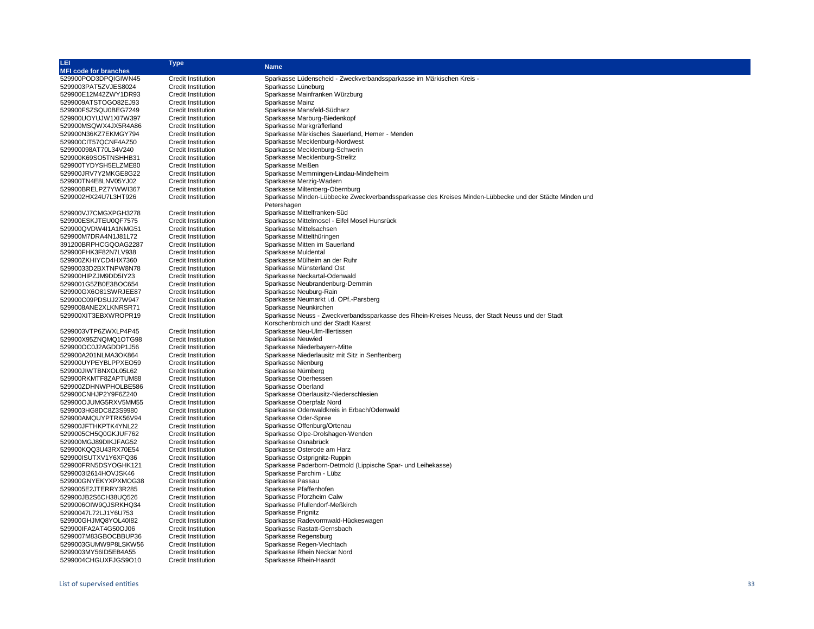| LEI                          | Type                      |                                                                                                        |
|------------------------------|---------------------------|--------------------------------------------------------------------------------------------------------|
| <b>MFI code for branches</b> |                           | <b>Name</b>                                                                                            |
| 529900POD3DPQIGIWN45         | Credit Institution        | Sparkasse Lüdenscheid - Zweckverbandssparkasse im Märkischen Kreis -                                   |
| 5299003PAT5ZVJES8024         | <b>Credit Institution</b> | Sparkasse Lüneburg                                                                                     |
| 529900E12M42ZWY1DR93         | <b>Credit Institution</b> | Sparkasse Mainfranken Würzburg                                                                         |
| 5299009ATSTOGO82EJ93         | <b>Credit Institution</b> | Sparkasse Mainz                                                                                        |
|                              |                           |                                                                                                        |
| 529900FSZSQU0BEG7249         | <b>Credit Institution</b> | Sparkasse Mansfeld-Südharz                                                                             |
| 529900UOYUJW1XI7W397         | <b>Credit Institution</b> | Sparkasse Marburg-Biedenkopf                                                                           |
| 529900MSQWX4JX5R4A86         | <b>Credit Institution</b> | Sparkasse Markgräflerland                                                                              |
| 529900N36KZ7EKMGY794         | <b>Credit Institution</b> | Sparkasse Märkisches Sauerland, Hemer - Menden                                                         |
| 529900CIT57QCNF4AZ50         | <b>Credit Institution</b> | Sparkasse Mecklenburg-Nordwest                                                                         |
| 529900098AT70L34V240         | <b>Credit Institution</b> | Sparkasse Mecklenburg-Schwerin                                                                         |
| 529900K69SO5TNSHHB31         | <b>Credit Institution</b> | Sparkasse Mecklenburg-Strelitz                                                                         |
| 529900TYDYSH5ELZME80         | <b>Credit Institution</b> | Sparkasse Meißen                                                                                       |
| 529900JRV7Y2MKGE8G22         | <b>Credit Institution</b> | Sparkasse Memmingen-Lindau-Mindelheim                                                                  |
| 529900TN4E8LNV05YJ02         | <b>Credit Institution</b> | Sparkasse Merzig-Wadern                                                                                |
| 529900BRELPZ7YWWI367         | <b>Credit Institution</b> | Sparkasse Miltenberg-Obernburg                                                                         |
| 5299002HX24U7L3HT926         | <b>Credit Institution</b> | Sparkasse Minden-Lübbecke Zweckverbandssparkasse des Kreises Minden-Lübbecke und der Städte Minden und |
|                              |                           |                                                                                                        |
|                              |                           | Petershagen                                                                                            |
| 529900VJ7CMGXPGH3278         | <b>Credit Institution</b> | Sparkasse Mittelfranken-Süd                                                                            |
| 529900ESKJTEU0QF7575         | <b>Credit Institution</b> | Sparkasse Mittelmosel - Eifel Mosel Hunsrück                                                           |
| 529900QVDW4I1A1NMG51         | <b>Credit Institution</b> | Sparkasse Mittelsachsen                                                                                |
| 529900M7DRA4N1J81L72         | Credit Institution        | Sparkasse Mittelthüringen                                                                              |
| 391200BRPHCGQOAG2287         | <b>Credit Institution</b> | Sparkasse Mitten im Sauerland                                                                          |
| 529900FHK3F82N7LV938         | <b>Credit Institution</b> | Sparkasse Muldental                                                                                    |
| 529900ZKHIYCD4HX7360         | Credit Institution        | Sparkasse Mülheim an der Ruhr                                                                          |
| 52990033D2BXTNPW8N78         | <b>Credit Institution</b> | Sparkasse Münsterland Ost                                                                              |
| 529900HIPZJM9DD5IY23         | <b>Credit Institution</b> | Sparkasse Neckartal-Odenwald                                                                           |
| 5299001G5ZB0E3BOC654         | <b>Credit Institution</b> | Sparkasse Neubrandenburg-Demmin                                                                        |
| 529900GX6O81SWRJEE87         | <b>Credit Institution</b> | Sparkasse Neuburg-Rain                                                                                 |
| 529900C09PDSUJ27W947         | <b>Credit Institution</b> | Sparkasse Neumarkt i.d. OPf.-Parsberg                                                                  |
|                              |                           |                                                                                                        |
| 5299008ANE2XLKNRSR71         | <b>Credit Institution</b> | Sparkasse Neunkirchen                                                                                  |
| 529900XIT3EBXWROPR19         | <b>Credit Institution</b> | Sparkasse Neuss - Zweckverbandssparkasse des Rhein-Kreises Neuss, der Stadt Neuss und der Stadt        |
|                              |                           | Korschenbroich und der Stadt Kaarst                                                                    |
| 5299003VTP6ZWXLP4P45         | Credit Institution        | Sparkasse Neu-Ulm-Illertissen                                                                          |
| 529900X95ZNQMQ1OTG98         | Credit Institution        | Sparkasse Neuwied                                                                                      |
| 529900OC0J2AGDDP1J56         | <b>Credit Institution</b> | Sparkasse Niederbayern-Mitte                                                                           |
| 529900A201NLMA3OK864         | <b>Credit Institution</b> | Sparkasse Niederlausitz mit Sitz in Senftenberg                                                        |
| 529900UYPEYBLPPXEO59         | <b>Credit Institution</b> | Sparkasse Nienburg                                                                                     |
| 529900JIWTBNXOL05L62         | <b>Credit Institution</b> | Sparkasse Nürnberg                                                                                     |
| 529900RKMTF8ZAPTUM88         | <b>Credit Institution</b> | Sparkasse Oberhessen                                                                                   |
| 529900ZDHNWPHOLBE586         | <b>Credit Institution</b> | Sparkasse Oberland                                                                                     |
| 529900CNHJP2Y9F6Z240         | <b>Credit Institution</b> | Sparkasse Oberlausitz-Niederschlesien                                                                  |
| 529900OJUMG5RXV5MM55         | <b>Credit Institution</b> | Sparkasse Oberpfalz Nord                                                                               |
| 5299003HG8DC8Z3S9980         | <b>Credit Institution</b> | Sparkasse Odenwaldkreis in Erbach/Odenwald                                                             |
| 529900AMQUYPTRK56V94         | Credit Institution        | Sparkasse Oder-Spree                                                                                   |
| 529900JFTHKPTK4YNL22         | <b>Credit Institution</b> | Sparkasse Offenburg/Ortenau                                                                            |
|                              |                           |                                                                                                        |
| 5299005CH5Q0GKJUF762         | <b>Credit Institution</b> | Sparkasse Olpe-Drolshagen-Wenden                                                                       |
| 529900MGJ89DIKJFAG52         | <b>Credit Institution</b> | Sparkasse Osnabrück                                                                                    |
| 529900KQQ3U43RX70E54         | <b>Credit Institution</b> | Sparkasse Osterode am Harz                                                                             |
| 529900ISUTXV1Y6XFQ36         | <b>Credit Institution</b> | Sparkasse Ostprignitz-Ruppin                                                                           |
| 529900FRN5DSYOGHK121         | <b>Credit Institution</b> | Sparkasse Paderborn-Detmold (Lippische Spar- und Leihekasse)                                           |
| 5299003I2614HOVJSK46         | <b>Credit Institution</b> | Sparkasse Parchim - Lübz                                                                               |
| 529900GNYEKYXPXMOG38         | <b>Credit Institution</b> | Sparkasse Passau                                                                                       |
| 5299005E2JTERRY3R285         | <b>Credit Institution</b> | Sparkasse Pfaffenhofen                                                                                 |
| 529900JB2S6CH38UQ526         | <b>Credit Institution</b> | Sparkasse Pforzheim Calw                                                                               |
| 5299006OIW9QJSRKHQ34         | <b>Credit Institution</b> | Sparkasse Pfullendorf-Meßkirch                                                                         |
| 52990047L72LJ1Y6U753         | <b>Credit Institution</b> | Sparkasse Prignitz                                                                                     |
| 529900GHJMQ8YOL40I82         | <b>Credit Institution</b> | Sparkasse Radevormwald-Hückeswagen                                                                     |
| 529900IFA2AT4G50OJ06         | <b>Credit Institution</b> | Sparkasse Rastatt-Gernsbach                                                                            |
| 5299007M83GBOCBBUP36         | <b>Credit Institution</b> | Sparkasse Regensburg                                                                                   |
|                              |                           | Sparkasse Regen-Viechtach                                                                              |
| 5299003GUMW9P8LSKW56         | <b>Credit Institution</b> |                                                                                                        |
| 5299003MY56ID5EB4A55         | <b>Credit Institution</b> | Sparkasse Rhein Neckar Nord                                                                            |
| 5299004CHGUXFJGS9O10         | <b>Credit Institution</b> | Sparkasse Rhein-Haardt                                                                                 |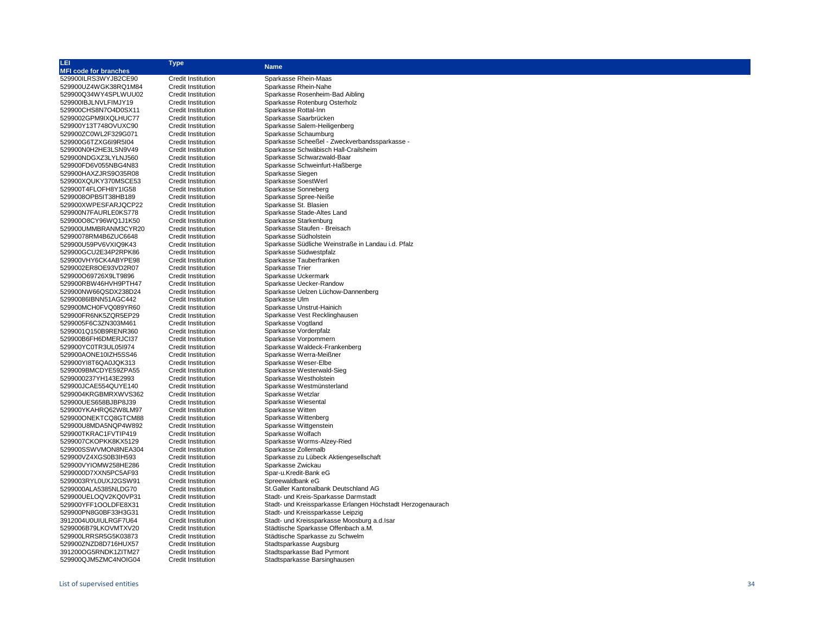| LEI                                          | <b>Type</b>                                     |                                                             |
|----------------------------------------------|-------------------------------------------------|-------------------------------------------------------------|
| <b>MFI code for branches</b>                 |                                                 | <b>Name</b>                                                 |
| 529900ILRS3WYJB2CE90                         | Credit Institution                              | Sparkasse Rhein-Maas                                        |
| 529900UZ4WGK38RQ1M84                         | <b>Credit Institution</b>                       | Sparkasse Rhein-Nahe                                        |
| 529900Q34WY4SPLWUU02                         | <b>Credit Institution</b>                       | Sparkasse Rosenheim-Bad Aibling                             |
| 529900IBJLNVLFIMJY19                         | <b>Credit Institution</b>                       | Sparkasse Rotenburg Osterholz                               |
| 529900CHS8N7O4D0SX11                         | <b>Credit Institution</b>                       | Sparkasse Rottal-Inn                                        |
| 5299002GPM9IXQLHUC77                         | Credit Institution                              | Sparkasse Saarbrücken                                       |
| 529900Y13T748OVUXC90                         | <b>Credit Institution</b>                       | Sparkasse Salem-Heiligenberg                                |
| 529900ZC0WL2F329G071                         | <b>Credit Institution</b>                       | Sparkasse Schaumburg                                        |
| 529900G6TZXG6I9R5I04                         | <b>Credit Institution</b>                       | Sparkasse Scheeßel - Zweckverbandssparkasse -               |
| 529900N0H2HE3LSN9V49                         | Credit Institution                              | Sparkasse Schwäbisch Hall-Crailsheim                        |
| 529900NDGXZ3LYLNJ560                         | <b>Credit Institution</b>                       | Sparkasse Schwarzwald-Baar                                  |
| 529900FD6V055NBG4N83                         | <b>Credit Institution</b>                       | Sparkasse Schweinfurt-Haßberge                              |
| 529900HAXZJRS9O35R08                         | <b>Credit Institution</b>                       | Sparkasse Siegen                                            |
| 529900XQUKY370MSCE53                         | Credit Institution                              | Sparkasse SoestWerl                                         |
| 529900T4FLOFH8Y1IG58                         | <b>Credit Institution</b>                       | Sparkasse Sonneberg                                         |
| 5299008OPB5IT38HB189                         | <b>Credit Institution</b>                       | Sparkasse Spree-Neiße                                       |
| 529900XWPESFARJQCP22                         | <b>Credit Institution</b>                       | Sparkasse St. Blasien                                       |
| 529900N7FAURLE0KS778                         | <b>Credit Institution</b>                       | Sparkasse Stade-Altes Land                                  |
| 529900O8CY96WQ1J1K50                         | Credit Institution                              | Sparkasse Starkenburg                                       |
| 529900UMMBRANM3CYR20                         | <b>Credit Institution</b>                       | Sparkasse Staufen - Breisach                                |
| 52990078RM4B6ZUC6648                         | <b>Credit Institution</b>                       | Sparkasse Südholstein                                       |
| 529900U59PV6VXIQ9K43                         | <b>Credit Institution</b>                       | Sparkasse Südliche Weinstraße in Landau i.d. Pfalz          |
| 529900GCU2E34P2RPK86                         | <b>Credit Institution</b>                       | Sparkasse Südwestpfalz                                      |
| 529900VHY6CK4ABYPE98                         | <b>Credit Institution</b>                       | Sparkasse Tauberfranken                                     |
| 5299002ER8OE93VD2R07                         | <b>Credit Institution</b>                       | Sparkasse Trier                                             |
| 529900O69726X9LT9896                         | <b>Credit Institution</b>                       | Sparkasse Uckermark                                         |
| 529900RBW46HVH9PTH47                         | Credit Institution                              | Sparkasse Uecker-Randow                                     |
| 529900NW66QSDX238D24                         | <b>Credit Institution</b>                       | Sparkasse Uelzen Lüchow-Dannenberg                          |
| 52990086IBNN51AGC442                         | <b>Credit Institution</b>                       | Sparkasse Ulm                                               |
| 529900MCH0FVQ089YR60                         | <b>Credit Institution</b>                       | Sparkasse Unstrut-Hainich                                   |
| 529900FR6NK5ZQR5EP29                         | Credit Institution                              | Sparkasse Vest Recklinghausen                               |
| 5299005F6C3ZN303M461                         | <b>Credit Institution</b>                       | Sparkasse Vogtland                                          |
| 5299001Q150B9RENR360                         | <b>Credit Institution</b>                       | Sparkasse Vorderpfalz                                       |
| 529900B6FH6DMERJCI37                         | <b>Credit Institution</b>                       | Sparkasse Vorpommern                                        |
| 529900YC0TR3UL05l974                         | <b>Credit Institution</b>                       | Sparkasse Waldeck-Frankenberg                               |
| 529900AONE10IZH5SS46                         | <b>Credit Institution</b>                       | Sparkasse Werra-Meißner                                     |
| 529900YI8T6QA0JQK313                         | <b>Credit Institution</b>                       | Sparkasse Weser-Elbe                                        |
| 5299009BMCDYE59ZPA55                         | <b>Credit Institution</b>                       | Sparkasse Westerwald-Sieg                                   |
| 5299000237YH143E2993                         | <b>Credit Institution</b>                       | Sparkasse Westholstein<br>Sparkasse Westmünsterland         |
| 529900JCAE554QUYE140<br>5299004KRGBMRXWVS362 | Credit Institution<br><b>Credit Institution</b> | Sparkasse Wetzlar                                           |
| 529900UES658BJBP8J39                         | <b>Credit Institution</b>                       | Sparkasse Wiesental                                         |
| 529900YKAHRQ62W8LM97                         | <b>Credit Institution</b>                       | Sparkasse Witten                                            |
| 529900ONEKTCQ8GTCM88                         | Credit Institution                              | Sparkasse Wittenberg                                        |
| 529900U8MDA5NQP4W892                         | Credit Institution                              | Sparkasse Wittgenstein                                      |
| 529900TKRAC1FVTIP419                         | <b>Credit Institution</b>                       | Sparkasse Wolfach                                           |
| 5299007CKOPKK8KX5129                         | Credit Institution                              | Sparkasse Worms-Alzey-Ried                                  |
| 529900SSWVMON8NEA304                         | Credit Institution                              | Sparkasse Zollernalb                                        |
| 529900VZ4XGS0B3IH593                         | <b>Credit Institution</b>                       | Sparkasse zu Lübeck Aktiengesellschaft                      |
| 529900VYIOMW258HE286                         | <b>Credit Institution</b>                       | Sparkasse Zwickau                                           |
| 5299000D7XXN5PC5AF93                         | <b>Credit Institution</b>                       | Spar-u.Kredit-Bank eG                                       |
| 5299003RYL0UXJ2GSW91                         | <b>Credit Institution</b>                       | Spreewaldbank eG                                            |
| 5299000ALA5385NLDG70                         | Credit Institution                              | St.Galler Kantonalbank Deutschland AG                       |
| 529900UELOQV2KQ0VP31                         | <b>Credit Institution</b>                       | Stadt- und Kreis-Sparkasse Darmstadt                        |
| 529900YFF1OOLDFE8X31                         | <b>Credit Institution</b>                       | Stadt- und Kreissparkasse Erlangen Höchstadt Herzogenaurach |
| 529900PN8G0BF33H3G31                         | Credit Institution                              | Stadt- und Kreissparkasse Leipzig                           |
| 3912004U0UIULRGF7U64                         | Credit Institution                              | Stadt- und Kreissparkasse Moosburg a.d. Isar                |
| 5299006B79LKOVMTXV20                         | <b>Credit Institution</b>                       | Städtische Sparkasse Offenbach a.M.                         |
| 529900LRRSR5G5K03873                         | <b>Credit Institution</b>                       | Städtische Sparkasse zu Schwelm                             |
| 529900ZNZD8D716HUX57                         | <b>Credit Institution</b>                       | Stadtsparkasse Augsburg                                     |
| 391200OG5RNDK1ZITM27                         | <b>Credit Institution</b>                       | Stadtsparkasse Bad Pyrmont                                  |
| 529900QJM5ZMC4NOIG04                         | <b>Credit Institution</b>                       | Stadtsparkasse Barsinghausen                                |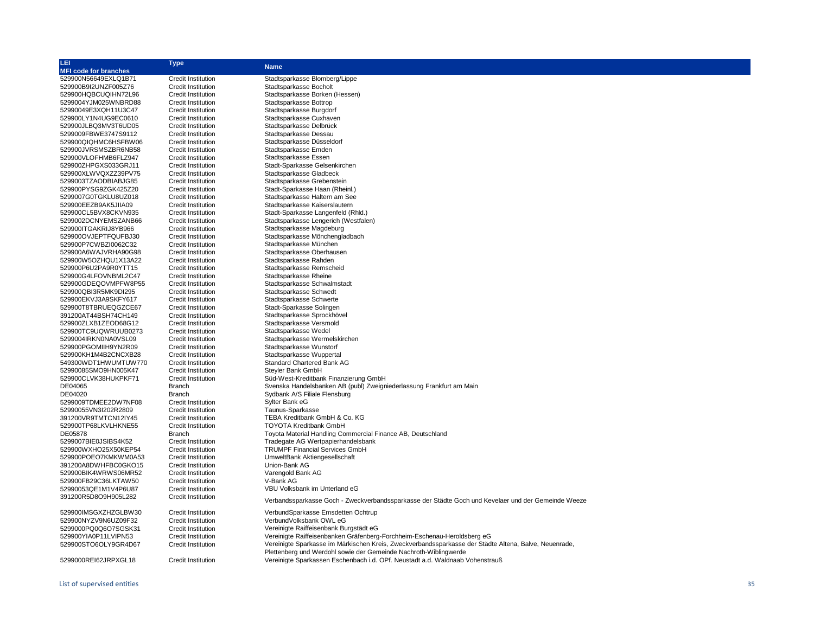| LEI                                          | <b>Type</b>                                            |                                                                                                       |
|----------------------------------------------|--------------------------------------------------------|-------------------------------------------------------------------------------------------------------|
| <b>MFI code for branches</b>                 |                                                        | <b>Name</b>                                                                                           |
| 529900N56649EXLQ1B71                         | <b>Credit Institution</b>                              | Stadtsparkasse Blomberg/Lippe                                                                         |
| 529900B9I2UNZF005Z76                         | <b>Credit Institution</b>                              | Stadtsparkasse Bocholt                                                                                |
| 529900HQBCUQIHN72L96                         | <b>Credit Institution</b>                              | Stadtsparkasse Borken (Hessen)                                                                        |
| 5299004YJM025WNBRD88                         | <b>Credit Institution</b>                              | Stadtsparkasse Bottrop                                                                                |
| 52990049E3XQH11U3C47                         | <b>Credit Institution</b>                              | Stadtsparkasse Burgdorf                                                                               |
| 529900LY1N4UG9EC0610                         | Credit Institution                                     | Stadtsparkasse Cuxhaven                                                                               |
| 529900JLBQ3MV3T6UD05                         | <b>Credit Institution</b>                              | Stadtsparkasse Delbrück                                                                               |
| 5299009FBWE3747S9112                         | <b>Credit Institution</b>                              | Stadtsparkasse Dessau                                                                                 |
| 529900QIQHMC6HSFBW06                         | <b>Credit Institution</b>                              | Stadtsparkasse Düsseldorf                                                                             |
| 529900JVRSMSZBR6NB58                         | <b>Credit Institution</b>                              | Stadtsparkasse Emden                                                                                  |
| 529900VLOFHMB6FLZ947                         | Credit Institution                                     | Stadtsparkasse Essen                                                                                  |
| 529900ZHPGXS033GRJ11                         | <b>Credit Institution</b>                              | Stadt-Sparkasse Gelsenkirchen                                                                         |
| 529900XLWVQXZZ39PV75                         | <b>Credit Institution</b>                              | Stadtsparkasse Gladbeck                                                                               |
| 5299003TZAODBIABJG85                         | <b>Credit Institution</b>                              | Stadtsparkasse Grebenstein                                                                            |
| 529900PYSG9ZGK425Z20                         | Credit Institution                                     | Stadt-Sparkasse Haan (Rheinl.)                                                                        |
| 5299007G0TGKLU8UZ018                         | Credit Institution                                     | Stadtsparkasse Haltern am See                                                                         |
| 529900EEZB9AK5JIIA09                         | <b>Credit Institution</b>                              | Stadtsparkasse Kaiserslautern                                                                         |
| 529900CL5BVX8CKVN935                         | <b>Credit Institution</b>                              | Stadt-Sparkasse Langenfeld (Rhld.)                                                                    |
| 5299002DCNYEMSZANB66                         | <b>Credit Institution</b>                              | Stadtsparkasse Lengerich (Westfalen)                                                                  |
| 529900ITGAKRIJ8YB966                         | <b>Credit Institution</b>                              | Stadtsparkasse Magdeburg                                                                              |
| 529900OVJEPTFQUFBJ30                         | <b>Credit Institution</b>                              | Stadtsparkasse Mönchengladbach                                                                        |
| 529900P7CWBZI0062C32                         | <b>Credit Institution</b>                              | Stadtsparkasse München                                                                                |
| 529900A6WAJVRHA90G98                         | <b>Credit Institution</b>                              | Stadtsparkasse Oberhausen                                                                             |
|                                              |                                                        | Stadtsparkasse Rahden                                                                                 |
| 529900W5OZHQU1X13A22<br>529900P6U2PA9R0YTT15 | <b>Credit Institution</b>                              | Stadtsparkasse Remscheid                                                                              |
| 529900G4LFOVNBML2C47                         | <b>Credit Institution</b><br><b>Credit Institution</b> | Stadtsparkasse Rheine                                                                                 |
|                                              |                                                        |                                                                                                       |
| 529900GDEQOVMPFW8P55                         | <b>Credit Institution</b>                              | Stadtsparkasse Schwalmstadt                                                                           |
| 529900QBI3R5MK9DI295                         | <b>Credit Institution</b>                              | Stadtsparkasse Schwedt                                                                                |
| 529900EKVJ3A9SKFY617                         | <b>Credit Institution</b>                              | Stadtsparkasse Schwerte                                                                               |
| 529900T8TBRUEQGZCE67                         | <b>Credit Institution</b>                              | Stadt-Sparkasse Solingen                                                                              |
| 391200AT44BSH74CH149                         | <b>Credit Institution</b>                              | Stadtsparkasse Sprockhövel                                                                            |
| 529900ZLXB1ZEOD68G12                         | <b>Credit Institution</b>                              | Stadtsparkasse Versmold                                                                               |
| 529900TC9UQWRUUB0273                         | <b>Credit Institution</b>                              | Stadtsparkasse Wedel                                                                                  |
| 5299004IRKN0NA0VSL09                         | <b>Credit Institution</b>                              | Stadtsparkasse Wermelskirchen                                                                         |
| 529900PGOMIIH9YN2R09                         | <b>Credit Institution</b>                              | Stadtsparkasse Wunstorf                                                                               |
| 529900KH1M4B2CNCXB28                         | <b>Credit Institution</b>                              | Stadtsparkasse Wuppertal                                                                              |
| 549300WDT1HWUMTUW770                         | <b>Credit Institution</b>                              | Standard Chartered Bank AG<br>Stevler Bank GmbH                                                       |
| 52990085SMO9HN005K47                         | Credit Institution                                     |                                                                                                       |
| 529900CLVK38HUKPKF71                         | <b>Credit Institution</b>                              | Süd-West-Kreditbank Finanzierung GmbH                                                                 |
| DE04065                                      | <b>Branch</b>                                          | Svenska Handelsbanken AB (publ) Zweigniederlassung Frankfurt am Main                                  |
| DE04020                                      | Branch                                                 | Sydbank A/S Filiale Flensburg                                                                         |
| 5299009TDMEE2DW7NF08                         | <b>Credit Institution</b>                              | Sylter Bank eG                                                                                        |
| 52990055VN3I202R2809                         | <b>Credit Institution</b>                              | Taunus-Sparkasse                                                                                      |
| 391200VR9TMTCN12IY45                         | <b>Credit Institution</b>                              | TEBA Kreditbank GmbH & Co. KG                                                                         |
| 529900TP68LKVLHKNE55<br>DE05878              | <b>Credit Institution</b>                              | <b>TOYOTA Kreditbank GmbH</b>                                                                         |
|                                              | Branch<br>Credit Institution                           | Toyota Material Handling Commercial Finance AB, Deutschland                                           |
| 5299007BIE0JSIBS4K52                         | <b>Credit Institution</b>                              | Tradegate AG Wertpapierhandelsbank<br><b>TRUMPF Financial Services GmbH</b>                           |
| 529900WXHO25X50KEP54                         |                                                        | UmweltBank Aktiengesellschaft                                                                         |
| 529900POEO7KMKWM0A53                         | <b>Credit Institution</b>                              | Union-Bank AG                                                                                         |
| 391200A8DWHFBC0GKO15                         | <b>Credit Institution</b>                              | Varengold Bank AG                                                                                     |
| 529900BIK4WRWS06MR52                         | Credit Institution                                     | V-Bank AG                                                                                             |
| 529900FB29C36LKTAW50                         | <b>Credit Institution</b>                              | VBU Volksbank im Unterland eG                                                                         |
| 52990053QE1M1V4P6U87                         | <b>Credit Institution</b>                              |                                                                                                       |
| 391200R5D8O9H905L282                         | <b>Credit Institution</b>                              | Verbandssparkasse Goch - Zweckverbandssparkasse der Städte Goch und Kevelaer und der Gemeinde Weeze   |
| 529900IMSGXZHZGLBW30                         | <b>Credit Institution</b>                              | VerbundSparkasse Emsdetten Ochtrup                                                                    |
| 529900NYZV9N6UZ09F32                         | <b>Credit Institution</b>                              | VerbundVolksbank OWL eG                                                                               |
| 5299000PQ0Q6O7SGSK31                         | <b>Credit Institution</b>                              | Vereinigte Raiffeisenbank Burgstädt eG                                                                |
| 529900YIA0P11LVIPN53                         | <b>Credit Institution</b>                              | Vereinigte Raiffeisenbanken Gräfenberg-Forchheim-Eschenau-Heroldsberg eG                              |
| 529900STO6OLY9GR4D67                         | <b>Credit Institution</b>                              | Vereinigte Sparkasse im Märkischen Kreis, Zweckverbandssparkasse der Städte Altena, Balve, Neuenrade, |
|                                              |                                                        | Plettenberg und Werdohl sowie der Gemeinde Nachroth-Wiblingwerde                                      |
| 5299000REI62JRPXGL18                         | <b>Credit Institution</b>                              | Vereinigte Sparkassen Eschenbach i.d. OPf. Neustadt a.d. Waldnaab Vohenstrauß                         |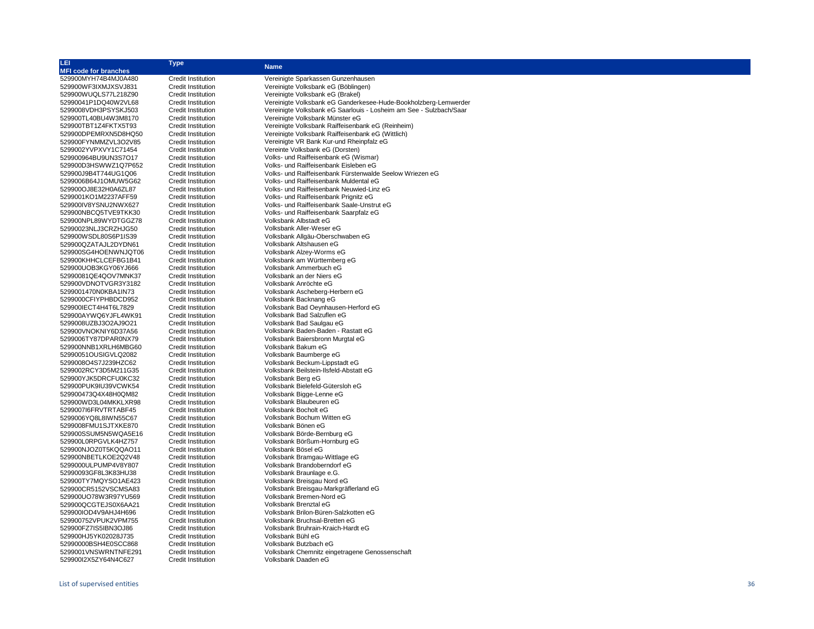| LEI                          | Type                      | <b>Name</b>                                                        |
|------------------------------|---------------------------|--------------------------------------------------------------------|
| <b>MFI code for branches</b> |                           |                                                                    |
| 529900MYH74B4MJ0A480         | Credit Institution        | Vereinigte Sparkassen Gunzenhausen                                 |
| 529900WF3IXMJXSVJ831         | Credit Institution        | Vereinigte Volksbank eG (Böblingen)                                |
| 529900WUQLS77L218Z90         | <b>Credit Institution</b> | Vereinigte Volksbank eG (Brakel)                                   |
| 52990041P1DQ40W2VL68         | <b>Credit Institution</b> | Vereinigte Volksbank eG Ganderkesee-Hude-Bookholzberg-Lemwerder    |
|                              |                           |                                                                    |
| 5299008VDH3PSYSKJ503         | <b>Credit Institution</b> | Vereinigte Volksbank eG Saarlouis - Losheim am See - Sulzbach/Saar |
| 529900TL40BU4W3M8170         | Credit Institution        | Vereinigte Volksbank Münster eG                                    |
| 529900TBT1Z4FKTX5T93         | <b>Credit Institution</b> | Vereinigte Volksbank Raiffeisenbank eG (Reinheim)                  |
| 529900DPEMRXN5D8HQ50         | <b>Credit Institution</b> | Vereinigte Volksbank Raiffeisenbank eG (Wittlich)                  |
| 529900FYNMMZVL3O2V85         | <b>Credit Institution</b> | Vereinigte VR Bank Kur-und Rheinpfalz eG                           |
| 5299002YVPXVY1C71454         | <b>Credit Institution</b> | Vereinte Volksbank eG (Dorsten)                                    |
| 529900964BU9UN3S7O17         | Credit Institution        | Volks- und Raiffeisenbank eG (Wismar)                              |
| 529900D3HSWWZ1Q7P652         | <b>Credit Institution</b> | Volks- und Raiffeisenbank Eisleben eG                              |
| 529900J9B4T744UG1Q06         | Credit Institution        | Volks- und Raiffeisenbank Fürstenwalde Seelow Wriezen eG           |
| 5299006B64J1OMUW5G62         | <b>Credit Institution</b> | Volks- und Raiffeisenbank Muldental eG                             |
| 529900OJ8E32H0A6ZL87         | <b>Credit Institution</b> | Volks- und Raiffeisenbank Neuwied-Linz eG                          |
|                              |                           |                                                                    |
| 5299001KO1M2237AFF59         | Credit Institution        | Volks- und Raiffeisenbank Prignitz eG                              |
| 529900IV8YSNU2NWX627         | <b>Credit Institution</b> | Volks- und Raiffeisenbank Saale-Unstrut eG                         |
| 529900NBCQ5TVE9TKK30         | <b>Credit Institution</b> | Volks- und Raiffeisenbank Saarpfalz eG                             |
| 529900NPL89WYDTGGZ78         | <b>Credit Institution</b> | Volksbank Albstadt eG                                              |
| 52990023NLJ3CRZHJG50         | <b>Credit Institution</b> | Volksbank Aller-Weser eG                                           |
| 529900WSDL80S6P1IS39         | Credit Institution        | Volksbank Allgäu-Oberschwaben eG                                   |
| 529900QZATAJL2DYDN61         | Credit Institution        | Volksbank Altshausen eG                                            |
| 529900SG4HOENWNJQT06         | <b>Credit Institution</b> | Volksbank Alzey-Worms eG                                           |
| 529900KHHCLCEFBG1B41         | <b>Credit Institution</b> | Volksbank am Württemberg eG                                        |
| 529900UOB3KGY06YJ666         | <b>Credit Institution</b> | Volksbank Ammerbuch eG                                             |
| 52990081QE4QOV7MNK37         | Credit Institution        | Volksbank an der Niers eG                                          |
|                              |                           | Volksbank Anröchte eG                                              |
| 529900VDNOTVGR3Y3182         | Credit Institution        |                                                                    |
| 5299001470N0KBA1IN73         | Credit Institution        | Volksbank Ascheberg-Herbern eG                                     |
| 5299000CFIYPHBDCD952         | <b>Credit Institution</b> | Volksbank Backnang eG                                              |
| 529900IECT4H4T6L7829         | <b>Credit Institution</b> | Volksbank Bad Oeynhausen-Herford eG                                |
| 529900AYWQ6YJFL4WK91         | Credit Institution        | Volksbank Bad Salzuflen eG                                         |
| 5299008UZBJ3O2AJ9O21         | Credit Institution        | Volksbank Bad Saulgau eG                                           |
| 529900VNOKNIY6D37A56         | <b>Credit Institution</b> | Volksbank Baden-Baden - Rastatt eG                                 |
| 5299006TY87DPAR0NX79         | Credit Institution        | Volksbank Baiersbronn Murgtal eG                                   |
| 529900NNB1XRLH6MBG60         | <b>Credit Institution</b> | Volksbank Bakum eG                                                 |
| 52990051OUSIGVLQ2082         | Credit Institution        | Volksbank Baumberge eG                                             |
| 5299008O4S7J239HZC62         | Credit Institution        | Volksbank Beckum-Lippstadt eG                                      |
| 5299002RCY3D5M211G35         | Credit Institution        | Volksbank Beilstein-Ilsfeld-Abstatt eG                             |
| 529900YJK5DRCFU0KC32         | <b>Credit Institution</b> | Volksbank Berg eG                                                  |
|                              |                           |                                                                    |
| 529900PUK9IU39VCWK54         | Credit Institution        | Volksbank Bielefeld-Gütersloh eG                                   |
| 529900473Q4X48H0QM82         | Credit Institution        | Volksbank Bigge-Lenne eG                                           |
| 529900WD3L04MKKLXR98         | Credit Institution        | Volksbank Blaubeuren eG                                            |
| 5299007I6FRVTRTABF45         | <b>Credit Institution</b> | Volksbank Bocholt eG                                               |
| 5299006YQ8L8IWN55C67         | <b>Credit Institution</b> | Volksbank Bochum Witten eG                                         |
| 5299008FMU1SJTXKE870         | <b>Credit Institution</b> | Volksbank Bönen eG                                                 |
| 529900SSUM5N5WQA5E16         | Credit Institution        | Volksbank Börde-Bernburg eG                                        |
| 529900L0RPGVLK4HZ757         | Credit Institution        | Volksbank Börßum-Hornburg eG                                       |
| 529900NJOZ0T5KQQAO11         | <b>Credit Institution</b> | Volksbank Bösel eG                                                 |
| 529900NBETLKOE2Q2V48         | Credit Institution        | Volksbank Bramgau-Wittlage eG                                      |
| 5299000ULPUMP4V8Y807         | <b>Credit Institution</b> | Volksbank Brandoberndorf eG                                        |
| 52990093GF8L3K83HU38         | <b>Credit Institution</b> | Volksbank Braunlage e.G.                                           |
| 529900TY7MQYSO1AE423         | Credit Institution        | Volksbank Breisgau Nord eG                                         |
| 529900CR5152VSCMSA83         | <b>Credit Institution</b> | Volksbank Breisgau-Markgräflerland eG                              |
|                              |                           |                                                                    |
| 529900UO78W3R97YU569         | <b>Credit Institution</b> | Volksbank Bremen-Nord eG                                           |
| 529900QCGTEJS0X6AA21         | Credit Institution        | Volksbank Brenztal eG                                              |
| 529900IOD4V9AHJ4H696         | <b>Credit Institution</b> | Volksbank Brilon-Büren-Salzkotten eG                               |
| 529900752VPUK2VPM755         | Credit Institution        | Volksbank Bruchsal-Bretten eG                                      |
| 529900FZ7IS5IBN3OJ86         | Credit Institution        | Volksbank Bruhrain-Kraich-Hardt eG                                 |
| 529900HJ5YK02028J735         | <b>Credit Institution</b> | Volksbank Bühl eG                                                  |
| 52990000BSH4E0SCC868         | Credit Institution        | Volksbank Butzbach eG                                              |
| 5299001VNSWRNTNFE291         | <b>Credit Institution</b> | Volksbank Chemnitz eingetragene Genossenschaft                     |
| 529900I2X5ZY64N4C627         | <b>Credit Institution</b> | Volksbank Daaden eG                                                |
|                              |                           |                                                                    |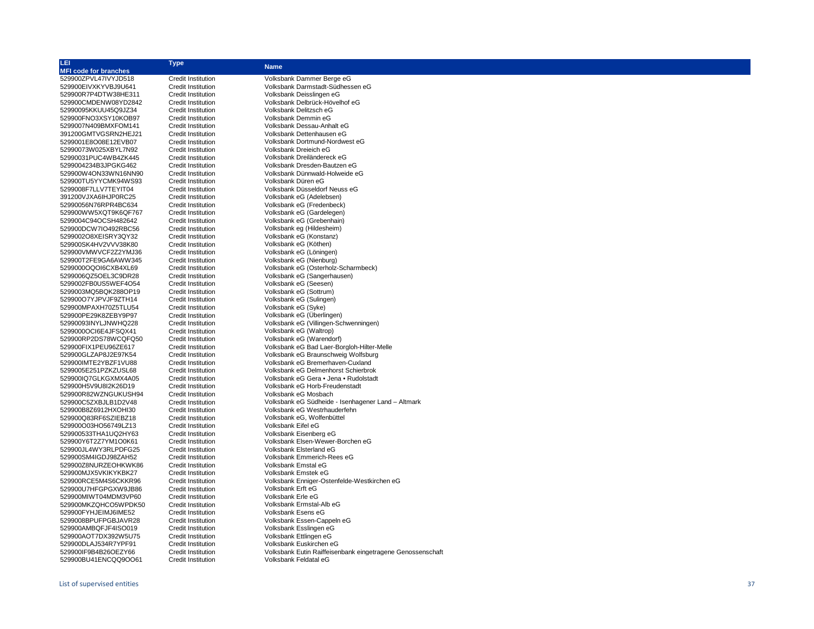| LEI                          | <b>Type</b>               | <b>Name</b>                                                |
|------------------------------|---------------------------|------------------------------------------------------------|
| <b>MFI code for branches</b> |                           |                                                            |
| 529900ZPVL47IVYJD518         | Credit Institution        | Volksbank Dammer Berge eG                                  |
| 529900EIVXKYVBJ9U641         | <b>Credit Institution</b> | Volksbank Darmstadt-Südhessen eG                           |
| 529900R7P4DTW38HE311         | <b>Credit Institution</b> | Volksbank Deisslingen eG                                   |
| 529900CMDENW08YD2842         | Credit Institution        | Volksbank Delbrück-Hövelhof eG                             |
| 52990095KKUU45Q9JZ34         | Credit Institution        | Volksbank Delitzsch eG                                     |
| 529900FNO3XSY10KOB97         | <b>Credit Institution</b> | Volksbank Demmin eG                                        |
| 5299007N409BMXFOM141         | <b>Credit Institution</b> | Volksbank Dessau-Anhalt eG                                 |
| 391200GMTVGSRN2HEJ21         | Credit Institution        | Volksbank Dettenhausen eG                                  |
| 5299001E8O08E12EVB07         | Credit Institution        | Volksbank Dortmund-Nordwest eG                             |
| 52990073W025XBYL7N92         | <b>Credit Institution</b> | Volksbank Dreieich eG                                      |
| 52990031PUC4WB4ZK445         | <b>Credit Institution</b> | Volksbank Dreiländereck eG                                 |
| 5299004234B3JPGKG462         | <b>Credit Institution</b> | Volksbank Dresden-Bautzen eG                               |
| 529900W4ON33WN16NN90         | <b>Credit Institution</b> | Volksbank Dünnwald-Holweide eG                             |
| 529900TU5YYCMK94WS93         | Credit Institution        | Volksbank Düren eG                                         |
| 5299008F7LLV7TEYIT04         | <b>Credit Institution</b> | Volksbank Düsseldorf Neuss eG                              |
| 391200VJXA6IHJP0RC25         | <b>Credit Institution</b> | Volksbank eG (Adelebsen)                                   |
| 52990056N76RPR4BC634         | Credit Institution        | Volksbank eG (Fredenbeck)                                  |
| 529900WW5XQT9K6QF767         | Credit Institution        | Volksbank eG (Gardelegen)                                  |
| 5299004C94OCSH482642         | <b>Credit Institution</b> | Volksbank eG (Grebenhain)                                  |
| 529900DCW7IO492RBC56         | <b>Credit Institution</b> | Volksbank eg (Hildesheim)                                  |
| 5299002O8XEISRY3QY32         | <b>Credit Institution</b> | Volksbank eG (Konstanz)                                    |
| 529900SK4HV2VVV38K80         | Credit Institution        | Volksbank eG (Köthen)                                      |
| 529900VMWVCF2Z2YMJ36         | <b>Credit Institution</b> | Volksbank eG (Löningen)                                    |
| 529900T2FE9GA6AWW345         | <b>Credit Institution</b> | Volksbank eG (Nienburg)                                    |
| 5299000OQOI6CXB4XL69         | <b>Credit Institution</b> | Volksbank eG (Osterholz-Scharmbeck)                        |
| 5299006QZ5OEL3C9DR28         | Credit Institution        | Volksbank eG (Sangerhausen)                                |
| 5299002FB0US5WEF4O54         | <b>Credit Institution</b> | Volksbank eG (Seesen)                                      |
| 5299003MQ5BQK288OP19         | <b>Credit Institution</b> | Volksbank eG (Sottrum)                                     |
| 529900O7YJPVJF9ZTH14         | Credit Institution        | Volksbank eG (Sulingen)                                    |
| 529900MPAXH70Z5TLU54         | Credit Institution        | Volksbank eG (Syke)                                        |
| 529900PE29K8ZEBY9P97         | Credit Institution        | Volksbank eG (Überlingen)                                  |
| 52990093INYLJNWHQ228         | <b>Credit Institution</b> | Volksbank eG (Villingen-Schwenningen)                      |
| 5299000OCI6E4JFSQX41         | <b>Credit Institution</b> | Volksbank eG (Waltrop)                                     |
| 529900RP2DS78WCQFQ50         | Credit Institution        | Volksbank eG (Warendorf)                                   |
| 529900FIX1PEU96ZE617         | <b>Credit Institution</b> | Volksbank eG Bad Laer-Borgloh-Hilter-Melle                 |
| 529900GLZAP8J2E97K54         | Credit Institution        | Volksbank eG Braunschweig Wolfsburg                        |
| 529900IMTE2YBZF1VU88         | <b>Credit Institution</b> | Volksbank eG Bremerhaven-Cuxland                           |
| 5299005E251PZKZUSL68         | <b>Credit Institution</b> | Volksbank eG Delmenhorst Schierbrok                        |
| 529900IQ7GLKGXMX4A05         | Credit Institution        | Volksbank eG Gera • Jena • Rudolstadt                      |
| 529900H5V9U8I2K26D19         | <b>Credit Institution</b> | Volksbank eG Horb-Freudenstadt                             |
| 529900R82WZNGUKUSH94         | <b>Credit Institution</b> | Volksbank eG Mosbach                                       |
| 529900C5ZXBJLB1D2V48         | Credit Institution        | Volksbank eG Südheide - Isenhagener Land - Altmark         |
| 529900B8Z6912HXOHI30         | Credit Institution        | Volksbank eG Westrhauderfehn                               |
| 529900Q83RF6SZIEBZ18         | <b>Credit Institution</b> | Volksbank eG. Wolfenbüttel                                 |
| 529900O03HO56749LZ13         | <b>Credit Institution</b> | Volksbank Eifel eG                                         |
| 529900533THA1UQ2HY63         | Credit Institution        | Volksbank Eisenberg eG                                     |
| 529900Y6T2Z7YM1O0K61         | Credit Institution        | Volksbank Elsen-Wewer-Borchen eG                           |
| 529900JL4WY3RLPDFG25         | <b>Credit Institution</b> | Volksbank Elsterland eG                                    |
| 529900SM4IGDJ98ZAH52         | <b>Credit Institution</b> | Volksbank Emmerich-Rees eG                                 |
| 529900Z8NURZEOHKWK86         | <b>Credit Institution</b> | Volksbank Emstal eG                                        |
| 529900MJX5VKIKYKBK27         | <b>Credit Institution</b> | Volksbank Emstek eG                                        |
| 529900RCE5M4S6CKKR96         | Credit Institution        | Volksbank Enniger-Ostenfelde-Westkirchen eG                |
| 529900U7HFGPGXW9JB86         | <b>Credit Institution</b> | Volksbank Erft eG                                          |
| 529900MIWT04MDM3VP60         | <b>Credit Institution</b> | Volksbank Erle eG                                          |
| 529900MKZQHCO5WPDK50         | <b>Credit Institution</b> | Volksbank Ermstal-Alb eG                                   |
| 529900FYHJEIMJ6IME52         | <b>Credit Institution</b> | Volksbank Esens eG                                         |
| 5299008BPUFPGBJAVR28         | <b>Credit Institution</b> | Volksbank Essen-Cappeln eG                                 |
| 529900AMBQFJF4ISO019         | <b>Credit Institution</b> | Volksbank Esslingen eG                                     |
| 529900AOT7DX392W5U75         | <b>Credit Institution</b> | Volksbank Ettlingen eG                                     |
| 529900DLAJ534R7YPF91         | <b>Credit Institution</b> | Volksbank Euskirchen eG                                    |
| 529900IF9B4B26OEZY66         | <b>Credit Institution</b> | Volksbank Eutin Raiffeisenbank eingetragene Genossenschaft |
| 529900BU41ENCQQ9OO61         | <b>Credit Institution</b> | Volksbank Feldatal eG                                      |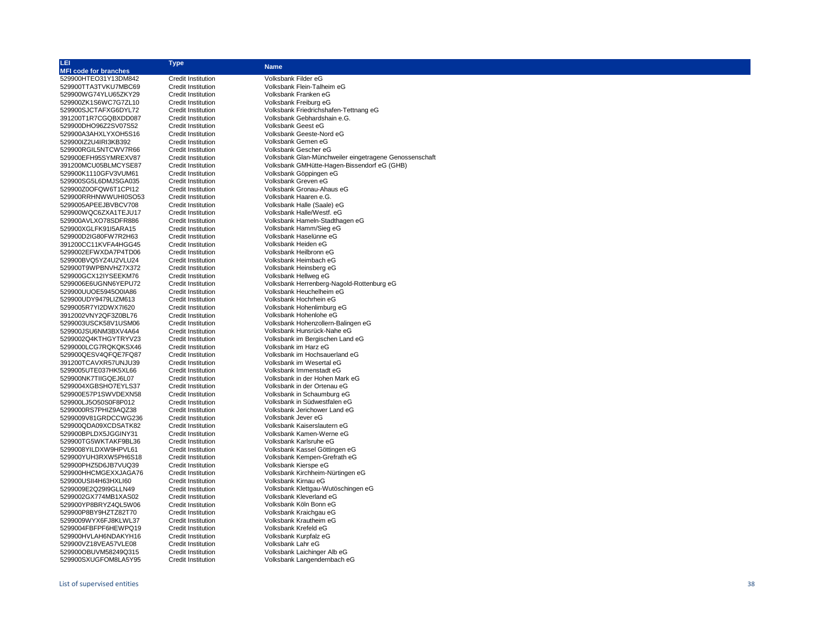| LEI                          | <b>Type</b>               |                                                        |
|------------------------------|---------------------------|--------------------------------------------------------|
| <b>MFI code for branches</b> |                           | <b>Name</b>                                            |
| 529900HTEO31Y13DM842         | Credit Institution        | Volksbank Filder eG                                    |
| 529900TTA3TVKU7MBC69         | <b>Credit Institution</b> | Volksbank Flein-Talheim eG                             |
| 529900WG74YLU65ZKY29         | <b>Credit Institution</b> | Volksbank Franken eG                                   |
| 529900ZK1S6WC7G7ZL10         | <b>Credit Institution</b> | Volksbank Freiburg eG                                  |
| 529900SJCTAFXG6DYL72         | <b>Credit Institution</b> | Volksbank Friedrichshafen-Tettnang eG                  |
| 391200T1R7CGQBXDD087         | <b>Credit Institution</b> | Volksbank Gebhardshain e.G.                            |
| 529900DHO96Z2SV07S52         | Credit Institution        | Volksbank Geest eG                                     |
| 529900A3AHXLYXOH5S16         | <b>Credit Institution</b> | Volksbank Geeste-Nord eG                               |
| 529900IZ2U4IRI3KB392         | <b>Credit Institution</b> | Volksbank Gemen eG                                     |
| 529900RGIL5NTCWV7R66         | Credit Institution        | Volksbank Gescher eG                                   |
| 529900EFH95SYMREXV87         | Credit Institution        | Volksbank Glan-Münchweiler eingetragene Genossenschaft |
| 391200MCU05BLMCYSE87         | <b>Credit Institution</b> | Volksbank GMHütte-Hagen-Bissendorf eG (GHB)            |
| 529900K1110GFV3VUM61         | <b>Credit Institution</b> | Volksbank Göppingen eG                                 |
| 529900SG5L6DMJSGA035         | Credit Institution        | Volksbank Greven eG                                    |
| 529900Z0OFQW6T1CPI12         | <b>Credit Institution</b> | Volksbank Gronau-Ahaus eG                              |
| 529900RRHNWWUHI0SO53         | Credit Institution        | Volksbank Haaren e.G.                                  |
| 5299005APEEJBVBCV708         | <b>Credit Institution</b> | Volksbank Halle (Saale) eG                             |
| 529900WQC6ZXA1TEJU17         | <b>Credit Institution</b> | Volksbank Halle/Westf, eG                              |
| 529900AVLXO78SDFR886         | <b>Credit Institution</b> | Volksbank Hameln-Stadthagen eG                         |
| 529900XGLFK91I5ARA15         | <b>Credit Institution</b> | Volksbank Hamm/Sieg eG                                 |
| 529900D2IG80FW7R2H63         | <b>Credit Institution</b> | Volksbank Haselünne eG                                 |
| 391200CC11KVFA4HGG45         | <b>Credit Institution</b> | Volksbank Heiden eG                                    |
| 5299002EFWXDA7P4TD06         | <b>Credit Institution</b> | Volksbank Heilbronn eG                                 |
| 529900BVQ5YZ4U2VLU24         | <b>Credit Institution</b> | Volksbank Heimbach eG                                  |
| 529900T9WPBNVHZ7X372         | <b>Credit Institution</b> | Volksbank Heinsberg eG                                 |
| 529900GCX12IYSEEKM76         | Credit Institution        | Volksbank Hellweg eG                                   |
| 5299006E6UGNN6YEPU72         | <b>Credit Institution</b> | Volksbank Herrenberg-Nagold-Rottenburg eG              |
| 529900UUOE5945O0IA86         | <b>Credit Institution</b> | Volksbank Heuchelheim eG                               |
| 529900UDY9479LIZM613         | Credit Institution        | Volksbank Hochrhein eG                                 |
| 5299005R7YI2DWX7I620         | Credit Institution        | Volksbank Hohenlimburg eG                              |
| 3912002VNY2QF3Z0BL76         | <b>Credit Institution</b> | Volksbank Hohenlohe eG                                 |
| 5299003USCK58V1USM06         | <b>Credit Institution</b> | Volksbank Hohenzollern-Balingen eG                     |
| 529900JSU6NM3BXV4A64         | Credit Institution        | Volksbank Hunsrück-Nahe eG                             |
| 5299002Q4KTHGYTRYV23         | Credit Institution        | Volksbank im Bergischen Land eG                        |
| 5299000LCG7RQKQKSX46         | Credit Institution        | Volksbank im Harz eG                                   |
| 529900QESV4QFQE7FQ87         | Credit Institution        | Volksbank im Hochsauerland eG                          |
| 391200TCAVXR57UNJU39         | <b>Credit Institution</b> | Volksbank im Wesertal eG                               |
| 5299005UTE037HK5XL66         | <b>Credit Institution</b> | Volksbank Immenstadt eG                                |
| 529900NK7TIIGQEJ6L07         | <b>Credit Institution</b> | Volksbank in der Hohen Mark eG                         |
| 5299004XGBSHO7EYLS37         | <b>Credit Institution</b> | Volksbank in der Ortenau eG                            |
| 529900E57P1SWVDEXN58         | <b>Credit Institution</b> | Volksbank in Schaumburg eG                             |
| 529900LJ5O50S0F8P012         | <b>Credit Institution</b> | Volksbank in Südwestfalen eG                           |
| 5299000RS7PHIZ9AQZ38         | <b>Credit Institution</b> | Volksbank Jerichower Land eG                           |
| 5299009V81GRDCCWG236         | <b>Credit Institution</b> | Volksbank Jever eG                                     |
| 529900QDA09XCDSATK82         | <b>Credit Institution</b> | Volksbank Kaiserslautern eG                            |
| 529900BPLDX5JGGINY31         | Credit Institution        | Volksbank Kamen-Werne eG                               |
| 529900TG5WKTAKF9BL36         | Credit Institution        | Volksbank Karlsruhe eG                                 |
| 5299008YILDXW9HPVL61         | <b>Credit Institution</b> | Volksbank Kassel Göttingen eG                          |
| 529900YUH3RXW5PH6S18         | <b>Credit Institution</b> | Volksbank Kempen-Grefrath eG                           |
| 529900PHZ5D6JB7VUQ39         | <b>Credit Institution</b> | Volksbank Kierspe eG                                   |
| 529900HHCMGEXXJAGA76         | <b>Credit Institution</b> | Volksbank Kirchheim-Nürtingen eG                       |
| 529900USII4H63HXLI60         | Credit Institution        | Volksbank Kirnau eG                                    |
| 5299009E2Q29I9GLLN49         | <b>Credit Institution</b> | Volksbank Klettgau-Wutöschingen eG                     |
| 5299002GX774MB1XAS02         | <b>Credit Institution</b> | Volksbank Kleverland eG                                |
| 529900YP8BRYZ4QL5W06         | <b>Credit Institution</b> | Volksbank Köln Bonn eG                                 |
| 529900P8BY9HZTZ82T70         | <b>Credit Institution</b> | Volksbank Kraichgau eG                                 |
| 5299009WYX6FJ8KLWL37         | <b>Credit Institution</b> | Volksbank Krautheim eG                                 |
| 5299004FBFPF6HEWPQ19         | <b>Credit Institution</b> | Volksbank Krefeld eG                                   |
| 529900HVLAH6NDAKYH16         | <b>Credit Institution</b> | Volksbank Kurpfalz eG                                  |
| 529900VZ18VEA57VLE08         | <b>Credit Institution</b> | Volksbank Lahr eG                                      |
| 529900OBUVM58249Q315         | <b>Credit Institution</b> | Volksbank Laichinger Alb eG                            |
| 529900SXUGFOM8LA5Y95         | Credit Institution        | Volksbank Langendernbach eG                            |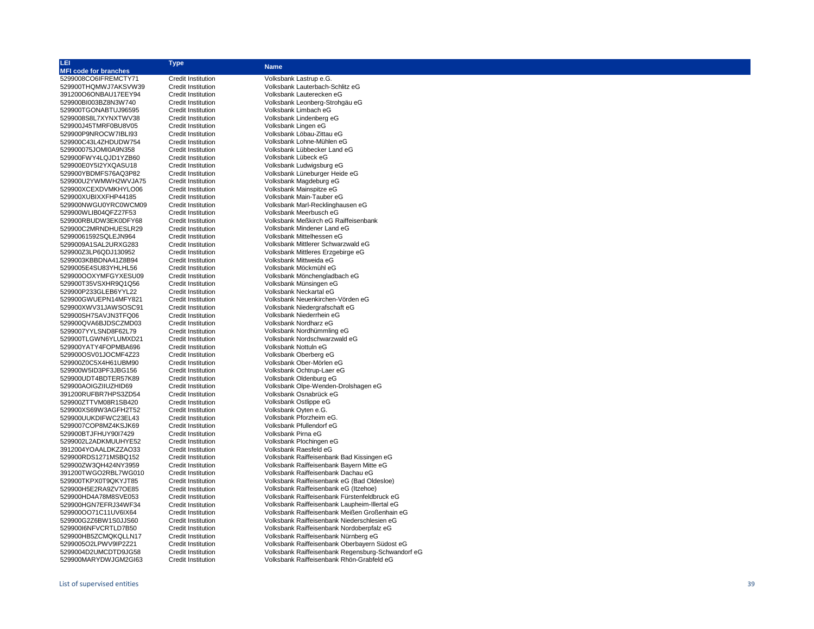| LEI                                          | <b>Type</b>                                            |                                                                                  |
|----------------------------------------------|--------------------------------------------------------|----------------------------------------------------------------------------------|
| <b>MFI code for branches</b>                 |                                                        | <b>Name</b>                                                                      |
| 5299008CO6IFREMCTY71                         | <b>Credit Institution</b>                              | Volksbank Lastrup e.G.                                                           |
| 529900THQMWJ7AKSVW39                         | <b>Credit Institution</b>                              | Volksbank Lauterbach-Schlitz eG                                                  |
| 391200O6ONBAU17EEY94                         | Credit Institution                                     | Volksbank Lauterecken eG                                                         |
| 529900BI003BZ8N3W740                         | <b>Credit Institution</b>                              | Volksbank Leonberg-Strohgäu eG                                                   |
| 529900TGONABTUJ96595                         | <b>Credit Institution</b>                              | Volksbank Limbach eG                                                             |
| 5299008S8L7XYNXTWV38                         | <b>Credit Institution</b><br><b>Credit Institution</b> | Volksbank Lindenberg eG<br>Volksbank Lingen eG                                   |
| 529900J45TMRF0BU8V05<br>529900P9NROCW7IBLI93 | <b>Credit Institution</b>                              | Volksbank Löbau-Zittau eG                                                        |
| 529900C43L4ZHDUDW754                         | <b>Credit Institution</b>                              | Volksbank Lohne-Mühlen eG                                                        |
| 529900075JOMI0A9N358                         | <b>Credit Institution</b>                              | Volksbank Lübbecker Land eG                                                      |
| 529900FWY4LQJD1YZB60                         | <b>Credit Institution</b>                              | Volksbank Lübeck eG                                                              |
| 529900E0Y5I2YXQASU18                         | Credit Institution                                     | Volksbank Ludwigsburg eG                                                         |
| 529900YBDMFS76AQ3P82                         | <b>Credit Institution</b>                              | Volksbank Lüneburger Heide eG                                                    |
| 529900U2YWMWH2WVJA75                         | <b>Credit Institution</b>                              | Volksbank Magdeburg eG                                                           |
| 529900XCEXDVMKHYLO06                         | <b>Credit Institution</b>                              | Volksbank Mainspitze eG                                                          |
| 529900XUBIXXFHP44185                         | <b>Credit Institution</b>                              | Volksbank Main-Tauber eG                                                         |
| 529900NWGU0YRC0WCM09                         | Credit Institution                                     | Volksbank Marl-Recklinghausen eG                                                 |
| 529900WLIB04QFZ27F53                         | Credit Institution                                     | Volksbank Meerbusch eG                                                           |
| 529900RBUDW3EK0DFY68                         | Credit Institution                                     | Volksbank Meßkirch eG Raiffeisenbank                                             |
| 529900C2MRNDHUESLR29                         | Credit Institution                                     | Volksbank Mindener Land eG                                                       |
| 52990061592SQLEJN964                         | <b>Credit Institution</b>                              | Volksbank Mittelhessen eG<br>Volksbank Mittlerer Schwarzwald eG                  |
| 5299009A1SAL2URXG283<br>529900Z3LP6QDJ130952 | <b>Credit Institution</b><br><b>Credit Institution</b> | Volksbank Mittleres Erzgebirge eG                                                |
| 5299003KBBDNA41Z8B94                         | <b>Credit Institution</b>                              | Volksbank Mittweida eG                                                           |
| 5299005E4SU83YHLHL56                         | <b>Credit Institution</b>                              | Volksbank Möckmühl eG                                                            |
| 529900OOXYMFGYXESU09                         | Credit Institution                                     | Volksbank Mönchengladbach eG                                                     |
| 529900T35VSXHR9Q1Q56                         | <b>Credit Institution</b>                              | Volksbank Münsingen eG                                                           |
| 529900P233GLEB6YYL22                         | Credit Institution                                     | Volksbank Neckartal eG                                                           |
| 529900GWUEPN14MFY821                         | <b>Credit Institution</b>                              | Volksbank Neuenkirchen-Vörden eG                                                 |
| 529900XWV31JAWSOSC91                         | <b>Credit Institution</b>                              | Volksbank Niedergrafschaft eG                                                    |
| 529900SH7SAVJN3TFQ06                         | <b>Credit Institution</b>                              | Volksbank Niederrhein eG                                                         |
| 529900QVA6BJDSCZMD03                         | <b>Credit Institution</b>                              | Volksbank Nordharz eG                                                            |
| 5299007YYLSND8F62L79                         | Credit Institution                                     | Volksbank Nordhümmling eG                                                        |
| 529900TLGWN6YLUMXD21                         | Credit Institution                                     | Volksbank Nordschwarzwald eG                                                     |
| 529900YATY4FOPMBA696                         | <b>Credit Institution</b>                              | Volksbank Nottuln eG                                                             |
| 529900OSV01JOCMF4Z23<br>529900Z0C5X4H61UBM90 | <b>Credit Institution</b><br>Credit Institution        | Volksbank Oberberg eG<br>Volksbank Ober-Mörlen eG                                |
| 529900W5ID3PF3JBG156                         | <b>Credit Institution</b>                              | Volksbank Ochtrup-Laer eG                                                        |
| 529900UDT4BDTER57K89                         | <b>Credit Institution</b>                              | Volksbank Oldenburg eG                                                           |
| 529900AOIGZIIUZHID69                         | <b>Credit Institution</b>                              | Volksbank Olpe-Wenden-Drolshagen eG                                              |
| 391200RUFBR7HPS3ZD54                         | <b>Credit Institution</b>                              | Volksbank Osnabrück eG                                                           |
| 529900ZTTVM08R1SB420                         | Credit Institution                                     | Volksbank Ostlippe eG                                                            |
| 529900XS69W3AGFH2T52                         | Credit Institution                                     | Volksbank Oyten e.G.                                                             |
| 529900UUKDIFWC23EL43                         | Credit Institution                                     | Volksbank Pforzheim eG.                                                          |
| 5299007COP8MZ4KSJK69                         | <b>Credit Institution</b>                              | Volksbank Pfullendorf eG                                                         |
| 529900BTJFHUY90I7429                         | Credit Institution                                     | Volksbank Pirna eG                                                               |
| 5299002L2ADKMUUHYE52                         | <b>Credit Institution</b>                              | Volksbank Plochingen eG                                                          |
| 3912004YOAALDKZZAO33                         | <b>Credit Institution</b>                              | Volksbank Raesfeld eG                                                            |
| 529900RDS1271MSBQ152                         | <b>Credit Institution</b>                              | Volksbank Raiffeisenbank Bad Kissingen eG                                        |
| 529900ZW3QH424NY3959                         | Credit Institution                                     | Volksbank Raiffeisenbank Bayern Mitte eG                                         |
| 391200TWGO2RBL7WG010                         | Credit Institution<br><b>Credit Institution</b>        | Volksbank Raiffeisenbank Dachau eG<br>Volksbank Raiffeisenbank eG (Bad Oldesloe) |
| 529900TKPX0T9QKYJT85<br>529900H5E2RA9ZV7OE85 | <b>Credit Institution</b>                              | Volksbank Raiffeisenbank eG (Itzehoe)                                            |
| 529900HD4A78M8SVE053                         | <b>Credit Institution</b>                              | Volksbank Raiffeisenbank Fürstenfeldbruck eG                                     |
| 529900HGN7EFRJ34WF34                         | <b>Credit Institution</b>                              | Volksbank Raiffeisenbank Laupheim-Illertal eG                                    |
| 529900OO71C11UV6IX64                         | Credit Institution                                     | Volksbank Raiffeisenbank Meißen Großenhain eG                                    |
| 529900G2Z6BW1S0JJS60                         | <b>Credit Institution</b>                              | Volksbank Raiffeisenbank Niederschlesien eG                                      |
| 529900I6NFVCRTLD7B50                         | Credit Institution                                     | Volksbank Raiffeisenbank Nordoberpfalz eG                                        |
| 529900HB5ZCMQKQLLN17                         | <b>Credit Institution</b>                              | Volksbank Raiffeisenbank Nürnberg eG                                             |
| 5299005O2LPWV9IP2Z21                         | Credit Institution                                     | Volksbank Raiffeisenbank Oberbayern Südost eG                                    |
| 5299004D2UMCDTD9JG58                         | Credit Institution                                     | Volksbank Raiffeisenbank Regensburg-Schwandorf eG                                |
| 529900MARYDWJGM2GI63                         | <b>Credit Institution</b>                              | Volksbank Raiffeisenbank Rhön-Grabfeld eG                                        |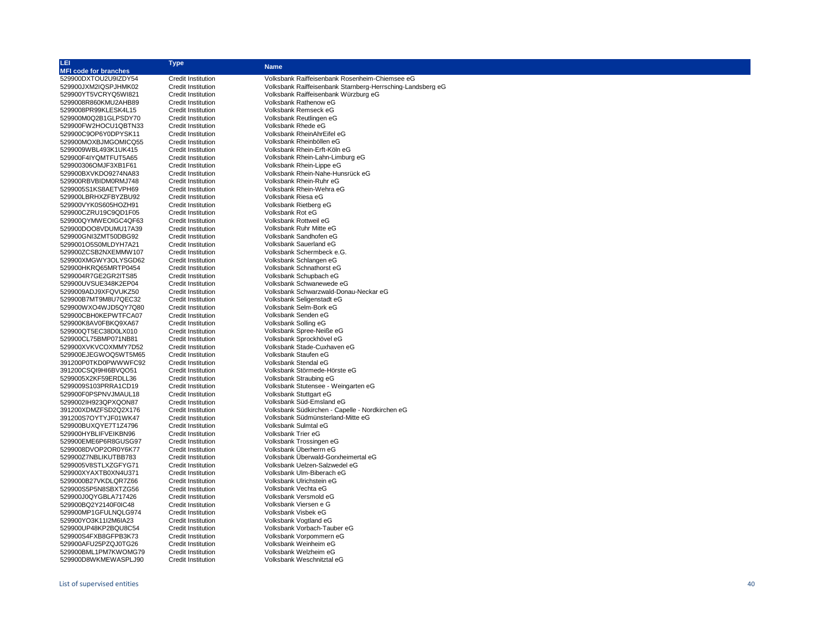| LEI                                          | Type                                                   | <b>Name</b>                                                |
|----------------------------------------------|--------------------------------------------------------|------------------------------------------------------------|
| <b>MFI code for branches</b>                 |                                                        |                                                            |
| 529900DXTOU2U9IZDY54                         | <b>Credit Institution</b>                              | Volksbank Raiffeisenbank Rosenheim-Chiemsee eG             |
| 529900JXM2IQSPJHMK02                         | <b>Credit Institution</b>                              | Volksbank Raiffeisenbank Starnberg-Herrsching-Landsberg eG |
| 529900YT5VCRYQ5WI821                         | <b>Credit Institution</b>                              | Volksbank Raiffeisenbank Würzburg eG                       |
| 5299008R860KMU2AHB89                         | <b>Credit Institution</b>                              | Volksbank Rathenow eG                                      |
| 5299008PR99KLESK4L15                         | <b>Credit Institution</b>                              | Volksbank Remseck eG                                       |
| 529900M0Q2B1GLPSDY70                         | <b>Credit Institution</b>                              | Volksbank Reutlingen eG                                    |
| 529900FW2HOCU1QBTN33                         | <b>Credit Institution</b>                              | Volksbank Rhede eG                                         |
| 529900C9OP6Y0DPYSK11                         | <b>Credit Institution</b>                              | Volksbank RheinAhrEifel eG                                 |
| 529900MOXBJMGOMICQ55                         | <b>Credit Institution</b>                              | Volksbank Rheinböllen eG                                   |
| 5299009WBL493K1UK415                         | <b>Credit Institution</b>                              | Volksbank Rhein-Erft-Köln eG                               |
| 529900F4IYQMTFUT5A65                         | <b>Credit Institution</b>                              | Volksbank Rhein-Lahn-Limburg eG                            |
| 529900306OMJF3XB1F61                         | <b>Credit Institution</b>                              | Volksbank Rhein-Lippe eG                                   |
| 529900BXVKDO9274NA83                         | <b>Credit Institution</b>                              | Volksbank Rhein-Nahe-Hunsrück eG                           |
| 529900RBVBIDM0RMJ748                         | <b>Credit Institution</b>                              | Volksbank Rhein-Ruhr eG                                    |
| 5299005S1KS8AETVPH69                         | <b>Credit Institution</b>                              | Volksbank Rhein-Wehra eG                                   |
| 529900LBRHXZFBYZBU92                         | <b>Credit Institution</b>                              | Volksbank Riesa eG                                         |
| 529900VYK0S605HOZH91                         | <b>Credit Institution</b>                              | Volksbank Rietberg eG                                      |
| 529900CZRU19C9QD1F05                         | <b>Credit Institution</b>                              | Volksbank Rot eG                                           |
| 529900QYMWEOIGC4QF63                         | <b>Credit Institution</b>                              | Volksbank Rottweil eG                                      |
| 529900DOO8VDUMU17A39                         | <b>Credit Institution</b>                              | Volksbank Ruhr Mitte eG                                    |
| 529900GNI3ZMT50DBG92                         | <b>Credit Institution</b>                              | Volksbank Sandhofen eG                                     |
| 5299001O5S0MLDYH7A21                         | <b>Credit Institution</b>                              | Volksbank Sauerland eG                                     |
| 529900ZCSB2NXEMMW107                         | <b>Credit Institution</b>                              | Volksbank Schermbeck e.G.                                  |
| 529900XMGWY3OLYSGD62                         | <b>Credit Institution</b>                              | Volksbank Schlangen eG                                     |
| 529900HKRQ65MRTP0454                         | <b>Credit Institution</b>                              | Volksbank Schnathorst eG                                   |
| 5299004R7GE2GR2ITS85                         | Credit Institution                                     | Volksbank Schupbach eG                                     |
| 529900UVSUE348K2EP04                         | <b>Credit Institution</b>                              | Volksbank Schwanewede eG                                   |
| 5299009ADJ9XFQVUKZ50                         | <b>Credit Institution</b>                              | Volksbank Schwarzwald-Donau-Neckar eG                      |
| 529900B7MT9M8U7QEC32                         | <b>Credit Institution</b>                              | Volksbank Seligenstadt eG                                  |
| 529900WXO4WJD5QY7Q80                         | <b>Credit Institution</b>                              | Volksbank Selm-Bork eG                                     |
| 529900CBH0KEPWTFCA07                         | Credit Institution                                     | Volksbank Senden eG                                        |
| 529900K8AV0FBKQ9XA67                         | <b>Credit Institution</b>                              | Volksbank Solling eG                                       |
| 529900QT5EC38D0LX010                         | <b>Credit Institution</b>                              | Volksbank Spree-Neiße eG<br>Volksbank Sprockhövel eG       |
| 529900CL75BMP071NB81                         | <b>Credit Institution</b>                              | Volksbank Stade-Cuxhaven eG                                |
| 529900XVKVCOXMMY7D52                         | <b>Credit Institution</b>                              | Volksbank Staufen eG                                       |
| 529900EJEGWOQ5WT5M65<br>391200P0TKD0PWWWFC92 | <b>Credit Institution</b><br><b>Credit Institution</b> | Volksbank Stendal eG                                       |
| 391200CSQI9HI6BVQO51                         | <b>Credit Institution</b>                              | Volksbank Störmede-Hörste eG                               |
| 5299005X2KF59ERDLL36                         | Credit Institution                                     | Volksbank Straubing eG                                     |
| 5299009S103PRRA1CD19                         | <b>Credit Institution</b>                              | Volksbank Stutensee - Weingarten eG                        |
| 529900F0PSPNVJMAUL18                         | <b>Credit Institution</b>                              | Volksbank Stuttgart eG                                     |
| 5299002lH923QPXQON87                         | <b>Credit Institution</b>                              | Volksbank Süd-Emsland eG                                   |
| 391200XDMZFSD2Q2X176                         | <b>Credit Institution</b>                              | Volksbank Südkirchen - Capelle - Nordkirchen eG            |
| 391200S7OYTYJF01WK47                         | Credit Institution                                     | Volksbank Südmünsterland-Mitte eG                          |
| 529900BUXQYE7T1Z4796                         | <b>Credit Institution</b>                              | Volksbank Sulmtal eG                                       |
| 529900HYBLIFVEIKBN96                         | <b>Credit Institution</b>                              | Volksbank Trier eG                                         |
| 529900EME6P6R8GUSG97                         | <b>Credit Institution</b>                              | Volksbank Trossingen eG                                    |
| 5299008DVOP2OR0Y6K77                         | <b>Credit Institution</b>                              | Volksbank Überherrn eG                                     |
| 529900Z7NBLIKUTBB783                         | <b>Credit Institution</b>                              | Volksbank Überwald-Gorxheimertal eG                        |
| 5299005V8STLXZGFYG71                         | <b>Credit Institution</b>                              | Volksbank Uelzen-Salzwedel eG                              |
| 529900XYAXTB0XN4U371                         | <b>Credit Institution</b>                              | Volksbank Ulm-Biberach eG                                  |
| 5299000B27VKDLQR7Z66                         | <b>Credit Institution</b>                              | Volksbank Ulrichstein eG                                   |
| 529900S5P5N8SBXTZG56                         | <b>Credit Institution</b>                              | Volksbank Vechta eG                                        |
| 529900J0QYGBLA717426                         | <b>Credit Institution</b>                              | Volksbank Versmold eG                                      |
| 529900BQ2Y2140F0IC48                         | <b>Credit Institution</b>                              | Volksbank Viersen e G                                      |
| 529900MP1GFULNQLG974                         | <b>Credit Institution</b>                              | Volksbank Visbek eG                                        |
| 529900YO3K11I2M6IA23                         | <b>Credit Institution</b>                              | Volksbank Vogtland eG                                      |
| 529900UP48KP2BQU8C54                         | <b>Credit Institution</b>                              | Volksbank Vorbach-Tauber eG                                |
| 529900S4FXB8GFPB3K73                         | Credit Institution                                     | Volksbank Vorpommern eG                                    |
| 529900AFU25PZQJ0TG26                         | <b>Credit Institution</b>                              | Volksbank Weinheim eG                                      |
| 529900BML1PM7KWOMG79                         | <b>Credit Institution</b>                              | Volksbank Welzheim eG                                      |
| 529900D8WKMEWASPLJ90                         | <b>Credit Institution</b>                              | Volksbank Weschnitztal eG                                  |
|                                              |                                                        |                                                            |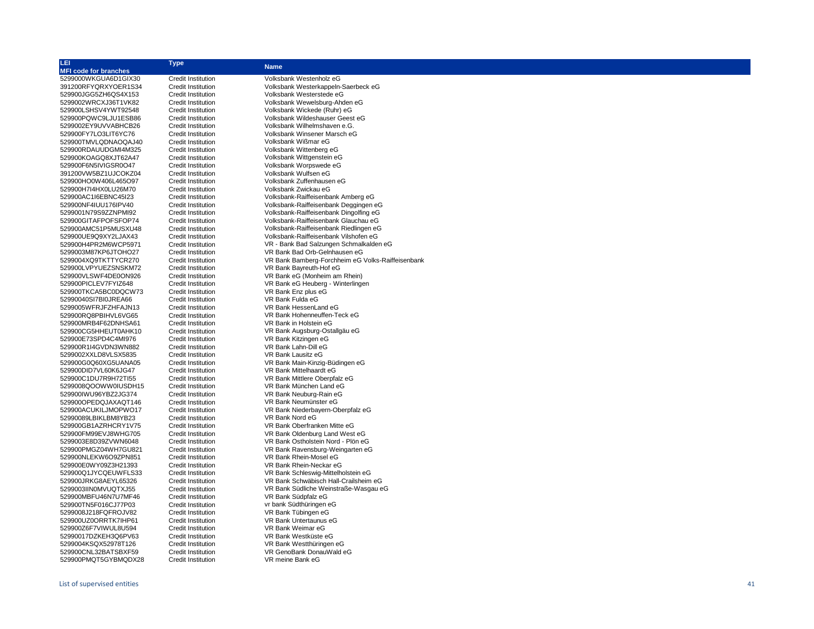| LEI.                         | <b>Type</b>               |                                                   |
|------------------------------|---------------------------|---------------------------------------------------|
| <b>MFI code for branches</b> |                           | <b>Name</b>                                       |
| 5299000WKGUA6D1GIX30         | Credit Institution        | Volksbank Westenholz eG                           |
| 391200RFYQRXYOER1S34         | <b>Credit Institution</b> | Volksbank Westerkappeln-Saerbeck eG               |
| 529900JGG5ZH6QS4X153         | <b>Credit Institution</b> | Volksbank Westerstede eG                          |
| 5299002WRCXJ36T1VK82         | <b>Credit Institution</b> | Volksbank Wewelsburg-Ahden eG                     |
| 529900LSHSV4YWT92548         | <b>Credit Institution</b> | Volksbank Wickede (Ruhr) eG                       |
| 529900PQWC9LJU1ESB86         | <b>Credit Institution</b> | Volksbank Wildeshauser Geest eG                   |
| 5299002EY9UVVABHCB26         | Credit Institution        | Volksbank Wilhelmshaven e.G.                      |
| 529900FY7LO3LIT6YC76         | Credit Institution        | Volksbank Winsener Marsch eG                      |
| 529900TMVLQDNAOQAJ40         | <b>Credit Institution</b> | Volksbank Wißmar eG                               |
| 529900RDAUUDGMI4M325         | <b>Credit Institution</b> | Volksbank Wittenberg eG                           |
| 529900KOAGQ8XJT62A47         | Credit Institution        | Volksbank Wittgenstein eG                         |
| 529900F6N5IVIGSR0O47         | <b>Credit Institution</b> | Volksbank Worpswede eG                            |
| 391200VW5BZ1UJCOKZ04         | <b>Credit Institution</b> | Volksbank Wulfsen eG                              |
| 529900HO0W406L465O97         | <b>Credit Institution</b> | Volksbank Zuffenhausen eG                         |
| 529900H7I4HX0LU26M70         | Credit Institution        | Volksbank Zwickau eG                              |
| 529900AC1I6EBNC45I23         | <b>Credit Institution</b> | Volksbank-Raiffeisenbank Amberg eG                |
| 529900NF4IUU176IPV40         | Credit Institution        | Volksbank-Raiffeisenbank Deggingen eG             |
| 5299001N79S9ZZNPMI92         | <b>Credit Institution</b> | Volksbank-Raiffeisenbank Dingolfing eG            |
| 529900GITAFPOFSFOP74         | Credit Institution        | Volksbank-Raiffeisenbank Glauchau eG              |
| 529900AMC51P5MUSXU48         | <b>Credit Institution</b> | Volksbank-Raiffeisenbank Riedlingen eG            |
| 529900UE9Q9XY2LJAX43         | Credit Institution        | Volksbank-Raiffeisenbank Vilshofen eG             |
| 529900H4PR2M6WCP5971         | <b>Credit Institution</b> | VR - Bank Bad Salzungen Schmalkalden eG           |
| 5299003M87KP6JTOHO27         | Credit Institution        | VR Bank Bad Orb-Gelnhausen eG                     |
| 5299004XQ9TKTTYCR270         | <b>Credit Institution</b> | VR Bank Bamberg-Forchheim eG Volks-Raiffeisenbank |
| 529900LVPYUEZSNSKM72         | Credit Institution        | VR Bank Bayreuth-Hof eG                           |
| 529900VLSWF4DE0ON926         | Credit Institution        | VR Bank eG (Monheim am Rhein)                     |
| 529900PICLEV7FYIZ648         | Credit Institution        | VR Bank eG Heuberg - Winterlingen                 |
| 529900TKCA5BC0DQCW73         | <b>Credit Institution</b> | VR Bank Enz plus eG                               |
| 52990040SI7BI0JREA66         | Credit Institution        | VR Bank Fulda eG                                  |
| 5299005WFRJFZHFAJN13         | <b>Credit Institution</b> | VR Bank HessenLand eG                             |
| 529900RQ8PBIHVL6VG65         | <b>Credit Institution</b> | VR Bank Hohenneuffen-Teck eG                      |
| 529900MRB4F62DNHSA61         | <b>Credit Institution</b> | VR Bank in Holstein eG                            |
| 529900CG5HHEUT0AHK10         | <b>Credit Institution</b> | VR Bank Augsburg-Ostallgäu eG                     |
| 529900E73SPD4C4MI976         | Credit Institution        | VR Bank Kitzingen eG                              |
| 529900R1I4GVDN3WN882         | Credit Institution        | VR Bank Lahn-Dill eG                              |
| 5299002XXLD8VLSX5835         | <b>Credit Institution</b> | VR Bank Lausitz eG                                |
| 529900G0Q60XG5UANA05         | <b>Credit Institution</b> | VR Bank Main-Kinzig-Büdingen eG                   |
| 529900DID7VL60K6JG47         | <b>Credit Institution</b> | VR Bank Mittelhaardt eG                           |
| 529900C1DU7R9H72TI55         | <b>Credit Institution</b> | VR Bank Mittlere Oberpfalz eG                     |
| 5299008QOOWW0IUSDH15         | <b>Credit Institution</b> | VR Bank München Land eG                           |
| 529900IWU96YBZ2JG374         | <b>Credit Institution</b> | VR Bank Neuburg-Rain eG                           |
| 529900OPEDQJAXAQT146         | Credit Institution        | VR Bank Neumünster eG                             |
| 529900ACUKILJMOPWO17         | <b>Credit Institution</b> | VR Bank Niederbayern-Oberpfalz eG                 |
| 52990089LBIKLBM8YB23         | <b>Credit Institution</b> | VR Bank Nord eG                                   |
| 529900GB1AZRHCRY1V75         | <b>Credit Institution</b> | VR Bank Oberfranken Mitte eG                      |
| 529900FM99EVJ8WHG705         | Credit Institution        | VR Bank Oldenburg Land West eG                    |
| 5299003E8D39ZVWN6048         | <b>Credit Institution</b> | VR Bank Ostholstein Nord - Plön eG                |
| 529900PMGZ04WH7GU821         | Credit Institution        | VR Bank Ravensburg-Weingarten eG                  |
| 529900NLEKW6O9ZPN851         | <b>Credit Institution</b> | VR Bank Rhein-Mosel eG                            |
| 529900E0WY09Z3H21393         | Credit Institution        | VR Bank Rhein-Neckar eG                           |
| 529900Q1JYCQEUWFLS33         | <b>Credit Institution</b> | VR Bank Schleswig-Mittelholstein eG               |
| 529900JRKG8AEYL65326         | Credit Institution        | VR Bank Schwäbisch Hall-Crailsheim eG             |
| 5299003IIN0MVUQTXJ55         | <b>Credit Institution</b> | VR Bank Südliche Weinstraße-Wasqau eG             |
| 529900MBFU46N7U7MF46         | Credit Institution        | VR Bank Südpfalz eG                               |
| 529900TN5F016CJ77P03         | <b>Credit Institution</b> | vr bank Südthüringen eG                           |
| 5299008J218FQFROJV82         | Credit Institution        | VR Bank Tübingen eG                               |
| 529900UZ0ORRTK7IHP61         | <b>Credit Institution</b> | VR Bank Untertaunus eG                            |
| 529900Z6F7VIWUL8U594         | Credit Institution        | VR Bank Weimar eG                                 |
| 52990017DZKEH3Q6PV63         | <b>Credit Institution</b> | VR Bank Westküste eG                              |
| 5299004KSQX52978T126         | Credit Institution        | VR Bank Westthüringen eG                          |
| 529900CNL32BATSBXF59         | <b>Credit Institution</b> | VR GenoBank DonauWald eG                          |

529900PMQT5GYBMQDX28

Credit Institution VR GenoBank DonauWald eG<br>Credit Institution VR meine Bank eG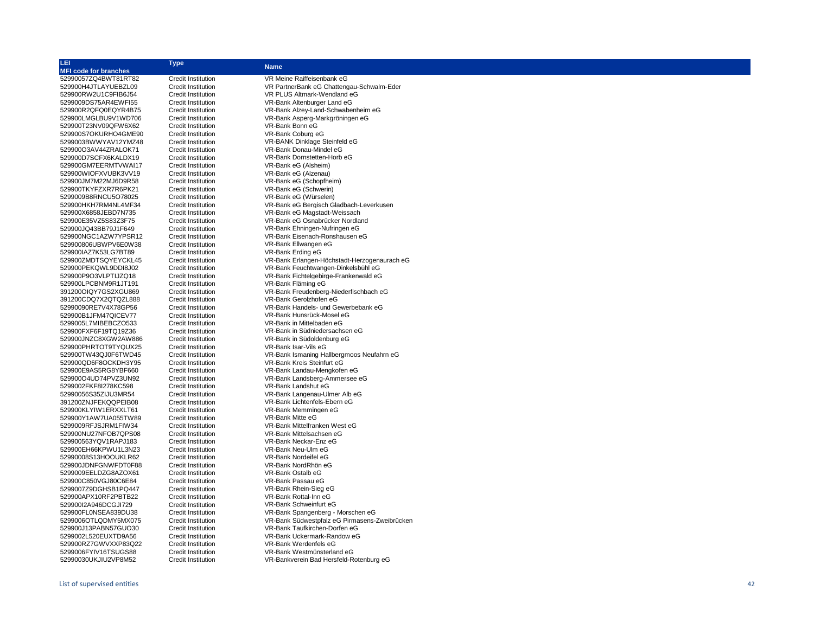| LEI                                          | <b>Type</b>                              |                                                   |
|----------------------------------------------|------------------------------------------|---------------------------------------------------|
| <b>MFI code for branches</b>                 |                                          | <b>Name</b>                                       |
| 52990057ZQ4BWT81RT82                         | Credit Institution                       | VR Meine Raiffeisenbank eG                        |
| 529900H4JTLAYUEBZL09                         | <b>Credit Institution</b>                | VR PartnerBank eG Chattengau-Schwalm-Eder         |
| 529900RW2U1C9FIB6J54                         | <b>Credit Institution</b>                | VR PLUS Altmark-Wendland eG                       |
| 5299009DS75AR4EWFI55                         | <b>Credit Institution</b>                | VR-Bank Altenburger Land eG                       |
| 529900R2QFQ0EQYR4B75                         | <b>Credit Institution</b>                | VR-Bank Alzey-Land-Schwabenheim eG                |
| 529900LMGLBU9V1WD706                         | Credit Institution                       | VR-Bank Asperg-Markgröningen eG                   |
| 529900T23NV09QFW6X62                         | <b>Credit Institution</b>                | VR-Bank Bonn eG                                   |
| 529900S7OKURHO4GME90                         | <b>Credit Institution</b>                | VR-Bank Coburg eG                                 |
| 5299003BWWYAV12YMZ48                         | Credit Institution                       | VR-BANK Dinklage Steinfeld eG                     |
| 529900O3AV44ZRALOK71                         | <b>Credit Institution</b>                | VR-Bank Donau-Mindel eG                           |
| 529900D7SCFX6KALDX19                         | <b>Credit Institution</b>                | VR-Bank Dornstetten-Horb eG                       |
| 529900GM7EERMTVWAI17                         | Credit Institution                       | VR-Bank eG (Alsheim)                              |
| 529900WIOFXVUBK3VV19                         | Credit Institution                       | VR-Bank eG (Alzenau)                              |
| 529900JM7M22MJ6D9R58                         | <b>Credit Institution</b>                | VR-Bank eG (Schopfheim)                           |
| 529900TKYFZXR7R6PK21                         | <b>Credit Institution</b>                | VR-Bank eG (Schwerin)                             |
| 5299009B8RNCU5O78025                         | <b>Credit Institution</b>                | VR-Bank eG (Würselen)                             |
| 529900HKH7RM4NL4MF34                         | <b>Credit Institution</b>                | VR-Bank eG Bergisch Gladbach-Leverkusen           |
| 529900X6858JEBD7N735                         | <b>Credit Institution</b>                | VR-Bank eG Magstadt-Weissach                      |
| 529900E35VZ5S83Z3F75                         | <b>Credit Institution</b>                | VR-Bank eG Osnabrücker Nordland                   |
| 529900JQ43BB79J1F649                         | <b>Credit Institution</b>                | VR-Bank Ehningen-Nufringen eG                     |
| 529900NGC1AZW7YPSR12                         | <b>Credit Institution</b>                | VR-Bank Eisenach-Ronshausen eG                    |
| 529900806UBWPV6E0W38                         | <b>Credit Institution</b>                | VR-Bank Ellwangen eG                              |
| 529900IAZ7K53LG7BT89                         | <b>Credit Institution</b>                | VR-Bank Erding eG                                 |
| 529900ZMDTSQYEYCKL45                         | <b>Credit Institution</b>                | VR-Bank Erlangen-Höchstadt-Herzogenaurach eG      |
| 529900PEKQWL9DDI8J02                         | Credit Institution                       | VR-Bank Feuchtwangen-Dinkelsbühl eG               |
| 529900P9O3VLPTIJZQ18                         | <b>Credit Institution</b>                | VR-Bank Fichtelgebirge-Frankenwald eG             |
| 529900LPCBNM9R1JT191                         | <b>Credit Institution</b>                | VR-Bank Fläming eG                                |
| 391200OIQY7GS2XGU869                         | <b>Credit Institution</b>                | VR-Bank Freudenberg-Niederfischbach eG            |
| 391200CDQ7X2QTQZL888                         | <b>Credit Institution</b>                | VR-Bank Gerolzhofen eG                            |
| 52990090RE7V4X78GP56                         | <b>Credit Institution</b>                | VR-Bank Handels- und Gewerbebank eG               |
| 529900B1JFM47QICEV77                         | <b>Credit Institution</b>                | VR-Bank Hunsrück-Mosel eG                         |
| 5299005L7MIBEBCZO533                         | <b>Credit Institution</b>                | VR-Bank in Mittelbaden eG                         |
| 529900FXF6F19TQ19Z36                         | Credit Institution                       | VR-Bank in Südniedersachsen eG                    |
| 529900JNZC8XGW2AW886                         | <b>Credit Institution</b>                | VR-Bank in Südoldenburg eG                        |
| 529900PHRTOT9TYQUX25                         | <b>Credit Institution</b>                | VR-Bank Isar-Vils eG                              |
| 529900TW43QJ0F6TWD45                         | <b>Credit Institution</b>                | VR-Bank Ismaning Hallbergmoos Neufahrn eG         |
| 529900QD6F8OCKDH3Y95                         | Credit Institution                       | VR-Bank Kreis Steinfurt eG                        |
| 529900E9AS5RG8YBF660                         | Credit Institution                       | VR-Bank Landau-Mengkofen eG                       |
| 529900O4UD74PVZ3UN92                         | <b>Credit Institution</b>                | VR-Bank Landsberg-Ammersee eG                     |
| 5299002FKF8I278KC598                         | Credit Institution                       | VR-Bank Landshut eG                               |
| 52990056S35ZIJU3MR54                         | Credit Institution                       | VR-Bank Langenau-Ulmer Alb eG                     |
| 391200ZNJFEKQQPEIB08                         | <b>Credit Institution</b>                | VR-Bank Lichtenfels-Ebern eG                      |
| 529900KLYIW1ERXXLT61                         | <b>Credit Institution</b>                | VR-Bank Memmingen eG                              |
| 529900Y1AW7UA055TW89                         | Credit Institution<br>Credit Institution | VR-Bank Mitte eG<br>VR-Bank Mittelfranken West eG |
| 5299009RFJSJRM1FIW34<br>529900NU27NFOB7QPS08 | <b>Credit Institution</b>                | VR-Bank Mittelsachsen eG                          |
| 529900563YQV1RAPJ183                         | Credit Institution                       | VR-Bank Neckar-Enz eG                             |
| 529900EH66KPWU1L3N23                         | <b>Credit Institution</b>                | VR-Bank Neu-Ulm eG                                |
| 52990008S13HOOUKLR62                         | <b>Credit Institution</b>                | VR-Bank Nordeifel eG                              |
| 529900JDNFGNWFDT0F88                         | <b>Credit Institution</b>                | VR-Bank NordRhön eG                               |
| 5299009EELDZG8AZOX61                         | <b>Credit Institution</b>                | VR-Bank Ostalb eG                                 |
| 529900C850VGJ80C6E84                         | <b>Credit Institution</b>                | VR-Bank Passau eG                                 |
| 5299007Z9DGHSB1PQ447                         | Credit Institution                       | VR-Bank Rhein-Sieg eG                             |
| 529900APX10RF2PBTB22                         | <b>Credit Institution</b>                | VR-Bank Rottal-Inn eG                             |
| 529900I2A946DCGJI729                         | <b>Credit Institution</b>                | VR-Bank Schweinfurt eG                            |
| 529900FL0NSEA839DU38                         | Credit Institution                       | VR-Bank Spangenberg - Morschen eG                 |
| 5299006OTLQDMY5MX075                         | Credit Institution                       | VR-Bank Südwestpfalz eG Pirmasens-Zweibrücken     |
| 529900J13PABN57GUO30                         | <b>Credit Institution</b>                | VR-Bank Taufkirchen-Dorfen eG                     |
| 5299002L520EUXTD9A56                         | <b>Credit Institution</b>                | VR-Bank Uckermark-Randow eG                       |
| 529900RZ7GWVXXP83Q22                         | <b>Credit Institution</b>                | VR-Bank Werdenfels eG                             |
| 5299006FYIV16TSUGS88                         | <b>Credit Institution</b>                | VR-Bank Westmünsterland eG                        |
| 52990030UKJIU2VP8M52                         | <b>Credit Institution</b>                | VR-Bankverein Bad Hersfeld-Rotenburg eG           |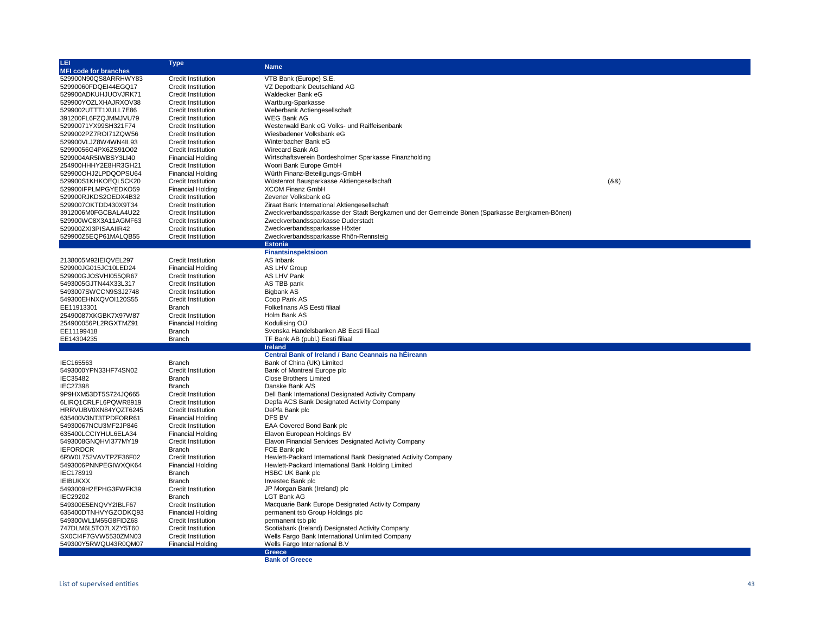| <b>MFI code for branches</b><br>VTB Bank (Europe) S.E.<br>529900N90QS8ARRHWY83<br><b>Credit Institution</b><br>52990060FDQEI44EGQ17<br>Credit Institution<br>VZ Depotbank Deutschland AG<br>Waldecker Bank eG<br>529900ADKUHJUOVJRK71<br><b>Credit Institution</b><br>Wartburg-Sparkasse<br>529900YOZLXHAJRXOV38<br><b>Credit Institution</b><br>Weberbank Actiengesellschaft<br>5299002UTTT1XULL7E86<br>Credit Institution<br>WEG Bank AG<br>391200FL6FZQJMMJVU79<br><b>Credit Institution</b><br>Westerwald Bank eG Volks- und Raiffeisenbank<br>52990071YX99SH321F74<br><b>Credit Institution</b><br>Wiesbadener Volksbank eG<br>5299002PZ7ROI71ZQW56<br><b>Credit Institution</b><br>Winterbacher Bank eG<br>529900VLJZ8W4WN4IL93<br>Credit Institution<br>Wirecard Bank AG<br>52990056G4PX6ZS91O02<br><b>Credit Institution</b><br>Wirtschaftsverein Bordesholmer Sparkasse Finanzholding<br>5299004AR5IWBSY3LI40<br><b>Financial Holding</b><br>254900HHHY2E8HR3GH21<br>Credit Institution<br>Woori Bank Europe GmbH<br>529900OHJ2LPDQOPSU64<br><b>Financial Holding</b><br>Würth Finanz-Beteiligungs-GmbH<br>(88)<br>529900S1KHKOEQL5CK20<br><b>Credit Institution</b><br>Wüstenrot Bausparkasse Aktiengesellschaft<br>529900IFPLMPGYEDKO59<br><b>XCOM Finanz GmbH</b><br><b>Financial Holding</b><br>529900RJKDS2OEDX4B32<br><b>Credit Institution</b><br>Zevener Volksbank eG<br>5299007OKTDD430X9T34<br><b>Credit Institution</b><br>Ziraat Bank International Aktiengesellschaft<br>3912006M0FGCBALA4U22<br>Credit Institution<br>Zweckverbandssparkasse der Stadt Bergkamen und der Gemeinde Bönen (Sparkasse Bergkamen-Bönen)<br>529900WC8X3A11AGMF63<br><b>Credit Institution</b><br>Zweckverbandssparkasse Duderstadt<br>529900ZXI3PISAAIIR42<br>Zweckverbandssparkasse Höxter<br><b>Credit Institution</b><br>529900Z5EQP61MALQB55<br>Credit Institution<br>Zweckverbandssparkasse Rhön-Rennsteig<br><b>Estonia</b><br><b>Finantsinspektsioon</b><br>Credit Institution<br>AS Inbank<br>2138005M92IEIQVEL297<br><b>AS LHV Group</b><br>529900JG015JC10LED24<br><b>Financial Holding</b><br>AS LHV Pank<br>529900GJOSVHI055QR67<br>Credit Institution<br>5493005GJTN44X33L317<br>Credit Institution<br>AS TBB pank<br><b>Bigbank AS</b><br>5493007SWCCN9S3J2748<br><b>Credit Institution</b><br>Coop Pank AS<br>549300EHNXQVOI120S55<br><b>Credit Institution</b><br>Folkefinans AS Eesti filiaal<br>EE11913301<br><b>Branch</b><br>Holm Bank AS<br>25490087XKGBK7X97W87<br><b>Credit Institution</b><br>Koduliising OÜ<br>254900056PL2RGXTMZ91<br><b>Financial Holding</b><br>EE11199418<br>Svenska Handelsbanken AB Eesti filiaal<br>Branch<br>EE14304235<br>TF Bank AB (publ.) Eesti filiaal<br><b>Branch</b><br><b>Ireland</b><br>Central Bank of Ireland / Banc Ceannais na hÉireann<br>IEC165563<br><b>Branch</b><br>Bank of China (UK) Limited<br>Bank of Montreal Europe plc<br>5493000YPN33HF74SN02<br><b>Credit Institution</b><br><b>Close Brothers Limited</b><br>IEC35482<br>Branch<br>Danske Bank A/S<br><b>IEC27398</b><br>Branch<br>9P9HXM53DT5S724JQ665<br><b>Credit Institution</b><br>Dell Bank International Designated Activity Company<br>6LIRQ1CRLFL6PQWR8919<br><b>Credit Institution</b><br>Depfa ACS Bank Designated Activity Company<br>HRRVUBV0XN84YQZT6245<br>Credit Institution<br>DePfa Bank plc<br>DFS BV<br>635400V3NT3TPDFORR61<br><b>Financial Holding</b><br>54930067NCU3MF2JP846<br><b>Credit Institution</b><br>EAA Covered Bond Bank plc<br>635400LCCIYHUL6ELA34<br><b>Financial Holding</b><br>Elavon European Holdings BV<br>5493008GNQHVI377MY19<br>Credit Institution<br>Elavon Financial Services Designated Activity Company<br><b>IEFORDCR</b><br><b>Branch</b><br>FCE Bank plc<br>Hewlett-Packard International Bank Designated Activity Company<br>6RW0L752VAVTPZF36F02<br><b>Credit Institution</b><br>5493006PNNPEGIWXQK64<br><b>Financial Holding</b><br>Hewlett-Packard International Bank Holding Limited<br>HSBC UK Bank plc<br>IEC178919<br>Branch<br><b>IEIBUKXX</b><br>Investec Bank plc<br><b>Branch</b><br><b>Credit Institution</b><br>JP Morgan Bank (Ireland) plc<br>5493009H2EPHG3FWFK39<br><b>IEC29202</b><br>LGT Bank AG<br>Branch<br>Macquarie Bank Europe Designated Activity Company<br>549300E5ENQVY2IBLF67<br><b>Credit Institution</b><br>635400DTNHVYGZODKQ93<br><b>Financial Holding</b><br>permanent tsb Group Holdings plc<br>permanent tsb plc<br>549300WL1M55G8FIDZ68<br><b>Credit Institution</b><br>Scotiabank (Ireland) Designated Activity Company<br>747DLM6L5TO7LXZY5T60<br><b>Credit Institution</b><br>Wells Fargo Bank International Unlimited Company<br>SX0CI4F7GVW5530ZMN03<br><b>Credit Institution</b><br>549300Y5RWQU43R0QM07<br><b>Financial Holding</b><br>Wells Fargo International B.V<br><b>Greece</b><br><b>Bank of Greece</b> | LEI | <b>Type</b> | <b>Name</b> |  |
|-------------------------------------------------------------------------------------------------------------------------------------------------------------------------------------------------------------------------------------------------------------------------------------------------------------------------------------------------------------------------------------------------------------------------------------------------------------------------------------------------------------------------------------------------------------------------------------------------------------------------------------------------------------------------------------------------------------------------------------------------------------------------------------------------------------------------------------------------------------------------------------------------------------------------------------------------------------------------------------------------------------------------------------------------------------------------------------------------------------------------------------------------------------------------------------------------------------------------------------------------------------------------------------------------------------------------------------------------------------------------------------------------------------------------------------------------------------------------------------------------------------------------------------------------------------------------------------------------------------------------------------------------------------------------------------------------------------------------------------------------------------------------------------------------------------------------------------------------------------------------------------------------------------------------------------------------------------------------------------------------------------------------------------------------------------------------------------------------------------------------------------------------------------------------------------------------------------------------------------------------------------------------------------------------------------------------------------------------------------------------------------------------------------------------------------------------------------------------------------------------------------------------------------------------------------------------------------------------------------------------------------------------------------------------------------------------------------------------------------------------------------------------------------------------------------------------------------------------------------------------------------------------------------------------------------------------------------------------------------------------------------------------------------------------------------------------------------------------------------------------------------------------------------------------------------------------------------------------------------------------------------------------------------------------------------------------------------------------------------------------------------------------------------------------------------------------------------------------------------------------------------------------------------------------------------------------------------------------------------------------------------------------------------------------------------------------------------------------------------------------------------------------------------------------------------------------------------------------------------------------------------------------------------------------------------------------------------------------------------------------------------------------------------------------------------------------------------------------------------------------------------------------------------------------------------------------------------------------------------------------------------------------------------------------------------------------------------------------------------------------------------------------------------------------------------------------------------------------------------------------------------------------------------------------------------------------------------------------------------------------------------------------------------------------------------------------------------------------------------------------------------------------------------------------------------------------------------------------|-----|-------------|-------------|--|
|                                                                                                                                                                                                                                                                                                                                                                                                                                                                                                                                                                                                                                                                                                                                                                                                                                                                                                                                                                                                                                                                                                                                                                                                                                                                                                                                                                                                                                                                                                                                                                                                                                                                                                                                                                                                                                                                                                                                                                                                                                                                                                                                                                                                                                                                                                                                                                                                                                                                                                                                                                                                                                                                                                                                                                                                                                                                                                                                                                                                                                                                                                                                                                                                                                                                                                                                                                                                                                                                                                                                                                                                                                                                                                                                                                                                                                                                                                                                                                                                                                                                                                                                                                                                                                                                                                                                                                                                                                                                                                                                                                                                                                                                                                                                                                                                                                                 |     |             |             |  |
|                                                                                                                                                                                                                                                                                                                                                                                                                                                                                                                                                                                                                                                                                                                                                                                                                                                                                                                                                                                                                                                                                                                                                                                                                                                                                                                                                                                                                                                                                                                                                                                                                                                                                                                                                                                                                                                                                                                                                                                                                                                                                                                                                                                                                                                                                                                                                                                                                                                                                                                                                                                                                                                                                                                                                                                                                                                                                                                                                                                                                                                                                                                                                                                                                                                                                                                                                                                                                                                                                                                                                                                                                                                                                                                                                                                                                                                                                                                                                                                                                                                                                                                                                                                                                                                                                                                                                                                                                                                                                                                                                                                                                                                                                                                                                                                                                                                 |     |             |             |  |
|                                                                                                                                                                                                                                                                                                                                                                                                                                                                                                                                                                                                                                                                                                                                                                                                                                                                                                                                                                                                                                                                                                                                                                                                                                                                                                                                                                                                                                                                                                                                                                                                                                                                                                                                                                                                                                                                                                                                                                                                                                                                                                                                                                                                                                                                                                                                                                                                                                                                                                                                                                                                                                                                                                                                                                                                                                                                                                                                                                                                                                                                                                                                                                                                                                                                                                                                                                                                                                                                                                                                                                                                                                                                                                                                                                                                                                                                                                                                                                                                                                                                                                                                                                                                                                                                                                                                                                                                                                                                                                                                                                                                                                                                                                                                                                                                                                                 |     |             |             |  |
|                                                                                                                                                                                                                                                                                                                                                                                                                                                                                                                                                                                                                                                                                                                                                                                                                                                                                                                                                                                                                                                                                                                                                                                                                                                                                                                                                                                                                                                                                                                                                                                                                                                                                                                                                                                                                                                                                                                                                                                                                                                                                                                                                                                                                                                                                                                                                                                                                                                                                                                                                                                                                                                                                                                                                                                                                                                                                                                                                                                                                                                                                                                                                                                                                                                                                                                                                                                                                                                                                                                                                                                                                                                                                                                                                                                                                                                                                                                                                                                                                                                                                                                                                                                                                                                                                                                                                                                                                                                                                                                                                                                                                                                                                                                                                                                                                                                 |     |             |             |  |
|                                                                                                                                                                                                                                                                                                                                                                                                                                                                                                                                                                                                                                                                                                                                                                                                                                                                                                                                                                                                                                                                                                                                                                                                                                                                                                                                                                                                                                                                                                                                                                                                                                                                                                                                                                                                                                                                                                                                                                                                                                                                                                                                                                                                                                                                                                                                                                                                                                                                                                                                                                                                                                                                                                                                                                                                                                                                                                                                                                                                                                                                                                                                                                                                                                                                                                                                                                                                                                                                                                                                                                                                                                                                                                                                                                                                                                                                                                                                                                                                                                                                                                                                                                                                                                                                                                                                                                                                                                                                                                                                                                                                                                                                                                                                                                                                                                                 |     |             |             |  |
|                                                                                                                                                                                                                                                                                                                                                                                                                                                                                                                                                                                                                                                                                                                                                                                                                                                                                                                                                                                                                                                                                                                                                                                                                                                                                                                                                                                                                                                                                                                                                                                                                                                                                                                                                                                                                                                                                                                                                                                                                                                                                                                                                                                                                                                                                                                                                                                                                                                                                                                                                                                                                                                                                                                                                                                                                                                                                                                                                                                                                                                                                                                                                                                                                                                                                                                                                                                                                                                                                                                                                                                                                                                                                                                                                                                                                                                                                                                                                                                                                                                                                                                                                                                                                                                                                                                                                                                                                                                                                                                                                                                                                                                                                                                                                                                                                                                 |     |             |             |  |
|                                                                                                                                                                                                                                                                                                                                                                                                                                                                                                                                                                                                                                                                                                                                                                                                                                                                                                                                                                                                                                                                                                                                                                                                                                                                                                                                                                                                                                                                                                                                                                                                                                                                                                                                                                                                                                                                                                                                                                                                                                                                                                                                                                                                                                                                                                                                                                                                                                                                                                                                                                                                                                                                                                                                                                                                                                                                                                                                                                                                                                                                                                                                                                                                                                                                                                                                                                                                                                                                                                                                                                                                                                                                                                                                                                                                                                                                                                                                                                                                                                                                                                                                                                                                                                                                                                                                                                                                                                                                                                                                                                                                                                                                                                                                                                                                                                                 |     |             |             |  |
|                                                                                                                                                                                                                                                                                                                                                                                                                                                                                                                                                                                                                                                                                                                                                                                                                                                                                                                                                                                                                                                                                                                                                                                                                                                                                                                                                                                                                                                                                                                                                                                                                                                                                                                                                                                                                                                                                                                                                                                                                                                                                                                                                                                                                                                                                                                                                                                                                                                                                                                                                                                                                                                                                                                                                                                                                                                                                                                                                                                                                                                                                                                                                                                                                                                                                                                                                                                                                                                                                                                                                                                                                                                                                                                                                                                                                                                                                                                                                                                                                                                                                                                                                                                                                                                                                                                                                                                                                                                                                                                                                                                                                                                                                                                                                                                                                                                 |     |             |             |  |
|                                                                                                                                                                                                                                                                                                                                                                                                                                                                                                                                                                                                                                                                                                                                                                                                                                                                                                                                                                                                                                                                                                                                                                                                                                                                                                                                                                                                                                                                                                                                                                                                                                                                                                                                                                                                                                                                                                                                                                                                                                                                                                                                                                                                                                                                                                                                                                                                                                                                                                                                                                                                                                                                                                                                                                                                                                                                                                                                                                                                                                                                                                                                                                                                                                                                                                                                                                                                                                                                                                                                                                                                                                                                                                                                                                                                                                                                                                                                                                                                                                                                                                                                                                                                                                                                                                                                                                                                                                                                                                                                                                                                                                                                                                                                                                                                                                                 |     |             |             |  |
|                                                                                                                                                                                                                                                                                                                                                                                                                                                                                                                                                                                                                                                                                                                                                                                                                                                                                                                                                                                                                                                                                                                                                                                                                                                                                                                                                                                                                                                                                                                                                                                                                                                                                                                                                                                                                                                                                                                                                                                                                                                                                                                                                                                                                                                                                                                                                                                                                                                                                                                                                                                                                                                                                                                                                                                                                                                                                                                                                                                                                                                                                                                                                                                                                                                                                                                                                                                                                                                                                                                                                                                                                                                                                                                                                                                                                                                                                                                                                                                                                                                                                                                                                                                                                                                                                                                                                                                                                                                                                                                                                                                                                                                                                                                                                                                                                                                 |     |             |             |  |
|                                                                                                                                                                                                                                                                                                                                                                                                                                                                                                                                                                                                                                                                                                                                                                                                                                                                                                                                                                                                                                                                                                                                                                                                                                                                                                                                                                                                                                                                                                                                                                                                                                                                                                                                                                                                                                                                                                                                                                                                                                                                                                                                                                                                                                                                                                                                                                                                                                                                                                                                                                                                                                                                                                                                                                                                                                                                                                                                                                                                                                                                                                                                                                                                                                                                                                                                                                                                                                                                                                                                                                                                                                                                                                                                                                                                                                                                                                                                                                                                                                                                                                                                                                                                                                                                                                                                                                                                                                                                                                                                                                                                                                                                                                                                                                                                                                                 |     |             |             |  |
|                                                                                                                                                                                                                                                                                                                                                                                                                                                                                                                                                                                                                                                                                                                                                                                                                                                                                                                                                                                                                                                                                                                                                                                                                                                                                                                                                                                                                                                                                                                                                                                                                                                                                                                                                                                                                                                                                                                                                                                                                                                                                                                                                                                                                                                                                                                                                                                                                                                                                                                                                                                                                                                                                                                                                                                                                                                                                                                                                                                                                                                                                                                                                                                                                                                                                                                                                                                                                                                                                                                                                                                                                                                                                                                                                                                                                                                                                                                                                                                                                                                                                                                                                                                                                                                                                                                                                                                                                                                                                                                                                                                                                                                                                                                                                                                                                                                 |     |             |             |  |
|                                                                                                                                                                                                                                                                                                                                                                                                                                                                                                                                                                                                                                                                                                                                                                                                                                                                                                                                                                                                                                                                                                                                                                                                                                                                                                                                                                                                                                                                                                                                                                                                                                                                                                                                                                                                                                                                                                                                                                                                                                                                                                                                                                                                                                                                                                                                                                                                                                                                                                                                                                                                                                                                                                                                                                                                                                                                                                                                                                                                                                                                                                                                                                                                                                                                                                                                                                                                                                                                                                                                                                                                                                                                                                                                                                                                                                                                                                                                                                                                                                                                                                                                                                                                                                                                                                                                                                                                                                                                                                                                                                                                                                                                                                                                                                                                                                                 |     |             |             |  |
|                                                                                                                                                                                                                                                                                                                                                                                                                                                                                                                                                                                                                                                                                                                                                                                                                                                                                                                                                                                                                                                                                                                                                                                                                                                                                                                                                                                                                                                                                                                                                                                                                                                                                                                                                                                                                                                                                                                                                                                                                                                                                                                                                                                                                                                                                                                                                                                                                                                                                                                                                                                                                                                                                                                                                                                                                                                                                                                                                                                                                                                                                                                                                                                                                                                                                                                                                                                                                                                                                                                                                                                                                                                                                                                                                                                                                                                                                                                                                                                                                                                                                                                                                                                                                                                                                                                                                                                                                                                                                                                                                                                                                                                                                                                                                                                                                                                 |     |             |             |  |
|                                                                                                                                                                                                                                                                                                                                                                                                                                                                                                                                                                                                                                                                                                                                                                                                                                                                                                                                                                                                                                                                                                                                                                                                                                                                                                                                                                                                                                                                                                                                                                                                                                                                                                                                                                                                                                                                                                                                                                                                                                                                                                                                                                                                                                                                                                                                                                                                                                                                                                                                                                                                                                                                                                                                                                                                                                                                                                                                                                                                                                                                                                                                                                                                                                                                                                                                                                                                                                                                                                                                                                                                                                                                                                                                                                                                                                                                                                                                                                                                                                                                                                                                                                                                                                                                                                                                                                                                                                                                                                                                                                                                                                                                                                                                                                                                                                                 |     |             |             |  |
|                                                                                                                                                                                                                                                                                                                                                                                                                                                                                                                                                                                                                                                                                                                                                                                                                                                                                                                                                                                                                                                                                                                                                                                                                                                                                                                                                                                                                                                                                                                                                                                                                                                                                                                                                                                                                                                                                                                                                                                                                                                                                                                                                                                                                                                                                                                                                                                                                                                                                                                                                                                                                                                                                                                                                                                                                                                                                                                                                                                                                                                                                                                                                                                                                                                                                                                                                                                                                                                                                                                                                                                                                                                                                                                                                                                                                                                                                                                                                                                                                                                                                                                                                                                                                                                                                                                                                                                                                                                                                                                                                                                                                                                                                                                                                                                                                                                 |     |             |             |  |
|                                                                                                                                                                                                                                                                                                                                                                                                                                                                                                                                                                                                                                                                                                                                                                                                                                                                                                                                                                                                                                                                                                                                                                                                                                                                                                                                                                                                                                                                                                                                                                                                                                                                                                                                                                                                                                                                                                                                                                                                                                                                                                                                                                                                                                                                                                                                                                                                                                                                                                                                                                                                                                                                                                                                                                                                                                                                                                                                                                                                                                                                                                                                                                                                                                                                                                                                                                                                                                                                                                                                                                                                                                                                                                                                                                                                                                                                                                                                                                                                                                                                                                                                                                                                                                                                                                                                                                                                                                                                                                                                                                                                                                                                                                                                                                                                                                                 |     |             |             |  |
|                                                                                                                                                                                                                                                                                                                                                                                                                                                                                                                                                                                                                                                                                                                                                                                                                                                                                                                                                                                                                                                                                                                                                                                                                                                                                                                                                                                                                                                                                                                                                                                                                                                                                                                                                                                                                                                                                                                                                                                                                                                                                                                                                                                                                                                                                                                                                                                                                                                                                                                                                                                                                                                                                                                                                                                                                                                                                                                                                                                                                                                                                                                                                                                                                                                                                                                                                                                                                                                                                                                                                                                                                                                                                                                                                                                                                                                                                                                                                                                                                                                                                                                                                                                                                                                                                                                                                                                                                                                                                                                                                                                                                                                                                                                                                                                                                                                 |     |             |             |  |
|                                                                                                                                                                                                                                                                                                                                                                                                                                                                                                                                                                                                                                                                                                                                                                                                                                                                                                                                                                                                                                                                                                                                                                                                                                                                                                                                                                                                                                                                                                                                                                                                                                                                                                                                                                                                                                                                                                                                                                                                                                                                                                                                                                                                                                                                                                                                                                                                                                                                                                                                                                                                                                                                                                                                                                                                                                                                                                                                                                                                                                                                                                                                                                                                                                                                                                                                                                                                                                                                                                                                                                                                                                                                                                                                                                                                                                                                                                                                                                                                                                                                                                                                                                                                                                                                                                                                                                                                                                                                                                                                                                                                                                                                                                                                                                                                                                                 |     |             |             |  |
|                                                                                                                                                                                                                                                                                                                                                                                                                                                                                                                                                                                                                                                                                                                                                                                                                                                                                                                                                                                                                                                                                                                                                                                                                                                                                                                                                                                                                                                                                                                                                                                                                                                                                                                                                                                                                                                                                                                                                                                                                                                                                                                                                                                                                                                                                                                                                                                                                                                                                                                                                                                                                                                                                                                                                                                                                                                                                                                                                                                                                                                                                                                                                                                                                                                                                                                                                                                                                                                                                                                                                                                                                                                                                                                                                                                                                                                                                                                                                                                                                                                                                                                                                                                                                                                                                                                                                                                                                                                                                                                                                                                                                                                                                                                                                                                                                                                 |     |             |             |  |
|                                                                                                                                                                                                                                                                                                                                                                                                                                                                                                                                                                                                                                                                                                                                                                                                                                                                                                                                                                                                                                                                                                                                                                                                                                                                                                                                                                                                                                                                                                                                                                                                                                                                                                                                                                                                                                                                                                                                                                                                                                                                                                                                                                                                                                                                                                                                                                                                                                                                                                                                                                                                                                                                                                                                                                                                                                                                                                                                                                                                                                                                                                                                                                                                                                                                                                                                                                                                                                                                                                                                                                                                                                                                                                                                                                                                                                                                                                                                                                                                                                                                                                                                                                                                                                                                                                                                                                                                                                                                                                                                                                                                                                                                                                                                                                                                                                                 |     |             |             |  |
|                                                                                                                                                                                                                                                                                                                                                                                                                                                                                                                                                                                                                                                                                                                                                                                                                                                                                                                                                                                                                                                                                                                                                                                                                                                                                                                                                                                                                                                                                                                                                                                                                                                                                                                                                                                                                                                                                                                                                                                                                                                                                                                                                                                                                                                                                                                                                                                                                                                                                                                                                                                                                                                                                                                                                                                                                                                                                                                                                                                                                                                                                                                                                                                                                                                                                                                                                                                                                                                                                                                                                                                                                                                                                                                                                                                                                                                                                                                                                                                                                                                                                                                                                                                                                                                                                                                                                                                                                                                                                                                                                                                                                                                                                                                                                                                                                                                 |     |             |             |  |
|                                                                                                                                                                                                                                                                                                                                                                                                                                                                                                                                                                                                                                                                                                                                                                                                                                                                                                                                                                                                                                                                                                                                                                                                                                                                                                                                                                                                                                                                                                                                                                                                                                                                                                                                                                                                                                                                                                                                                                                                                                                                                                                                                                                                                                                                                                                                                                                                                                                                                                                                                                                                                                                                                                                                                                                                                                                                                                                                                                                                                                                                                                                                                                                                                                                                                                                                                                                                                                                                                                                                                                                                                                                                                                                                                                                                                                                                                                                                                                                                                                                                                                                                                                                                                                                                                                                                                                                                                                                                                                                                                                                                                                                                                                                                                                                                                                                 |     |             |             |  |
|                                                                                                                                                                                                                                                                                                                                                                                                                                                                                                                                                                                                                                                                                                                                                                                                                                                                                                                                                                                                                                                                                                                                                                                                                                                                                                                                                                                                                                                                                                                                                                                                                                                                                                                                                                                                                                                                                                                                                                                                                                                                                                                                                                                                                                                                                                                                                                                                                                                                                                                                                                                                                                                                                                                                                                                                                                                                                                                                                                                                                                                                                                                                                                                                                                                                                                                                                                                                                                                                                                                                                                                                                                                                                                                                                                                                                                                                                                                                                                                                                                                                                                                                                                                                                                                                                                                                                                                                                                                                                                                                                                                                                                                                                                                                                                                                                                                 |     |             |             |  |
|                                                                                                                                                                                                                                                                                                                                                                                                                                                                                                                                                                                                                                                                                                                                                                                                                                                                                                                                                                                                                                                                                                                                                                                                                                                                                                                                                                                                                                                                                                                                                                                                                                                                                                                                                                                                                                                                                                                                                                                                                                                                                                                                                                                                                                                                                                                                                                                                                                                                                                                                                                                                                                                                                                                                                                                                                                                                                                                                                                                                                                                                                                                                                                                                                                                                                                                                                                                                                                                                                                                                                                                                                                                                                                                                                                                                                                                                                                                                                                                                                                                                                                                                                                                                                                                                                                                                                                                                                                                                                                                                                                                                                                                                                                                                                                                                                                                 |     |             |             |  |
|                                                                                                                                                                                                                                                                                                                                                                                                                                                                                                                                                                                                                                                                                                                                                                                                                                                                                                                                                                                                                                                                                                                                                                                                                                                                                                                                                                                                                                                                                                                                                                                                                                                                                                                                                                                                                                                                                                                                                                                                                                                                                                                                                                                                                                                                                                                                                                                                                                                                                                                                                                                                                                                                                                                                                                                                                                                                                                                                                                                                                                                                                                                                                                                                                                                                                                                                                                                                                                                                                                                                                                                                                                                                                                                                                                                                                                                                                                                                                                                                                                                                                                                                                                                                                                                                                                                                                                                                                                                                                                                                                                                                                                                                                                                                                                                                                                                 |     |             |             |  |
|                                                                                                                                                                                                                                                                                                                                                                                                                                                                                                                                                                                                                                                                                                                                                                                                                                                                                                                                                                                                                                                                                                                                                                                                                                                                                                                                                                                                                                                                                                                                                                                                                                                                                                                                                                                                                                                                                                                                                                                                                                                                                                                                                                                                                                                                                                                                                                                                                                                                                                                                                                                                                                                                                                                                                                                                                                                                                                                                                                                                                                                                                                                                                                                                                                                                                                                                                                                                                                                                                                                                                                                                                                                                                                                                                                                                                                                                                                                                                                                                                                                                                                                                                                                                                                                                                                                                                                                                                                                                                                                                                                                                                                                                                                                                                                                                                                                 |     |             |             |  |
|                                                                                                                                                                                                                                                                                                                                                                                                                                                                                                                                                                                                                                                                                                                                                                                                                                                                                                                                                                                                                                                                                                                                                                                                                                                                                                                                                                                                                                                                                                                                                                                                                                                                                                                                                                                                                                                                                                                                                                                                                                                                                                                                                                                                                                                                                                                                                                                                                                                                                                                                                                                                                                                                                                                                                                                                                                                                                                                                                                                                                                                                                                                                                                                                                                                                                                                                                                                                                                                                                                                                                                                                                                                                                                                                                                                                                                                                                                                                                                                                                                                                                                                                                                                                                                                                                                                                                                                                                                                                                                                                                                                                                                                                                                                                                                                                                                                 |     |             |             |  |
|                                                                                                                                                                                                                                                                                                                                                                                                                                                                                                                                                                                                                                                                                                                                                                                                                                                                                                                                                                                                                                                                                                                                                                                                                                                                                                                                                                                                                                                                                                                                                                                                                                                                                                                                                                                                                                                                                                                                                                                                                                                                                                                                                                                                                                                                                                                                                                                                                                                                                                                                                                                                                                                                                                                                                                                                                                                                                                                                                                                                                                                                                                                                                                                                                                                                                                                                                                                                                                                                                                                                                                                                                                                                                                                                                                                                                                                                                                                                                                                                                                                                                                                                                                                                                                                                                                                                                                                                                                                                                                                                                                                                                                                                                                                                                                                                                                                 |     |             |             |  |
|                                                                                                                                                                                                                                                                                                                                                                                                                                                                                                                                                                                                                                                                                                                                                                                                                                                                                                                                                                                                                                                                                                                                                                                                                                                                                                                                                                                                                                                                                                                                                                                                                                                                                                                                                                                                                                                                                                                                                                                                                                                                                                                                                                                                                                                                                                                                                                                                                                                                                                                                                                                                                                                                                                                                                                                                                                                                                                                                                                                                                                                                                                                                                                                                                                                                                                                                                                                                                                                                                                                                                                                                                                                                                                                                                                                                                                                                                                                                                                                                                                                                                                                                                                                                                                                                                                                                                                                                                                                                                                                                                                                                                                                                                                                                                                                                                                                 |     |             |             |  |
|                                                                                                                                                                                                                                                                                                                                                                                                                                                                                                                                                                                                                                                                                                                                                                                                                                                                                                                                                                                                                                                                                                                                                                                                                                                                                                                                                                                                                                                                                                                                                                                                                                                                                                                                                                                                                                                                                                                                                                                                                                                                                                                                                                                                                                                                                                                                                                                                                                                                                                                                                                                                                                                                                                                                                                                                                                                                                                                                                                                                                                                                                                                                                                                                                                                                                                                                                                                                                                                                                                                                                                                                                                                                                                                                                                                                                                                                                                                                                                                                                                                                                                                                                                                                                                                                                                                                                                                                                                                                                                                                                                                                                                                                                                                                                                                                                                                 |     |             |             |  |
|                                                                                                                                                                                                                                                                                                                                                                                                                                                                                                                                                                                                                                                                                                                                                                                                                                                                                                                                                                                                                                                                                                                                                                                                                                                                                                                                                                                                                                                                                                                                                                                                                                                                                                                                                                                                                                                                                                                                                                                                                                                                                                                                                                                                                                                                                                                                                                                                                                                                                                                                                                                                                                                                                                                                                                                                                                                                                                                                                                                                                                                                                                                                                                                                                                                                                                                                                                                                                                                                                                                                                                                                                                                                                                                                                                                                                                                                                                                                                                                                                                                                                                                                                                                                                                                                                                                                                                                                                                                                                                                                                                                                                                                                                                                                                                                                                                                 |     |             |             |  |
|                                                                                                                                                                                                                                                                                                                                                                                                                                                                                                                                                                                                                                                                                                                                                                                                                                                                                                                                                                                                                                                                                                                                                                                                                                                                                                                                                                                                                                                                                                                                                                                                                                                                                                                                                                                                                                                                                                                                                                                                                                                                                                                                                                                                                                                                                                                                                                                                                                                                                                                                                                                                                                                                                                                                                                                                                                                                                                                                                                                                                                                                                                                                                                                                                                                                                                                                                                                                                                                                                                                                                                                                                                                                                                                                                                                                                                                                                                                                                                                                                                                                                                                                                                                                                                                                                                                                                                                                                                                                                                                                                                                                                                                                                                                                                                                                                                                 |     |             |             |  |
|                                                                                                                                                                                                                                                                                                                                                                                                                                                                                                                                                                                                                                                                                                                                                                                                                                                                                                                                                                                                                                                                                                                                                                                                                                                                                                                                                                                                                                                                                                                                                                                                                                                                                                                                                                                                                                                                                                                                                                                                                                                                                                                                                                                                                                                                                                                                                                                                                                                                                                                                                                                                                                                                                                                                                                                                                                                                                                                                                                                                                                                                                                                                                                                                                                                                                                                                                                                                                                                                                                                                                                                                                                                                                                                                                                                                                                                                                                                                                                                                                                                                                                                                                                                                                                                                                                                                                                                                                                                                                                                                                                                                                                                                                                                                                                                                                                                 |     |             |             |  |
|                                                                                                                                                                                                                                                                                                                                                                                                                                                                                                                                                                                                                                                                                                                                                                                                                                                                                                                                                                                                                                                                                                                                                                                                                                                                                                                                                                                                                                                                                                                                                                                                                                                                                                                                                                                                                                                                                                                                                                                                                                                                                                                                                                                                                                                                                                                                                                                                                                                                                                                                                                                                                                                                                                                                                                                                                                                                                                                                                                                                                                                                                                                                                                                                                                                                                                                                                                                                                                                                                                                                                                                                                                                                                                                                                                                                                                                                                                                                                                                                                                                                                                                                                                                                                                                                                                                                                                                                                                                                                                                                                                                                                                                                                                                                                                                                                                                 |     |             |             |  |
|                                                                                                                                                                                                                                                                                                                                                                                                                                                                                                                                                                                                                                                                                                                                                                                                                                                                                                                                                                                                                                                                                                                                                                                                                                                                                                                                                                                                                                                                                                                                                                                                                                                                                                                                                                                                                                                                                                                                                                                                                                                                                                                                                                                                                                                                                                                                                                                                                                                                                                                                                                                                                                                                                                                                                                                                                                                                                                                                                                                                                                                                                                                                                                                                                                                                                                                                                                                                                                                                                                                                                                                                                                                                                                                                                                                                                                                                                                                                                                                                                                                                                                                                                                                                                                                                                                                                                                                                                                                                                                                                                                                                                                                                                                                                                                                                                                                 |     |             |             |  |
|                                                                                                                                                                                                                                                                                                                                                                                                                                                                                                                                                                                                                                                                                                                                                                                                                                                                                                                                                                                                                                                                                                                                                                                                                                                                                                                                                                                                                                                                                                                                                                                                                                                                                                                                                                                                                                                                                                                                                                                                                                                                                                                                                                                                                                                                                                                                                                                                                                                                                                                                                                                                                                                                                                                                                                                                                                                                                                                                                                                                                                                                                                                                                                                                                                                                                                                                                                                                                                                                                                                                                                                                                                                                                                                                                                                                                                                                                                                                                                                                                                                                                                                                                                                                                                                                                                                                                                                                                                                                                                                                                                                                                                                                                                                                                                                                                                                 |     |             |             |  |
|                                                                                                                                                                                                                                                                                                                                                                                                                                                                                                                                                                                                                                                                                                                                                                                                                                                                                                                                                                                                                                                                                                                                                                                                                                                                                                                                                                                                                                                                                                                                                                                                                                                                                                                                                                                                                                                                                                                                                                                                                                                                                                                                                                                                                                                                                                                                                                                                                                                                                                                                                                                                                                                                                                                                                                                                                                                                                                                                                                                                                                                                                                                                                                                                                                                                                                                                                                                                                                                                                                                                                                                                                                                                                                                                                                                                                                                                                                                                                                                                                                                                                                                                                                                                                                                                                                                                                                                                                                                                                                                                                                                                                                                                                                                                                                                                                                                 |     |             |             |  |
|                                                                                                                                                                                                                                                                                                                                                                                                                                                                                                                                                                                                                                                                                                                                                                                                                                                                                                                                                                                                                                                                                                                                                                                                                                                                                                                                                                                                                                                                                                                                                                                                                                                                                                                                                                                                                                                                                                                                                                                                                                                                                                                                                                                                                                                                                                                                                                                                                                                                                                                                                                                                                                                                                                                                                                                                                                                                                                                                                                                                                                                                                                                                                                                                                                                                                                                                                                                                                                                                                                                                                                                                                                                                                                                                                                                                                                                                                                                                                                                                                                                                                                                                                                                                                                                                                                                                                                                                                                                                                                                                                                                                                                                                                                                                                                                                                                                 |     |             |             |  |
|                                                                                                                                                                                                                                                                                                                                                                                                                                                                                                                                                                                                                                                                                                                                                                                                                                                                                                                                                                                                                                                                                                                                                                                                                                                                                                                                                                                                                                                                                                                                                                                                                                                                                                                                                                                                                                                                                                                                                                                                                                                                                                                                                                                                                                                                                                                                                                                                                                                                                                                                                                                                                                                                                                                                                                                                                                                                                                                                                                                                                                                                                                                                                                                                                                                                                                                                                                                                                                                                                                                                                                                                                                                                                                                                                                                                                                                                                                                                                                                                                                                                                                                                                                                                                                                                                                                                                                                                                                                                                                                                                                                                                                                                                                                                                                                                                                                 |     |             |             |  |
|                                                                                                                                                                                                                                                                                                                                                                                                                                                                                                                                                                                                                                                                                                                                                                                                                                                                                                                                                                                                                                                                                                                                                                                                                                                                                                                                                                                                                                                                                                                                                                                                                                                                                                                                                                                                                                                                                                                                                                                                                                                                                                                                                                                                                                                                                                                                                                                                                                                                                                                                                                                                                                                                                                                                                                                                                                                                                                                                                                                                                                                                                                                                                                                                                                                                                                                                                                                                                                                                                                                                                                                                                                                                                                                                                                                                                                                                                                                                                                                                                                                                                                                                                                                                                                                                                                                                                                                                                                                                                                                                                                                                                                                                                                                                                                                                                                                 |     |             |             |  |
|                                                                                                                                                                                                                                                                                                                                                                                                                                                                                                                                                                                                                                                                                                                                                                                                                                                                                                                                                                                                                                                                                                                                                                                                                                                                                                                                                                                                                                                                                                                                                                                                                                                                                                                                                                                                                                                                                                                                                                                                                                                                                                                                                                                                                                                                                                                                                                                                                                                                                                                                                                                                                                                                                                                                                                                                                                                                                                                                                                                                                                                                                                                                                                                                                                                                                                                                                                                                                                                                                                                                                                                                                                                                                                                                                                                                                                                                                                                                                                                                                                                                                                                                                                                                                                                                                                                                                                                                                                                                                                                                                                                                                                                                                                                                                                                                                                                 |     |             |             |  |
|                                                                                                                                                                                                                                                                                                                                                                                                                                                                                                                                                                                                                                                                                                                                                                                                                                                                                                                                                                                                                                                                                                                                                                                                                                                                                                                                                                                                                                                                                                                                                                                                                                                                                                                                                                                                                                                                                                                                                                                                                                                                                                                                                                                                                                                                                                                                                                                                                                                                                                                                                                                                                                                                                                                                                                                                                                                                                                                                                                                                                                                                                                                                                                                                                                                                                                                                                                                                                                                                                                                                                                                                                                                                                                                                                                                                                                                                                                                                                                                                                                                                                                                                                                                                                                                                                                                                                                                                                                                                                                                                                                                                                                                                                                                                                                                                                                                 |     |             |             |  |
|                                                                                                                                                                                                                                                                                                                                                                                                                                                                                                                                                                                                                                                                                                                                                                                                                                                                                                                                                                                                                                                                                                                                                                                                                                                                                                                                                                                                                                                                                                                                                                                                                                                                                                                                                                                                                                                                                                                                                                                                                                                                                                                                                                                                                                                                                                                                                                                                                                                                                                                                                                                                                                                                                                                                                                                                                                                                                                                                                                                                                                                                                                                                                                                                                                                                                                                                                                                                                                                                                                                                                                                                                                                                                                                                                                                                                                                                                                                                                                                                                                                                                                                                                                                                                                                                                                                                                                                                                                                                                                                                                                                                                                                                                                                                                                                                                                                 |     |             |             |  |
|                                                                                                                                                                                                                                                                                                                                                                                                                                                                                                                                                                                                                                                                                                                                                                                                                                                                                                                                                                                                                                                                                                                                                                                                                                                                                                                                                                                                                                                                                                                                                                                                                                                                                                                                                                                                                                                                                                                                                                                                                                                                                                                                                                                                                                                                                                                                                                                                                                                                                                                                                                                                                                                                                                                                                                                                                                                                                                                                                                                                                                                                                                                                                                                                                                                                                                                                                                                                                                                                                                                                                                                                                                                                                                                                                                                                                                                                                                                                                                                                                                                                                                                                                                                                                                                                                                                                                                                                                                                                                                                                                                                                                                                                                                                                                                                                                                                 |     |             |             |  |
|                                                                                                                                                                                                                                                                                                                                                                                                                                                                                                                                                                                                                                                                                                                                                                                                                                                                                                                                                                                                                                                                                                                                                                                                                                                                                                                                                                                                                                                                                                                                                                                                                                                                                                                                                                                                                                                                                                                                                                                                                                                                                                                                                                                                                                                                                                                                                                                                                                                                                                                                                                                                                                                                                                                                                                                                                                                                                                                                                                                                                                                                                                                                                                                                                                                                                                                                                                                                                                                                                                                                                                                                                                                                                                                                                                                                                                                                                                                                                                                                                                                                                                                                                                                                                                                                                                                                                                                                                                                                                                                                                                                                                                                                                                                                                                                                                                                 |     |             |             |  |
|                                                                                                                                                                                                                                                                                                                                                                                                                                                                                                                                                                                                                                                                                                                                                                                                                                                                                                                                                                                                                                                                                                                                                                                                                                                                                                                                                                                                                                                                                                                                                                                                                                                                                                                                                                                                                                                                                                                                                                                                                                                                                                                                                                                                                                                                                                                                                                                                                                                                                                                                                                                                                                                                                                                                                                                                                                                                                                                                                                                                                                                                                                                                                                                                                                                                                                                                                                                                                                                                                                                                                                                                                                                                                                                                                                                                                                                                                                                                                                                                                                                                                                                                                                                                                                                                                                                                                                                                                                                                                                                                                                                                                                                                                                                                                                                                                                                 |     |             |             |  |
|                                                                                                                                                                                                                                                                                                                                                                                                                                                                                                                                                                                                                                                                                                                                                                                                                                                                                                                                                                                                                                                                                                                                                                                                                                                                                                                                                                                                                                                                                                                                                                                                                                                                                                                                                                                                                                                                                                                                                                                                                                                                                                                                                                                                                                                                                                                                                                                                                                                                                                                                                                                                                                                                                                                                                                                                                                                                                                                                                                                                                                                                                                                                                                                                                                                                                                                                                                                                                                                                                                                                                                                                                                                                                                                                                                                                                                                                                                                                                                                                                                                                                                                                                                                                                                                                                                                                                                                                                                                                                                                                                                                                                                                                                                                                                                                                                                                 |     |             |             |  |
|                                                                                                                                                                                                                                                                                                                                                                                                                                                                                                                                                                                                                                                                                                                                                                                                                                                                                                                                                                                                                                                                                                                                                                                                                                                                                                                                                                                                                                                                                                                                                                                                                                                                                                                                                                                                                                                                                                                                                                                                                                                                                                                                                                                                                                                                                                                                                                                                                                                                                                                                                                                                                                                                                                                                                                                                                                                                                                                                                                                                                                                                                                                                                                                                                                                                                                                                                                                                                                                                                                                                                                                                                                                                                                                                                                                                                                                                                                                                                                                                                                                                                                                                                                                                                                                                                                                                                                                                                                                                                                                                                                                                                                                                                                                                                                                                                                                 |     |             |             |  |
|                                                                                                                                                                                                                                                                                                                                                                                                                                                                                                                                                                                                                                                                                                                                                                                                                                                                                                                                                                                                                                                                                                                                                                                                                                                                                                                                                                                                                                                                                                                                                                                                                                                                                                                                                                                                                                                                                                                                                                                                                                                                                                                                                                                                                                                                                                                                                                                                                                                                                                                                                                                                                                                                                                                                                                                                                                                                                                                                                                                                                                                                                                                                                                                                                                                                                                                                                                                                                                                                                                                                                                                                                                                                                                                                                                                                                                                                                                                                                                                                                                                                                                                                                                                                                                                                                                                                                                                                                                                                                                                                                                                                                                                                                                                                                                                                                                                 |     |             |             |  |
|                                                                                                                                                                                                                                                                                                                                                                                                                                                                                                                                                                                                                                                                                                                                                                                                                                                                                                                                                                                                                                                                                                                                                                                                                                                                                                                                                                                                                                                                                                                                                                                                                                                                                                                                                                                                                                                                                                                                                                                                                                                                                                                                                                                                                                                                                                                                                                                                                                                                                                                                                                                                                                                                                                                                                                                                                                                                                                                                                                                                                                                                                                                                                                                                                                                                                                                                                                                                                                                                                                                                                                                                                                                                                                                                                                                                                                                                                                                                                                                                                                                                                                                                                                                                                                                                                                                                                                                                                                                                                                                                                                                                                                                                                                                                                                                                                                                 |     |             |             |  |
|                                                                                                                                                                                                                                                                                                                                                                                                                                                                                                                                                                                                                                                                                                                                                                                                                                                                                                                                                                                                                                                                                                                                                                                                                                                                                                                                                                                                                                                                                                                                                                                                                                                                                                                                                                                                                                                                                                                                                                                                                                                                                                                                                                                                                                                                                                                                                                                                                                                                                                                                                                                                                                                                                                                                                                                                                                                                                                                                                                                                                                                                                                                                                                                                                                                                                                                                                                                                                                                                                                                                                                                                                                                                                                                                                                                                                                                                                                                                                                                                                                                                                                                                                                                                                                                                                                                                                                                                                                                                                                                                                                                                                                                                                                                                                                                                                                                 |     |             |             |  |
|                                                                                                                                                                                                                                                                                                                                                                                                                                                                                                                                                                                                                                                                                                                                                                                                                                                                                                                                                                                                                                                                                                                                                                                                                                                                                                                                                                                                                                                                                                                                                                                                                                                                                                                                                                                                                                                                                                                                                                                                                                                                                                                                                                                                                                                                                                                                                                                                                                                                                                                                                                                                                                                                                                                                                                                                                                                                                                                                                                                                                                                                                                                                                                                                                                                                                                                                                                                                                                                                                                                                                                                                                                                                                                                                                                                                                                                                                                                                                                                                                                                                                                                                                                                                                                                                                                                                                                                                                                                                                                                                                                                                                                                                                                                                                                                                                                                 |     |             |             |  |
|                                                                                                                                                                                                                                                                                                                                                                                                                                                                                                                                                                                                                                                                                                                                                                                                                                                                                                                                                                                                                                                                                                                                                                                                                                                                                                                                                                                                                                                                                                                                                                                                                                                                                                                                                                                                                                                                                                                                                                                                                                                                                                                                                                                                                                                                                                                                                                                                                                                                                                                                                                                                                                                                                                                                                                                                                                                                                                                                                                                                                                                                                                                                                                                                                                                                                                                                                                                                                                                                                                                                                                                                                                                                                                                                                                                                                                                                                                                                                                                                                                                                                                                                                                                                                                                                                                                                                                                                                                                                                                                                                                                                                                                                                                                                                                                                                                                 |     |             |             |  |
|                                                                                                                                                                                                                                                                                                                                                                                                                                                                                                                                                                                                                                                                                                                                                                                                                                                                                                                                                                                                                                                                                                                                                                                                                                                                                                                                                                                                                                                                                                                                                                                                                                                                                                                                                                                                                                                                                                                                                                                                                                                                                                                                                                                                                                                                                                                                                                                                                                                                                                                                                                                                                                                                                                                                                                                                                                                                                                                                                                                                                                                                                                                                                                                                                                                                                                                                                                                                                                                                                                                                                                                                                                                                                                                                                                                                                                                                                                                                                                                                                                                                                                                                                                                                                                                                                                                                                                                                                                                                                                                                                                                                                                                                                                                                                                                                                                                 |     |             |             |  |
|                                                                                                                                                                                                                                                                                                                                                                                                                                                                                                                                                                                                                                                                                                                                                                                                                                                                                                                                                                                                                                                                                                                                                                                                                                                                                                                                                                                                                                                                                                                                                                                                                                                                                                                                                                                                                                                                                                                                                                                                                                                                                                                                                                                                                                                                                                                                                                                                                                                                                                                                                                                                                                                                                                                                                                                                                                                                                                                                                                                                                                                                                                                                                                                                                                                                                                                                                                                                                                                                                                                                                                                                                                                                                                                                                                                                                                                                                                                                                                                                                                                                                                                                                                                                                                                                                                                                                                                                                                                                                                                                                                                                                                                                                                                                                                                                                                                 |     |             |             |  |
|                                                                                                                                                                                                                                                                                                                                                                                                                                                                                                                                                                                                                                                                                                                                                                                                                                                                                                                                                                                                                                                                                                                                                                                                                                                                                                                                                                                                                                                                                                                                                                                                                                                                                                                                                                                                                                                                                                                                                                                                                                                                                                                                                                                                                                                                                                                                                                                                                                                                                                                                                                                                                                                                                                                                                                                                                                                                                                                                                                                                                                                                                                                                                                                                                                                                                                                                                                                                                                                                                                                                                                                                                                                                                                                                                                                                                                                                                                                                                                                                                                                                                                                                                                                                                                                                                                                                                                                                                                                                                                                                                                                                                                                                                                                                                                                                                                                 |     |             |             |  |
|                                                                                                                                                                                                                                                                                                                                                                                                                                                                                                                                                                                                                                                                                                                                                                                                                                                                                                                                                                                                                                                                                                                                                                                                                                                                                                                                                                                                                                                                                                                                                                                                                                                                                                                                                                                                                                                                                                                                                                                                                                                                                                                                                                                                                                                                                                                                                                                                                                                                                                                                                                                                                                                                                                                                                                                                                                                                                                                                                                                                                                                                                                                                                                                                                                                                                                                                                                                                                                                                                                                                                                                                                                                                                                                                                                                                                                                                                                                                                                                                                                                                                                                                                                                                                                                                                                                                                                                                                                                                                                                                                                                                                                                                                                                                                                                                                                                 |     |             |             |  |
|                                                                                                                                                                                                                                                                                                                                                                                                                                                                                                                                                                                                                                                                                                                                                                                                                                                                                                                                                                                                                                                                                                                                                                                                                                                                                                                                                                                                                                                                                                                                                                                                                                                                                                                                                                                                                                                                                                                                                                                                                                                                                                                                                                                                                                                                                                                                                                                                                                                                                                                                                                                                                                                                                                                                                                                                                                                                                                                                                                                                                                                                                                                                                                                                                                                                                                                                                                                                                                                                                                                                                                                                                                                                                                                                                                                                                                                                                                                                                                                                                                                                                                                                                                                                                                                                                                                                                                                                                                                                                                                                                                                                                                                                                                                                                                                                                                                 |     |             |             |  |
|                                                                                                                                                                                                                                                                                                                                                                                                                                                                                                                                                                                                                                                                                                                                                                                                                                                                                                                                                                                                                                                                                                                                                                                                                                                                                                                                                                                                                                                                                                                                                                                                                                                                                                                                                                                                                                                                                                                                                                                                                                                                                                                                                                                                                                                                                                                                                                                                                                                                                                                                                                                                                                                                                                                                                                                                                                                                                                                                                                                                                                                                                                                                                                                                                                                                                                                                                                                                                                                                                                                                                                                                                                                                                                                                                                                                                                                                                                                                                                                                                                                                                                                                                                                                                                                                                                                                                                                                                                                                                                                                                                                                                                                                                                                                                                                                                                                 |     |             |             |  |
|                                                                                                                                                                                                                                                                                                                                                                                                                                                                                                                                                                                                                                                                                                                                                                                                                                                                                                                                                                                                                                                                                                                                                                                                                                                                                                                                                                                                                                                                                                                                                                                                                                                                                                                                                                                                                                                                                                                                                                                                                                                                                                                                                                                                                                                                                                                                                                                                                                                                                                                                                                                                                                                                                                                                                                                                                                                                                                                                                                                                                                                                                                                                                                                                                                                                                                                                                                                                                                                                                                                                                                                                                                                                                                                                                                                                                                                                                                                                                                                                                                                                                                                                                                                                                                                                                                                                                                                                                                                                                                                                                                                                                                                                                                                                                                                                                                                 |     |             |             |  |
|                                                                                                                                                                                                                                                                                                                                                                                                                                                                                                                                                                                                                                                                                                                                                                                                                                                                                                                                                                                                                                                                                                                                                                                                                                                                                                                                                                                                                                                                                                                                                                                                                                                                                                                                                                                                                                                                                                                                                                                                                                                                                                                                                                                                                                                                                                                                                                                                                                                                                                                                                                                                                                                                                                                                                                                                                                                                                                                                                                                                                                                                                                                                                                                                                                                                                                                                                                                                                                                                                                                                                                                                                                                                                                                                                                                                                                                                                                                                                                                                                                                                                                                                                                                                                                                                                                                                                                                                                                                                                                                                                                                                                                                                                                                                                                                                                                                 |     |             |             |  |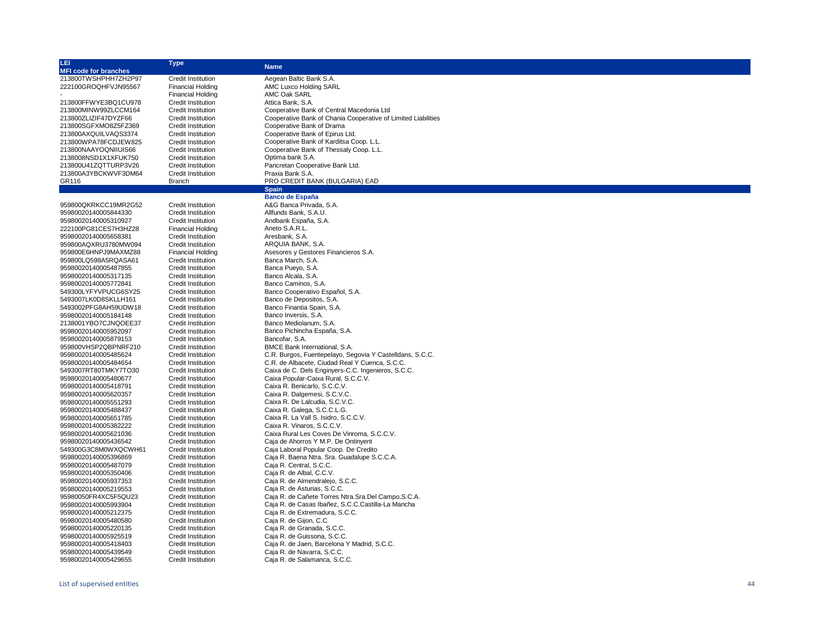| LEI                                          | <b>Type</b>                                            | <b>Name</b>                                                   |
|----------------------------------------------|--------------------------------------------------------|---------------------------------------------------------------|
| <b>MFI code for branches</b>                 |                                                        |                                                               |
| 213800TWSHPHH7ZH2P97                         | <b>Credit Institution</b>                              | Aegean Baltic Bank S.A.                                       |
| 222100GROQHFVJN95567                         | <b>Financial Holding</b>                               | AMC Luxco Holding SARL                                        |
|                                              | <b>Financial Holding</b>                               | AMC Oak SARL                                                  |
| 213800FFWYE3BQ1CU978                         | Credit Institution                                     | Attica Bank, S.A.                                             |
| 213800MINW99ZLCCM164                         | Credit Institution                                     | Cooperative Bank of Central Macedonia Ltd                     |
| 213800ZLIZIF47DYZF66                         | <b>Credit Institution</b>                              | Cooperative Bank of Chania Cooperative of Limited Liabilities |
| 213800SGFXMO8Z5FZ369                         | Credit Institution                                     | Cooperative Bank of Drama                                     |
| 213800AXQUILVAQS3374                         | <b>Credit Institution</b>                              | Cooperative Bank of Epirus Ltd.                               |
| 213800WPA78FCDJEW825                         | <b>Credit Institution</b>                              | Cooperative Bank of Karditsa Coop. L.L.                       |
| 213800NAAYOQNIIUIS66                         | <b>Credit Institution</b>                              | Cooperative Bank of Thessaly Coop. L.L.                       |
| 2138008NSD1X1XFUK750                         | <b>Credit Institution</b>                              | Optima bank S.A.                                              |
| 213800U41ZQTTURP3V26                         | Credit Institution                                     | Pancretan Cooperative Bank Ltd.                               |
| 213800A3YBCKWVF3DM64                         | <b>Credit Institution</b>                              | Praxia Bank S.A.                                              |
| GR116                                        | Branch                                                 | PRO CREDIT BANK (BULGARIA) EAD                                |
|                                              |                                                        | <b>Spain</b>                                                  |
|                                              |                                                        | <b>Banco de España</b>                                        |
| 959800QKRKCC19MR2G52                         | <b>Credit Institution</b>                              | A&G Banca Privada, S.A.                                       |
| 95980020140005844330                         | Credit Institution                                     | Allfunds Bank, S.A.U.                                         |
| 95980020140005310927                         | <b>Credit Institution</b>                              | Andbank España, S.A.                                          |
| 222100PG81CES7H3HZ28                         | <b>Financial Holding</b>                               | Aneto S.A.R.L.                                                |
| 95980020140005658381                         | Credit Institution                                     | Aresbank, S.A.                                                |
| 959800AQXRU3780MW094                         | <b>Credit Institution</b>                              | ARQUIA BANK, S.A.                                             |
| 959800E6HNPJ9MAXMZ88                         | <b>Financial Holding</b>                               | Asesores y Gestores Financieros S.A.                          |
| 959800LQ598A5RQASA61                         | <b>Credit Institution</b>                              | Banca March, S.A.                                             |
| 95980020140005487855                         | <b>Credit Institution</b>                              | Banca Pueyo, S.A.                                             |
| 95980020140005317135                         | <b>Credit Institution</b>                              | Banco Alcala, S.A.                                            |
| 95980020140005772841                         | <b>Credit Institution</b>                              | Banco Caminos, S.A.                                           |
| 549300LYFYVPUCG6SY25                         | Credit Institution                                     | Banco Cooperativo Español, S.A.                               |
| 5493007LK0D8SKLLH161                         | <b>Credit Institution</b>                              | Banco de Depositos, S.A.                                      |
| 5493002PFG8AH59UDW18                         | Credit Institution                                     | Banco Finantia Spain, S.A.                                    |
| 95980020140005184148                         | <b>Credit Institution</b>                              | Banco Inversis, S.A.                                          |
|                                              | <b>Credit Institution</b>                              | Banco Mediolanum, S.A.                                        |
| 2138001YBO7CJNQOEE37<br>95980020140005952097 | Credit Institution                                     | Banco Pichincha España, S.A.                                  |
| 95980020140005879153                         | <b>Credit Institution</b>                              | Bancofar, S.A.                                                |
| 959800VHSP2QBPNRF210                         | <b>Credit Institution</b>                              | BMCE Bank International, S.A.                                 |
|                                              |                                                        | C.R. Burgos, Fuentepelayo, Segovia Y Castelldans, S.C.C.      |
| 95980020140005485624                         | <b>Credit Institution</b>                              | C.R. de Albacete, Ciudad Real Y Cuenca, S.C.C.                |
| 95980020140005484654                         | Credit Institution                                     | Caixa de C. Dels Enginyers-C.C. Ingenieros, S.C.C.            |
| 5493007RT80TMKY7TO30<br>95980020140005480677 | <b>Credit Institution</b><br><b>Credit Institution</b> | Caixa Popular-Caixa Rural, S.C.C.V.                           |
| 95980020140005418791                         | Credit Institution                                     | Caixa R. Benicarlo, S.C.C.V.                                  |
| 95980020140005620357                         | Credit Institution                                     | Caixa R. Dalgemesi, S.C.V.C.                                  |
| 95980020140005551293                         | <b>Credit Institution</b>                              | Caixa R. De Lalcudia, S.C.V.C.                                |
| 95980020140005488437                         | <b>Credit Institution</b>                              | Caixa R. Galega, S.C.C.L.G.                                   |
| 95980020140005651785                         | <b>Credit Institution</b>                              | Caixa R. La Vall S. Isidro, S.C.C.V.                          |
| 95980020140005382222                         | <b>Credit Institution</b>                              | Caixa R. Vinaros, S.C.C.V.                                    |
| 95980020140005621036                         | <b>Credit Institution</b>                              | Caixa Rural Les Coves De Vinroma, S.C.C.V.                    |
| 95980020140005436542                         | <b>Credit Institution</b>                              | Caia de Ahorros Y M.P. De Ontinvent                           |
| 549300G3C8M0WXQCWH61                         | Credit Institution                                     | Caja Laboral Popular Coop. De Credito                         |
| 95980020140005396869                         | <b>Credit Institution</b>                              | Caja R. Baena Ntra. Sra. Guadalupe S.C.C.A.                   |
| 95980020140005487079                         | <b>Credit Institution</b>                              | Caja R. Central, S.C.C.                                       |
| 95980020140005350406                         | Credit Institution                                     | Caja R. de Albal, C.C.V.                                      |
| 95980020140005937353                         | Credit Institution                                     | Caja R. de Almendralejo, S.C.C.                               |
| 95980020140005219553                         | Credit Institution                                     | Caja R. de Asturias, S.C.C.                                   |
| 95980050FR4XC5F5QU23                         | Credit Institution                                     | Caja R. de Cañete Torres Ntra.Sra.Del Campo, S.C.A.           |
|                                              | Credit Institution                                     | Caja R. de Casas Ibañez, S.C.C.Castilla-La Mancha             |
| 95980020140005993904                         | <b>Credit Institution</b>                              | Caia R. de Extremadura, S.C.C.                                |
| 95980020140005212375                         |                                                        | Caja R. de Gijon, C.C.                                        |
| 95980020140005480580                         | <b>Credit Institution</b>                              | Caja R. de Granada, S.C.C.                                    |
| 95980020140005220135                         | <b>Credit Institution</b>                              | Caja R. de Guissona, S.C.C.                                   |
| 95980020140005925519                         | <b>Credit Institution</b>                              | Caja R. de Jaen, Barcelona Y Madrid, S.C.C.                   |
| 95980020140005418403                         | <b>Credit Institution</b>                              |                                                               |
| 95980020140005439549                         | <b>Credit Institution</b>                              | Caja R. de Navarra, S.C.C.                                    |
| 95980020140005429655                         | Credit Institution                                     | Caja R. de Salamanca, S.C.C.                                  |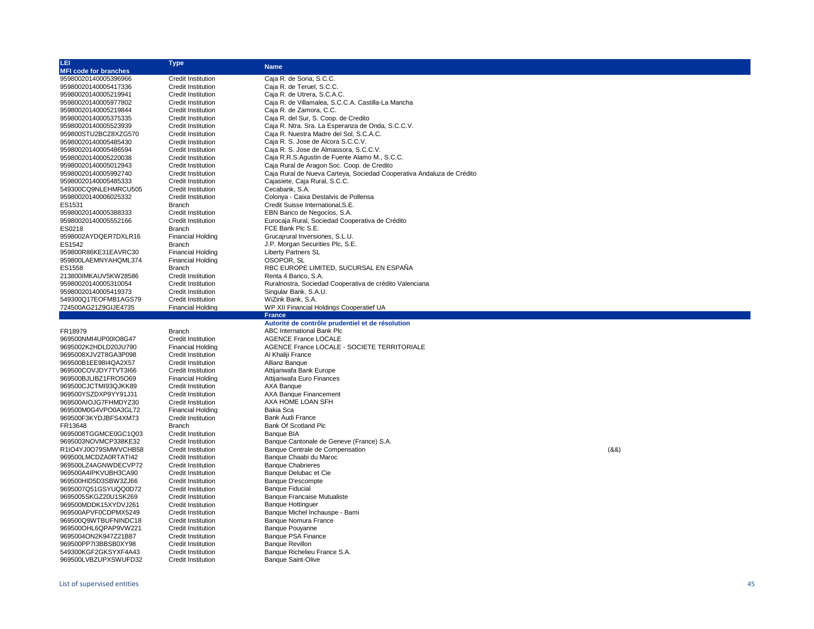| LEI                                          | <b>Type</b>                                            | <b>Name</b>                                                           |      |
|----------------------------------------------|--------------------------------------------------------|-----------------------------------------------------------------------|------|
| <b>MFI code for branches</b>                 |                                                        |                                                                       |      |
| 95980020140005396966                         | <b>Credit Institution</b>                              | Caja R. de Soria, S.C.C.                                              |      |
| 95980020140005417336                         | <b>Credit Institution</b>                              | Caja R. de Teruel, S.C.C.                                             |      |
| 95980020140005219941                         | <b>Credit Institution</b>                              | Caja R. de Utrera, S.C.A.C.                                           |      |
| 95980020140005977802                         | Credit Institution                                     | Caja R. de Villamalea, S.C.C.A. Castilla-La Mancha                    |      |
| 95980020140005219844                         | Credit Institution                                     | Caja R. de Zamora, C.C.                                               |      |
| 95980020140005375335                         | <b>Credit Institution</b>                              | Caja R. del Sur, S. Coop. de Credito                                  |      |
| 95980020140005523939                         | <b>Credit Institution</b>                              | Caja R. Ntra. Sra. La Esperanza de Onda, S.C.C.V.                     |      |
| 959800STU2BCZ8XZG570                         | Credit Institution                                     | Caja R. Nuestra Madre del Sol, S.C.A.C.                               |      |
| 95980020140005485430                         | <b>Credit Institution</b>                              | Caia R. S. Jose de Alcora S.C.C.V.                                    |      |
| 95980020140005486594                         | <b>Credit Institution</b>                              | Caja R. S. Jose de Almassora, S.C.C.V.                                |      |
|                                              |                                                        | Caja R.R.S.Agustin de Fuente Alamo M., S.C.C.                         |      |
| 95980020140005220038                         | Credit Institution<br><b>Credit Institution</b>        |                                                                       |      |
| 95980020140005012943                         |                                                        | Caja Rural de Aragon Soc. Coop. de Credito                            |      |
| 95980020140005992740                         | <b>Credit Institution</b>                              | Caja Rural de Nueva Carteya, Sociedad Cooperativa Andaluza de Crédito |      |
| 95980020140005485333                         | <b>Credit Institution</b>                              | Cajasiete, Caja Rural, S.C.C.                                         |      |
| 549300CQ9NLEHMRCU505                         | <b>Credit Institution</b>                              | Cecabank, S.A.                                                        |      |
| 95980020140006025332                         | Credit Institution                                     | Colonya - Caixa Destalvis de Pollensa                                 |      |
| ES1531                                       | <b>Branch</b>                                          | Credit Suisse International, S.E.                                     |      |
| 95980020140005388333                         | Credit Institution                                     | EBN Banco de Negocios, S.A.                                           |      |
| 95980020140005552166                         | <b>Credit Institution</b>                              | Eurocaja Rural, Sociedad Cooperativa de Crédito                       |      |
| ES0218                                       | <b>Branch</b>                                          | FCE Bank Plc S.E.                                                     |      |
| 9598002AYDQER7DXLR16                         | <b>Financial Holding</b>                               | Grucajrural Inversiones, S.L.U.                                       |      |
| ES1542                                       | <b>Branch</b>                                          | J.P. Morgan Securities Plc, S.E.                                      |      |
| 959800R86KE31EAVRC30                         | <b>Financial Holding</b>                               | <b>Liberty Partners SL</b>                                            |      |
| 959800LAEMNYAHQML374                         | <b>Financial Holding</b>                               | OSOPOR, SL                                                            |      |
| ES1558                                       | <b>Branch</b>                                          | RBC EUROPE LIMITED, SUCURSAL EN ESPAÑA                                |      |
| 213800IMKAUV5KW28586                         | Credit Institution                                     | Renta 4 Banco, S.A.                                                   |      |
| 95980020140005310054                         | <b>Credit Institution</b>                              | Ruralnostra, Sociedad Cooperativa de crédito Valenciana               |      |
| 95980020140005419373                         | <b>Credit Institution</b>                              | Singular Bank, S.A.U.                                                 |      |
| 549300Q17EOFMB1AGS79                         | Credit Institution                                     | WiZink Bank, S.A.                                                     |      |
| 724500AG21Z9GIJE4735                         | <b>Financial Holding</b>                               | WP XII Financial Holdings Cooperatief UA                              |      |
|                                              |                                                        |                                                                       |      |
|                                              |                                                        |                                                                       |      |
|                                              |                                                        | France                                                                |      |
|                                              |                                                        | Autorité de contrôle prudentiel et de résolution                      |      |
| FR18979                                      | <b>Branch</b>                                          | ABC International Bank Plc                                            |      |
| 969500NMI4UP00IO8G47                         | <b>Credit Institution</b>                              | <b>AGENCE France LOCALE</b>                                           |      |
| 9695002K2HDLD20JU790                         | <b>Financial Holding</b>                               | AGENCE France LOCALE - SOCIETE TERRITORIALE                           |      |
| 9695008XJV2T8GA3P098                         | Credit Institution                                     | Al Khaliji France                                                     |      |
| 969500B1EE98I4QA2X57                         | <b>Credit Institution</b>                              | Allianz Bangue                                                        |      |
| 969500COVJDY7TVT3I66                         | <b>Credit Institution</b>                              | Attijariwafa Bank Europe                                              |      |
| 969500BJLIBZ1FRO5O69                         | <b>Financial Holding</b>                               | Attijariwafa Euro Finances                                            |      |
| 969500CJCTMI93QJKK89                         | Credit Institution                                     | AXA Banque                                                            |      |
| 969500YSZDXP9YY91J31                         | Credit Institution                                     | AXA Banque Financement                                                |      |
| 969500AIOJG7FHMDYZ30                         | Credit Institution                                     | AXA HOME LOAN SFH                                                     |      |
| 969500M0G4VPO0A3GL72                         | <b>Financial Holding</b>                               | Bakia Sca                                                             |      |
| 969500F3KYDJBFS4XM73                         | Credit Institution                                     | Bank Audi France                                                      |      |
| FR13648                                      | <b>Branch</b>                                          | <b>Bank Of Scotland Plc</b>                                           |      |
| 9695008TGGMCE0GC1Q03                         | <b>Credit Institution</b>                              | Banque BIA                                                            |      |
| 9695003NOVMCP338KE32                         | <b>Credit Institution</b>                              | Banque Cantonale de Geneve (France) S.A.                              |      |
| R1IO4YJ0O79SMWVCHB58                         | <b>Credit Institution</b>                              | Banque Centrale de Compensation                                       | (88) |
| 969500LMCDZA0RTATI42                         | <b>Credit Institution</b>                              | Banque Chaabi du Maroc                                                |      |
| 969500LZ4AGNWDECVP72                         | <b>Credit Institution</b>                              | <b>Banque Chabrieres</b>                                              |      |
| 969500A4IPKVUBH3CA90                         | <b>Credit Institution</b>                              | Banque Delubac et Cie                                                 |      |
| 969500HID5D3SBW3ZJ66                         | <b>Credit Institution</b>                              | Banque D'escompte                                                     |      |
| 9695007Q51GSYUQQ0D72                         | <b>Credit Institution</b>                              | <b>Banque Fiducial</b>                                                |      |
| 9695005SKGZ20U1SK269                         | Credit Institution                                     | <b>Banque Francaise Mutualiste</b>                                    |      |
| 969500MDDK15XYDVJ261                         | <b>Credit Institution</b>                              | <b>Banque Hottinguer</b>                                              |      |
| 969500APVF0CDPMX5249                         | <b>Credit Institution</b>                              | Banque Michel Inchauspe - Bami                                        |      |
| 969500Q9WTBUFNINDC18                         | <b>Credit Institution</b>                              | Banque Nomura France                                                  |      |
|                                              |                                                        |                                                                       |      |
| 969500OHL6QPAP9VW221                         | Credit Institution                                     | Banque Pouyanne                                                       |      |
| 9695004ON2K947Z21B87                         | <b>Credit Institution</b>                              | <b>Banque PSA Finance</b>                                             |      |
| 969500PP7I3BBSB0XY98                         | <b>Credit Institution</b>                              | <b>Banque Revillon</b>                                                |      |
| 549300KGF2GKSYXF4A43<br>969500LVBZUPXSWUFD32 | <b>Credit Institution</b><br><b>Credit Institution</b> | Banque Richelieu France S.A.<br><b>Banque Saint-Olive</b>             |      |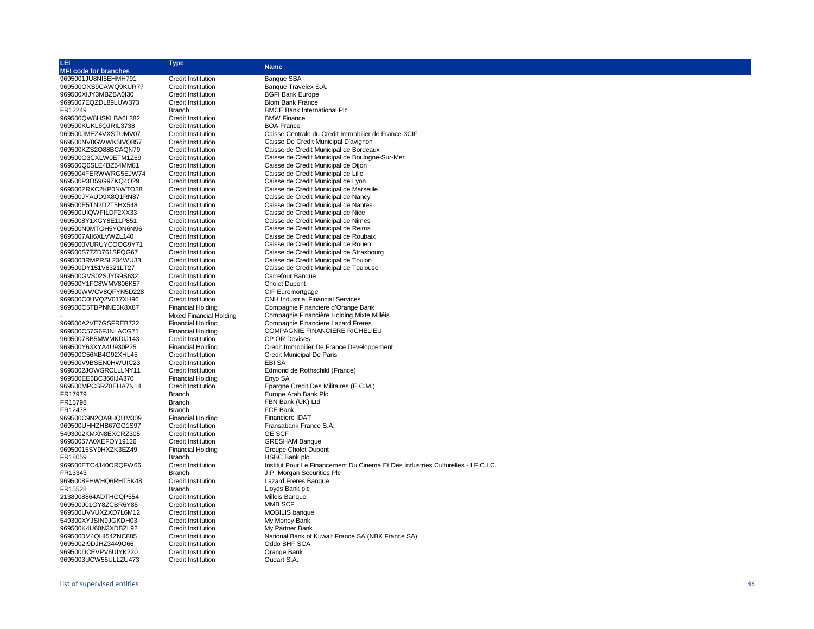| LEI                          | <b>Type</b>                    |                                                                                   |
|------------------------------|--------------------------------|-----------------------------------------------------------------------------------|
| <b>MFI code for branches</b> |                                | <b>Name</b>                                                                       |
| 9695001JU8NI5EHMH791         | <b>Credit Institution</b>      | <b>Banque SBA</b>                                                                 |
| 969500OXS9CAWQ9KUR77         | Credit Institution             | Banque Travelex S.A.                                                              |
| 969500XIJY3MBZBA0I30         | <b>Credit Institution</b>      | <b>BGFI Bank Europe</b>                                                           |
| 9695007EQZDL89LUW373         | <b>Credit Institution</b>      | <b>Blom Bank France</b>                                                           |
| FR12249                      | <b>Branch</b>                  | <b>BMCE Bank International Plc</b>                                                |
| 969500QW8HSKLBA6L382         | <b>Credit Institution</b>      | <b>BMW Finance</b>                                                                |
| 969500KUKL6QJRIL3738         | <b>Credit Institution</b>      | <b>BOA France</b>                                                                 |
| 969500JMEZ4VXSTUMV07         | <b>Credit Institution</b>      | Caisse Centrale du Credit Immobilier de France-3CIF                               |
| 969500NV8GWWK5IVQ857         | Credit Institution             | Caisse De Credit Municipal D'avignon                                              |
| 969500KZS2O88BCAQN79         | <b>Credit Institution</b>      | Caisse de Credit Municipal de Bordeaux                                            |
| 969500G3CXLW0ETM1Z69         | <b>Credit Institution</b>      | Caisse de Credit Municipal de Boulogne-Sur-Mer                                    |
| 969500Q0SLE4BZ54MM81         | <b>Credit Institution</b>      | Caisse de Credit Municipal de Dijon                                               |
| 9695004FERWWRG5EJW74         | Credit Institution             | Caisse de Credit Municipal de Lille                                               |
| 969500P3O59G9ZKQ4O29         | Credit Institution             | Caisse de Credit Municipal de Lyon                                                |
| 969500ZRKC2KP0NWTO38         | Credit Institution             | Caisse de Credit Municipal de Marseille                                           |
| 969500JYAUD9X8Q1RN87         | <b>Credit Institution</b>      | Caisse de Credit Municipal de Nancy                                               |
| 969500E5TN2D2T5HX548         | Credit Institution             | Caisse de Credit Municipal de Nantes                                              |
| 969500UIQWFILDF2XX33         | <b>Credit Institution</b>      | Caisse de Credit Municipal de Nice                                                |
| 9695008Y1XGY8E11P851         | <b>Credit Institution</b>      | Caisse de Credit Municipal de Nimes                                               |
| 969500N9MTGH5YON6N96         | Credit Institution             | Caisse de Credit Municipal de Reims                                               |
| 9695007AII6XLVWZL140         | Credit Institution             | Caisse de Credit Municipal de Roubaix                                             |
| 9695000VURUYCOOG9Y71         | <b>Credit Institution</b>      | Caisse de Credit Municipal de Rouen                                               |
| 969500S77ZD761SFQG67         | <b>Credit Institution</b>      | Caisse de Credit Municipal de Strasbourg                                          |
| 9695003RMPRSL234WU33         | Credit Institution             | Caisse de Credit Municipal de Toulon                                              |
| 969500DY151V8321LT27         | <b>Credit Institution</b>      | Caisse de Credit Municipal de Toulouse                                            |
| 969500GVS02SJYG9S632         | <b>Credit Institution</b>      | Carrefour Banque                                                                  |
| 969500Y1FC8WMV806K57         | Credit Institution             | <b>Cholet Dupont</b>                                                              |
| 969500WWCV8QFYN5D228         | Credit Institution             | CIF Euromortgage                                                                  |
| 969500C0UVQ2V017XH96         | <b>Credit Institution</b>      | <b>CNH Industrial Financial Services</b>                                          |
| 969500C5TBPNNE5K8X87         | <b>Financial Holding</b>       | Compagnie Financière d'Orange Bank                                                |
|                              | <b>Mixed Financial Holding</b> | Compagnie Financière Holding Mixte Milléis                                        |
| 969500A2VE7GSFREB732         | <b>Financial Holding</b>       | Compagnie Financiere Lazard Freres                                                |
| 969500C57G6FJNLACG71         | <b>Financial Holding</b>       | COMPAGNIE FINANCIERE RICHELIEU                                                    |
| 9695007BB5MWMKDIJ143         | Credit Institution             | <b>CP OR Devises</b>                                                              |
| 969500Y63XYA4U930P25         | <b>Financial Holding</b>       | Credit Immobilier De France Developpement                                         |
| 969500C56XB4G92XHL45         | Credit Institution             | <b>Credit Municipal De Paris</b>                                                  |
| 969500V9BSEN0HWUIC23         | <b>Credit Institution</b>      | EBI SA                                                                            |
| 9695002JOWSRCLLLNY11         | Credit Institution             | Edmond de Rothschild (France)                                                     |
| 969500EE6BC366IJA370         | <b>Financial Holding</b>       | Enyo SA                                                                           |
| 969500MPCSRZ8EHA7N14         | <b>Credit Institution</b>      | Epargne Credit Des Militaires (E.C.M.)                                            |
| FR17979                      | <b>Branch</b>                  | Europe Arab Bank Plc                                                              |
| FR15798                      | <b>Branch</b>                  | FBN Bank (UK) Ltd                                                                 |
| FR12478                      | <b>Branch</b>                  | FCE Bank                                                                          |
| 969500C9N2QA9HQUM309         | <b>Financial Holding</b>       | Financiere IDAT                                                                   |
| 969500UHHZHB67GG1S97         | Credit Institution             | Fransabank France S.A.                                                            |
| 5493002KMXN8EXCRZ305         | Credit Institution             | <b>GE SCF</b>                                                                     |
| 96950057A0XEFOY19126         | Credit Institution             | <b>GRESHAM Banque</b>                                                             |
| 96950015SY9HXZK3EZ49         | <b>Financial Holding</b>       | Groupe Cholet Dupont                                                              |
| FR18059                      | Branch                         | <b>HSBC Bank plc</b>                                                              |
| 969500ETC4J40ORQFW66         | <b>Credit Institution</b>      | Institut Pour Le Financement Du Cinema Et Des Industries Culturelles - I.F.C.I.C. |
| FR13343                      | <b>Branch</b>                  | J.P. Morgan Securities Plc                                                        |
| 9695008FHWHQ6RHT5K48         | Credit Institution             | <b>Lazard Freres Banque</b>                                                       |
| FR15528                      | Branch                         | Lloyds Bank plc                                                                   |
| 2138008864ADTHGQP554         | <b>Credit Institution</b>      | Milleis Banque                                                                    |
| 969500901GY8ZCBR6Y85         | Credit Institution             | MMB SCF                                                                           |
| 969500UVVUXZXD7L6M12         | <b>Credit Institution</b>      | <b>MOBILIS</b> banque                                                             |
| 549300XYJSIN9JGKDH03         | Credit Institution             | My Money Bank                                                                     |
| 969500K4U60N3XDBZL92         | Credit Institution             | My Partner Bank                                                                   |
| 9695000M4QHI54ZNC885         | <b>Credit Institution</b>      | National Bank of Kuwait France SA (NBK France SA)                                 |
| 9695002l9DJHZ3449O66         | Credit Institution             | Oddo BHF SCA                                                                      |
| 969500DCEVPV6UIYK220         | <b>Credit Institution</b>      | Orange Bank                                                                       |
| 9695003UCW55ULLZU473         | <b>Credit Institution</b>      | Oudart S.A.                                                                       |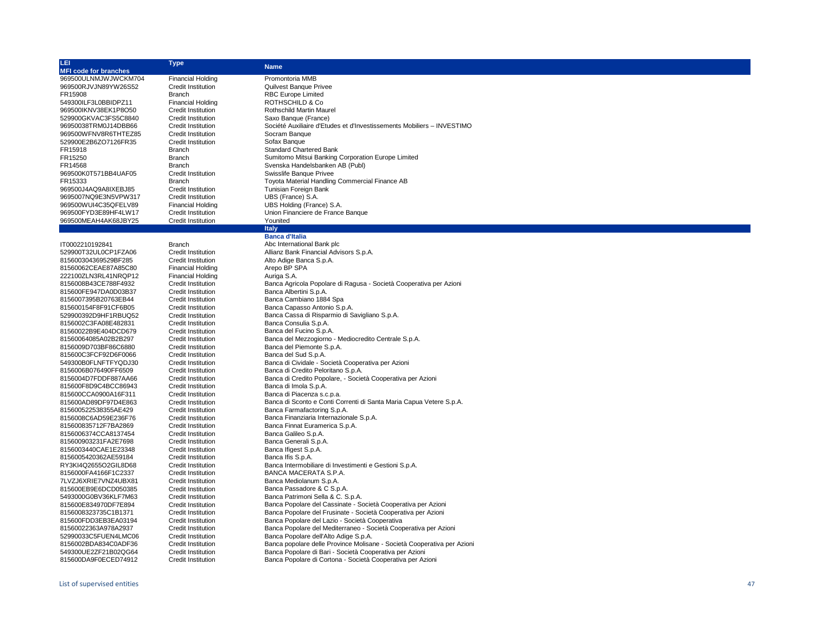| LEI                          | <b>Type</b>               |                                                                         |
|------------------------------|---------------------------|-------------------------------------------------------------------------|
| <b>MFI code for branches</b> |                           | <b>Name</b>                                                             |
| 969500ULNMJWJWCKM704         | <b>Financial Holding</b>  | Promontoria MMB                                                         |
| 969500RJVJN89YW26S52         | <b>Credit Institution</b> | Quilvest Banque Privee                                                  |
| FR15908                      | <b>Branch</b>             | <b>RBC Europe Limited</b>                                               |
| 549300ILF3L0BBIDPZ11         | <b>Financial Holding</b>  | <b>ROTHSCHILD &amp; Co</b>                                              |
| 969500IKNV38EK1P8O50         | <b>Credit Institution</b> | Rothschild Martin Maurel                                                |
| 529900GKVAC3FS5C8840         | <b>Credit Institution</b> | Saxo Banque (France)                                                    |
| 96950038TRM0J14DBB66         | <b>Credit Institution</b> | Société Auxiliaire d'Etudes et d'Investissements Mobiliers - INVESTIMO  |
| 969500WFNV8R6THTEZ85         | <b>Credit Institution</b> | Socram Banque                                                           |
| 529900E2B6ZO7126FR35         | <b>Credit Institution</b> | Sofax Banque                                                            |
| FR15918                      | Branch                    | <b>Standard Chartered Bank</b>                                          |
| FR15250                      | Branch                    | Sumitomo Mitsui Banking Corporation Europe Limited                      |
| FR14568                      | Branch                    | Svenska Handelsbanken AB (Publ)                                         |
| 969500K0T571BB4UAF05         | <b>Credit Institution</b> | Swisslife Banque Privee                                                 |
| FR15333                      | Branch                    | Toyota Material Handling Commercial Finance AB                          |
| 969500J4AQ9A8IXEBJ85         | <b>Credit Institution</b> | Tunisian Foreign Bank                                                   |
| 9695007NQ9E3N5VPW317         | <b>Credit Institution</b> | UBS (France) S.A.                                                       |
| 969500WUI4C35QFELV89         | <b>Financial Holding</b>  | UBS Holding (France) S.A.                                               |
| 969500FYD3E89HF4LW17         | <b>Credit Institution</b> | Union Financiere de France Banque                                       |
| 969500MEAH4AK68JBY25         | <b>Credit Institution</b> | Younited                                                                |
|                              |                           | <b>Italy</b>                                                            |
|                              |                           | <b>Banca d'Italia</b>                                                   |
| IT0002210192841              | Branch                    | Abc International Bank plc                                              |
| 529900T32UL0CP1FZA06         | <b>Credit Institution</b> | Allianz Bank Financial Advisors S.p.A.                                  |
| 815600304369529BF285         | <b>Credit Institution</b> | Alto Adige Banca S.p.A.                                                 |
| 81560062CEAE87A85C80         | <b>Financial Holding</b>  | Arepo BP SPA                                                            |
| 222100ZLN3RL41NRQP12         | <b>Financial Holding</b>  | Auriga S.A.                                                             |
| 8156008B43CE788F4932         | <b>Credit Institution</b> | Banca Agricola Popolare di Ragusa - Società Cooperativa per Azioni      |
| 815600FE947DA0D03B37         | <b>Credit Institution</b> | Banca Albertini S.p.A.                                                  |
| 8156007395B20763EB44         | <b>Credit Institution</b> | Banca Cambiano 1884 Spa                                                 |
| 815600154F8F91CF6B05         | <b>Credit Institution</b> | Banca Capasso Antonio S.p.A.                                            |
| 529900392D9HF1RBUQ52         | Credit Institution        | Banca Cassa di Risparmio di Savigliano S.p.A.                           |
| 8156002C3FA08E482831         | <b>Credit Institution</b> | Banca Consulia S.p.A.                                                   |
| 81560022B9E404DCD679         | Credit Institution        | Banca del Fucino S.p.A.                                                 |
| 81560064085A02B2B297         | Credit Institution        | Banca del Mezzogiorno - Mediocredito Centrale S.p.A.                    |
| 8156009D703BF86C6880         | <b>Credit Institution</b> | Banca del Piemonte S.p.A.                                               |
| 815600C3FCF92D6F0066         | <b>Credit Institution</b> | Banca del Sud S.p.A.                                                    |
| 549300B0FLNFTFYQDJ30         | <b>Credit Institution</b> | Banca di Cividale - Società Cooperativa per Azioni                      |
| 8156006B076490FF6509         | <b>Credit Institution</b> | Banca di Credito Peloritano S.p.A.                                      |
| 8156004D7FDDF887AA66         | <b>Credit Institution</b> | Banca di Credito Popolare, - Società Cooperativa per Azioni             |
| 815600F8D9C4BCC86943         | <b>Credit Institution</b> | Banca di Imola S.p.A.                                                   |
| 815600CCA0900A16F311         | <b>Credit Institution</b> | Banca di Piacenza s.c.p.a.                                              |
| 815600AD89DF97D4E863         | <b>Credit Institution</b> | Banca di Sconto e Conti Correnti di Santa Maria Capua Vetere S.p.A.     |
| 815600522538355AE429         | <b>Credit Institution</b> | Banca Farmafactoring S.p.A.                                             |
| 8156008C6AD59E236F76         | <b>Credit Institution</b> | Banca Finanziaria Internazionale S.p.A.                                 |
| 815600835712F7BA2869         | <b>Credit Institution</b> | Banca Finnat Euramerica S.p.A.                                          |
| 8156006374CCA8137454         | <b>Credit Institution</b> | Banca Galileo S.p.A.                                                    |
| 815600903231FA2E7698         | <b>Credit Institution</b> | Banca Generali S.p.A.                                                   |
| 8156003440CAE1E23348         | <b>Credit Institution</b> | Banca Ifigest S.p.A.                                                    |
| 8156005420362AE59184         | <b>Credit Institution</b> | Banca Ifis S.p.A.                                                       |
| RY3KI4Q2655O2GIL8D68         | Credit Institution        | Banca Intermobiliare di Investimenti e Gestioni S.p.A.                  |
| 8156000FA4166F1C2337         | <b>Credit Institution</b> | BANCA MACERATA S.P.A.                                                   |
| 7LVZJ6XRIE7VNZ4UBX81         | Credit Institution        | Banca Mediolanum S.p.A.                                                 |
| 815600EB9E6DCD050385         | Credit Institution        | Banca Passadore & C S.p.A.                                              |
| 5493000G0BV36KLF7M63         | <b>Credit Institution</b> | Banca Patrimoni Sella & C. S.p.A.                                       |
| 815600E834970DF7E894         | <b>Credit Institution</b> | Banca Popolare del Cassinate - Società Cooperativa per Azioni           |
| 8156008323735C1B1371         | <b>Credit Institution</b> | Banca Popolare del Frusinate - Società Cooperativa per Azioni           |
| 815600FDD3EB3EA03194         | <b>Credit Institution</b> | Banca Popolare del Lazio - Società Cooperativa                          |
| 81560022363A978A2937         | <b>Credit Institution</b> | Banca Popolare del Mediterraneo - Società Cooperativa per Azioni        |
| 52990033C5FUEN4LMC06         | <b>Credit Institution</b> | Banca Popolare dell'Alto Adige S.p.A.                                   |
| 8156002BDA834C0ADF36         | <b>Credit Institution</b> | Banca popolare delle Province Molisane - Società Cooperativa per Azioni |
| 549300UE2ZF21B02QG64         | <b>Credit Institution</b> | Banca Popolare di Bari - Società Cooperativa per Azioni                 |
| 815600DA9F0ECED74912         | <b>Credit Institution</b> | Banca Popolare di Cortona - Società Cooperativa per Azioni              |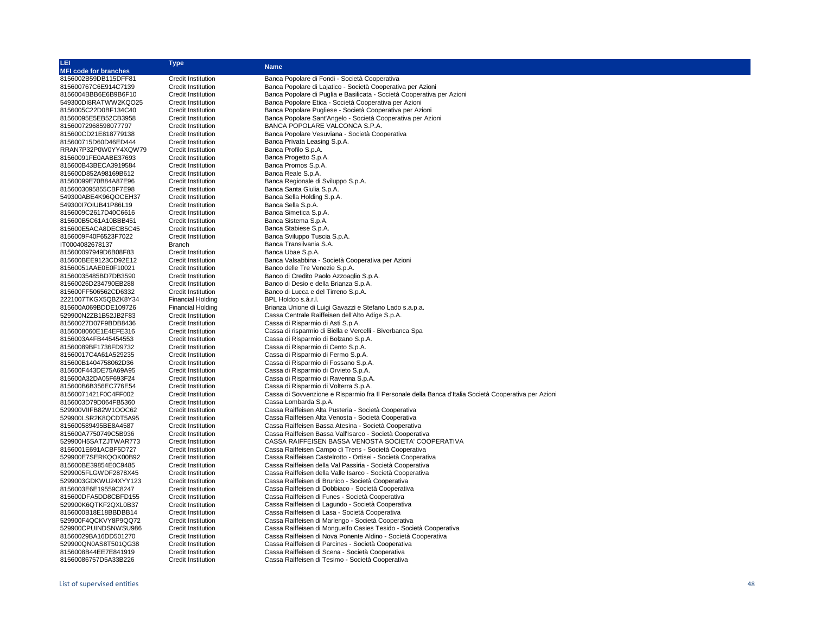| LEI                                          | <b>Type</b>                                     |                                                                                                                       |
|----------------------------------------------|-------------------------------------------------|-----------------------------------------------------------------------------------------------------------------------|
| <b>MFI code for branches</b>                 |                                                 | <b>Name</b>                                                                                                           |
| 8156002B59DB115DFF81                         | Credit Institution                              | Banca Popolare di Fondi - Società Cooperativa                                                                         |
| 815600767C6E914C7139                         | Credit Institution                              | Banca Popolare di Lajatico - Società Cooperativa per Azioni                                                           |
| 8156004BBB6E6B9B6F10                         | <b>Credit Institution</b>                       | Banca Popolare di Puglia e Basilicata - Società Cooperativa per Azioni                                                |
| 549300DI8RATWW2KQO25                         | Credit Institution                              | Banca Popolare Etica - Società Cooperativa per Azioni                                                                 |
| 8156005C22D0BF134C40                         | <b>Credit Institution</b>                       | Banca Popolare Pugliese - Società Cooperativa per Azioni                                                              |
| 81560095E5EB52CB3958                         | <b>Credit Institution</b>                       | Banca Popolare Sant'Angelo - Società Cooperativa per Azioni                                                           |
| 81560072968598077797                         | <b>Credit Institution</b>                       | BANCA POPOLARE VALCONCA S.P.A.                                                                                        |
| 815600CD21E818779138                         | <b>Credit Institution</b>                       | Banca Popolare Vesuviana - Società Cooperativa                                                                        |
| 815600715D60D46ED444                         | <b>Credit Institution</b>                       | Banca Privata Leasing S.p.A.                                                                                          |
| RRAN7P32P0W0YY4XQW79                         | Credit Institution                              | Banca Profilo S.p.A.                                                                                                  |
| 81560091FE0AABE37693                         | <b>Credit Institution</b>                       | Banca Progetto S.p.A.                                                                                                 |
| 815600B43BECA3919584                         | <b>Credit Institution</b>                       | Banca Promos S.p.A.                                                                                                   |
| 815600D852A98169B612                         | <b>Credit Institution</b>                       | Banca Reale S.p.A.                                                                                                    |
| 81560099E70B84A87E96                         | <b>Credit Institution</b>                       | Banca Regionale di Sviluppo S.p.A.                                                                                    |
| 8156003095855CBF7E98                         | Credit Institution                              | Banca Santa Giulia S.p.A.                                                                                             |
| 549300ABE4K96QOCEH37                         | Credit Institution                              | Banca Sella Holding S.p.A.                                                                                            |
| 54930017OIUB41P86L19                         | Credit Institution                              | Banca Sella S.p.A.                                                                                                    |
| 8156009C2617D40C6616                         | <b>Credit Institution</b>                       | Banca Simetica S.p.A.                                                                                                 |
| 815600B5C61A10BBB451                         | Credit Institution                              | Banca Sistema S.p.A.                                                                                                  |
| 815600E5ACA8DECB5C45                         | Credit Institution                              | Banca Stabiese S.p.A.                                                                                                 |
| 8156009F40F6523F7022                         | <b>Credit Institution</b>                       | Banca Sviluppo Tuscia S.p.A.                                                                                          |
| IT0004082678137                              | <b>Branch</b>                                   | Banca Transilvania S.A.                                                                                               |
| 815600097949D6B08F83                         | Credit Institution                              | Banca Ubae S.p.A.                                                                                                     |
| 815600BEE9123CD92E12                         | Credit Institution                              | Banca Valsabbina - Società Cooperativa per Azioni                                                                     |
| 81560051AAE0E0F10021                         | Credit Institution                              | Banco delle Tre Venezie S.p.A.                                                                                        |
| 81560035485BD7DB3590                         | Credit Institution                              | Banco di Credito Paolo Azzoaglio S.p.A.                                                                               |
| 81560026D234790EB288                         | Credit Institution                              | Banco di Desio e della Brianza S.p.A.                                                                                 |
| 815600FF506562CD6332                         | Credit Institution                              | Banco di Lucca e del Tirreno S.p.A.                                                                                   |
| 2221007TKGX5QBZK8Y34                         | <b>Financial Holding</b>                        | BPL Holdco s.à.r.l.                                                                                                   |
| 815600A069BDDE109726                         | <b>Financial Holding</b>                        | Brianza Unione di Luigi Gavazzi e Stefano Lado s.a.p.a.                                                               |
| 529900N2ZB1B52JB2F83                         | Credit Institution                              | Cassa Centrale Raiffeisen dell'Alto Adige S.p.A.                                                                      |
| 81560027D07F9BDB8436                         | Credit Institution                              | Cassa di Risparmio di Asti S.p.A.                                                                                     |
| 8156008060E1E4EFE316                         | Credit Institution                              | Cassa di risparmio di Biella e Vercelli - Biverbanca Spa                                                              |
| 8156003A4FB445454553                         | Credit Institution                              | Cassa di Risparmio di Bolzano S.p.A.                                                                                  |
| 81560089BF1736FD9732                         | Credit Institution                              | Cassa di Risparmio di Cento S.p.A.                                                                                    |
| 81560017C4A61A529235                         | Credit Institution                              | Cassa di Risparmio di Fermo S.p.A.                                                                                    |
| 815600B1404758062D36                         | Credit Institution                              | Cassa di Risparmio di Fossano S.p.A.                                                                                  |
| 815600F443DE75A69A95                         | Credit Institution                              | Cassa di Risparmio di Orvieto S.p.A.                                                                                  |
| 815600A32DA05F693F24                         | Credit Institution                              | Cassa di Risparmio di Ravenna S.p.A.                                                                                  |
| 815600B6B356EC776E54                         | Credit Institution                              | Cassa di Risparmio di Volterra S.p.A.                                                                                 |
| 81560071421F0C4FF002                         | Credit Institution                              | Cassa di Sovvenzione e Risparmio fra Il Personale della Banca d'Italia Società Cooperativa per Azioni                 |
| 8156003D79D064FB5360                         | <b>Credit Institution</b>                       | Cassa Lombarda S.p.A.                                                                                                 |
| 529900VIIFB82W1OOC62                         | Credit Institution                              | Cassa Raiffeisen Alta Pusteria - Società Cooperativa                                                                  |
| 529900LSR2K8QCDT5A95                         | Credit Institution                              | Cassa Raiffeisen Alta Venosta - Società Cooperativa                                                                   |
| 815600589495BE8A4587                         | Credit Institution                              | Cassa Raiffeisen Bassa Atesina - Società Cooperativa                                                                  |
| 815600A7750749C5B936                         | Credit Institution                              | Cassa Raiffeisen Bassa Vall'Isarco - Società Cooperativa                                                              |
| 529900H5SATZJTWAR773                         | Credit Institution<br><b>Credit Institution</b> | CASSA RAIFFEISEN BASSA VENOSTA SOCIETA' COOPERATIVA                                                                   |
| 8156001E691ACBF5D727                         | Credit Institution                              | Cassa Raiffeisen Campo di Trens - Società Cooperativa<br>Cassa Raiffeisen Castelrotto - Ortisei - Società Cooperativa |
| 529900E7SERKQOK00B92<br>815600BE39854E0C9485 | Credit Institution                              | Cassa Raiffeisen della Val Passiria - Società Cooperativa                                                             |
|                                              | <b>Credit Institution</b>                       | Cassa Raiffeisen della Valle Isarco - Società Cooperativa                                                             |
| 5299005FLGWDF2878X45                         | Credit Institution                              | Cassa Raiffeisen di Brunico - Società Cooperativa                                                                     |
| 5299003GDKWU24XYY123<br>8156003E6E19559C8247 | <b>Credit Institution</b>                       | Cassa Raiffeisen di Dobbiaco - Società Cooperativa                                                                    |
| 815600DFA5DD8CBFD155                         | Credit Institution                              | Cassa Raiffeisen di Funes - Società Cooperativa                                                                       |
| 529900K6QTKF2QXL0B37                         | Credit Institution                              | Cassa Raiffeisen di Lagundo - Società Cooperativa                                                                     |
| 8156000B18E18BBDBB14                         | Credit Institution                              | Cassa Raiffeisen di Lasa - Società Cooperativa                                                                        |
| 529900F4QCKVY8P9QQ72                         | Credit Institution                              | Cassa Raiffeisen di Marlengo - Società Cooperativa                                                                    |
| 529900CPUINDSNWSU986                         | Credit Institution                              | Cassa Raiffeisen di Monguelfo Casies Tesido - Società Cooperativa                                                     |
| 81560029BA16DD501270                         | <b>Credit Institution</b>                       | Cassa Raiffeisen di Nova Ponente Aldino - Società Cooperativa                                                         |
| 529900QN0AS8T501QG38                         | <b>Credit Institution</b>                       | Cassa Raiffeisen di Parcines - Società Cooperativa                                                                    |
| 8156008B44EE7E841919                         | Credit Institution                              | Cassa Raiffeisen di Scena - Società Cooperativa                                                                       |
| 81560086757D5A33B226                         | <b>Credit Institution</b>                       | Cassa Raiffeisen di Tesimo - Società Cooperativa                                                                      |
|                                              |                                                 |                                                                                                                       |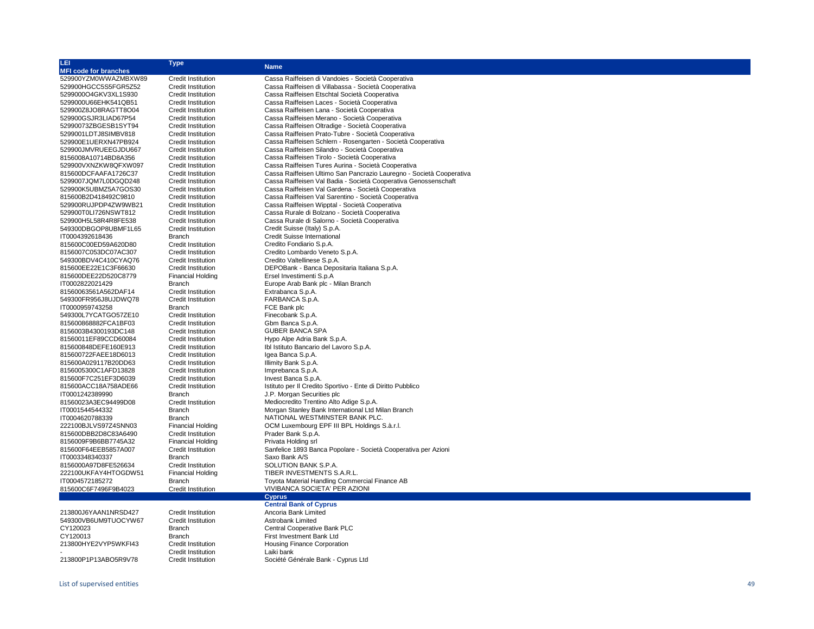| LEI                                          | <b>Type</b>                                            | <b>Name</b>                                                                                                |
|----------------------------------------------|--------------------------------------------------------|------------------------------------------------------------------------------------------------------------|
| <b>MFI code for branches</b>                 |                                                        |                                                                                                            |
| 529900YZM0WWAZMBXW89                         | Credit Institution                                     | Cassa Raiffeisen di Vandoies - Società Cooperativa                                                         |
| 529900HGCC5S5FGR5Z52                         | <b>Credit Institution</b>                              | Cassa Raiffeisen di Villabassa - Società Cooperativa                                                       |
| 5299000O4GKV3XL1S930                         | <b>Credit Institution</b>                              | Cassa Raiffeisen Etschtal Società Cooperativa                                                              |
| 5299000U66EHK541QB51                         | <b>Credit Institution</b>                              | Cassa Raiffeisen Laces - Società Cooperativa                                                               |
| 529900Z8JO8RAGTT8O04                         | <b>Credit Institution</b>                              | Cassa Raiffeisen Lana - Società Cooperativa                                                                |
| 529900GSJR3LIAD67P54                         | <b>Credit Institution</b>                              | Cassa Raiffeisen Merano - Società Cooperativa                                                              |
| 52990073ZBGESB1SYT94                         | <b>Credit Institution</b>                              | Cassa Raiffeisen Oltradige - Società Cooperativa                                                           |
| 5299001LDTJ8SIMBV818                         | <b>Credit Institution</b>                              | Cassa Raiffeisen Prato-Tubre - Società Cooperativa                                                         |
| 529900E1UERXN47PB924                         | <b>Credit Institution</b>                              | Cassa Raiffeisen Schlern - Rosengarten - Società Cooperativa                                               |
| 529900JMVRUEEGJDU667                         | <b>Credit Institution</b>                              | Cassa Raiffeisen Silandro - Società Cooperativa                                                            |
| 8156008A10714BD8A356                         | <b>Credit Institution</b>                              | Cassa Raiffeisen Tirolo - Società Cooperativa                                                              |
| 529900VXNZKW8QFXW097                         | <b>Credit Institution</b>                              | Cassa Raiffeisen Tures Aurina - Società Cooperativa                                                        |
| 815600DCFAAFA1726C37                         | <b>Credit Institution</b>                              | Cassa Raiffeisen Ultimo San Pancrazio Lauregno - Società Cooperativa                                       |
| 5299007JQM7L0DGQD248                         | Credit Institution                                     | Cassa Raiffeisen Val Badia - Società Cooperativa Genossenschaft                                            |
| 529900K5UBMZ5A7GOS30                         | <b>Credit Institution</b><br><b>Credit Institution</b> | Cassa Raiffeisen Val Gardena - Società Cooperativa<br>Cassa Raiffeisen Val Sarentino - Società Cooperativa |
| 815600B2D418492C9810<br>529900RUJPDP4ZW9WB21 | Credit Institution                                     | Cassa Raiffeisen Wipptal - Società Cooperativa                                                             |
| 529900T0LI726NSWT812                         | <b>Credit Institution</b>                              | Cassa Rurale di Bolzano - Società Cooperativa                                                              |
| 529900H5L58R4R8FE538                         | Credit Institution                                     | Cassa Rurale di Salorno - Società Cooperativa                                                              |
| 549300DBGOP8UBMF1L65                         | Credit Institution                                     | Credit Suisse (Italy) S.p.A.                                                                               |
| IT0004392618436                              | <b>Branch</b>                                          | <b>Credit Suisse International</b>                                                                         |
| 815600C00ED59A620D80                         | <b>Credit Institution</b>                              | Credito Fondiario S.p.A.                                                                                   |
| 8156007C053DC07AC307                         | Credit Institution                                     | Credito Lombardo Veneto S.p.A.                                                                             |
| 549300BDV4C410CYAQ76                         | <b>Credit Institution</b>                              | Credito Valtellinese S.p.A.                                                                                |
| 815600EE22E1C3F66630                         | <b>Credit Institution</b>                              | DEPOBank - Banca Depositaria Italiana S.p.A.                                                               |
| 815600DEE22D520C8779                         | <b>Financial Holding</b>                               | Ersel Investimenti S.p.A                                                                                   |
| IT0002822021429                              | Branch                                                 | Europe Arab Bank plc - Milan Branch                                                                        |
| 81560063561A562DAF14                         | Credit Institution                                     | Extrabanca S.p.A.                                                                                          |
| 549300FR956J8UJDWQ78                         | <b>Credit Institution</b>                              | FARBANCA S.p.A.                                                                                            |
| IT0000959743258                              | <b>Branch</b>                                          | FCE Bank plc                                                                                               |
| 549300L7YCATGO57ZE10                         | <b>Credit Institution</b>                              | Finecobank S.p.A.                                                                                          |
| 815600868882FCA1BF03                         | <b>Credit Institution</b>                              | Gbm Banca S.p.A.                                                                                           |
| 8156003B4300193DC148                         | <b>Credit Institution</b>                              | <b>GUBER BANCA SPA</b>                                                                                     |
| 81560011EF89CCD60084                         | Credit Institution                                     | Hypo Alpe Adria Bank S.p.A.                                                                                |
| 815600848DEFE160E913                         | <b>Credit Institution</b>                              | Ibl Istituto Bancario del Lavoro S.p.A.                                                                    |
| 815600722FAEE18D6013                         | <b>Credit Institution</b>                              | Igea Banca S.p.A.                                                                                          |
| 815600A029117B20DD63                         | <b>Credit Institution</b>                              | Illimity Bank S.p.A.                                                                                       |
| 8156005300C1AFD13828                         | <b>Credit Institution</b>                              | Imprebanca S.p.A.                                                                                          |
| 815600F7C251EF3D6039                         | <b>Credit Institution</b>                              | Invest Banca S.p.A.                                                                                        |
| 815600ACC18A758ADE66                         | <b>Credit Institution</b>                              | Istituto per Il Credito Sportivo - Ente di Diritto Pubblico                                                |
| IT0001242389990                              | Branch                                                 | J.P. Morgan Securities plc                                                                                 |
| 81560023A3EC94499D08                         | Credit Institution                                     | Mediocredito Trentino Alto Adige S.p.A.                                                                    |
| IT0001544544332<br>IT0004620788339           | <b>Branch</b><br><b>Branch</b>                         | Morgan Stanley Bank International Ltd Milan Branch<br>NATIONAL WESTMINSTER BANK PLC.                       |
| 222100BJLVS97Z4SNN03                         | <b>Financial Holding</b>                               | OCM Luxembourg EPF III BPL Holdings S.à.r.l.                                                               |
| 815600DBB2D8C83A6490                         | <b>Credit Institution</b>                              | Prader Bank S.p.A.                                                                                         |
| 8156009F9B6BB7745A32                         | <b>Financial Holding</b>                               | Privata Holding srl                                                                                        |
| 815600F64EEB5857A007                         | Credit Institution                                     | Sanfelice 1893 Banca Popolare - Società Cooperativa per Azioni                                             |
| IT0003348340337                              | <b>Branch</b>                                          | Saxo Bank A/S                                                                                              |
| 8156000A97D8FE526634                         | Credit Institution                                     | SOLUTION BANK S.P.A.                                                                                       |
| 222100UKFAY4HTOGDW51                         | <b>Financial Holding</b>                               | TIBER INVESTMENTS S.A.R.L.                                                                                 |
| IT0004572185272                              | Branch                                                 | Toyota Material Handling Commercial Finance AB                                                             |
| 815600C6F7496F9B4023                         | Credit Institution                                     | VIVIBANCA SOCIETA' PER AZIONI                                                                              |
|                                              |                                                        | <b>Cyprus</b>                                                                                              |
|                                              |                                                        | <b>Central Bank of Cyprus</b>                                                                              |
| 213800J6YAAN1NRSD427                         | <b>Credit Institution</b>                              | Ancoria Bank Limited                                                                                       |
| 549300VB6UM9TUOCYW67                         | <b>Credit Institution</b>                              | Astrobank Limited                                                                                          |
| CY120023                                     | <b>Branch</b>                                          | Central Cooperative Bank PLC                                                                               |
| CY120013                                     | Branch                                                 | First Investment Bank Ltd                                                                                  |
| 213800HYE2VYP5WKFI43                         | Credit Institution                                     | <b>Housing Finance Corporation</b>                                                                         |
|                                              | <b>Credit Institution</b>                              | Laiki bank                                                                                                 |
| 213800P1P13ABO5R9V78                         | <b>Credit Institution</b>                              | Société Générale Bank - Cyprus Ltd                                                                         |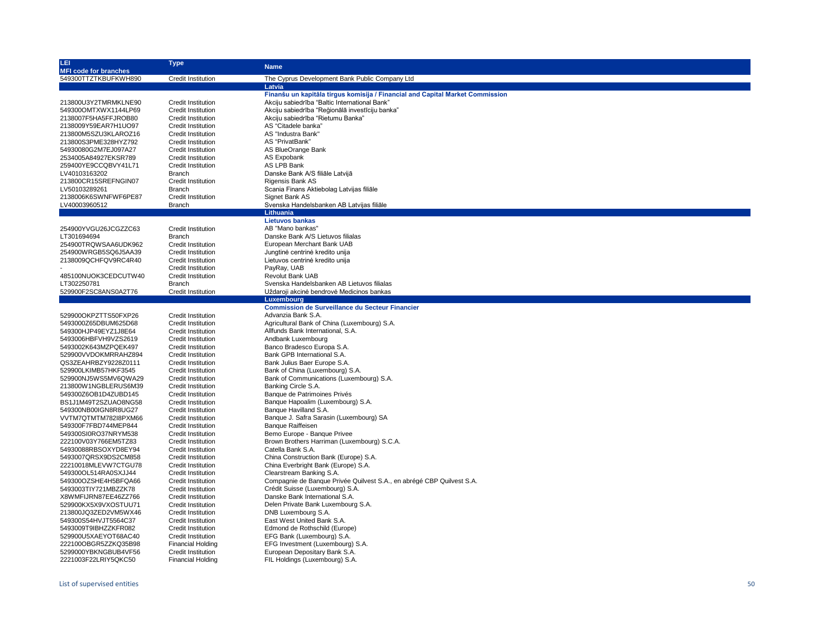| LEI.                         | <b>Type</b>               | <b>Name</b>                                                                   |
|------------------------------|---------------------------|-------------------------------------------------------------------------------|
| <b>MFI code for branches</b> |                           |                                                                               |
| 549300TTZTKBUFKWH890         | Credit Institution        | The Cyprus Development Bank Public Company Ltd                                |
|                              |                           | Latvia                                                                        |
|                              |                           | Finanšu un kapitāla tirgus komisija / Financial and Capital Market Commission |
| 213800U3Y2TMRMKLNE90         | <b>Credit Institution</b> | Akciju sabiedrība "Baltic International Bank"                                 |
| 549300OMTXWX1144LP69         | Credit Institution        | Akciju sabiedrība "Reģionālā investīciju banka"                               |
| 2138007F5HA5FFJROB80         | <b>Credit Institution</b> | Akciju sabiedrība "Rietumu Banka"                                             |
| 2138009Y59EAR7H1UO97         | <b>Credit Institution</b> | AS "Citadele banka"                                                           |
| 213800M5SZU3KLAROZ16         | <b>Credit Institution</b> | AS "Industra Bank"                                                            |
| 213800S3PME328HYZ792         | Credit Institution        | AS "PrivatBank"                                                               |
| 54930080G2M7EJ097A27         | <b>Credit Institution</b> | AS BlueOrange Bank                                                            |
| 2534005A84927EKSR789         | <b>Credit Institution</b> | AS Expobank                                                                   |
| 259400YE9CCQBVY41L71         | <b>Credit Institution</b> | AS LPB Bank                                                                   |
| LV40103163202                | <b>Branch</b>             | Danske Bank A/S filiāle Latvijā                                               |
| 213800CR15SREFNGIN07         | Credit Institution        | Rigensis Bank AS                                                              |
| LV50103289261                | <b>Branch</b>             | Scania Finans Aktiebolag Latvijas filiāle                                     |
| 2138006K6SWNFWF6PE87         | <b>Credit Institution</b> | Signet Bank AS                                                                |
| LV40003960512                | <b>Branch</b>             | Svenska Handelsbanken AB Latvijas filiāle                                     |
|                              |                           | Lithuania                                                                     |
|                              |                           | <b>Lietuvos bankas</b>                                                        |
| 254900YVGU26JCGZZC63         | <b>Credit Institution</b> | AB "Mano bankas"                                                              |
| LT301694694                  | Branch                    | Danske Bank A/S Lietuvos filialas                                             |
| 254900TRQWSAA6UDK962         | <b>Credit Institution</b> | European Merchant Bank UAB                                                    |
| 254900WRGB5SQ6J5AA39         | Credit Institution        | Jungtinė centrinė kredito unija                                               |
| 2138009QCHFQV9RC4R40         | Credit Institution        | Lietuvos centrinė kredito unija                                               |
|                              | Credit Institution        | PayRay, UAB                                                                   |
| 485100NUOK3CEDCUTW40         | <b>Credit Institution</b> | Revolut Bank UAB                                                              |
| LT302250781                  | Branch                    | Svenska Handelsbanken AB Lietuvos filialas                                    |
| 529900F2SC8ANS0A2T76         | Credit Institution        | Uždaroji akcinė bendrovė Medicinos bankas                                     |
|                              |                           | Luxembourg                                                                    |
|                              |                           | <b>Commission de Surveillance du Secteur Financier</b>                        |
| 529900OKPZTTS50FXP26         | <b>Credit Institution</b> | Advanzia Bank S.A.                                                            |
| 5493000Z65DBUM625D68         | <b>Credit Institution</b> | Agricultural Bank of China (Luxembourg) S.A.                                  |
| 549300HJP49EYZ1J8E64         | Credit Institution        | Allfunds Bank International, S.A.                                             |
| 5493006HBFVH9VZS2619         | <b>Credit Institution</b> | Andbank Luxembourg                                                            |
| 5493002K643MZPQEK497         | <b>Credit Institution</b> | Banco Bradesco Europa S.A.                                                    |
| 529900VVDOKMRRAHZ894         | <b>Credit Institution</b> | Bank GPB International S.A.                                                   |
| QS3ZEAHRBZY9228Z0111         | <b>Credit Institution</b> | Bank Julius Baer Europe S.A.                                                  |
| 529900LKIMB57HKF3545         | <b>Credit Institution</b> | Bank of China (Luxembourg) S.A.                                               |
| 529900NJ5WS5MV6QWA29         | <b>Credit Institution</b> | Bank of Communications (Luxembourg) S.A.                                      |
| 213800W1NGBLERUS6M39         | <b>Credit Institution</b> | Banking Circle S.A.                                                           |
| 549300Z6OB1D4ZUBD145         | <b>Credit Institution</b> | Banque de Patrimoines Privés                                                  |
| BS1J1M49T2SZUAO8NG58         | Credit Institution        | Banque Hapoalim (Luxembourg) S.A.                                             |
| 549300NB00IGN8R8UG27         | <b>Credit Institution</b> | Banque Havilland S.A.                                                         |
| VVTM7QTMTM782I8PXM66         | <b>Credit Institution</b> | Banque J. Safra Sarasin (Luxembourg) SA                                       |
| 549300F7FBD744MEP844         | <b>Credit Institution</b> | Banque Raiffeisen                                                             |
| 549300SI0RO37NRYM538         | <b>Credit Institution</b> | Bemo Europe - Banque Privee                                                   |
| 222100V03Y766EM5TZ83         | <b>Credit Institution</b> | Brown Brothers Harriman (Luxembourg) S.C.A.                                   |
| 54930088RBSOXYD8EY94         | Credit Institution        | Catella Bank S.A.                                                             |
| 5493007QRSX9DS2CM858         | Credit Institution        | China Construction Bank (Europe) S.A.                                         |
| 22210018MLEVW7CTGU78         | Credit Institution        | China Everbright Bank (Europe) S.A.                                           |
| 549300OL514RA0SXJJ44         | <b>Credit Institution</b> | Clearstream Banking S.A.                                                      |
| 549300OZSHE4H5BFQA66         | <b>Credit Institution</b> | Compagnie de Banque Privée Quilvest S.A., en abrégé CBP Quilvest S.A.         |
| 5493003TIY721MBZZK78         | <b>Credit Institution</b> | Crédit Suisse (Luxembourg) S.A.                                               |
| X8WMFIJRN87EE46ZZ766         | <b>Credit Institution</b> | Danske Bank International S.A.                                                |
| 529900KX5X9VXOSTUU71         | Credit Institution        | Delen Private Bank Luxembourg S.A.                                            |
| 213800JQ3ZED2VM5WX46         | <b>Credit Institution</b> | DNB Luxembourg S.A.                                                           |
| 549300S54HVJT5564C37         | <b>Credit Institution</b> | East West United Bank S.A.                                                    |
| 5493009T9IBHZZKFR082         | <b>Credit Institution</b> | Edmond de Rothschild (Europe)                                                 |
| 529900U5XAEYOT68AC40         | Credit Institution        | EFG Bank (Luxembourg) S.A.                                                    |
| 222100OBGR5ZZKQ35B98         | <b>Financial Holding</b>  | EFG Investment (Luxembourg) S.A.                                              |
| 5299000YBKNGBUB4VF56         | Credit Institution        | European Depositary Bank S.A.                                                 |
| 2221003F22LRIY5QKC50         | <b>Financial Holding</b>  | FIL Holdings (Luxembourg) S.A.                                                |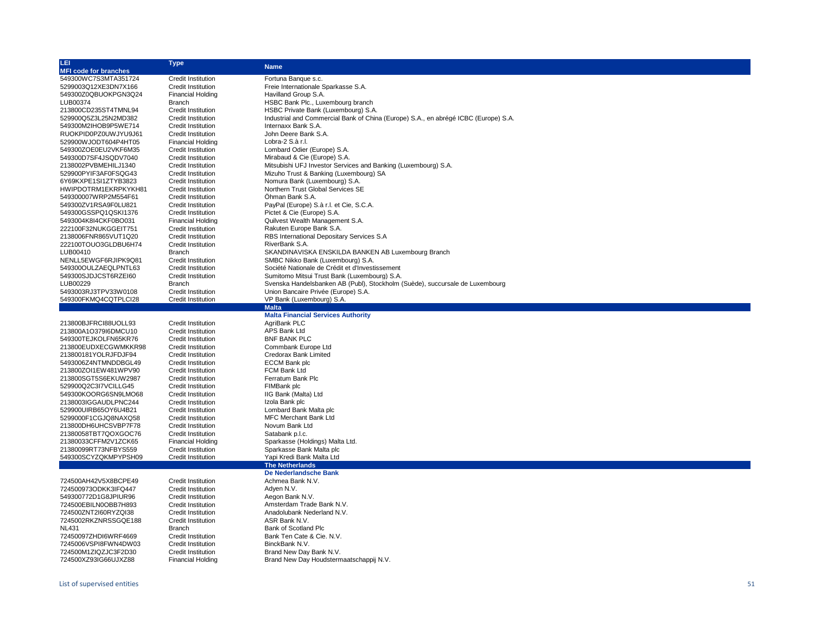| LEI                          | Type                                            | <b>Name</b>                                                                         |
|------------------------------|-------------------------------------------------|-------------------------------------------------------------------------------------|
| <b>MFI code for branches</b> |                                                 |                                                                                     |
| 549300WC7S3MTA351724         | Credit Institution                              | Fortuna Banque s.c.                                                                 |
| 5299003Q12XE3DN7X166         | <b>Credit Institution</b>                       | Freie Internationale Sparkasse S.A.                                                 |
| 549300Z0QBUOKPGN3Q24         | <b>Financial Holding</b>                        | Havilland Group S.A.                                                                |
| LUB00374                     | <b>Branch</b>                                   | HSBC Bank Plc., Luxembourg branch                                                   |
| 213800CD235ST4TMNL94         | Credit Institution                              | HSBC Private Bank (Luxembourg) S.A.                                                 |
| 529900Q5Z3L25N2MD382         | <b>Credit Institution</b>                       | Industrial and Commercial Bank of China (Europe) S.A., en abrégé ICBC (Europe) S.A. |
| 549300M2IHOB9P5WE714         | <b>Credit Institution</b>                       | Internaxx Bank S.A.                                                                 |
| RUOKPID0PZ0UWJYU9J61         | <b>Credit Institution</b>                       | John Deere Bank S.A.                                                                |
| 529900WJODT604P4HT05         | <b>Financial Holding</b>                        | Lobra-2 S.à r.l.                                                                    |
| 549300ZOE0EU2VKF6M35         | Credit Institution                              | Lombard Odier (Europe) S.A.                                                         |
| 549300D7SF4JSQDV7040         | Credit Institution                              | Mirabaud & Cie (Europe) S.A.                                                        |
| 2138002PVBMEHILJ1340         | <b>Credit Institution</b>                       | Mitsubishi UFJ Investor Services and Banking (Luxembourg) S.A.                      |
| 529900PYIF3AF0FSQG43         | <b>Credit Institution</b>                       | Mizuho Trust & Banking (Luxembourg) SA                                              |
| 6Y69KXPE1SI1ZTYB3823         | <b>Credit Institution</b>                       | Nomura Bank (Luxembourg) S.A.                                                       |
| HWIPDOTRM1EKRPKYKH81         | <b>Credit Institution</b>                       | Northern Trust Global Services SE                                                   |
| 549300007WRP2M554F61         | <b>Credit Institution</b>                       | Öhman Bank S.A.                                                                     |
| 549300ZV1RSA9F0LU821         | Credit Institution                              | PayPal (Europe) S.à r.l. et Cie, S.C.A.                                             |
| 549300GSSPQ1QSKI1376         | <b>Credit Institution</b>                       | Pictet & Cie (Europe) S.A.                                                          |
| 5493004K8I4CKF0BO031         | <b>Financial Holding</b>                        | Quilvest Wealth Management S.A.                                                     |
| 222100F32NUKGGEIT751         | <b>Credit Institution</b>                       | Rakuten Europe Bank S.A.                                                            |
| 2138006FNR865VUT1Q20         | <b>Credit Institution</b>                       | RBS International Depositary Services S.A                                           |
| 222100TOUO3GLDBU6H74         | <b>Credit Institution</b>                       | RiverBank S.A.                                                                      |
| LUB00410                     | Branch                                          | SKANDINAVISKA ENSKILDA BANKEN AB Luxembourg Branch                                  |
|                              |                                                 |                                                                                     |
| NENLL5EWGF6RJIPK9Q81         | Credit Institution<br><b>Credit Institution</b> | SMBC Nikko Bank (Luxembourg) S.A.                                                   |
| 549300OULZAEQLPNTL63         |                                                 | Société Nationale de Crédit et d'Investissement                                     |
| 549300SJDJCST6RZEI60         | <b>Credit Institution</b>                       | Sumitomo Mitsui Trust Bank (Luxembourg) S.A.                                        |
| LUB00229                     | <b>Branch</b>                                   | Svenska Handelsbanken AB (Publ), Stockholm (Suède), succursale de Luxembourg        |
| 5493003RJ3TPV33W0108         | Credit Institution                              | Union Bancaire Privée (Europe) S.A.                                                 |
| 549300FKMQ4CQTPLCI28         | Credit Institution                              | VP Bank (Luxembourg) S.A.                                                           |
|                              |                                                 | <b>Malta</b>                                                                        |
|                              |                                                 | <b>Malta Financial Services Authority</b>                                           |
| 213800BJFRCI88UOLL93         | <b>Credit Institution</b>                       | AgriBank PLC                                                                        |
| 213800A1O379I6DMCU10         | <b>Credit Institution</b>                       | APS Bank Ltd                                                                        |
| 549300TEJKOLFN65KR76         | Credit Institution                              | <b>BNF BANK PLC</b>                                                                 |
| 213800EUDXECGWMKKR98         | <b>Credit Institution</b>                       | Commbank Europe Ltd                                                                 |
| 213800181YOLRJFDJF94         | <b>Credit Institution</b>                       | Credorax Bank Limited                                                               |
| 5493006Z4NTMNDDBGL49         | Credit Institution                              | <b>ECCM Bank plc</b>                                                                |
| 213800ZOI1EW481WPV90         | <b>Credit Institution</b>                       | FCM Bank Ltd                                                                        |
| 213800SGT5S6EKUW2987         | <b>Credit Institution</b>                       | Ferratum Bank Plc                                                                   |
| 529900Q2C3l7VCILLG45         | Credit Institution                              | FIMBank plc                                                                         |
| 549300KOORG6SN9LMO68         | <b>Credit Institution</b>                       | IIG Bank (Malta) Ltd                                                                |
| 2138003IGGAUDLPNC244         | <b>Credit Institution</b>                       | Izola Bank plc                                                                      |
| 529900UIRB65OY6U4B21         | <b>Credit Institution</b>                       | Lombard Bank Malta plc                                                              |
| 5299000F1CGJQ8NAXQ58         | <b>Credit Institution</b>                       | MFC Merchant Bank Ltd                                                               |
| 213800DH6UHCSVBP7F78         | <b>Credit Institution</b>                       | Novum Bank Ltd                                                                      |
| 21380058TBT7QOXGOC76         | Credit Institution                              | Satabank p.l.c.                                                                     |
| 21380033CFFM2V1ZCK65         | <b>Financial Holding</b>                        | Sparkasse (Holdings) Malta Ltd.                                                     |
| 21380099RT73NFBYS559         | <b>Credit Institution</b>                       | Sparkasse Bank Malta plc                                                            |
| 549300SCYZQKMPYPSH09         | Credit Institution                              | Yapi Kredi Bank Malta Ltd                                                           |
|                              |                                                 | <b>The Netherlands</b>                                                              |
|                              |                                                 | De Nederlandsche Bank                                                               |
| 724500AH42V5X8BCPE49         | <b>Credit Institution</b>                       | Achmea Bank N.V.                                                                    |
| 724500973ODKK3IFQ447         | Credit Institution                              | Adyen N.V.                                                                          |
| 549300772D1G8JPIUR96         | <b>Credit Institution</b>                       | Aegon Bank N.V.                                                                     |
| 724500EBILN0OBB7H893         | <b>Credit Institution</b>                       | Amsterdam Trade Bank N.V.                                                           |
| 724500ZNT2I60RYZQI38         | <b>Credit Institution</b>                       | Anadolubank Nederland N.V.                                                          |
| 7245002RKZNRSSGQE188         | <b>Credit Institution</b>                       | ASR Bank N.V.                                                                       |
| <b>NL431</b>                 | <b>Branch</b>                                   | Bank of Scotland Plc                                                                |
| 72450097ZHDI6WRF4669         | <b>Credit Institution</b>                       | Bank Ten Cate & Cie. N.V.                                                           |
| 7245006VSPI8FWN4DW03         | <b>Credit Institution</b>                       | BinckBank N.V.                                                                      |
| 724500M1ZIQZJC3F2D30         | Credit Institution                              | Brand New Day Bank N.V.                                                             |
| 724500XZ93IG66UJXZ88         | <b>Financial Holding</b>                        | Brand New Day Houdstermaatschappij N.V.                                             |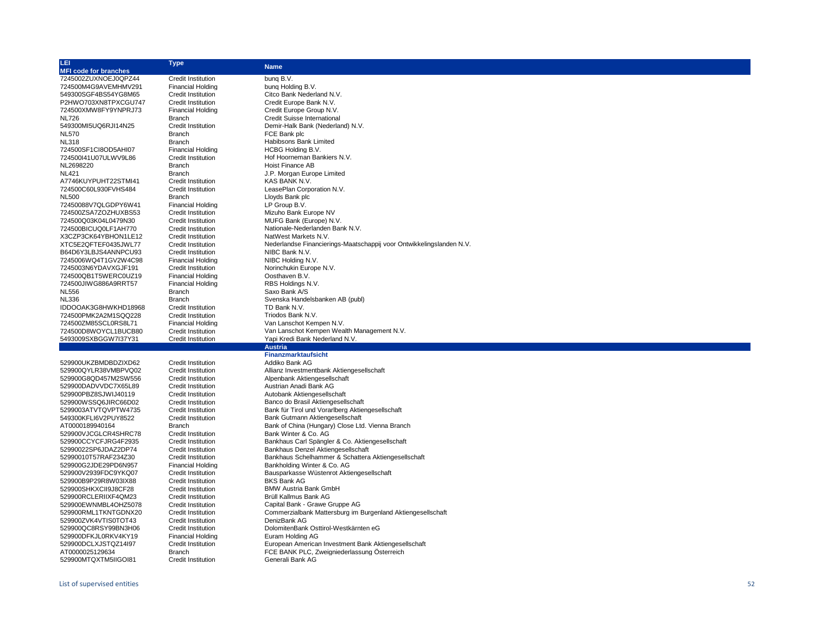| LEI                          | <b>Type</b>               | <b>Name</b>                                                          |
|------------------------------|---------------------------|----------------------------------------------------------------------|
| <b>MFI code for branches</b> |                           |                                                                      |
| 7245002ZUXNOEJ0QPZ44         | <b>Credit Institution</b> | bung B.V.                                                            |
| 724500M4G9AVEMHMV291         | <b>Financial Holding</b>  | bung Holding B.V.                                                    |
| 549300SGF4BS54YG8M65         | <b>Credit Institution</b> | Citco Bank Nederland N.V.                                            |
| P2HWO703XN8TPXCGU747         | <b>Credit Institution</b> | Credit Europe Bank N.V.                                              |
| 724500XMW8FY9YNPRJ73         | <b>Financial Holding</b>  | Credit Europe Group N.V.                                             |
| <b>NL726</b>                 | Branch                    | Credit Suisse International                                          |
| 549300MI5UQ6RJI14N25         | <b>Credit Institution</b> | Demir-Halk Bank (Nederland) N.V.                                     |
| <b>NL570</b>                 | <b>Branch</b>             | FCE Bank plc                                                         |
| <b>NL318</b>                 | <b>Branch</b>             | Habibsons Bank Limited                                               |
| 724500SF1CI8OD5AHI07         | <b>Financial Holding</b>  | HCBG Holding B.V.                                                    |
| 724500I41U07ULWV9L86         | <b>Credit Institution</b> | Hof Hoorneman Bankiers N.V.                                          |
| NL2698220                    | Branch                    | Hoist Finance AB                                                     |
| <b>NL421</b>                 | <b>Branch</b>             | J.P. Morgan Europe Limited                                           |
| A7746KUYPUHT22STMI41         | Credit Institution        | KAS BANK N.V.                                                        |
|                              |                           |                                                                      |
| 724500C60L930FVHS484         | <b>Credit Institution</b> | LeasePlan Corporation N.V.                                           |
| <b>NL500</b>                 | <b>Branch</b>             | Lloyds Bank plc                                                      |
| 72450088V7QLGDPY6W41         | <b>Financial Holding</b>  | LP Group B.V.                                                        |
| 724500ZSA7ZOZHUXBS53         | <b>Credit Institution</b> | Mizuho Bank Europe NV                                                |
| 724500Q03K04L0479N30         | <b>Credit Institution</b> | MUFG Bank (Europe) N.V.                                              |
| 724500BICUQ0LF1AH770         | <b>Credit Institution</b> | Nationale-Nederlanden Bank N.V.                                      |
| X3CZP3CK64YBHON1LE12         | Credit Institution        | NatWest Markets N.V.                                                 |
| XTC5E2QFTEF0435JWL77         | <b>Credit Institution</b> | Nederlandse Financierings-Maatschappij voor Ontwikkelingslanden N.V. |
| B64D6Y3LBJS4ANNPCU93         | <b>Credit Institution</b> | NIBC Bank N.V.                                                       |
| 7245006WQ4T1GV2W4C98         | <b>Financial Holding</b>  | NIBC Holding N.V.                                                    |
| 7245003N6YDAVXGJF191         | Credit Institution        | Norinchukin Europe N.V.                                              |
| 724500QB1T5WERC0UZ19         | <b>Financial Holding</b>  | Oosthaven B.V.                                                       |
| 724500JIWG886A9RRT57         | <b>Financial Holding</b>  | RBS Holdings N.V.                                                    |
| <b>NL556</b>                 | <b>Branch</b>             | Saxo Bank A/S                                                        |
| <b>NL336</b>                 | <b>Branch</b>             | Svenska Handelsbanken AB (publ)                                      |
| IDDOOAK3G8HWKHD18968         | <b>Credit Institution</b> | TD Bank N.V.                                                         |
| 724500PMK2A2M1SQQ228         | <b>Credit Institution</b> | Triodos Bank N.V.                                                    |
| 724500ZM85SCL0RS8L71         | <b>Financial Holding</b>  | Van Lanschot Kempen N.V.                                             |
| 724500D8WOYCL1BUCB80         | <b>Credit Institution</b> | Van Lanschot Kempen Wealth Management N.V.                           |
| 5493009SXBGGW7I37Y31         | <b>Credit Institution</b> | Yapi Kredi Bank Nederland N.V.                                       |
|                              |                           | Austria                                                              |
|                              |                           | <b>Finanzmarktaufsicht</b>                                           |
| 529900UKZBMDBDZIXD62         | Credit Institution        | Addiko Bank AG                                                       |
| 529900QYLR38VMBPVQ02         | <b>Credit Institution</b> | Allianz Investmentbank Aktiengesellschaft                            |
| 529900G8QD457M2SW556         | Credit Institution        | Alpenbank Aktiengesellschaft                                         |
| 529900DADVVDC7X65L89         | Credit Institution        | Austrian Anadi Bank AG                                               |
| 529900PBZ8SJWIJ40119         | <b>Credit Institution</b> | Autobank Aktiengesellschaft                                          |
| 529900WSSQ6JIRC66D02         | Credit Institution        | Banco do Brasil Aktiengesellschaft                                   |
| 5299003ATVTQVPTW4735         | Credit Institution        | Bank für Tirol und Vorarlberg Aktiengesellschaft                     |
| 549300KFLI6V2PUY8522         | <b>Credit Institution</b> | Bank Gutmann Aktiengesellschaft                                      |
| AT0000189940164              | <b>Branch</b>             | Bank of China (Hungary) Close Ltd. Vienna Branch                     |
| 529900VJCGLCR4SHRC78         | <b>Credit Institution</b> | Bank Winter & Co. AG                                                 |
| 529900CCYCFJRG4F2935         | <b>Credit Institution</b> | Bankhaus Carl Spängler & Co. Aktiengesellschaft                      |
| 52990022SP6JDAZ2DP74         | Credit Institution        | Bankhaus Denzel Aktiengesellschaft                                   |
|                              |                           | Bankhaus Schelhammer & Schattera Aktiengesellschaft                  |
| 52990010T57RAF234Z30         | <b>Credit Institution</b> |                                                                      |
| 529900G2JDE29PD6N957         | <b>Financial Holding</b>  | Bankholding Winter & Co. AG                                          |
| 529900V2939FDC9YKQ07         | Credit Institution        | Bausparkasse Wüstenrot Aktiengesellschaft                            |
| 529900B9P29R8W03IX88         | <b>Credit Institution</b> | <b>BKS Bank AG</b>                                                   |
| 529900SHKXCII9J8CF28         | <b>Credit Institution</b> | <b>BMW Austria Bank GmbH</b>                                         |
| 529900RCLERIIXF4QM23         | <b>Credit Institution</b> | Brüll Kallmus Bank AG                                                |
| 529900EWNMBL4OHZ5078         | <b>Credit Institution</b> | Capital Bank - Grawe Gruppe AG                                       |
| 529900RML1TKNTGDNX20         | <b>Credit Institution</b> | Commerzialbank Mattersburg im Burgenland Aktiengesellschaft          |
| 529900ZVK4VTIS0TOT43         | <b>Credit Institution</b> | DenizBank AG                                                         |
| 529900QC8RSY99BN3H06         | <b>Credit Institution</b> | DolomitenBank Osttirol-Westkärnten eG                                |
| 529900DFKJL0RKV4KY19         | <b>Financial Holding</b>  | Euram Holding AG                                                     |
| 529900DCLXJSTQZ14I97         | <b>Credit Institution</b> | European American Investment Bank Aktiengesellschaft                 |
| AT0000025129634              | Branch                    | FCE BANK PLC, Zweigniederlassung Österreich                          |
|                              |                           |                                                                      |
| 529900MTQXTM5IIGOI81         | Credit Institution        | Generali Bank AG                                                     |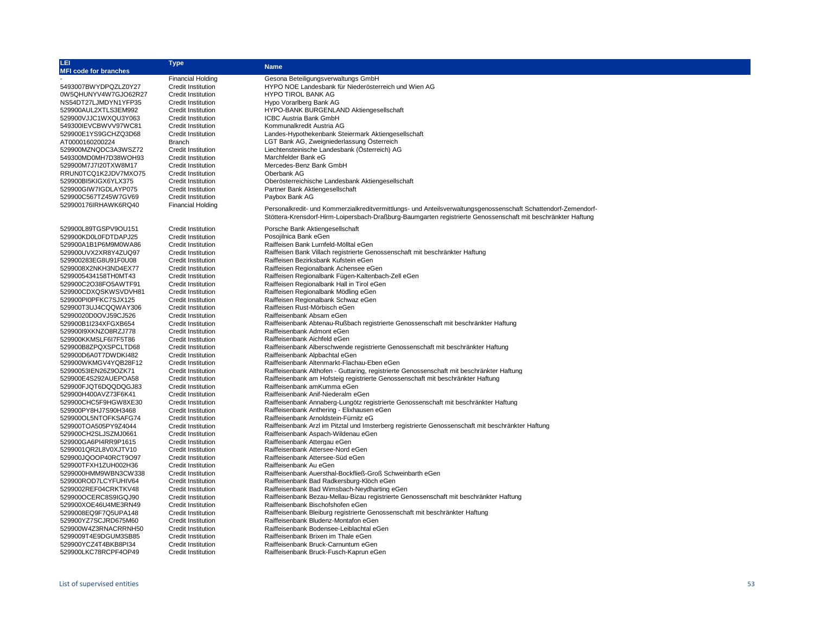| LEI.                         | <b>Type</b>                                     |                                                                                                                |
|------------------------------|-------------------------------------------------|----------------------------------------------------------------------------------------------------------------|
| <b>MFI code for branches</b> |                                                 | <b>Name</b>                                                                                                    |
|                              | <b>Financial Holding</b>                        | Gesona Beteiligungsverwaltungs GmbH                                                                            |
| 5493007BWYDPQZLZ0Y27         | Credit Institution                              | HYPO NOE Landesbank für Niederösterreich und Wien AG                                                           |
| 0W5QHUNYV4W7GJO62R27         | <b>Credit Institution</b>                       | HYPO TIROL BANK AG                                                                                             |
| NS54DT27LJMDYN1YFP35         | <b>Credit Institution</b>                       | Hypo Vorarlberg Bank AG                                                                                        |
| 529900AUL2XTLS3EM992         | <b>Credit Institution</b>                       | HYPO-BANK BURGENLAND Aktiengesellschaft                                                                        |
| 529900VJJC1WXQU3Y063         | <b>Credit Institution</b>                       | ICBC Austria Bank GmbH                                                                                         |
| 549300IEVCBWVV97WC81         | <b>Credit Institution</b>                       | Kommunalkredit Austria AG                                                                                      |
| 529900E1YS9GCHZQ3D68         | <b>Credit Institution</b>                       | Landes-Hypothekenbank Steiermark Aktiengesellschaft                                                            |
| AT0000160200224              | <b>Branch</b>                                   | LGT Bank AG, Zweigniederlassung Österreich                                                                     |
| 529900MZNQDC3A3WSZ72         | Credit Institution                              | Liechtensteinische Landesbank (Österreich) AG                                                                  |
| 549300MD0MH7D38WOH93         | <b>Credit Institution</b>                       | Marchfelder Bank eG                                                                                            |
| 529900M7J7I20TXW8M17         | <b>Credit Institution</b>                       | Mercedes-Benz Bank GmbH                                                                                        |
| RRUN0TCQ1K2JDV7MXO75         | <b>Credit Institution</b>                       | Oberbank AG                                                                                                    |
| 529900BI5KIGX6YLX375         | Credit Institution                              | Oberösterreichische Landesbank Aktiengesellschaft                                                              |
| 529900GIW7IGDLAYP075         | <b>Credit Institution</b>                       | Partner Bank Aktiengesellschaft                                                                                |
| 529900C567TZ45W7GV69         | <b>Credit Institution</b>                       | Paybox Bank AG                                                                                                 |
| 529900176IRHAWK6RQ40         | <b>Financial Holding</b>                        |                                                                                                                |
|                              |                                                 | Personalkredit- und Kommerzialkreditvermittlungs- und Anteilsverwaltungsgenossenschaft Schattendorf-Zemendorf- |
|                              |                                                 | Stöttera-Krensdorf-Hirm-Loipersbach-Draßburg-Baumgarten registrierte Genossenschaft mit beschränkter Haftung   |
|                              |                                                 | Porsche Bank Aktiengesellschaft                                                                                |
| 529900L89TGSPV9OU151         | <b>Credit Institution</b><br>Credit Institution | Posoiilnica Bank eGen                                                                                          |
| 529900KD0L0FDTDAPJ25         | <b>Credit Institution</b>                       | Raiffeisen Bank Lurnfeld-Mölltal eGen                                                                          |
| 529900A1B1P6M9M0WA86         |                                                 |                                                                                                                |
| 529900UVX2XR8Y4ZUQ97         | Credit Institution                              | Raiffeisen Bank Villach registrierte Genossenschaft mit beschränkter Haftung                                   |
| 529900283EG8U91F0U08         | <b>Credit Institution</b>                       | Raiffeisen Bezirksbank Kufstein eGen                                                                           |
| 5299008X2NKH3ND4EX77         | <b>Credit Institution</b>                       | Raiffeisen Regionalbank Achensee eGen                                                                          |
| 5299005434158TH0MT43         | <b>Credit Institution</b>                       | Raiffeisen Regionalbank Fügen-Kaltenbach-Zell eGen                                                             |
| 529900C2O38FO5AWTF91         | <b>Credit Institution</b>                       | Raiffeisen Regionalbank Hall in Tirol eGen                                                                     |
| 529900CDXQSKWSVDVH81         | <b>Credit Institution</b>                       | Raiffeisen Regionalbank Mödling eGen                                                                           |
| 529900PI0PFKC7SJX125         | <b>Credit Institution</b>                       | Raiffeisen Regionalbank Schwaz eGen                                                                            |
| 529900T3UJ4CQQWAY306         | Credit Institution                              | Raiffeisen Rust-Mörbisch eGen                                                                                  |
| 52990020D0OVJ59CJ526         | Credit Institution                              | Raiffeisenbank Absam eGen                                                                                      |
| 529900B1I234XFGXB654         | <b>Credit Institution</b>                       | Raiffeisenbank Abtenau-Rußbach registrierte Genossenschaft mit beschränkter Haftung                            |
| 529900I9XKNZO8RZJ778         | <b>Credit Institution</b>                       | Raiffeisenbank Admont eGen                                                                                     |
| 529900KKMSLF6I7F5T86         | <b>Credit Institution</b>                       | Raiffeisenbank Aichfeld eGen                                                                                   |
| 529900B8ZPQXSPCLTD68         | <b>Credit Institution</b>                       | Raiffeisenbank Alberschwende registrierte Genossenschaft mit beschränkter Haftung                              |
| 529900D6A0T7DWDKI482         | <b>Credit Institution</b>                       | Raiffeisenbank Alpbachtal eGen                                                                                 |
| 529900WKMGV4YQB28F12         | <b>Credit Institution</b>                       | Raiffeisenbank Altenmarkt-Flachau-Eben eGen                                                                    |
| 52990053IEN26Z9OZK71         | <b>Credit Institution</b>                       | Raiffeisenbank Althofen - Guttaring, registrierte Genossenschaft mit beschränkter Haftung                      |
| 529900E4S292AUEPOA58         | Credit Institution                              | Raiffeisenbank am Hofsteig registrierte Genossenschaft mit beschränkter Haftung                                |
| 529900FJQT6DQQDQGJ83         | <b>Credit Institution</b>                       | Raiffeisenbank amKumma eGen                                                                                    |
| 529900H400AVZ73F6K41         | <b>Credit Institution</b>                       | Raiffeisenbank Anif-Niederalm eGen                                                                             |
| 529900CHC5F9HGW8XE30         | <b>Credit Institution</b>                       | Raiffeisenbank Annaberg-Lungötz registrierte Genossenschaft mit beschränkter Haftung                           |
| 529900PY8HJ7S90H3468         | Credit Institution                              | Raiffeisenbank Anthering - Elixhausen eGen                                                                     |
| 529900OL5NTOFKSAFG74         | <b>Credit Institution</b>                       | Raiffeisenbank Arnoldstein-Fürnitz eG                                                                          |
| 529900TOA505PY9Z4044         | <b>Credit Institution</b>                       | Raiffeisenbank Arzl im Pitztal und Imsterberg registrierte Genossenschaft mit beschränkter Haftung             |
| 529900CH2SLJSZMJ0661         | <b>Credit Institution</b>                       | Raiffeisenbank Aspach-Wildenau eGen                                                                            |
| 529900GA6PI4RR9P1615         | <b>Credit Institution</b>                       | Raiffeisenbank Attergau eGen                                                                                   |
| 5299001QR2L8V0XJTV10         | <b>Credit Institution</b>                       | Raiffeisenbank Attersee-Nord eGen                                                                              |
| 529900JQOOP40RCT9O97         | <b>Credit Institution</b>                       | Raiffeisenbank Attersee-Süd eGen                                                                               |
| 529900TFXH1ZUH002H36         | <b>Credit Institution</b>                       | Raiffeisenbank Au eGen                                                                                         |
| 5299000HMM9WBN3CW338         | <b>Credit Institution</b>                       | Raiffeisenbank Auersthal-Bockfließ-Groß Schweinbarth eGen                                                      |
| 529900ROD7LCYFUHIV64         | <b>Credit Institution</b>                       | Raiffeisenbank Bad Radkersburg-Klöch eGen                                                                      |
| 5299002REF04CRKTKV48         | <b>Credit Institution</b>                       | Raiffeisenbank Bad Wimsbach-Neydharting eGen                                                                   |
| 529900OCERC8S9IGQJ90         | <b>Credit Institution</b>                       | Raiffeisenbank Bezau-Mellau-Bizau registrierte Genossenschaft mit beschränkter Haftung                         |
| 529900XOE46U4ME3RN49         | <b>Credit Institution</b>                       | Raiffeisenbank Bischofshofen eGen                                                                              |
| 5299008EQ9F7Q5UPA148         | <b>Credit Institution</b>                       | Raiffeisenbank Bleiburg registrierte Genossenschaft mit beschränkter Haftung                                   |
| 529900YZ7SCJRD675M60         | <b>Credit Institution</b>                       | Raiffeisenbank Bludenz-Montafon eGen                                                                           |
| 529900W4Z3RNACRRNH50         | <b>Credit Institution</b>                       | Raiffeisenbank Bodensee-Leiblachtal eGen                                                                       |
| 5299009T4E9DGUM3SB85         | <b>Credit Institution</b>                       | Raiffeisenbank Brixen im Thale eGen                                                                            |
| 529900YCZ4T4BKB8PI34         | <b>Credit Institution</b>                       | Raiffeisenbank Bruck-Carnuntum eGen                                                                            |
| 529900LKC78RCPF4OP49         | <b>Credit Institution</b>                       | Raiffeisenbank Bruck-Fusch-Kaprun eGen                                                                         |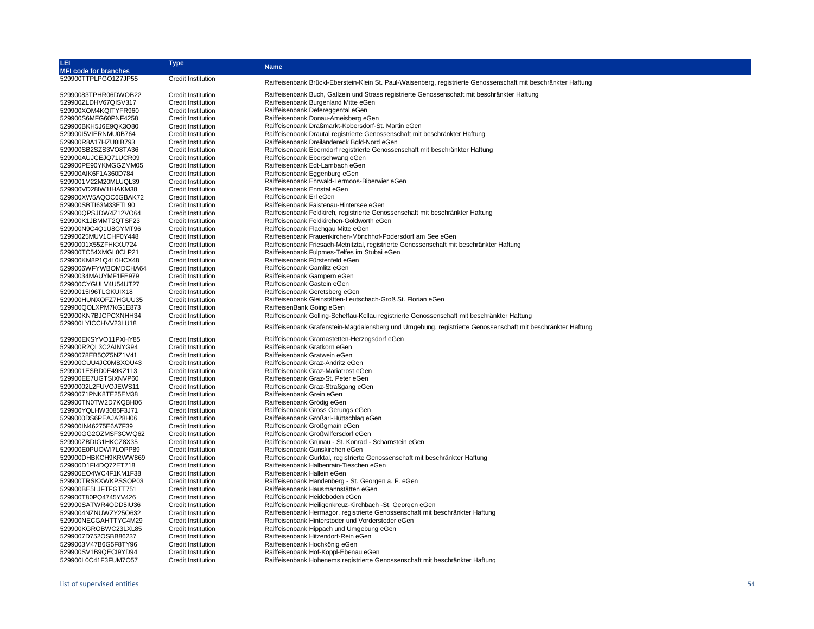| LEI                          | <b>Type</b>               |                                                                                                                 |
|------------------------------|---------------------------|-----------------------------------------------------------------------------------------------------------------|
| <b>MFI code for branches</b> |                           | <b>Name</b>                                                                                                     |
| 529900TTPLPGO1Z7JP55         | <b>Credit Institution</b> |                                                                                                                 |
|                              |                           | Raiffeisenbank Brückl-Eberstein-Klein St. Paul-Waisenberg, registrierte Genossenschaft mit beschränkter Haftung |
| 52990083TPHR06DWOB22         | <b>Credit Institution</b> |                                                                                                                 |
|                              |                           | Raiffeisenbank Buch, Gallzein und Strass registrierte Genossenschaft mit beschränkter Haftung                   |
| 529900ZLDHV67QISV317         | <b>Credit Institution</b> | Raiffeisenbank Burgenland Mitte eGen                                                                            |
| 529900XOM4KQITYFR960         | <b>Credit Institution</b> | Raiffeisenbank Defereggental eGen                                                                               |
| 529900S6MFG60PNF4258         | <b>Credit Institution</b> | Raiffeisenbank Donau-Ameisberg eGen                                                                             |
| 529900BKH5J6E9QK3O80         | <b>Credit Institution</b> | Raiffeisenbank Draßmarkt-Kobersdorf-St. Martin eGen                                                             |
| 52990015VIERNMU0B764         | <b>Credit Institution</b> | Raiffeisenbank Drautal registrierte Genossenschaft mit beschränkter Haftung                                     |
| 529900R8A17HZU8IB793         | <b>Credit Institution</b> | Raiffeisenbank Dreiländereck Bgld-Nord eGen                                                                     |
| 529900SB2SZS3VO8TA36         | <b>Credit Institution</b> | Raiffeisenbank Eberndorf registrierte Genossenschaft mit beschränkter Haftung                                   |
| 529900AUJCEJQ71UCR09         | <b>Credit Institution</b> | Raiffeisenbank Eberschwang eGen                                                                                 |
| 529900PE90YKMGGZMM05         | <b>Credit Institution</b> | Raiffeisenbank Edt-Lambach eGen                                                                                 |
|                              |                           |                                                                                                                 |
| 529900AIK6F1A360D784         | <b>Credit Institution</b> | Raiffeisenbank Eggenburg eGen                                                                                   |
| 5299001M22M20MLUQL39         | <b>Credit Institution</b> | Raiffeisenbank Ehrwald-Lermoos-Biberwier eGen                                                                   |
| 529900VD28IW1IHAKM38         | <b>Credit Institution</b> | Raiffeisenbank Ennstal eGen                                                                                     |
| 529900XW5AQOC6GBAK72         | <b>Credit Institution</b> | Raiffeisenbank Erl eGen                                                                                         |
| 529900SBTI63M33ETL90         | <b>Credit Institution</b> | Raiffeisenbank Faistenau-Hintersee eGen                                                                         |
| 529900QPSJDW4Z12VO64         | <b>Credit Institution</b> | Raiffeisenbank Feldkirch, registrierte Genossenschaft mit beschränkter Haftung                                  |
| 529900K1JBMMT2QTSF23         | <b>Credit Institution</b> | Raiffeisenbank Feldkirchen-Goldwörth eGen                                                                       |
| 529900N9C4Q1U8GYMT96         | <b>Credit Institution</b> | Raiffeisenbank Flachgau Mitte eGen                                                                              |
| 52990025MUV1CHF0Y448         | <b>Credit Institution</b> | Raiffeisenbank Frauenkirchen-Mönchhof-Podersdorf am See eGen                                                    |
| 52990001X55ZFHKXU724         | <b>Credit Institution</b> | Raiffeisenbank Friesach-Metnitztal, registrierte Genossenschaft mit beschränkter Haftung                        |
| 529900TC54XMGL8CLP21         | <b>Credit Institution</b> | Raiffeisenbank Fulpmes-Telfes im Stubai eGen                                                                    |
|                              |                           | Raiffeisenbank Fürstenfeld eGen                                                                                 |
| 529900KM8P1Q4L0HCX48         | <b>Credit Institution</b> |                                                                                                                 |
| 5299006WFYWBOMDCHA64         | <b>Credit Institution</b> | Raiffeisenbank Gamlitz eGen                                                                                     |
| 52990034MAUYMF1FE979         | <b>Credit Institution</b> | Raiffeisenbank Gampern eGen                                                                                     |
| 529900CYGULV4U54UT27         | <b>Credit Institution</b> | Raiffeisenbank Gastein eGen                                                                                     |
| 52990015l96TLGKUIX18         | <b>Credit Institution</b> | Raiffeisenbank Geretsberg eGen                                                                                  |
| 529900HUNXOFZ7HGUU35         | Credit Institution        | Raiffeisenbank Gleinstätten-Leutschach-Groß St. Florian eGen                                                    |
| 529900QOLXPM7KG1E873         | <b>Credit Institution</b> | RaiffeisenBank Going eGen                                                                                       |
| 529900KN7BJCPCXNHH34         | <b>Credit Institution</b> | Raiffeisenbank Golling-Scheffau-Kellau registrierte Genossenschaft mit beschränkter Haftung                     |
| 529900LYICCHVV23LU18         | <b>Credit Institution</b> |                                                                                                                 |
|                              |                           | Raiffeisenbank Grafenstein-Magdalensberg und Umgebung, registrierte Genossenschaft mit beschränkter Haftung     |
| 529900EKSYVO11PXHY85         | <b>Credit Institution</b> | Raiffeisenbank Gramastetten-Herzogsdorf eGen                                                                    |
| 529900R2QL3C2AINYG94         | <b>Credit Institution</b> | Raiffeisenbank Gratkorn eGen                                                                                    |
|                              |                           |                                                                                                                 |
| 52990078EB5QZ5NZ1V41         | Credit Institution        | Raiffeisenbank Gratwein eGen                                                                                    |
| 529900CUU4JC0MBXOU43         | <b>Credit Institution</b> | Raiffeisenbank Graz-Andritz eGen                                                                                |
| 5299001ESRD0E49KZ113         | <b>Credit Institution</b> | Raiffeisenbank Graz-Mariatrost eGen                                                                             |
| 529900EE7UGTSIXNVP60         | <b>Credit Institution</b> | Raiffeisenbank Graz-St. Peter eGen                                                                              |
| 52990002L2FUVOJEWS11         | <b>Credit Institution</b> | Raiffeisenbank Graz-Straßgang eGen                                                                              |
| 52990071PNK8TE25EM38         | <b>Credit Institution</b> | Raiffeisenbank Grein eGen                                                                                       |
| 529900TN0TW2D7KQBH06         | <b>Credit Institution</b> | Raiffeisenbank Grödig eGen                                                                                      |
| 529900YQLHW3085F3J71         | <b>Credit Institution</b> | Raiffeisenbank Gross Gerungs eGen                                                                               |
| 5299000DS6PEAJA28H06         | <b>Credit Institution</b> | Raiffeisenbank Großarl-Hüttschlag eGen                                                                          |
| 529900IN46275E6A7F39         | <b>Credit Institution</b> | Raiffeisenbank Großgmain eGen                                                                                   |
| 529900GG2OZMSF3CWQ62         | <b>Credit Institution</b> | Raiffeisenbank Großwilfersdorf eGen                                                                             |
| 529900ZBDIG1HKCZ8X35         | <b>Credit Institution</b> | Raiffeisenbank Grünau - St. Konrad - Scharnstein eGen                                                           |
|                              |                           |                                                                                                                 |
| 529900E0PUOWI7LOPP89         | <b>Credit Institution</b> | Raiffeisenbank Gunskirchen eGen                                                                                 |
| 529900DHBKCH9KRWW869         | <b>Credit Institution</b> | Raiffeisenbank Gurktal, registrierte Genossenschaft mit beschränkter Haftung                                    |
| 529900D1FI4DQ72ET718         | <b>Credit Institution</b> | Raiffeisenbank Halbenrain-Tieschen eGen                                                                         |
| 529900EO4WC4F1KM1F38         | <b>Credit Institution</b> | Raiffeisenbank Hallein eGen                                                                                     |
| 529900TRSKXWKPSSOP03         | <b>Credit Institution</b> | Raiffeisenbank Handenberg - St. Georgen a. F. eGen                                                              |
| 529900BE5LJFTFGTT751         | <b>Credit Institution</b> | Raiffeisenbank Hausmannstätten eGen                                                                             |
| 529900T80PQ4745YV426         | <b>Credit Institution</b> | Raiffeisenbank Heideboden eGen                                                                                  |
| 529900SATWR4ODD5IU36         | <b>Credit Institution</b> | Raiffeisenbank Heiligenkreuz-Kirchbach -St. Georgen eGen                                                        |
| 5299004NZNUWZY25O632         | <b>Credit Institution</b> | Raiffeisenbank Hermagor, registrierte Genossenschaft mit beschränkter Haftung                                   |
| 529900NECGAHTTYC4M29         | <b>Credit Institution</b> | Raiffeisenbank Hinterstoder und Vorderstoder eGen                                                               |
| 529900KGROBWC23LXL85         | <b>Credit Institution</b> | Raiffeisenbank Hippach und Umgebung eGen                                                                        |
|                              |                           |                                                                                                                 |
| 5299007D752OSBB86237         | <b>Credit Institution</b> | Raiffeisenbank Hitzendorf-Rein eGen                                                                             |
| 5299003M47B6G5F8TY96         | <b>Credit Institution</b> | Raiffeisenbank Hochkönig eGen                                                                                   |
| 529900SV1B9QECI9YD94         | <b>Credit Institution</b> | Raiffeisenbank Hof-Koppl-Ebenau eGen                                                                            |
| 529900L0C41F3FUM7O57         | <b>Credit Institution</b> | Raiffeisenbank Hohenems registrierte Genossenschaft mit beschränkter Haftung                                    |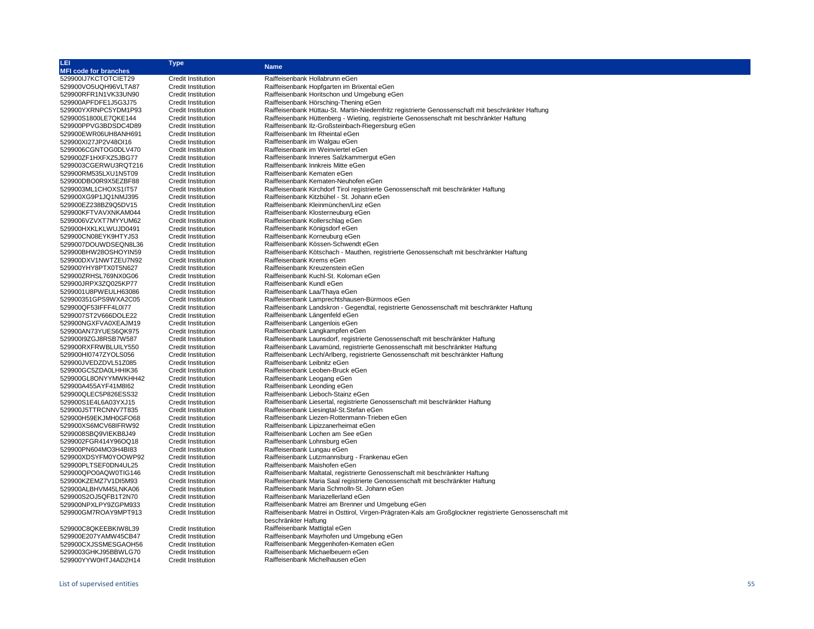| LEI                                          | Type                                                   | <b>Name</b>                                                                                                    |
|----------------------------------------------|--------------------------------------------------------|----------------------------------------------------------------------------------------------------------------|
| <b>MFI code for branches</b>                 |                                                        |                                                                                                                |
| 529900IJ7KCTOTCIET29                         | <b>Credit Institution</b>                              | Raiffeisenbank Hollabrunn eGen                                                                                 |
| 529900VO5UQH96VLTA87                         | <b>Credit Institution</b>                              | Raiffeisenbank Hopfgarten im Brixental eGen                                                                    |
| 529900RFR1N1VK33UN90                         | <b>Credit Institution</b>                              | Raiffeisenbank Horitschon und Umgebung eGen                                                                    |
| 529900APFDFE1J5G3J75                         | <b>Credit Institution</b>                              | Raiffeisenbank Hörsching-Thening eGen                                                                          |
| 529900YXRNPC5YDM1P93                         | <b>Credit Institution</b>                              | Raiffeisenbank Hüttau-St. Martin-Niedernfritz registrierte Genossenschaft mit beschränkter Haftung             |
| 529900S1800LE7QKE144                         | <b>Credit Institution</b>                              | Raiffeisenbank Hüttenberg - Wieting, registrierte Genossenschaft mit beschränkter Haftung                      |
| 529900PPVG3BDSDC4D89                         | <b>Credit Institution</b>                              | Raiffeisenbank IIz-Großsteinbach-Riegersburg eGen                                                              |
| 529900EWR06UH8ANH691                         | <b>Credit Institution</b>                              | Raiffeisenbank Im Rheintal eGen                                                                                |
| 529900XI27JP2V48OI16                         | <b>Credit Institution</b>                              | Raiffeisenbank im Walgau eGen                                                                                  |
| 5299006CGNTOG0DLV470                         | <b>Credit Institution</b>                              | Raiffeisenbank im Weinviertel eGen                                                                             |
| 529900ZF1HXFXZ5JBG77                         | <b>Credit Institution</b>                              | Raiffeisenbank Inneres Salzkammergut eGen                                                                      |
| 5299003CGERWU3RQT216                         | <b>Credit Institution</b>                              | Raiffeisenbank Innkreis Mitte eGen                                                                             |
| 529900RM535LXU1N5T09                         | <b>Credit Institution</b>                              | Raiffeisenbank Kematen eGen                                                                                    |
| 529900DBO0R9X5EZBF88                         | <b>Credit Institution</b>                              | Raiffeisenbank Kematen-Neuhofen eGen                                                                           |
| 5299003ML1CHOXS1IT57                         | <b>Credit Institution</b>                              | Raiffeisenbank Kirchdorf Tirol registrierte Genossenschaft mit beschränkter Haftung                            |
| 529900XG9P1JQ1NMJ395                         | <b>Credit Institution</b>                              | Raiffeisenbank Kitzbühel - St. Johann eGen                                                                     |
| 529900EZ238BZ9Q5DV15                         | <b>Credit Institution</b>                              | Raiffeisenbank Kleinmünchen/Linz eGen                                                                          |
| 529900KFTVAVXNKAM044                         | <b>Credit Institution</b>                              | Raiffeisenbank Klosterneuburg eGen                                                                             |
| 5299006VZVXT7MYYUM62                         | <b>Credit Institution</b>                              | Raiffeisenbank Kollerschlag eGen                                                                               |
| 529900HXKLKLWUJD0491                         | <b>Credit Institution</b>                              | Raiffeisenbank Königsdorf eGen                                                                                 |
| 529900CN08EYK9HTYJ53                         | <b>Credit Institution</b>                              | Raiffeisenbank Korneuburg eGen                                                                                 |
| 5299007DOUWDSEQN8L36                         | <b>Credit Institution</b>                              | Raiffeisenbank Kössen-Schwendt eGen                                                                            |
| 529900BHW28OSHOYIN59                         | <b>Credit Institution</b>                              | Raiffeisenbank Kötschach - Mauthen, registrierte Genossenschaft mit beschränkter Haftung                       |
| 529900DXV1NWTZEU7N92                         | <b>Credit Institution</b>                              | Raiffeisenbank Krems eGen                                                                                      |
| 529900YHY8PTX0T5N627                         | <b>Credit Institution</b>                              | Raiffeisenbank Kreuzenstein eGen                                                                               |
| 529900ZRHSL769NX0G06                         | <b>Credit Institution</b>                              | Raiffeisenbank Kuchl-St. Koloman eGen                                                                          |
| 529900JRPX3ZQ025KP77                         | <b>Credit Institution</b>                              | Raiffeisenbank Kundl eGen                                                                                      |
| 5299001U8PWEULH63086                         | <b>Credit Institution</b>                              | Raiffeisenbank Laa/Thaya eGen                                                                                  |
| 529900351GPS9WXA2C05                         | <b>Credit Institution</b>                              | Raiffeisenbank Lamprechtshausen-Bürmoos eGen                                                                   |
| 529900QF53IFFF4L0I77                         | <b>Credit Institution</b>                              | Raiffeisenbank Landskron - Gegendtal, registrierte Genossenschaft mit beschränkter Haftung                     |
| 5299007ST2V666DOLE22                         | <b>Credit Institution</b>                              | Raiffeisenbank Längenfeld eGen                                                                                 |
| 529900NGXFVA0XEAJM19                         | <b>Credit Institution</b>                              | Raiffeisenbank Langenlois eGen                                                                                 |
| 529900AN73YUES6QK975                         | <b>Credit Institution</b>                              | Raiffeisenbank Langkampfen eGen                                                                                |
| 529900I9ZGJ8RSB7W587                         | <b>Credit Institution</b>                              | Raiffeisenbank Launsdorf, registrierte Genossenschaft mit beschränkter Haftung                                 |
| 529900RXFRWBLUILY550                         | <b>Credit Institution</b>                              | Raiffeisenbank Lavamünd, registrierte Genossenschaft mit beschränkter Haftung                                  |
| 529900HI0747ZYOLS056                         | <b>Credit Institution</b>                              | Raiffeisenbank Lech/Arlberg, registrierte Genossenschaft mit beschränkter Haftung                              |
| 529900JVEDZDVL51Z085                         | <b>Credit Institution</b>                              | Raiffeisenbank Leibnitz eGen                                                                                   |
| 529900GC5ZDA0LHHIK36                         | <b>Credit Institution</b>                              | Raiffeisenbank Leoben-Bruck eGen                                                                               |
| 529900GL8ONYYMWKHH42                         | <b>Credit Institution</b>                              | Raiffeisenbank Leogang eGen                                                                                    |
| 529900A455AYF41M8I62                         | <b>Credit Institution</b>                              | Raiffeisenbank Leonding eGen                                                                                   |
| 529900QLEC5P826ESS32                         | <b>Credit Institution</b>                              | Raiffeisenbank Lieboch-Stainz eGen                                                                             |
| 529900S1E4L6A03YXJ15                         | <b>Credit Institution</b>                              | Raiffeisenbank Liesertal, registrierte Genossenschaft mit beschränkter Haftung                                 |
| 529900J5TTRCNNV7T835                         | <b>Credit Institution</b>                              | Raiffeisenbank Liesingtal-St.Stefan eGen                                                                       |
| 529900H59EKJMH0GFO68                         | <b>Credit Institution</b>                              | Raiffeisenbank Liezen-Rottenmann-Trieben eGen                                                                  |
| 529900XS6MCV68IFRW92                         | <b>Credit Institution</b>                              | Raiffeisenbank Lipizzanerheimat eGen                                                                           |
| 5299008SBQ9VIEKB8J49                         | <b>Credit Institution</b>                              | Raiffeisenbank Lochen am See eGen                                                                              |
| 5299002FGR414Y96OQ18                         | <b>Credit Institution</b>                              | Raiffeisenbank Lohnsburg eGen                                                                                  |
| 529900PN604MO3H4BI83                         | <b>Credit Institution</b>                              | Raiffeisenbank Lungau eGen                                                                                     |
| 529900XDSYFM0YOOWP92                         | <b>Credit Institution</b>                              | Raiffeisenbank Lutzmannsburg - Frankenau eGen                                                                  |
| 529900PLTSEF0DN4UL25                         | <b>Credit Institution</b>                              | Raiffeisenbank Maishofen eGen<br>Raiffeisenbank Maltatal, registrierte Genossenschaft mit beschränkter Haftung |
| 529900QPO0AQW0TIG146<br>529900KZEMZ7V1DI5M93 | <b>Credit Institution</b><br><b>Credit Institution</b> | Raiffeisenbank Maria Saal registrierte Genossenschaft mit beschränkter Haftung                                 |
| 529900ALBHVM45LNKA06                         | <b>Credit Institution</b>                              | Raiffeisenbank Maria Schmolln-St. Johann eGen                                                                  |
| 529900S2OJ5QFB1T2N70                         | <b>Credit Institution</b>                              | Raiffeisenbank Mariazellerland eGen                                                                            |
|                                              |                                                        | Raiffeisenbank Matrei am Brenner und Umgebung eGen                                                             |
| 529900NPXLPY9ZGPM933<br>529900GM7ROAY9MPT913 | <b>Credit Institution</b><br><b>Credit Institution</b> | Raiffeisenbank Matrei in Osttirol, Virgen-Prägraten-Kals am Großglockner registrierte Genossenschaft mit       |
|                                              |                                                        | beschränkter Haftung                                                                                           |
| 529900C8QKEEBKIW8L39                         | <b>Credit Institution</b>                              | Raiffeisenbank Mattigtal eGen                                                                                  |
| 529900E207YAMW45CB47                         | Credit Institution                                     | Raiffeisenbank Mayrhofen und Umgebung eGen                                                                     |
| 529900CXJSSMESGAOH56                         | <b>Credit Institution</b>                              | Raiffeisenbank Meggenhofen-Kematen eGen                                                                        |
| 5299003GHKJ95BBWLG70                         | <b>Credit Institution</b>                              | Raiffeisenbank Michaelbeuern eGen                                                                              |
| 529900YYW0HTJ4AD2H14                         | <b>Credit Institution</b>                              | Raiffeisenbank Michelhausen eGen                                                                               |
|                                              |                                                        |                                                                                                                |
|                                              |                                                        |                                                                                                                |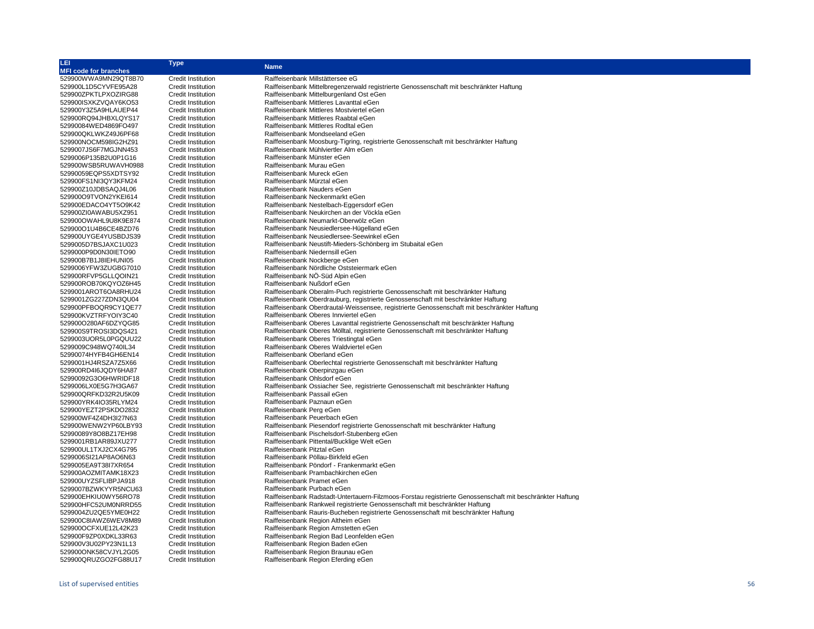| <b>LEI</b>                                   | <b>Type</b>                                            |                                                                                                                   |
|----------------------------------------------|--------------------------------------------------------|-------------------------------------------------------------------------------------------------------------------|
| <b>MFI code for branches</b>                 |                                                        | <b>Name</b>                                                                                                       |
| 529900WWA9MN29QT8B70                         | <b>Credit Institution</b>                              | Raiffeisenbank Millstättersee eG                                                                                  |
| 529900L1D5CYVFE95A28                         | <b>Credit Institution</b>                              | Raiffeisenbank Mittelbregenzerwald registrierte Genossenschaft mit beschränkter Haftung                           |
| 529900ZPKTLPXOZIRG88                         | <b>Credit Institution</b>                              | Raiffeisenbank Mittelburgenland Ost eGen                                                                          |
| 529900ISXKZVQAY6KO53                         | <b>Credit Institution</b>                              | Raiffeisenbank Mittleres Lavanttal eGen                                                                           |
| 529900Y3Z5A9HLAUEP44                         | <b>Credit Institution</b>                              | Raiffeisenbank Mittleres Mostviertel eGen                                                                         |
| 529900RQ94JHBXLQYS17                         | <b>Credit Institution</b>                              | Raiffeisenbank Mittleres Raabtal eGen                                                                             |
| 52990084WED4869FO497                         | <b>Credit Institution</b>                              | Raiffeisenbank Mittleres RodItal eGen                                                                             |
| 529900QKLWKZ49J6PF68                         | <b>Credit Institution</b>                              | Raiffeisenbank Mondseeland eGen                                                                                   |
| 529900NOCM598IG2HZ91                         | Credit Institution                                     | Raiffeisenbank Moosburg-Tigring, registrierte Genossenschaft mit beschränkter Haftung                             |
| 5299007JS6F7MGJNN453                         | <b>Credit Institution</b>                              | Raiffeisenbank Mühlviertler Alm eGen                                                                              |
| 5299006P135B2U0P1G16                         | <b>Credit Institution</b>                              | Raiffeisenbank Münster eGen                                                                                       |
| 529900WSB5RUWAVH0988                         | <b>Credit Institution</b>                              | Raiffeisenbank Murau eGen                                                                                         |
| 52990059EQPS5XDTSY92                         | Credit Institution                                     | Raiffeisenbank Mureck eGen                                                                                        |
| 529900FS1NI3QY3KFM24                         | <b>Credit Institution</b>                              | Raiffeisenbank Mürztal eGen                                                                                       |
| 529900Z10JDBSAQJ4L06                         | <b>Credit Institution</b>                              | Raiffeisenbank Nauders eGen                                                                                       |
| 529900O9TVON2YKEI614                         | <b>Credit Institution</b>                              | Raiffeisenbank Neckenmarkt eGen                                                                                   |
| 529900EDACO4YT5O9K42                         | Credit Institution                                     | Raiffeisenbank Nestelbach-Eggersdorf eGen                                                                         |
| 529900ZI0AWABU5XZ951                         | <b>Credit Institution</b>                              | Raiffeisenbank Neukirchen an der Vöckla eGen                                                                      |
| 529900OWAHL9U8K9E874                         | <b>Credit Institution</b>                              | Raiffeisenbank Neumarkt-Oberwölz eGen                                                                             |
| 529900O1U4B6CE4BZD76                         | <b>Credit Institution</b>                              | Raiffeisenbank Neusiedlersee-Hügelland eGen                                                                       |
| 529900UYGE4YUSBDJS39                         | <b>Credit Institution</b>                              | Raiffeisenbank Neusiedlersee-Seewinkel eGen                                                                       |
| 5299005D7BSJAXC1U023                         | <b>Credit Institution</b>                              | Raiffeisenbank Neustift-Mieders-Schönberg im Stubaital eGen                                                       |
|                                              |                                                        | Raiffeisenbank Niedernsill eGen                                                                                   |
| 5299000P9D0N30IETO90                         | <b>Credit Institution</b>                              | Raiffeisenbank Nockberge eGen                                                                                     |
| 529900B7B1J8IEHUNI05                         | <b>Credit Institution</b><br><b>Credit Institution</b> |                                                                                                                   |
| 5299006YFW3ZUGBG7010<br>529900RFVP5GLLQOIN21 | <b>Credit Institution</b>                              | Raiffeisenbank Nördliche Oststeiermark eGen<br>Raiffeisenbank NÖ-Süd Alpin eGen                                   |
|                                              |                                                        |                                                                                                                   |
| 529900ROB70KQYOZ6H45                         | <b>Credit Institution</b>                              | Raiffeisenbank Nußdorf eGen                                                                                       |
| 5299001AROT6OA8RHU24                         | <b>Credit Institution</b>                              | Raiffeisenbank Oberalm-Puch registrierte Genossenschaft mit beschränkter Haftung                                  |
| 5299001ZG227ZDN3QU04                         | <b>Credit Institution</b>                              | Raiffeisenbank Oberdrauburg, registrierte Genossenschaft mit beschränkter Haftung                                 |
| 529900PFBOQR9CY1QE77                         | <b>Credit Institution</b>                              | Raiffeisenbank Oberdrautal-Weissensee, registrierte Genossenschaft mit beschränkter Haftung                       |
| 529900KVZTRFYOIY3C40                         | <b>Credit Institution</b>                              | Raiffeisenbank Oberes Innviertel eGen                                                                             |
| 529900O280AF6DZYQG85                         | <b>Credit Institution</b>                              | Raiffeisenbank Oberes Lavanttal registrierte Genossenschaft mit beschränkter Haftung                              |
| 529900S9TROSI3DQS421                         | Credit Institution                                     | Raiffeisenbank Oberes Mölltal, registrierte Genossenschaft mit beschränkter Haftung                               |
| 5299003UOR5L0PGQUU22                         | <b>Credit Institution</b>                              | Raiffeisenbank Oberes Triestingtal eGen                                                                           |
| 5299009C948WQ740IL34                         | <b>Credit Institution</b>                              | Raiffeisenbank Oberes Waldviertel eGen                                                                            |
| 52990074HYFB4GH6EN14                         | <b>Credit Institution</b>                              | Raiffeisenbank Oberland eGen                                                                                      |
| 5299001HJ4RSZA7Z5X66                         | <b>Credit Institution</b>                              | Raiffeisenbank Oberlechtal registrierte Genossenschaft mit beschränkter Haftung                                   |
| 529900RD4I6JQDY6HA87                         | <b>Credit Institution</b>                              | Raiffeisenbank Oberpinzgau eGen                                                                                   |
| 52990092G3O6HWRIDF18                         | <b>Credit Institution</b>                              | Raiffeisenbank Ohlsdorf eGen                                                                                      |
| 5299006LX0E5G7H3GA67                         | Credit Institution                                     | Raiffeisenbank Ossiacher See, registrierte Genossenschaft mit beschränkter Haftung<br>Raiffeisenbank Passail eGen |
| 529900QRFKD32R2U5K09                         | <b>Credit Institution</b>                              |                                                                                                                   |
| 529900YRK4IO35RLYM24                         | <b>Credit Institution</b>                              | Raiffeisenbank Paznaun eGen                                                                                       |
| 529900YEZT2PSKDO2832                         | <b>Credit Institution</b>                              | Raiffeisenbank Perg eGen                                                                                          |
| 529900WF4Z4DH3I27N63                         | <b>Credit Institution</b>                              | Raiffeisenbank Peuerbach eGen                                                                                     |
| 529900WENW2YP60LBY93                         | <b>Credit Institution</b>                              | Raiffeisenbank Piesendorf registrierte Genossenschaft mit beschränkter Haftung                                    |
| 52990089Y8O8BZ17EH98                         | <b>Credit Institution</b>                              | Raiffeisenbank Pischelsdorf-Stubenberg eGen                                                                       |
| 5299001RB1AR89JXU277                         | <b>Credit Institution</b>                              | Raiffeisenbank Pittental/Bucklige Welt eGen                                                                       |
| 529900UL1TXJ2CX4G795                         | <b>Credit Institution</b>                              | Raiffeisenbank Pitztal eGen                                                                                       |
| 5299006SI21AP8AO6N63                         | <b>Credit Institution</b>                              | Raiffeisenbank Pöllau-Birkfeld eGen                                                                               |
| 5299005EA9T38I7XR654                         | <b>Credit Institution</b>                              | Raiffeisenbank Pöndorf - Frankenmarkt eGen                                                                        |
| 529900AOZMITAMK18X23                         | <b>Credit Institution</b>                              | Raiffeisenbank Prambachkirchen eGen                                                                               |
| 529900UYZSFLIBPJA918                         | <b>Credit Institution</b>                              | Raiffeisenbank Pramet eGen<br>Raiffeisenbank Purbach eGen                                                         |
| 5299007BZWKYYR5NCU63                         | <b>Credit Institution</b>                              |                                                                                                                   |
| 529900EHKIU0WY56RO78                         | <b>Credit Institution</b>                              | Raiffeisenbank Radstadt-Untertauern-Filzmoos-Forstau registrierte Genossenschaft mit beschränkter Haftung         |
| 529900HFC52UM0NRRD55                         | <b>Credit Institution</b>                              | Raiffeisenbank Rankweil registrierte Genossenschaft mit beschränkter Haftung                                      |
| 5299004ZU2QE5YME0H22                         | <b>Credit Institution</b>                              | Raiffeisenbank Rauris-Bucheben registrierte Genossenschaft mit beschränkter Haftung                               |
| 529900C8IAWZ6WEV8M89                         | <b>Credit Institution</b>                              | Raiffeisenbank Region Altheim eGen                                                                                |
| 529900OCFXUE12L42K23                         | <b>Credit Institution</b>                              | Raiffeisenbank Region Amstetten eGen                                                                              |
| 529900F9ZP0XDKL33R63                         | <b>Credit Institution</b>                              | Raiffeisenbank Region Bad Leonfelden eGen                                                                         |
| 529900V3U02PY23N1L13                         | <b>Credit Institution</b>                              | Raiffeisenbank Region Baden eGen                                                                                  |
| 529900ONK58CVJYL2G05                         | <b>Credit Institution</b>                              | Raiffeisenbank Region Braunau eGen                                                                                |
| 529900QRUZGO2FG88U17                         | <b>Credit Institution</b>                              | Raiffeisenbank Region Eferding eGen                                                                               |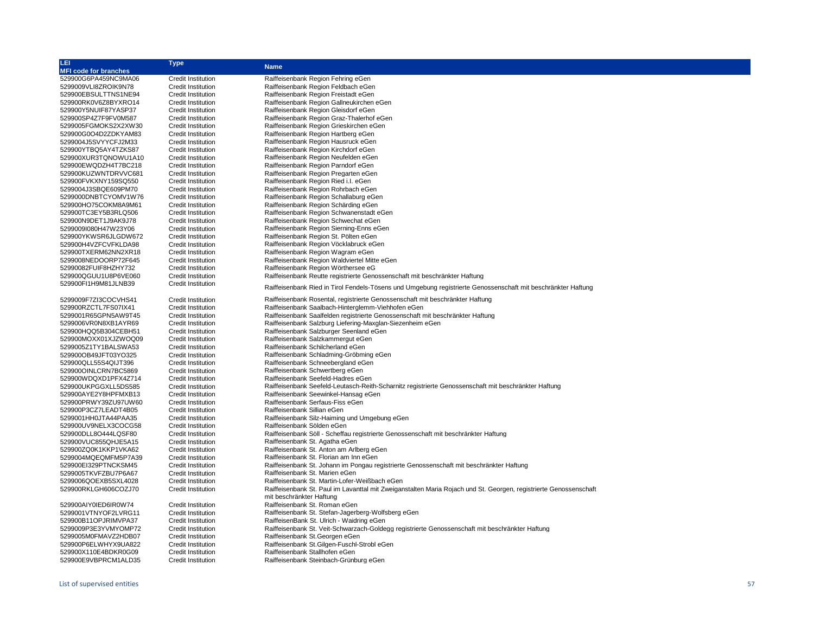| <b>LEI</b>                                   | <b>Type</b>                                            |                                                                                                                                               |
|----------------------------------------------|--------------------------------------------------------|-----------------------------------------------------------------------------------------------------------------------------------------------|
| <b>MFI code for branches</b>                 |                                                        | <b>Name</b>                                                                                                                                   |
| 529900G6PA459NC9MA06                         | <b>Credit Institution</b>                              | Raiffeisenbank Region Fehring eGen                                                                                                            |
| 5299009VLI8ZROIK9N78                         | <b>Credit Institution</b>                              | Raiffeisenbank Region Feldbach eGen                                                                                                           |
| 529900EBSULTTNS1NE94                         | <b>Credit Institution</b>                              | Raiffeisenbank Region Freistadt eGen                                                                                                          |
| 529900RK0V6Z8BYXRO14                         | <b>Credit Institution</b>                              | Raiffeisenbank Region Gallneukirchen eGen                                                                                                     |
| 529900Y5NUIF87YASP37                         | <b>Credit Institution</b>                              | Raiffeisenbank Region Gleisdorf eGen                                                                                                          |
| 529900SP4Z7F9FV0M587                         | <b>Credit Institution</b>                              | Raiffeisenbank Region Graz-Thalerhof eGen                                                                                                     |
| 5299005FGMOKS2X2XW30                         | <b>Credit Institution</b>                              | Raiffeisenbank Region Grieskirchen eGen                                                                                                       |
| 529900G0O4D2ZDKYAM83                         | <b>Credit Institution</b>                              | Raiffeisenbank Region Hartberg eGen                                                                                                           |
| 5299004J5SVYYCFJ2M33                         | Credit Institution                                     | Raiffeisenbank Region Hausruck eGen                                                                                                           |
| 529900YTBQ5AY4TZKS87                         | <b>Credit Institution</b>                              | Raiffeisenbank Region Kirchdorf eGen                                                                                                          |
| 529900XUR3TQNOWU1A10                         | <b>Credit Institution</b>                              | Raiffeisenbank Region Neufelden eGen                                                                                                          |
| 529900EWQDZH4T7BC218                         | <b>Credit Institution</b>                              | Raiffeisenbank Region Parndorf eGen                                                                                                           |
| 529900KUZWNTDRVVC681                         | <b>Credit Institution</b>                              | Raiffeisenbank Region Pregarten eGen                                                                                                          |
| 529900FVKXNY159SQ550                         | Credit Institution                                     | Raiffeisenbank Region Ried i.l. eGen                                                                                                          |
| 5299004J3SBQE609PM70                         | <b>Credit Institution</b>                              | Raiffeisenbank Region Rohrbach eGen                                                                                                           |
| 5299000DNBTCYOMV1W76                         | <b>Credit Institution</b>                              | Raiffeisenbank Region Schallaburg eGen                                                                                                        |
| 529900HO75COKM8A9M61                         | <b>Credit Institution</b>                              | Raiffeisenbank Region Schärding eGen                                                                                                          |
| 529900TC3EY5B3RLQ506                         | <b>Credit Institution</b>                              | Raiffeisenbank Region Schwanenstadt eGen                                                                                                      |
| 529900N9DET1J9AK9J78                         | <b>Credit Institution</b>                              | Raiffeisenbank Region Schwechat eGen                                                                                                          |
| 5299009I080H47W23Y06                         | <b>Credit Institution</b>                              | Raiffeisenbank Region Sierning-Enns eGen                                                                                                      |
| 529900YKWSR6JLGDW672                         | <b>Credit Institution</b>                              | Raiffeisenbank Region St. Pölten eGen                                                                                                         |
| 529900H4VZFCVFKLDA98<br>529900TXERM62NN2XR18 | <b>Credit Institution</b><br><b>Credit Institution</b> | Raiffeisenbank Region Vöcklabruck eGen                                                                                                        |
| 5299008NEDOORP72F645                         | Credit Institution                                     | Raiffeisenbank Region Wagram eGen<br>Raiffeisenbank Region Waldviertel Mitte eGen                                                             |
| 52990082FUIF8HZHY732                         | <b>Credit Institution</b>                              | Raiffeisenbank Region Wörthersee eG                                                                                                           |
| 529900QGUU1U8P6VE060                         | <b>Credit Institution</b>                              | Raiffeisenbank Reutte registrierte Genossenschaft mit beschränkter Haftung                                                                    |
| 529900FI1H9M81JLNB39                         | <b>Credit Institution</b>                              |                                                                                                                                               |
|                                              |                                                        | Raiffeisenbank Ried in Tirol Fendels-Tösens und Umgebung registrierte Genossenschaft mit beschränkter Haftung                                 |
| 5299009F7ZI3COCVHS41                         | <b>Credit Institution</b>                              | Raiffeisenbank Rosental, registrierte Genossenschaft mit beschränkter Haftung                                                                 |
| 529900RZCTL7FS07IX41                         | <b>Credit Institution</b>                              | Raiffeisenbank Saalbach-Hinterglemm-Viehhofen eGen                                                                                            |
| 5299001R65GPN5AW9T45                         | <b>Credit Institution</b>                              | Raiffeisenbank Saalfelden registrierte Genossenschaft mit beschränkter Haftung                                                                |
| 5299006VR0N8XB1AYR69                         | <b>Credit Institution</b>                              | Raiffeisenbank Salzburg Liefering-Maxglan-Siezenheim eGen                                                                                     |
| 529900HQQ5B304CEBH51                         | <b>Credit Institution</b>                              | Raiffeisenbank Salzburger Seenland eGen                                                                                                       |
| 529900MOXX01XJZWOQ09                         | <b>Credit Institution</b>                              | Raiffeisenbank Salzkammergut eGen                                                                                                             |
| 5299005Z1TY1BALSWA53                         | <b>Credit Institution</b>                              | Raiffeisenbank Schilcherland eGen                                                                                                             |
| 529900OB49JFT03YO325                         | <b>Credit Institution</b>                              | Raiffeisenbank Schladming-Gröbming eGen                                                                                                       |
| 529900QLL55S4QIJT396                         | <b>Credit Institution</b>                              | Raiffeisenbank Schneebergland eGen                                                                                                            |
| 529900OINLCRN7BC5869                         | <b>Credit Institution</b>                              | Raiffeisenbank Schwertberg eGen                                                                                                               |
| 529900WDQXD1PFX4Z714                         | <b>Credit Institution</b>                              | Raiffeisenbank Seefeld-Hadres eGen                                                                                                            |
| 529900UKPGGXLL5DS585                         | <b>Credit Institution</b>                              | Raiffeisenbank Seefeld-Leutasch-Reith-Scharnitz registrierte Genossenschaft mit beschränkter Haftung                                          |
| 529900AYE2Y8HPFMXB13                         | <b>Credit Institution</b>                              | Raiffeisenbank Seewinkel-Hansag eGen                                                                                                          |
| 529900PRWY39ZU97UW60                         | <b>Credit Institution</b>                              | Raiffeisenbank Serfaus-Fiss eGen                                                                                                              |
| 529900P3CZ7LEADT4B05                         | <b>Credit Institution</b>                              | Raiffeisenbank Sillian eGen                                                                                                                   |
| 5299001HH0JTA44PAA35                         | <b>Credit Institution</b>                              | Raiffeisenbank Silz-Haiming und Umgebung eGen                                                                                                 |
| 529900UV9NELX3COCG58                         | <b>Credit Institution</b>                              | Raiffeisenbank Sölden eGen                                                                                                                    |
| 529900DLL8O444LQSF80                         | <b>Credit Institution</b>                              | Raiffeisenbank Söll - Scheffau registrierte Genossenschaft mit beschränkter Haftung                                                           |
| 529900VUC855QHJE5A15                         | <b>Credit Institution</b>                              | Raiffeisenbank St. Agatha eGen                                                                                                                |
| 529900ZQ0K1KKP1VKA62                         | <b>Credit Institution</b>                              | Raiffeisenbank St. Anton am Arlberg eGen                                                                                                      |
| 5299004MQEQMFM5P7A39                         | <b>Credit Institution</b>                              | Raiffeisenbank St. Florian am Inn eGen                                                                                                        |
| 529900EI329PTNCKSM45                         | <b>Credit Institution</b>                              | Raiffeisenbank St. Johann im Pongau registrierte Genossenschaft mit beschränkter Haftung                                                      |
| 5299005TKVFZBU7P6A67                         | <b>Credit Institution</b>                              | Raiffeisenbank St. Marien eGen                                                                                                                |
| 5299006QOEXB5SXL4028                         | <b>Credit Institution</b>                              | Raiffeisenbank St. Martin-Lofer-Weißbach eGen                                                                                                 |
| 529900RKLGH606COZJ70                         | <b>Credit Institution</b>                              | Raiffeisenbank St. Paul im Lavanttal mit Zweiganstalten Maria Rojach und St. Georgen, registrierte Genossenschaft<br>mit beschränkter Haftung |
| 529900AIY0IED6IR0W74                         | <b>Credit Institution</b>                              | Raiffeisenbank St. Roman eGen                                                                                                                 |
| 5299001VTNYOF2LVRG11                         | <b>Credit Institution</b>                              | Raiffeisenbank St. Stefan-Jagerberg-Wolfsberg eGen                                                                                            |
| 529900B11OPJRIMVPA37                         | <b>Credit Institution</b>                              | RaiffeisenBank St. Ulrich - Waidring eGen                                                                                                     |
| 5299009P3E3YVMYOMP72                         | <b>Credit Institution</b>                              | Raiffeisenbank St. Veit-Schwarzach-Goldegg registrierte Genossenschaft mit beschränkter Haftung                                               |
| 5299005M0FMAVZ2HDB07                         | <b>Credit Institution</b>                              | Raiffeisenbank St. Georgen eGen                                                                                                               |
| 529900P6ELWHYX9UA822                         | <b>Credit Institution</b>                              | Raiffeisenbank St.Gilgen-Fuschl-Strobl eGen                                                                                                   |
| 529900X110E4BDKR0G09                         | <b>Credit Institution</b>                              | Raiffeisenbank Stallhofen eGen                                                                                                                |
| 529900E9VBPRCM1ALD35                         | <b>Credit Institution</b>                              | Raiffeisenbank Steinbach-Grünburg eGen                                                                                                        |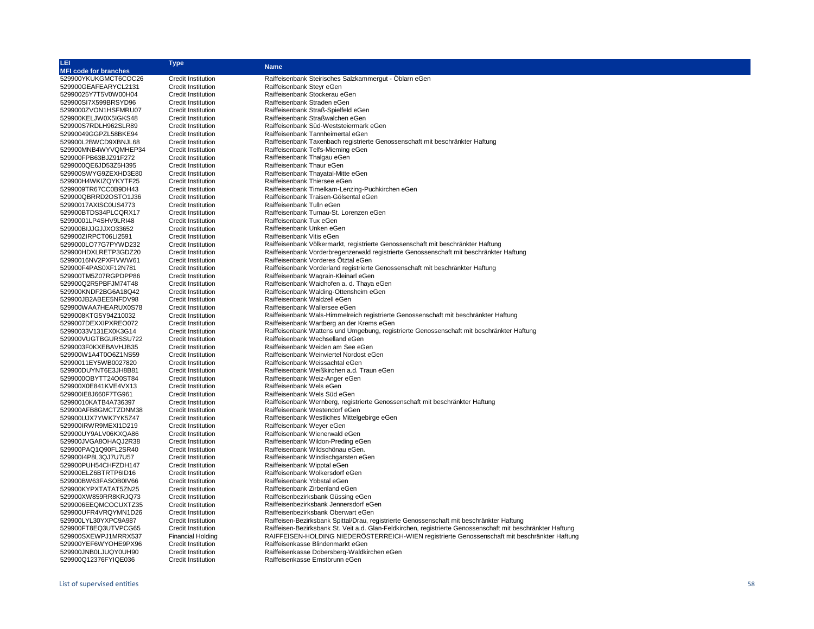| LEI                                          | <b>Type</b>                                            | <b>Name</b>                                                                                                 |
|----------------------------------------------|--------------------------------------------------------|-------------------------------------------------------------------------------------------------------------|
| <b>MFI code for branches</b>                 |                                                        |                                                                                                             |
| 529900YKUKGMCT6COC26                         | <b>Credit Institution</b>                              | Raiffeisenbank Steirisches Salzkammergut - Öblarn eGen                                                      |
| 529900GEAFEARYCL2131                         | <b>Credit Institution</b>                              | Raiffeisenbank Steyr eGen                                                                                   |
| 52990025Y7T5V0W00H04                         | Credit Institution                                     | Raiffeisenbank Stockerau eGen                                                                               |
| 529900SI7X599BRSYD96                         | <b>Credit Institution</b>                              | Raiffeisenbank Straden eGen                                                                                 |
| 5299000ZVON1HSFMRU07                         | Credit Institution                                     | Raiffeisenbank Straß-Spielfeld eGen                                                                         |
| 529900KELJW0X5IGKS48                         | <b>Credit Institution</b>                              | Raiffeisenbank Straßwalchen eGen                                                                            |
| 529900S7RDLH962SLR89                         | <b>Credit Institution</b>                              | Raiffeisenbank Süd-Weststeiermark eGen                                                                      |
| 52990049GGPZL58BKE94                         | <b>Credit Institution</b>                              | Raiffeisenbank Tannheimertal eGen                                                                           |
| 529900L2BWCD9XBNJL68                         | <b>Credit Institution</b>                              | Raiffeisenbank Taxenbach registrierte Genossenschaft mit beschränkter Haftung                               |
| 529900MNB4WYVQMHEP34                         | <b>Credit Institution</b>                              | Raiffeisenbank Telfs-Mieming eGen                                                                           |
| 529900FPB63BJZ91F272                         | <b>Credit Institution</b>                              | Raiffeisenbank Thalgau eGen                                                                                 |
| 5299000QE6JD53Z5H395                         | Credit Institution                                     | Raiffeisenbank Thaur eGen                                                                                   |
| 529900SWYG9ZEXHD3E80                         | <b>Credit Institution</b>                              | Raiffeisenbank Thayatal-Mitte eGen                                                                          |
| 529900H4WKIZQYKYTF25                         | <b>Credit Institution</b>                              | Raiffeisenbank Thiersee eGen                                                                                |
| 5299009TR67CC0B9DH43                         | <b>Credit Institution</b>                              | Raiffeisenbank Timelkam-Lenzing-Puchkirchen eGen                                                            |
| 529900QBRRD2OSTO1J36                         | <b>Credit Institution</b>                              | Raiffeisenbank Traisen-Gölsental eGen                                                                       |
| 52990017AXISC0US4773                         | <b>Credit Institution</b>                              | Raiffeisenbank Tulln eGen                                                                                   |
| 529900BTDS34PLCQRX17                         | Credit Institution                                     | Raiffeisenbank Turnau-St. Lorenzen eGen                                                                     |
| 52990001LP4SHV9LRI48                         | <b>Credit Institution</b>                              | Raiffeisenbank Tux eGen                                                                                     |
| 529900BIJJGJJXO33652                         | <b>Credit Institution</b>                              | Raiffeisenbank Unken eGen                                                                                   |
| 529900ZIRPCT06LI2591                         | <b>Credit Institution</b>                              | Raiffeisenbank Vitis eGen                                                                                   |
| 5299000LO77G7PYWD232                         | <b>Credit Institution</b>                              | Raiffeisenbank Völkermarkt, registrierte Genossenschaft mit beschränkter Haftung                            |
| 529900HDXLRETP3GDZ20                         | <b>Credit Institution</b>                              | Raiffeisenbank Vorderbregenzerwald registrierte Genossenschaft mit beschränkter Haftung                     |
| 52990016NV2PXFIVWW61                         | <b>Credit Institution</b>                              | Raiffeisenbank Vorderes Ötztal eGen                                                                         |
| 529900F4PAS0XF12N781                         | <b>Credit Institution</b>                              | Raiffeisenbank Vorderland registrierte Genossenschaft mit beschränkter Haftung                              |
| 529900TM5Z07RGPDPP86                         | <b>Credit Institution</b>                              | Raiffeisenbank Wagrain-Kleinarl eGen                                                                        |
| 529900Q2R5PBFJM74T48                         | <b>Credit Institution</b>                              | Raiffeisenbank Waidhofen a. d. Thaya eGen                                                                   |
| 529900KNDF2BG6A18Q42                         | <b>Credit Institution</b>                              | Raiffeisenbank Walding-Ottensheim eGen                                                                      |
| 529900JB2ABEE5NFDV98                         | <b>Credit Institution</b>                              | Raiffeisenbank Waldzell eGen                                                                                |
| 529900WAA7HEARUX0S78                         | <b>Credit Institution</b>                              | Raiffeisenbank Wallersee eGen                                                                               |
| 5299008KTG5Y94Z10032                         | <b>Credit Institution</b>                              | Raiffeisenbank Wals-Himmelreich registrierte Genossenschaft mit beschränkter Haftung                        |
| 5299007DEXXIPXREO072                         | <b>Credit Institution</b>                              | Raiffeisenbank Wartberg an der Krems eGen                                                                   |
| 52990033V131EX0K3G14                         | <b>Credit Institution</b>                              | Raiffeisenbank Wattens und Umgebung, registrierte Genossenschaft mit beschränkter Haftung                   |
| 529900VUGTBGURSSU722                         | <b>Credit Institution</b>                              | Raiffeisenbank Wechselland eGen                                                                             |
| 5299003F0KXEBAVHJB35                         | <b>Credit Institution</b>                              | Raiffeisenbank Weiden am See eGen                                                                           |
| 529900W1A4T0O6Z1NS59                         | <b>Credit Institution</b>                              | Raiffeisenbank Weinviertel Nordost eGen                                                                     |
| 52990011EY5WB0027820                         | <b>Credit Institution</b>                              | Raiffeisenbank Weissachtal eGen                                                                             |
| 529900DUYNT6E3JH8B81                         | <b>Credit Institution</b>                              | Raiffeisenbank Weißkirchen a.d. Traun eGen                                                                  |
| 5299000OBYTT24O0ST84                         | <b>Credit Institution</b>                              | Raiffeisenbank Weiz-Anger eGen                                                                              |
| 529900X0E841KVE4VX13                         | <b>Credit Institution</b>                              | Raiffeisenbank Wels eGen                                                                                    |
| 529900IE8J660F7TG961                         | Credit Institution                                     | Raiffeisenbank Wels Süd eGen                                                                                |
| 52990010KATB4A736397                         | <b>Credit Institution</b>                              | Raiffeisenbank Wernberg, registrierte Genossenschaft mit beschränkter Haftung                               |
| 529900AFB8GMCTZDNM38                         | <b>Credit Institution</b>                              | Raiffeisenbank Westendorf eGen                                                                              |
| 529900UJX7YWK7YK5Z47                         | <b>Credit Institution</b>                              | Raiffeisenbank Westliches Mittelgebirge eGen                                                                |
| 529900IRWR9MEXI1D219                         | <b>Credit Institution</b>                              | Raiffeisenbank Weyer eGen                                                                                   |
| 529900UY9ALV06KXQA86                         | <b>Credit Institution</b>                              | Raiffeisenbank Wienerwald eGen                                                                              |
| 529900JVGA8OHAQJ2R38<br>529900PAQ1Q90FL2SR40 | <b>Credit Institution</b><br><b>Credit Institution</b> | Raiffeisenbank Wildon-Preding eGen<br>Raiffeisenbank Wildschönau eGen.                                      |
| 529900I4P8L3QJ7U7U57                         | <b>Credit Institution</b>                              | Raiffeisenbank Windischgarsten eGen                                                                         |
| 529900PUH54CHFZDH147                         | <b>Credit Institution</b>                              | Raiffeisenbank Wipptal eGen                                                                                 |
| 529900ELZ6BTRTP6ID16                         | <b>Credit Institution</b>                              | Raiffeisenbank Wolkersdorf eGen                                                                             |
| 529900BW63FASOB0IV66                         | <b>Credit Institution</b>                              | Raiffeisenbank Ybbstal eGen                                                                                 |
| 529900KYPXTATAT5ZN25                         | <b>Credit Institution</b>                              | Raiffeisenbank Zirbenland eGen                                                                              |
| 529900XW859RR8KRJQ73                         | <b>Credit Institution</b>                              | Raiffeisenbezirksbank Güssing eGen                                                                          |
| 5299006EEQMCOCUXTZ35                         | <b>Credit Institution</b>                              | Raiffeisenbezirksbank Jennersdorf eGen                                                                      |
| 529900UFR4VRQYMN1D26                         | <b>Credit Institution</b>                              | Raiffeisenbezirksbank Oberwart eGen                                                                         |
| 529900LYL30YXPC9A987                         | <b>Credit Institution</b>                              | Raiffeisen-Bezirksbank Spittal/Drau, registrierte Genossenschaft mit beschränkter Haftung                   |
| 529900FT8EQ3UTVPCG65                         | <b>Credit Institution</b>                              | Raiffeisen-Bezirksbank St. Veit a.d. Glan-Feldkirchen, registrierte Genossenschaft mit beschränkter Haftung |
| 529900SXEWPJ1MRRX537                         | <b>Financial Holding</b>                               | RAIFFEISEN-HOLDING NIEDERÖSTERREICH-WIEN registrierte Genossenschaft mit beschränkter Haftung               |
| 529900YEF6WYOHE9PX96                         | <b>Credit Institution</b>                              | Raiffeisenkasse Blindenmarkt eGen                                                                           |
| 529900JNB0LJUQY0UH90                         | <b>Credit Institution</b>                              | Raiffeisenkasse Dobersberg-Waldkirchen eGen                                                                 |
| 529900Q12376FYIQE036                         | <b>Credit Institution</b>                              | Raiffeisenkasse Ernstbrunn eGen                                                                             |
|                                              |                                                        |                                                                                                             |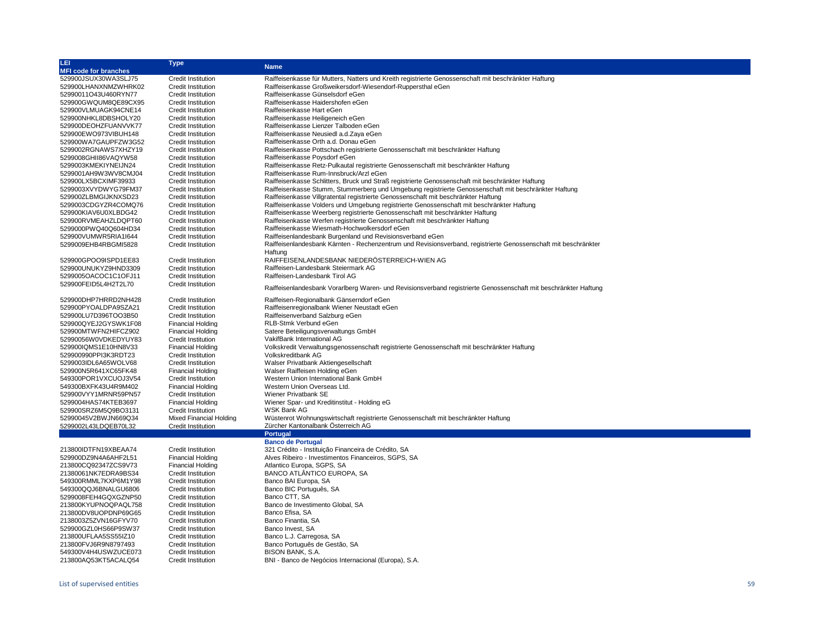| LEI.                                         | <b>Type</b>                                            | <b>Name</b>                                                                                                      |
|----------------------------------------------|--------------------------------------------------------|------------------------------------------------------------------------------------------------------------------|
| <b>MFI code for branches</b>                 |                                                        |                                                                                                                  |
| 529900JSUX30WA3SLJ75                         | Credit Institution                                     | Raiffeisenkasse für Mutters, Natters und Kreith registrierte Genossenschaft mit beschränkter Haftung             |
| 529900LHANXNMZWHRK02                         | <b>Credit Institution</b>                              | Raiffeisenkasse Großweikersdorf-Wiesendorf-Ruppersthal eGen                                                      |
| 52990011O43U460RYN77                         | <b>Credit Institution</b>                              | Raiffeisenkasse Günselsdorf eGen<br>Raiffeisenkasse Haidershofen eGen                                            |
| 529900GWQUM8QE89CX95                         | <b>Credit Institution</b>                              | Raiffeisenkasse Hart eGen                                                                                        |
| 529900VLMUAGK94CNE14<br>529900NHKL8DBSHOLY20 | <b>Credit Institution</b><br><b>Credit Institution</b> | Raiffeisenkasse Heiligeneich eGen                                                                                |
| 529900DEOHZFUANVVK77                         | <b>Credit Institution</b>                              | Raiffeisenkasse Lienzer Talboden eGen                                                                            |
| 529900EWO973VIBUH148                         | <b>Credit Institution</b>                              | Raiffeisenkasse Neusiedl a.d. Zaya eGen                                                                          |
| 529900WA7GAUPFZW3G52                         | <b>Credit Institution</b>                              | Raiffeisenkasse Orth a.d. Donau eGen                                                                             |
| 5299002RGNAWS7XHZY19                         | <b>Credit Institution</b>                              | Raiffeisenkasse Pottschach registrierte Genossenschaft mit beschränkter Haftung                                  |
| 5299008GHII86VAQYW58                         | <b>Credit Institution</b>                              | Raiffeisenkasse Poysdorf eGen                                                                                    |
| 5299003KMEKIYNEIJN24                         | <b>Credit Institution</b>                              | Raiffeisenkasse Retz-Pulkautal registrierte Genossenschaft mit beschränkter Haftung                              |
| 5299001AH9W3WV8CMJ04                         | <b>Credit Institution</b>                              | Raiffeisenkasse Rum-Innsbruck/Arzl eGen                                                                          |
| 529900LX5BCXIMF39933                         | <b>Credit Institution</b>                              | Raiffeisenkasse Schlitters, Bruck und Straß registrierte Genossenschaft mit beschränkter Haftung                 |
| 5299003XVYDWYG79FM37                         | <b>Credit Institution</b>                              | Raiffeisenkasse Stumm, Stummerberg und Umgebung registrierte Genossenschaft mit beschränkter Haftung             |
| 529900ZLBMGIJKNXSD23                         | <b>Credit Institution</b>                              | Raiffeisenkasse Villgratental registrierte Genossenschaft mit beschränkter Haftung                               |
| 5299003CDGYZR4COMQ76                         | <b>Credit Institution</b>                              | Raiffeisenkasse Volders und Umgebung registrierte Genossenschaft mit beschränkter Haftung                        |
| 529900KIAV6U0XLBDG42                         | <b>Credit Institution</b>                              | Raiffeisenkasse Weerberg registrierte Genossenschaft mit beschränkter Haftung                                    |
| 529900RVMEAHZLDQPT60                         | <b>Credit Institution</b>                              | Raiffeisenkasse Werfen registrierte Genossenschaft mit beschränkter Haftung                                      |
| 5299000PWQ40Q604HD34                         | <b>Credit Institution</b>                              | Raiffeisenkasse Wiesmath-Hochwolkersdorf eGen                                                                    |
| 529900VUMWR5RIA1I644                         | <b>Credit Institution</b>                              | Raiffeisenlandesbank Burgenland und Revisionsverband eGen                                                        |
| 5299009EHB4RBGMI5828                         | <b>Credit Institution</b>                              | Raiffeisenlandesbank Kärnten - Rechenzentrum und Revisionsverband, registrierte Genossenschaft mit beschränkter  |
|                                              |                                                        | Haftung                                                                                                          |
| 529900GPOO9ISPD1EE83                         | <b>Credit Institution</b>                              | RAIFFEISENLANDESBANK NIEDERÖSTERREICH-WIEN AG                                                                    |
| 529900UNUKYZ9HND3309                         | <b>Credit Institution</b>                              | Raiffeisen-Landesbank Steiermark AG                                                                              |
| 5299005OACOC1C1OFJ11                         | <b>Credit Institution</b>                              | Raiffeisen-Landesbank Tirol AG                                                                                   |
| 529900FEID5L4H2T2L70                         | <b>Credit Institution</b>                              | Raiffeisenlandesbank Vorarlberg Waren- und Revisionsverband registrierte Genossenschaft mit beschränkter Haftung |
| 529900DHP7HRRD2NH428                         | <b>Credit Institution</b>                              | Raiffeisen-Regionalbank Gänserndorf eGen                                                                         |
| 529900PYOALDPA9SZA21                         | <b>Credit Institution</b>                              | Raiffeisenregionalbank Wiener Neustadt eGen                                                                      |
| 529900LU7D396TOO3B50                         | <b>Credit Institution</b>                              | Raiffeisenverband Salzburg eGen                                                                                  |
| 529900QYEJ2GYSWK1F08                         | <b>Financial Holding</b>                               | RLB-Stmk Verbund eGen                                                                                            |
| 529900MTWFN2HIFCZ902                         | <b>Financial Holding</b>                               | Satere Beteiligungsverwaltungs GmbH                                                                              |
| 52990056W0VDKEDYUY83                         | <b>Credit Institution</b>                              | VakifBank International AG                                                                                       |
| 529900IQMS1E10HN8V33                         | <b>Financial Holding</b>                               | Volkskredit Verwaltungsgenossenschaft registrierte Genossenschaft mit beschränkter Haftung                       |
| 529900990PPI3K3RDT23                         | Credit Institution                                     | Volkskreditbank AG                                                                                               |
| 5299003IDL6A65WOLV68                         | <b>Credit Institution</b>                              | Walser Privatbank Aktiengesellschaft                                                                             |
| 529900N5R641XC65FK48                         | <b>Financial Holding</b>                               | Walser Raiffeisen Holding eGen                                                                                   |
| 549300POR1VXCUOJ3V54                         | Credit Institution                                     | Western Union International Bank GmbH                                                                            |
| 549300BXFK43U4R9M402                         | <b>Financial Holding</b>                               | Western Union Overseas Ltd.                                                                                      |
| 529900VYY1MRNR59PN57                         | <b>Credit Institution</b>                              | Wiener Privatbank SE                                                                                             |
| 5299004HAS74KTEB3697                         | <b>Financial Holding</b>                               | Wiener Spar- und Kreditinstitut - Holding eG                                                                     |
| 529900SRZ6M5Q9BO3131                         | Credit Institution                                     | <b>WSK Bank AG</b>                                                                                               |
| 52990045V2BWJN669Q34                         | <b>Mixed Financial Holding</b>                         | Wüstenrot Wohnungswirtschaft registrierte Genossenschaft mit beschränkter Haftung                                |
| 5299002L43LDQEB70L32                         | Credit Institution                                     | Zürcher Kantonalbank Österreich AG<br>Portugal                                                                   |
|                                              |                                                        | <b>Banco de Portugal</b>                                                                                         |
| 213800IDTFN19XBEAA74                         | <b>Credit Institution</b>                              | 321 Crédito - Instituição Financeira de Crédito, SA                                                              |
| 529900DZ9N4A6AHF2L51                         | <b>Financial Holding</b>                               | Alves Ribeiro - Investimentos Financeiros, SGPS, SA                                                              |
| 213800CQ92347ZCS9V73                         | <b>Financial Holding</b>                               | Atlantico Europa, SGPS, SA                                                                                       |
| 21380061NK7EDRA9BS34                         | <b>Credit Institution</b>                              | BANCO ATLÂNTICO EUROPA, SA                                                                                       |
| 549300RMML7KXP6M1Y98                         | <b>Credit Institution</b>                              | Banco BAI Europa, SA                                                                                             |
| 549300QQJ6BNALGU6806                         | <b>Credit Institution</b>                              | Banco BIC Português, SA                                                                                          |
| 5299008FEH4GQXGZNP50                         | <b>Credit Institution</b>                              | Banco CTT, SA                                                                                                    |
| 213800KYUPNOQPAQL758                         | <b>Credit Institution</b>                              | Banco de Investimento Global, SA                                                                                 |
| 213800DV8UOPDNP69G65                         | <b>Credit Institution</b>                              | Banco Efisa, SA                                                                                                  |
| 2138003Z5ZVN16GFYV70                         | <b>Credit Institution</b>                              | Banco Finantia, SA                                                                                               |
| 529900GZL0HS66P9SW37                         | <b>Credit Institution</b>                              | Banco Invest, SA                                                                                                 |
| 213800UFLAA5SS55IZ10                         | <b>Credit Institution</b>                              | Banco L.J. Carregosa, SA                                                                                         |
| 213800FVJ6R9N8797493                         | <b>Credit Institution</b>                              | Banco Português de Gestão, SA                                                                                    |
| 549300V4H4USWZUCE073                         | <b>Credit Institution</b>                              | BISON BANK, S.A.                                                                                                 |
| 213800AQ53KT5ACALQ54                         | <b>Credit Institution</b>                              | BNI - Banco de Negócios Internacional (Europa), S.A.                                                             |
|                                              |                                                        |                                                                                                                  |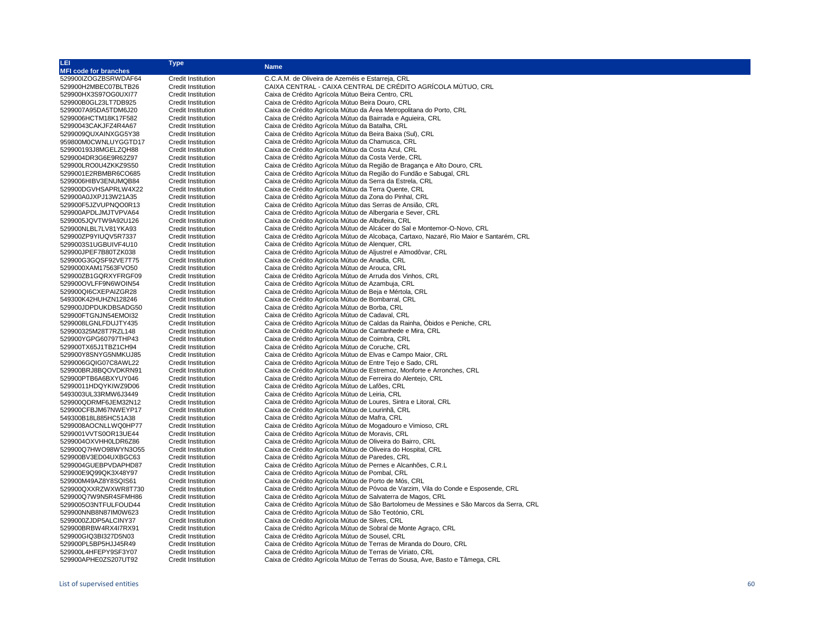| LEI.                         | Type                      | <b>Name</b>                                                                              |
|------------------------------|---------------------------|------------------------------------------------------------------------------------------|
| <b>MFI code for branches</b> |                           |                                                                                          |
| 529900IZOGZBSRWDAF64         | Credit Institution        | C.C.A.M. de Oliveira de Azeméis e Estarreja, CRL                                         |
| 529900H2MBEC07BLTB26         | <b>Credit Institution</b> | CAIXA CENTRAL - CAIXA CENTRAL DE CRÉDITO AGRÍCOLA MÚTUO, CRL                             |
| 529900HX3S97OG0UXI77         | <b>Credit Institution</b> | Caixa de Crédito Agrícola Mútuo Beira Centro, CRL                                        |
| 529900B0GL23LT7DB925         | Credit Institution        | Caixa de Crédito Agrícola Mútuo Beira Douro, CRL                                         |
| 5299007A95DA5TDM6J20         | Credit Institution        | Caixa de Crédito Agrícola Mútuo da Area Metropolitana do Porto, CRL                      |
| 5299006HCTM18K17F582         | <b>Credit Institution</b> | Caixa de Crédito Agrícola Mútuo da Bairrada e Aguieira, CRL                              |
| 52990043CAKJFZ4R4A67         | <b>Credit Institution</b> | Caixa de Crédito Agrícola Mútuo da Batalha, CRL                                          |
| 5299009QUXAINXGG5Y38         | Credit Institution        | Caixa de Crédito Agrícola Mútuo da Beira Baixa (Sul), CRL                                |
| 959800M0CWNLUYGGTD17         | Credit Institution        | Caixa de Crédito Agrícola Mútuo da Chamusca, CRL                                         |
| 529900193J8MGELZQH88         | <b>Credit Institution</b> | Caixa de Crédito Agrícola Mútuo da Costa Azul, CRL                                       |
| 5299004DR3G6E9R62Z97         | <b>Credit Institution</b> | Caixa de Crédito Agrícola Mútuo da Costa Verde, CRL                                      |
| 529900LRO0U4ZKKZ9S50         | Credit Institution        | Caixa de Crédito Agrícola Mútuo da Região de Bragança e Alto Douro, CRL                  |
| 5299001E2RBMBR6CO685         | Credit Institution        | Caixa de Crédito Agrícola Mútuo da Região do Fundão e Sabugal, CRL                       |
| 5299006HIBV3ENUMQB84         | <b>Credit Institution</b> | Caixa de Crédito Agrícola Mútuo da Serra da Estrela, CRL                                 |
| 529900DGVHSAPRLW4X22         | Credit Institution        | Caixa de Crédito Agrícola Mútuo da Terra Quente, CRL                                     |
| 529900A0JXPJ13W21A35         | Credit Institution        | Caixa de Crédito Agrícola Mútuo da Zona do Pinhal, CRL                                   |
| 529900F5JZVUPNQO0R13         | Credit Institution        | Caixa de Crédito Agrícola Mútuo das Serras de Ansião, CRL                                |
| 529900APDLJMJTVPVA64         | <b>Credit Institution</b> | Caixa de Crédito Agrícola Mútuo de Albergaria e Sever, CRL                               |
| 5299005JQVTW9A92U126         | Credit Institution        | Caixa de Crédito Agrícola Mútuo de Albufeira, CRL                                        |
| 529900NLBL7LV81YKA93         | <b>Credit Institution</b> | Caixa de Crédito Agrícola Mútuo de Alcácer do Sal e Montemor-O-Novo, CRL                 |
| 529900ZP9YIUQV5R7337         | Credit Institution        | Caixa de Crédito Agrícola Mútuo de Alcobaça, Cartaxo, Nazaré, Rio Maior e Santarém, CRL  |
| 5299003S1UGBUIVF4U10         | <b>Credit Institution</b> | Caixa de Crédito Agrícola Mútuo de Alenguer, CRL                                         |
| 529900JPEF7B80TZK038         | <b>Credit Institution</b> | Caixa de Crédito Agrícola Mútuo de Aljustrel e Almodôvar, CRL                            |
| 529900G3GQSF92VE7T75         | Credit Institution        | Caixa de Crédito Agrícola Mútuo de Anadia, CRL                                           |
| 5299000XAM17563FVO50         | Credit Institution        | Caixa de Crédito Agrícola Mútuo de Arouca, CRL                                           |
| 529900ZB1GQRXYFRGF09         | <b>Credit Institution</b> | Caixa de Crédito Agrícola Mútuo de Arruda dos Vinhos, CRL                                |
| 529900OVLFF9N6WOIN54         | Credit Institution        | Caixa de Crédito Agrícola Mútuo de Azambuja, CRL                                         |
| 529900QI6CXEPAIZGR28         | Credit Institution        | Caixa de Crédito Agrícola Mútuo de Beja e Mértola, CRL                                   |
| 549300K42HUHZN128246         | Credit Institution        | Caixa de Crédito Agrícola Mútuo de Bombarral, CRL                                        |
| 529900JDPDUKDBSADG50         | <b>Credit Institution</b> | Caixa de Crédito Agrícola Mútuo de Borba, CRL                                            |
| 529900FTGNJN54EMOI32         | Credit Institution        | Caixa de Crédito Agrícola Mútuo de Cadaval, CRL                                          |
| 5299008LGNLFDUJTY435         | Credit Institution        | Caixa de Crédito Agrícola Mútuo de Caldas da Rainha, Óbidos e Peniche, CRL               |
| 529900325M28T7RZL148         | Credit Institution        | Caixa de Crédito Agrícola Mútuo de Cantanhede e Mira, CRL                                |
| 529900YGPG60797THP43         | <b>Credit Institution</b> | Caixa de Crédito Agrícola Mútuo de Coimbra, CRL                                          |
| 529900TX65J1TBZ1CH94         | Credit Institution        | Caixa de Crédito Agrícola Mútuo de Coruche, CRL                                          |
| 529900Y8SNYG5NMKUJ85         | <b>Credit Institution</b> | Caixa de Crédito Agrícola Mútuo de Elvas e Campo Maior, CRL                              |
| 5299006GQIG07C8AWL22         | Credit Institution        | Caixa de Crédito Agrícola Mútuo de Entre Tejo e Sado, CRL                                |
| 529900BRJ8BQOVDKRN91         | <b>Credit Institution</b> | Caixa de Crédito Agrícola Mútuo de Estremoz, Monforte e Arronches, CRL                   |
| 529900PTB6A6BXYUY046         | <b>Credit Institution</b> | Caixa de Crédito Agrícola Mútuo de Ferreira do Alentejo, CRL                             |
| 52990011HDQYKIWZ9D06         | Credit Institution        | Caixa de Crédito Agrícola Mútuo de Lafões, CRL                                           |
| 5493003UL33RMW6J3449         | Credit Institution        | Caixa de Crédito Agrícola Mútuo de Leiria, CRL                                           |
| 529900QDRMF6JEM32N12         | <b>Credit Institution</b> | Caixa de Crédito Agrícola Mútuo de Loures, Sintra e Litoral, CRL                         |
| 529900CFBJM67NWEYP17         | <b>Credit Institution</b> | Caixa de Crédito Agrícola Mútuo de Lourinhã, CRL                                         |
| 549300B18L885HC51A38         | Credit Institution        | Caixa de Crédito Agrícola Mútuo de Mafra, CRL                                            |
| 5299008AOCNLLWQ0HP77         | Credit Institution        | Caixa de Crédito Agrícola Mútuo de Mogadouro e Vimioso, CRL                              |
| 5299001VVTS0OR13UE44         | Credit Institution        | Caixa de Crédito Agrícola Mútuo de Moravis, CRL                                          |
| 5299004OXVHH0LDR6Z86         | <b>Credit Institution</b> | Caixa de Crédito Agrícola Mútuo de Oliveira do Bairro, CRL                               |
| 529900Q7HWO98WYN3O55         | Credit Institution        | Caixa de Crédito Agrícola Mútuo de Oliveira do Hospital, CRL                             |
| 529900BV3ED04UXBGC63         | <b>Credit Institution</b> | Caixa de Crédito Agrícola Mútuo de Paredes, CRL                                          |
| 5299004GUEBPVDAPHD87         | <b>Credit Institution</b> | Caixa de Crédito Agrícola Mútuo de Pernes e Alcanhões, C.R.L.                            |
| 529900E9Q99QK3X48Y97         | Credit Institution        | Caixa de Crédito Agrícola Mútuo de Pombal, CRL                                           |
| 529900M49AZ8Y8SQIS61         | Credit Institution        | Caixa de Crédito Agrícola Mútuo de Porto de Mós, CRL                                     |
| 529900QXXRZWXWR8T730         | Credit Institution        | Caixa de Crédito Agrícola Mútuo de Póvoa de Varzim, Vila do Conde e Esposende, CRL       |
| 529900Q7W9N5R4SFMH86         | <b>Credit Institution</b> | Caixa de Crédito Agrícola Mútuo de Salvaterra de Magos, CRL                              |
| 5299005O3NTFULFOUD44         | <b>Credit Institution</b> | Caixa de Crédito Agrícola Mútuo de São Bartolomeu de Messines e São Marcos da Serra, CRL |
| 529900NNB8N87IM0W623         | Credit Institution        | Caixa de Crédito Agrícola Mútuo de São Teotónio, CRL                                     |
| 5299000ZJDP5ALCINY37         | Credit Institution        | Caixa de Crédito Agrícola Mútuo de Silves, CRL                                           |
| 529900BRBW4RX4I7RX91         | <b>Credit Institution</b> | Caixa de Crédito Agrícola Mútuo de Sobral de Monte Agraço, CRL                           |
| 529900GIQ3BI327D5N03         | Credit Institution        | Caixa de Crédito Agrícola Mútuo de Sousel, CRL                                           |
| 529900PL5BP5HJJ45R49         | Credit Institution        | Caixa de Crédito Agrícola Mútuo de Terras de Miranda do Douro, CRL                       |
| 529900L4HFEPY9SF3Y07         | <b>Credit Institution</b> | Caixa de Crédito Agrícola Mútuo de Terras de Viriato, CRL                                |
| 529900APHE0ZS207UT92         | <b>Credit Institution</b> | Caixa de Crédito Agrícola Mútuo de Terras do Sousa, Ave, Basto e Tâmega, CRL             |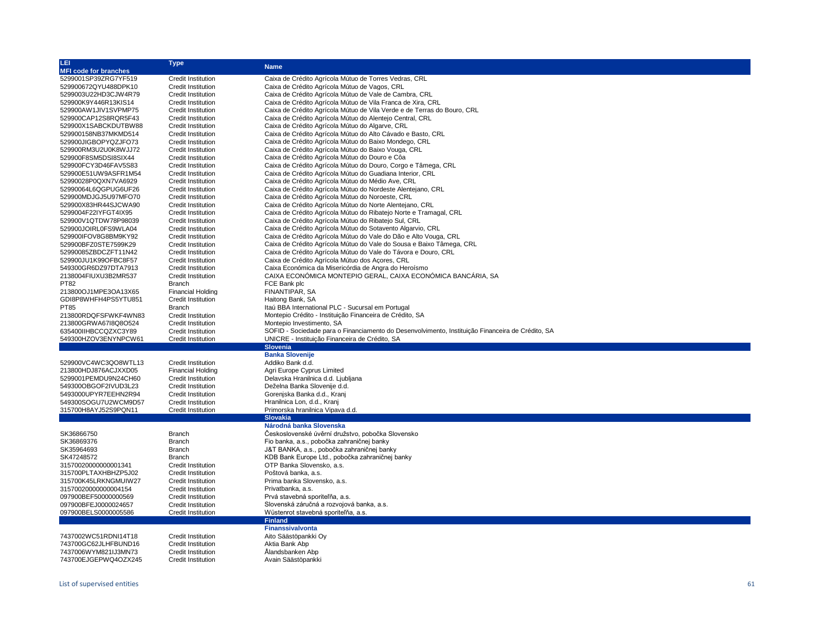| LEI                          | Type                      | <b>Name</b>                                                                                      |
|------------------------------|---------------------------|--------------------------------------------------------------------------------------------------|
| <b>MFI code for branches</b> |                           |                                                                                                  |
| 5299001SP39ZRG7YF519         | Credit Institution        | Caixa de Crédito Agrícola Mútuo de Torres Vedras, CRL                                            |
| 529900672QYU488DPK10         | <b>Credit Institution</b> | Caixa de Crédito Agrícola Mútuo de Vagos, CRL                                                    |
| 5299003U22HD3CJW4R79         | <b>Credit Institution</b> | Caixa de Crédito Agrícola Mútuo de Vale de Cambra, CRL                                           |
| 529900K9Y446R13KIS14         | <b>Credit Institution</b> | Caixa de Crédito Agrícola Mútuo de Vila Franca de Xira, CRL                                      |
| 529900AW1JIV1SVPMP75         | Credit Institution        | Caixa de Crédito Agrícola Mútuo de Vila Verde e de Terras do Bouro, CRL                          |
| 529900CAP12S8RQR5F43         | <b>Credit Institution</b> | Caixa de Crédito Agrícola Mútuo do Alentejo Central, CRL                                         |
| 529900X1SABCKDUTBW88         | <b>Credit Institution</b> | Caixa de Crédito Agrícola Mútuo do Algarve, CRL                                                  |
| 529900158NB37MKMD514         | <b>Credit Institution</b> | Caixa de Crédito Agrícola Mútuo do Alto Cávado e Basto, CRL                                      |
| 529900JIGBOPYQZJFO73         | Credit Institution        | Caixa de Crédito Agrícola Mútuo do Baixo Mondego, CRL                                            |
| 529900RM3U2U0K8WJJ72         | Credit Institution        | Caixa de Crédito Agrícola Mútuo do Baixo Vouga, CRL                                              |
| 529900F8SM5DSI8SIX44         | <b>Credit Institution</b> | Caixa de Crédito Agrícola Mútuo do Douro e Côa                                                   |
| 529900FCY3D46FAV5S83         | <b>Credit Institution</b> | Caixa de Crédito Agrícola Mútuo do Douro, Corgo e Tâmega, CRL                                    |
| 529900E51UW9ASFR1M54         | <b>Credit Institution</b> | Caixa de Crédito Agrícola Mútuo do Guadiana Interior, CRL                                        |
|                              | Credit Institution        |                                                                                                  |
| 52990028P0QXN7VA6929         |                           | Caixa de Crédito Agrícola Mútuo do Médio Ave, CRL                                                |
| 52990064L6QGPUG6UF26         | <b>Credit Institution</b> | Caixa de Crédito Agrícola Mútuo do Nordeste Alentejano, CRL                                      |
| 529900MDJGJ5U97MFO70         | <b>Credit Institution</b> | Caixa de Crédito Agrícola Mútuo do Noroeste, CRL                                                 |
| 529900X83HR44SJCWA90         | <b>Credit Institution</b> | Caixa de Crédito Agrícola Mútuo do Norte Alentejano, CRL                                         |
| 5299004F22IYFGT4IX95         | Credit Institution        | Caixa de Crédito Agrícola Mútuo do Ribatejo Norte e Tramagal, CRL                                |
| 529900V1QTDW78P98039         | <b>Credit Institution</b> | Caixa de Crédito Agrícola Mútuo do Ribatejo Sul, CRL                                             |
| 529900JOIRL0FS9WLA04         | <b>Credit Institution</b> | Caixa de Crédito Agrícola Mútuo do Sotavento Algarvio, CRL                                       |
| 529900IFOV8G8BM9KY92         | <b>Credit Institution</b> | Caixa de Crédito Agrícola Mútuo do Vale do Dão e Alto Vouga, CRL                                 |
| 529900BFZ0STE7599K29         | <b>Credit Institution</b> | Caixa de Crédito Agrícola Mútuo do Vale do Sousa e Baixo Tâmega, CRL                             |
| 52990085ZBDCZFT11N42         | <b>Credit Institution</b> | Caixa de Crédito Agrícola Mútuo do Vale do Távora e Douro, CRL                                   |
| 529900JU1K99OFBC8F57         | <b>Credit Institution</b> | Caixa de Crédito Agrícola Mútuo dos Acores, CRL                                                  |
| 549300GR6DZ97DTA7913         | <b>Credit Institution</b> | Caixa Económica da Misericórdia de Angra do Heroísmo                                             |
| 2138004FIUXU3B2MR537         | <b>Credit Institution</b> | CAIXA ECONÓMICA MONTEPIO GERAL, CAIXA ECONÓMICA BANCÁRIA, SA                                     |
| PT82                         | <b>Branch</b>             | FCE Bank plc                                                                                     |
| 213800OJ1MPE3OA13X65         | <b>Financial Holding</b>  | FINANTIPAR, SA                                                                                   |
| GDI8P8WHFH4PS5YTU851         | <b>Credit Institution</b> | Haitong Bank, SA                                                                                 |
| PT85                         | <b>Branch</b>             | Itaú BBA International PLC - Sucursal em Portugal                                                |
| 213800RDQFSFWKF4WN83         | Credit Institution        | Montepio Crédito - Instituição Financeira de Crédito, SA                                         |
| 213800GRWA67I8Q8O524         | Credit Institution        | Montepio Investimento, SA                                                                        |
| 635400IIHBCCQZXC3Y89         | <b>Credit Institution</b> | SOFID - Sociedade para o Financiamento do Desenvolvimento, Instituição Financeira de Crédito, SA |
| 549300HZOV3ENYNPCW61         | Credit Institution        | UNICRE - Instituição Financeira de Crédito, SA                                                   |
|                              |                           | <b>Slovenia</b>                                                                                  |
|                              |                           | <b>Banka Slovenije</b>                                                                           |
| 529900VC4WC3QO8WTL13         | <b>Credit Institution</b> | Addiko Bank d.d.                                                                                 |
| 213800HDJ876ACJXXD05         | <b>Financial Holding</b>  | Agri Europe Cyprus Limited                                                                       |
| 5299001PEMDU9N24CH60         | <b>Credit Institution</b> | Delavska Hranilnica d.d. Ljubljana                                                               |
| 549300OBGOF2IVUD3L23         | Credit Institution        | Deželna Banka Slovenije d.d.                                                                     |
| 5493000UPYR7EEHN2R94         | Credit Institution        | Gorenjska Banka d.d., Kranj                                                                      |
| 549300SOGU7U2WCM9D57         | <b>Credit Institution</b> | Hranilnica Lon, d.d., Kranj                                                                      |
| 315700H8AYJ52S9PQN11         |                           | Primorska hranilnica Vipava d.d.                                                                 |
|                              | Credit Institution        | <b>Slovakia</b>                                                                                  |
|                              |                           | Národná banka Slovenska                                                                          |
| SK36866750                   |                           |                                                                                                  |
|                              | Branch                    | Československé úvěrní družstvo, pobočka Slovensko                                                |
| SK36869376                   | <b>Branch</b>             | Fio banka, a.s., pobočka zahraničnej banky                                                       |
| SK35964693                   | <b>Branch</b>             | J&T BANKA, a.s., pobočka zahraničnej banky                                                       |
| SK47248572                   | <b>Branch</b>             | KDB Bank Europe Ltd., pobočka zahraničnej banky                                                  |
| 31570020000000001341         | Credit Institution        | OTP Banka Slovensko, a.s.                                                                        |
| 315700PLTAXHBHZP5J02         | <b>Credit Institution</b> | Poštová banka, a.s.                                                                              |
| 315700K45LRKNGMUIW27         | <b>Credit Institution</b> | Prima banka Slovensko, a.s.                                                                      |
| 31570020000000004154         | <b>Credit Institution</b> | Privatbanka, a.s.                                                                                |
| 097900BEF50000000569         | <b>Credit Institution</b> | Prvá stavebná sporiteľňa, a.s.                                                                   |
| 097900BFEJ0000024657         | <b>Credit Institution</b> | Slovenská záručná a rozvojová banka, a.s.                                                        |
| 097900BELS0000005586         | Credit Institution        | Wüstenrot stavebná sporiteľňa, a.s.                                                              |
|                              |                           | <b>Finland</b>                                                                                   |
|                              |                           | Finanssivalvonta                                                                                 |
| 7437002WC51RDNI14T18         | <b>Credit Institution</b> | Aito Säästöpankki Oy                                                                             |
| 743700GC62JLHFBUND16         | <b>Credit Institution</b> | Aktia Bank Abp                                                                                   |
| 7437006WYM821IJ3MN73         | <b>Credit Institution</b> | Alandsbanken Abp                                                                                 |
| 743700EJGEPWQ4OZX245         | <b>Credit Institution</b> | Avain Säästöpankki                                                                               |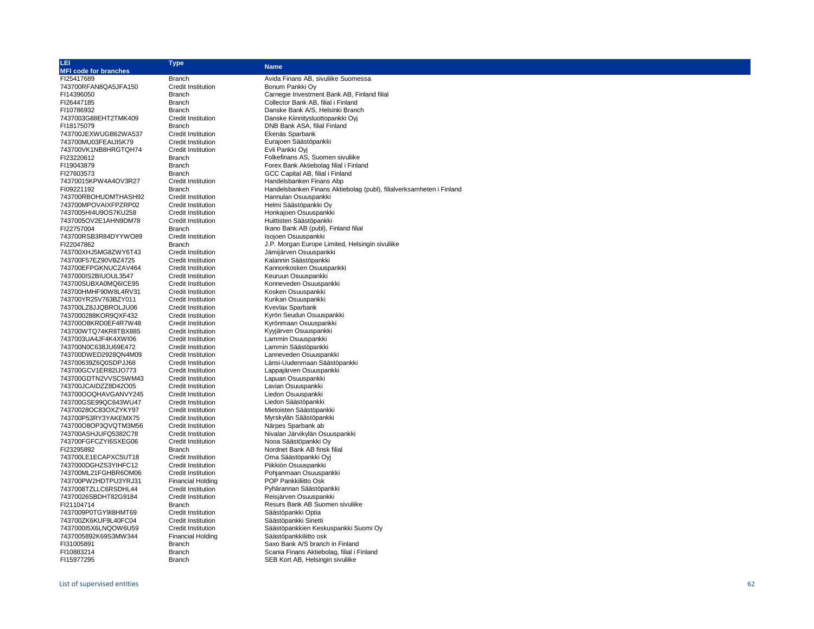| LEI                          | <b>Type</b>               |                                                                      |
|------------------------------|---------------------------|----------------------------------------------------------------------|
| <b>MFI code for branches</b> |                           | <b>Name</b>                                                          |
| FI25417689                   | Branch                    | Avida Finans AB, sivuliike Suomessa                                  |
| 743700RFAN8QA5JFA150         | <b>Credit Institution</b> | Bonum Pankki Oy                                                      |
| FI14396050                   | <b>Branch</b>             | Carnegie Investment Bank AB, Finland filial                          |
| FI26447185                   | <b>Branch</b>             | Collector Bank AB, filial i Finland                                  |
| FI10786932                   | <b>Branch</b>             | Danske Bank A/S, Helsinki Branch                                     |
| 7437003G88EHT2TMK409         | Credit Institution        | Danske Kiinnitysluottopankki Oyj                                     |
| FI18175079                   | <b>Branch</b>             | DNB Bank ASA, filial Finland                                         |
| 743700JEXWUGB62WA537         | <b>Credit Institution</b> | Ekenäs Sparbank                                                      |
| 743700MU03FEAIJI5K79         | <b>Credit Institution</b> | Eurajoen Säästöpankki                                                |
| 743700VK1NB8HRGTQH74         | Credit Institution        | Evli Pankki Ovi                                                      |
| FI23220612                   | <b>Branch</b>             | Folkefinans AS, Suomen sivuliike                                     |
| FI19043879                   | <b>Branch</b>             | Forex Bank Aktiebolag filial i Finland                               |
| FI27603573                   | <b>Branch</b>             | GCC Capital AB, filial i Finland                                     |
| 74370015KPW4A4OV3R27         | <b>Credit Institution</b> | Handelsbanken Finans Abp                                             |
| FI09221192                   | <b>Branch</b>             | Handelsbanken Finans Aktiebolag (publ), filialverksamheten i Finland |
| 743700RBOHUDMTHASH92         | Credit Institution        | Hannulan Osuuspankki                                                 |
| 743700MPOVAIXFPZRP02         | <b>Credit Institution</b> | Helmi Säästöpankki Oy                                                |
| 7437005HI4U9OS7KU258         | <b>Credit Institution</b> | Honkajoen Osuuspankki                                                |
| 7437005OV2E1AHN9DM78         | <b>Credit Institution</b> | Huittisten Säästöpankki                                              |
| FI22757004                   | <b>Branch</b>             | Ikano Bank AB (publ), Finland filial                                 |
| 743700RSB3R84DYYWO89         | <b>Credit Institution</b> | Isojoen Osuuspankki                                                  |
| FI22047862                   | <b>Branch</b>             |                                                                      |
|                              | Credit Institution        | J.P. Morgan Europe Limited, Helsingin sivuliike                      |
| 743700XHJ5MG8ZWY6T43         | <b>Credit Institution</b> | Jämijärven Osuuspankki<br>Kalannin Säästöpankki                      |
| 743700F57EZ90VBZ4725         |                           |                                                                      |
| 743700EFPGKNUCZAV464         | Credit Institution        | Kannonkosken Osuuspankki                                             |
| 7437000IS2BIUOUL3547         | <b>Credit Institution</b> | Keuruun Osuuspankki                                                  |
| 743700SUBXA0MQ6ICE95         | Credit Institution        | Konneveden Osuuspankki                                               |
| 743700HMHF90W8L4RV31         | Credit Institution        | Kosken Osuuspankki                                                   |
| 743700YR25V763BZY011         | <b>Credit Institution</b> | Kurikan Osuuspankki                                                  |
| 743700LZ8JJQBROLJU06         | <b>Credit Institution</b> | Kvevlax Sparbank                                                     |
| 7437000288KOR9QXF432         | <b>Credit Institution</b> | Kyrön Seudun Osuuspankki                                             |
| 743700O8KRD0EF4R7W48         | <b>Credit Institution</b> | Kyrönmaan Osuuspankki                                                |
| 743700WTQ74KR8TBX885         | <b>Credit Institution</b> | Kyyjärven Osuuspankki                                                |
| 7437003UA4JF4K4XWI06         | <b>Credit Institution</b> | Lammin Osuuspankki                                                   |
| 743700N0C638JU69E472         | Credit Institution        | Lammin Säästöpankki                                                  |
| 743700DWED2928QN4M09         | Credit Institution        | Lanneveden Osuuspankki                                               |
| 743700639Z6Q0SDPJJ68         | Credit Institution        | Länsi-Uudenmaan Säästöpankki                                         |
| 743700GCV1ER82IJO773         | Credit Institution        | Lappajärven Osuuspankki                                              |
| 743700GDTN2VVSC5WM43         | <b>Credit Institution</b> | Lapuan Osuuspankki                                                   |
| 743700JCAIDZZ8D42O05         | Credit Institution        | Lavian Osuuspankki                                                   |
| 743700OOQHAVGANVY245         | Credit Institution        | Liedon Osuuspankki                                                   |
| 743700GSE99QC643WU47         | <b>Credit Institution</b> | Liedon Säästöpankki                                                  |
| 74370028OC83OXZYKY97         | <b>Credit Institution</b> | Mietoisten Säästöpankki                                              |
| 743700P53RY3YAKEMX75         | Credit Institution        | Myrskylän Säästöpankki                                               |
| 743700O8OP3QVQTM3M56         | <b>Credit Institution</b> | Närpes Sparbank ab                                                   |
| 743700ASHJUFQ5382C78         | Credit Institution        | Nivalan Järvikylän Osuuspankki                                       |
| 743700FGFCZYI6SXEG06         | Credit Institution        | Nooa Säästöpankki Ov                                                 |
| FI23295892                   | Branch                    | Nordnet Bank AB finsk filial                                         |
| 743700LE1ECAPXC5UT18         | Credit Institution        | Oma Säästöpankki Oyj                                                 |
| 7437000DGHZS3YIHFC12         | <b>Credit Institution</b> | Piikkiön Osuuspankki                                                 |
| 743700ML21FGHBR6OM06         | <b>Credit Institution</b> | Pohjanmaan Osuuspankki                                               |
| 743700PW2HDTPU3YRJ31         | <b>Financial Holding</b>  | POP Pankkiliitto Osk                                                 |
| 7437008TZLLC6RSDHL44         | Credit Institution        | Pyhärannan Säästöpankki                                              |
| 74370026SBDHT82G9184         | <b>Credit Institution</b> | Reisjärven Osuuspankki                                               |
| FI21104714                   | <b>Branch</b>             | Resurs Bank AB Suomen sivuliike                                      |
| 7437009P0TGY9I8HMT69         | <b>Credit Institution</b> | Säästöpankki Optia                                                   |
| 743700ZK6KUF9L40FC04         | Credit Institution        | Säästöpankki Sinetti                                                 |
| 743700015X6LNQOW6U59         | Credit Institution        | Säästöpankkien Keskuspankki Suomi Oy                                 |
| 7437005892K69S3MW344         | <b>Financial Holding</b>  | Säästöpankkiliitto osk                                               |
| FI31005891                   | <b>Branch</b>             | Saxo Bank A/S branch in Finland                                      |
| FI10883214                   | Branch                    | Scania Finans Aktiebolag, filial i Finland                           |
| FI15977295                   | <b>Branch</b>             | SEB Kort AB. Helsingin sivulijke                                     |

SEB Kort AB, Helsingin sivuliike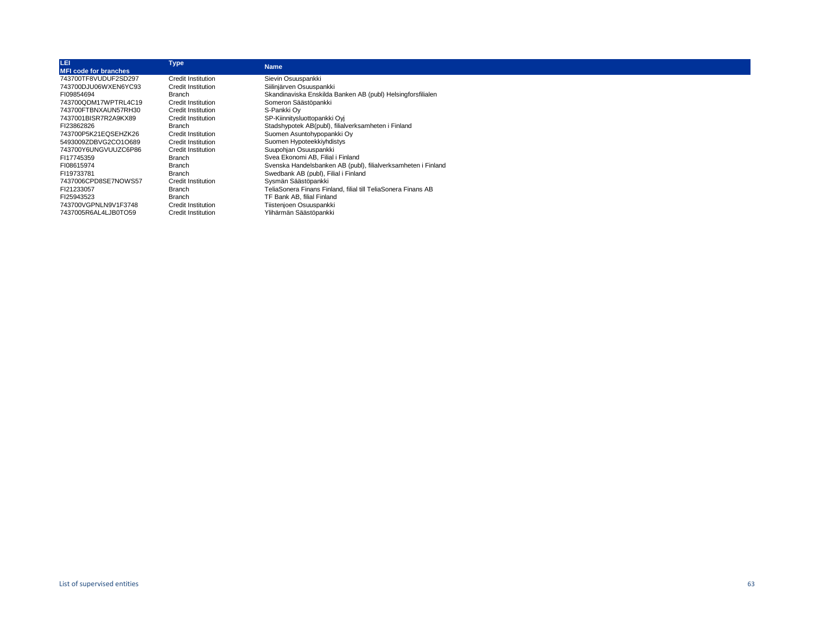| LEI                          | <b>Type</b>               | <b>Name</b>                                                   |
|------------------------------|---------------------------|---------------------------------------------------------------|
| <b>MFI code for branches</b> |                           |                                                               |
| 743700TF8VUDUF2SD297         | Credit Institution        | Sievin Osuuspankki                                            |
| 743700DJU06WXEN6YC93         | Credit Institution        | Siilinjärven Osuuspankki                                      |
| FI09854694                   | Branch                    | Skandinaviska Enskilda Banken AB (publ) Helsingforsfilialen   |
| 743700QDM17WPTRL4C19         | Credit Institution        | Someron Säästöpankki                                          |
| 743700FTBNXAUN57RH30         | Credit Institution        | S-Pankki Oy                                                   |
| 7437001BISR7R2A9KX89         | <b>Credit Institution</b> | SP-Kiinnitysluottopankki Oyj                                  |
| FI23862826                   | Branch                    | Stadshypotek AB(publ), filialverksamheten i Finland           |
| 743700P5K21EQSEHZK26         | Credit Institution        | Suomen Asuntohypopankki Oy                                    |
| 5493009ZDBVG2CO1O689         | Credit Institution        | Suomen Hypoteekkiyhdistys                                     |
| 743700Y6UNGVUUZC6P86         | <b>Credit Institution</b> | Suupohjan Osuuspankki                                         |
| FI17745359                   | Branch                    | Svea Ekonomi AB, Filial i Finland                             |
| FI08615974                   | Branch                    | Svenska Handelsbanken AB (publ), filialverksamheten i Finland |
| FI19733781                   | Branch                    | Swedbank AB (publ), Filial i Finland                          |
| 7437006CPD8SE7NOWS57         | <b>Credit Institution</b> | Svsmän Säästöpankki                                           |
| FI21233057                   | Branch                    | TeliaSonera Finans Finland, filial till TeliaSonera Finans AB |
| FI25943523                   | Branch                    | TF Bank AB, filial Finland                                    |
| 743700VGPNLN9V1F3748         | <b>Credit Institution</b> | Tiistenjoen Osuuspankki                                       |
| 7437005R6AL4LJB0TO59         | Credit Institution        | Ylihärmän Säästöpankki                                        |